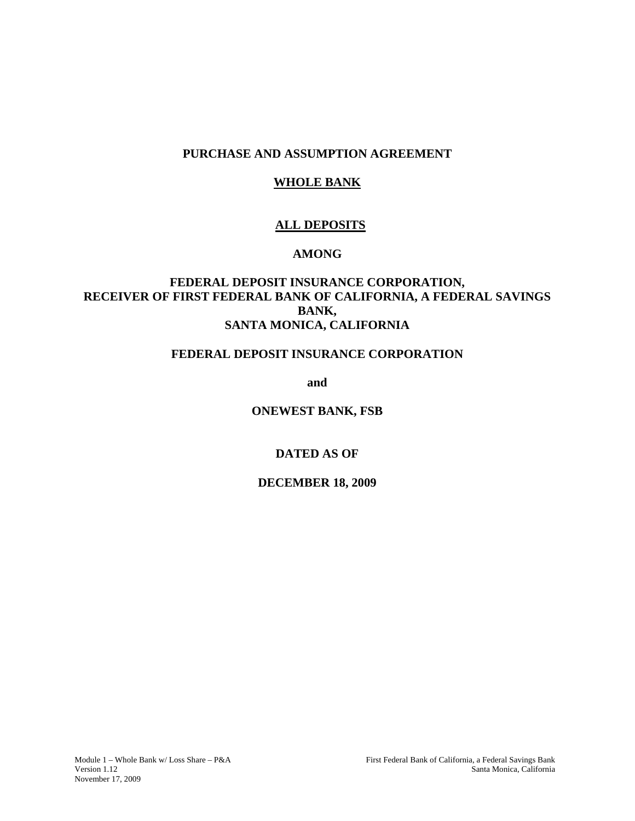### **PURCHASE AND ASSUMPTION AGREEMENT**

### **WHOLE BANK**

## **ALL DEPOSITS**

### **AMONG**

### **FEDERAL DEPOSIT INSURANCE CORPORATION, RECEIVER OF FIRST FEDERAL BANK OF CALIFORNIA, A FEDERAL SAVINGS BANK, SANTA MONICA, CALIFORNIA**

### **FEDERAL DEPOSIT INSURANCE CORPORATION**

**and** 

**ONEWEST BANK, FSB** 

## **DATED AS OF**

### **DECEMBER 18, 2009**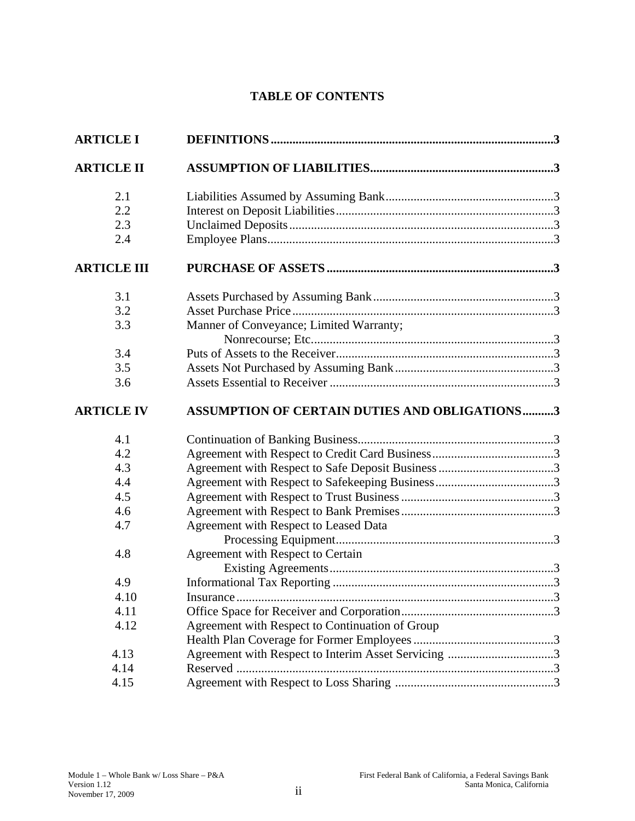## **TABLE OF CONTENTS**

| <b>ARTICLE I</b>   |                                                      |
|--------------------|------------------------------------------------------|
| <b>ARTICLE II</b>  |                                                      |
| 2.1                |                                                      |
| 2.2                |                                                      |
| 2.3                |                                                      |
| 2.4                |                                                      |
| <b>ARTICLE III</b> |                                                      |
| 3.1                |                                                      |
| 3.2                |                                                      |
| 3.3                | Manner of Conveyance; Limited Warranty;              |
|                    |                                                      |
| 3.4                |                                                      |
| 3.5                |                                                      |
| 3.6                |                                                      |
| <b>ARTICLE IV</b>  | <b>ASSUMPTION OF CERTAIN DUTIES AND OBLIGATIONS3</b> |
| 4.1                |                                                      |
| 4.2                |                                                      |
| 4.3                |                                                      |
| 4.4                |                                                      |
| 4.5                |                                                      |
| 4.6                |                                                      |
| 4.7                | Agreement with Respect to Leased Data                |
|                    |                                                      |
| 4.8                | Agreement with Respect to Certain                    |
|                    |                                                      |
| 4.9                |                                                      |
| 4.10               |                                                      |
| 4.11               |                                                      |
| 4.12               | Agreement with Respect to Continuation of Group      |
|                    |                                                      |
| 4.13               |                                                      |
| 4.14               |                                                      |
| 4.15               |                                                      |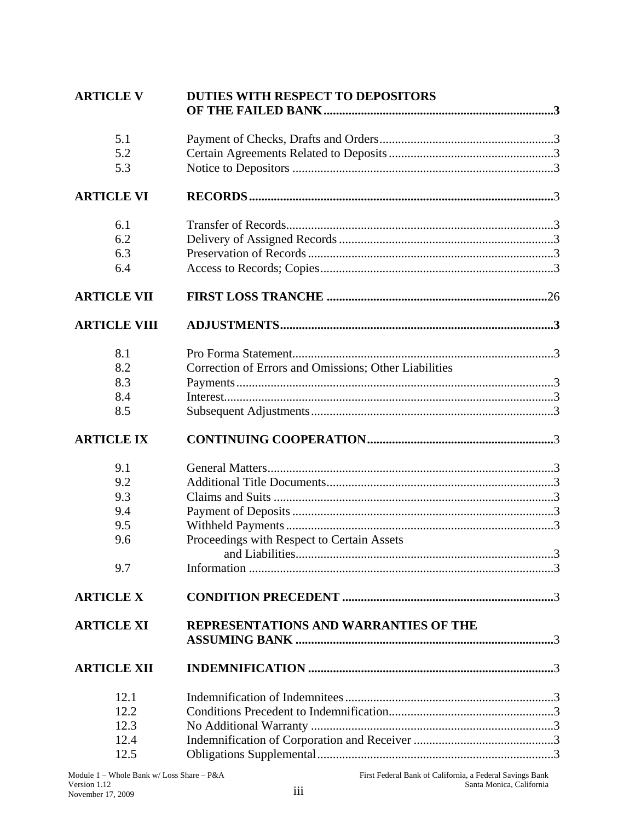| <b>ARTICLE V</b>    | DUTIES WITH RESPECT TO DEPOSITORS                     |  |
|---------------------|-------------------------------------------------------|--|
|                     |                                                       |  |
| 5.1                 |                                                       |  |
| 5.2                 |                                                       |  |
| 5.3                 |                                                       |  |
| <b>ARTICLE VI</b>   |                                                       |  |
| 6.1                 |                                                       |  |
| 6.2                 |                                                       |  |
| 6.3                 |                                                       |  |
| 6.4                 |                                                       |  |
| <b>ARTICLE VII</b>  |                                                       |  |
| <b>ARTICLE VIII</b> |                                                       |  |
| 8.1                 |                                                       |  |
| 8.2                 | Correction of Errors and Omissions; Other Liabilities |  |
| 8.3                 |                                                       |  |
| 8.4                 |                                                       |  |
| 8.5                 |                                                       |  |
| <b>ARTICLE IX</b>   |                                                       |  |
| 9.1                 |                                                       |  |
| 9.2                 |                                                       |  |
| 9.3                 |                                                       |  |
| 9.4                 |                                                       |  |
| 9.5                 |                                                       |  |
| 9.6                 | Proceedings with Respect to Certain Assets            |  |
|                     |                                                       |  |
| 9.7                 |                                                       |  |
| <b>ARTICLE X</b>    |                                                       |  |
| <b>ARTICLE XI</b>   | <b>REPRESENTATIONS AND WARRANTIES OF THE</b>          |  |
| <b>ARTICLE XII</b>  |                                                       |  |
| 12.1                |                                                       |  |
| 12.2                |                                                       |  |
| 12.3                |                                                       |  |
| 12.4                |                                                       |  |
| 12.5                |                                                       |  |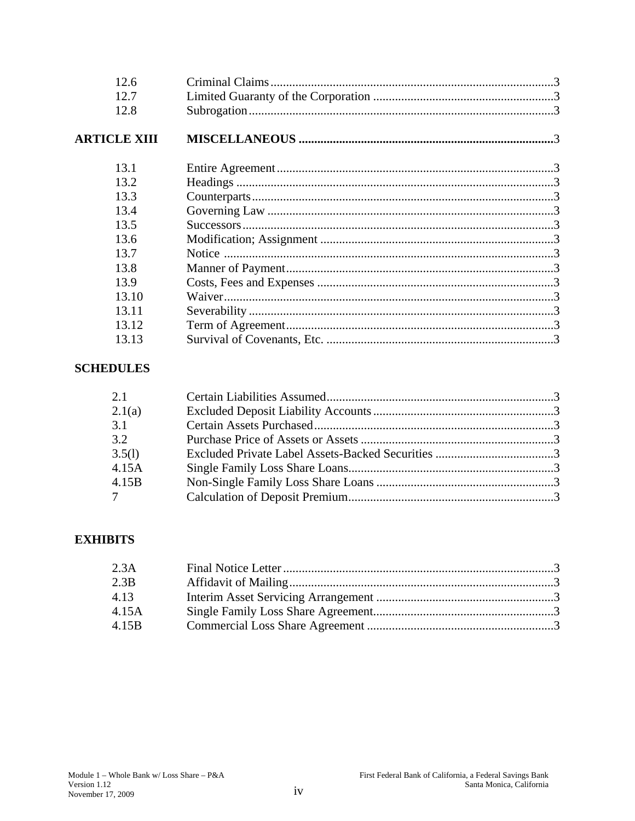| 12.6<br>12.7<br>12.8 |  |
|----------------------|--|
| <b>ARTICLE XIII</b>  |  |
| 13.1                 |  |
| 13.2                 |  |
| 13.3                 |  |
| 13.4                 |  |
| 13.5                 |  |
| 13.6                 |  |
| 13.7                 |  |
| 13.8                 |  |
| 13.9                 |  |
| 13.10                |  |
| 13.11                |  |
| 13.12                |  |
| 13.13                |  |

## **SCHEDULES**

| 2.1    |  |
|--------|--|
| 2.1(a) |  |
| 3.1    |  |
| 3.2    |  |
| 3.5(l) |  |
| 4.15A  |  |
| 4.15B  |  |
| 7      |  |

# **EXHIBITS**

| 2.3A  |  |
|-------|--|
| 2.3B  |  |
| 4.13  |  |
| 4.15A |  |
| 4.15B |  |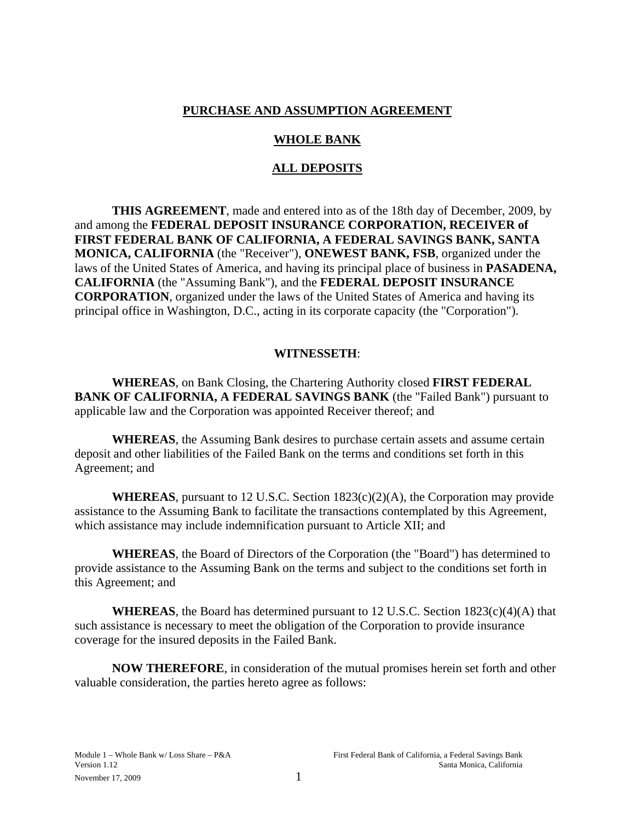### **PURCHASE AND ASSUMPTION AGREEMENT**

## **WHOLE BANK**

## **ALL DEPOSITS**

 **THIS AGREEMENT**, made and entered into as of the 18th day of December, 2009, by and among the **FEDERAL DEPOSIT INSURANCE CORPORATION, RECEIVER of FIRST FEDERAL BANK OF CALIFORNIA, A FEDERAL SAVINGS BANK, SANTA MONICA, CALIFORNIA** (the "Receiver"), **ONEWEST BANK, FSB**, organized under the laws of the United States of America, and having its principal place of business in **PASADENA, CALIFORNIA** (the "Assuming Bank"), and the **FEDERAL DEPOSIT INSURANCE CORPORATION**, organized under the laws of the United States of America and having its principal office in Washington, D.C., acting in its corporate capacity (the "Corporation").

### **WITNESSETH**:

**WHEREAS**, on Bank Closing, the Chartering Authority closed **FIRST FEDERAL BANK OF CALIFORNIA, A FEDERAL SAVINGS BANK** (the "Failed Bank") pursuant to applicable law and the Corporation was appointed Receiver thereof; and

 **WHEREAS**, the Assuming Bank desires to purchase certain assets and assume certain deposit and other liabilities of the Failed Bank on the terms and conditions set forth in this Agreement; and

**WHEREAS**, pursuant to 12 U.S.C. Section 1823(c)(2)(A), the Corporation may provide assistance to the Assuming Bank to facilitate the transactions contemplated by this Agreement, which assistance may include indemnification pursuant to Article XII; and

**WHEREAS**, the Board of Directors of the Corporation (the "Board") has determined to provide assistance to the Assuming Bank on the terms and subject to the conditions set forth in this Agreement; and

**WHEREAS**, the Board has determined pursuant to 12 U.S.C. Section 1823(c)(4)(A) that such assistance is necessary to meet the obligation of the Corporation to provide insurance coverage for the insured deposits in the Failed Bank.

 **NOW THEREFORE**, in consideration of the mutual promises herein set forth and other valuable consideration, the parties hereto agree as follows: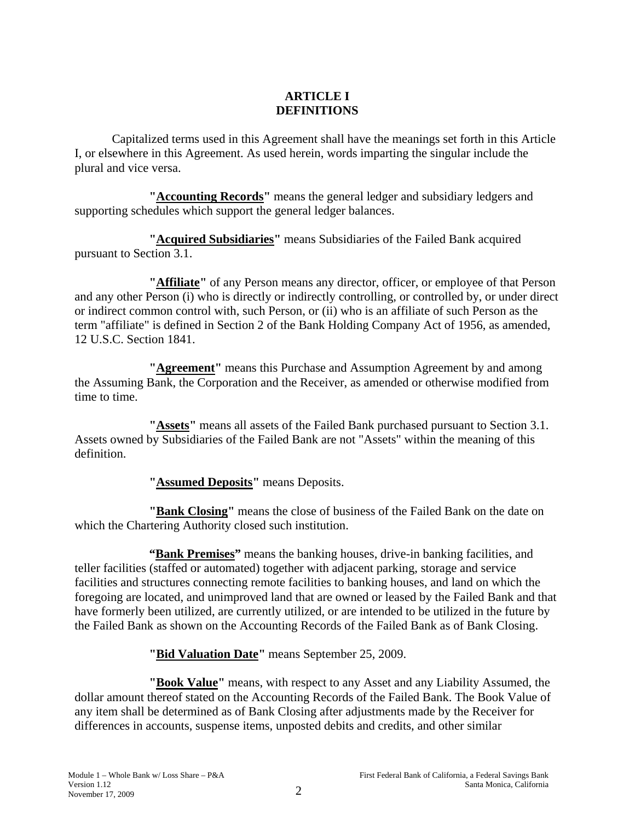## **ARTICLE I DEFINITIONS**

<span id="page-5-0"></span>Capitalized terms used in this Agreement shall have the meanings set forth in this Article I, or elsewhere in this Agreement. As used herein, words imparting the singular include the plural and vice versa.

**"Accounting Records"** means the general ledger and subsidiary ledgers and supporting schedules which support the general ledger balances.

**"Acquired Subsidiaries"** means Subsidiaries of the Failed Bank acquired pursuant to Section 3.1.

**"Affiliate"** of any Person means any director, officer, or employee of that Person and any other Person (i) who is directly or indirectly controlling, or controlled by, or under direct or indirect common control with, such Person, or (ii) who is an affiliate of such Person as the term "affiliate" is defined in Section 2 of the Bank Holding Company Act of 1956, as amended, 12 U.S.C. Section 1841.

**"Agreement"** means this Purchase and Assumption Agreement by and among the Assuming Bank, the Corporation and the Receiver, as amended or otherwise modified from time to time.

**"Assets"** means all assets of the Failed Bank purchased pursuant to Section 3.1. Assets owned by Subsidiaries of the Failed Bank are not "Assets" within the meaning of this definition.

**"Assumed Deposits"** means Deposits.

**"Bank Closing"** means the close of business of the Failed Bank on the date on which the Chartering Authority closed such institution.

**"Bank Premises"** means the banking houses, drive-in banking facilities, and teller facilities (staffed or automated) together with adjacent parking, storage and service facilities and structures connecting remote facilities to banking houses, and land on which the foregoing are located, and unimproved land that are owned or leased by the Failed Bank and that have formerly been utilized, are currently utilized, or are intended to be utilized in the future by the Failed Bank as shown on the Accounting Records of the Failed Bank as of Bank Closing.

**"Bid Valuation Date"** means September 25, 2009.

**"Book Value"** means, with respect to any Asset and any Liability Assumed, the dollar amount thereof stated on the Accounting Records of the Failed Bank. The Book Value of any item shall be determined as of Bank Closing after adjustments made by the Receiver for differences in accounts, suspense items, unposted debits and credits, and other similar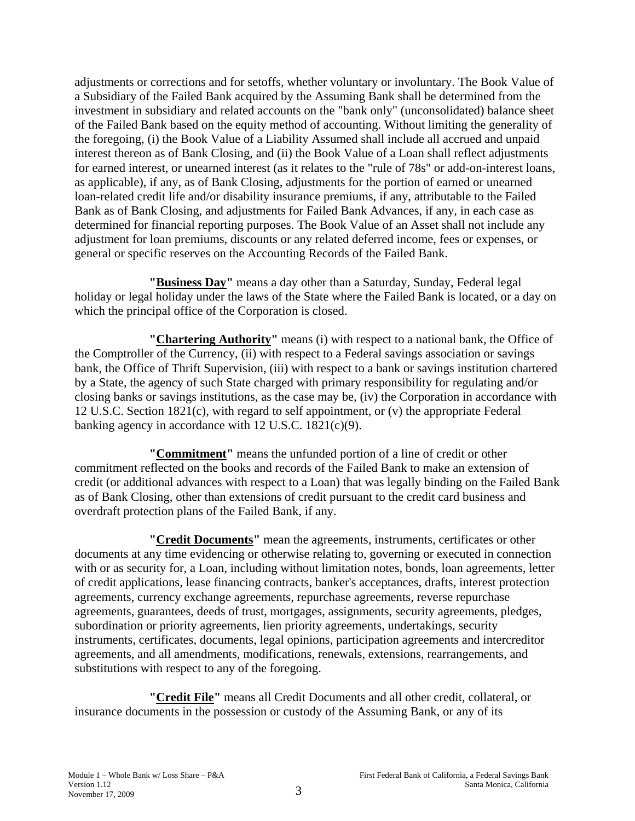<span id="page-6-0"></span>adjustments or corrections and for setoffs, whether voluntary or involuntary. The Book Value of a Subsidiary of the Failed Bank acquired by the Assuming Bank shall be determined from the investment in subsidiary and related accounts on the "bank only" (unconsolidated) balance sheet of the Failed Bank based on the equity method of accounting. Without limiting the generality of the foregoing, (i) the Book Value of a Liability Assumed shall include all accrued and unpaid interest thereon as of Bank Closing, and (ii) the Book Value of a Loan shall reflect adjustments for earned interest, or unearned interest (as it relates to the "rule of 78s" or add-on-interest loans, as applicable), if any, as of Bank Closing, adjustments for the portion of earned or unearned loan-related credit life and/or disability insurance premiums, if any, attributable to the Failed Bank as of Bank Closing, and adjustments for Failed Bank Advances, if any, in each case as determined for financial reporting purposes. The Book Value of an Asset shall not include any adjustment for loan premiums, discounts or any related deferred income, fees or expenses, or general or specific reserves on the Accounting Records of the Failed Bank.

**"Business Day"** means a day other than a Saturday, Sunday, Federal legal holiday or legal holiday under the laws of the State where the Failed Bank is located, or a day on which the principal office of the Corporation is closed.

**"Chartering Authority"** means (i) with respect to a national bank, the Office of the Comptroller of the Currency, (ii) with respect to a Federal savings association or savings bank, the Office of Thrift Supervision, (iii) with respect to a bank or savings institution chartered by a State, the agency of such State charged with primary responsibility for regulating and/or closing banks or savings institutions, as the case may be, (iv) the Corporation in accordance with 12 U.S.C. Section 1821(c), with regard to self appointment, or (v) the appropriate Federal banking agency in accordance with 12 U.S.C. 1821(c)(9).

**"Commitment"** means the unfunded portion of a line of credit or other commitment reflected on the books and records of the Failed Bank to make an extension of credit (or additional advances with respect to a Loan) that was legally binding on the Failed Bank as of Bank Closing, other than extensions of credit pursuant to the credit card business and overdraft protection plans of the Failed Bank, if any.

**"Credit Documents"** mean the agreements, instruments, certificates or other documents at any time evidencing or otherwise relating to, governing or executed in connection with or as security for, a Loan, including without limitation notes, bonds, loan agreements, letter of credit applications, lease financing contracts, banker's acceptances, drafts, interest protection agreements, currency exchange agreements, repurchase agreements, reverse repurchase agreements, guarantees, deeds of trust, mortgages, assignments, security agreements, pledges, subordination or priority agreements, lien priority agreements, undertakings, security instruments, certificates, documents, legal opinions, participation agreements and intercreditor agreements, and all amendments, modifications, renewals, extensions, rearrangements, and substitutions with respect to any of the foregoing.

**"Credit File"** means all Credit Documents and all other credit, collateral, or insurance documents in the possession or custody of the Assuming Bank, or any of its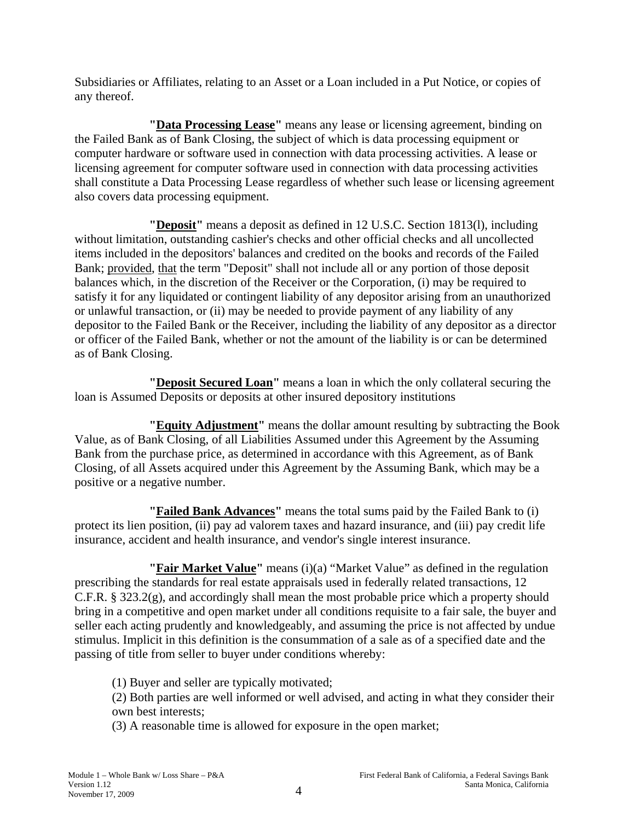<span id="page-7-0"></span>Subsidiaries or Affiliates, relating to an Asset or a Loan included in a Put Notice, or copies of any thereof.

**"Data Processing Lease"** means any lease or licensing agreement, binding on the Failed Bank as of Bank Closing, the subject of which is data processing equipment or computer hardware or software used in connection with data processing activities. A lease or licensing agreement for computer software used in connection with data processing activities shall constitute a Data Processing Lease regardless of whether such lease or licensing agreement also covers data processing equipment.

**"Deposit"** means a deposit as defined in 12 U.S.C. Section 1813(l), including without limitation, outstanding cashier's checks and other official checks and all uncollected items included in the depositors' balances and credited on the books and records of the Failed Bank; provided, that the term "Deposit" shall not include all or any portion of those deposit balances which, in the discretion of the Receiver or the Corporation, (i) may be required to satisfy it for any liquidated or contingent liability of any depositor arising from an unauthorized or unlawful transaction, or (ii) may be needed to provide payment of any liability of any depositor to the Failed Bank or the Receiver, including the liability of any depositor as a director or officer of the Failed Bank, whether or not the amount of the liability is or can be determined as of Bank Closing.

**"Deposit Secured Loan"** means a loan in which the only collateral securing the loan is Assumed Deposits or deposits at other insured depository institutions

**"Equity Adjustment"** means the dollar amount resulting by subtracting the Book Value, as of Bank Closing, of all Liabilities Assumed under this Agreement by the Assuming Bank from the purchase price, as determined in accordance with this Agreement, as of Bank Closing, of all Assets acquired under this Agreement by the Assuming Bank, which may be a positive or a negative number.

**"Failed Bank Advances"** means the total sums paid by the Failed Bank to (i) protect its lien position, (ii) pay ad valorem taxes and hazard insurance, and (iii) pay credit life insurance, accident and health insurance, and vendor's single interest insurance.

**"Fair Market Value"** means (i)(a) "Market Value" as defined in the regulation prescribing the standards for real estate appraisals used in federally related transactions, 12 C.F.R. § 323.2(g), and accordingly shall mean the most probable price which a property should bring in a competitive and open market under all conditions requisite to a fair sale, the buyer and seller each acting prudently and knowledgeably, and assuming the price is not affected by undue stimulus. Implicit in this definition is the consummation of a sale as of a specified date and the passing of title from seller to buyer under conditions whereby:

(1) Buyer and seller are typically motivated;

(2) Both parties are well informed or well advised, and acting in what they consider their own best interests;

(3) A reasonable time is allowed for exposure in the open market;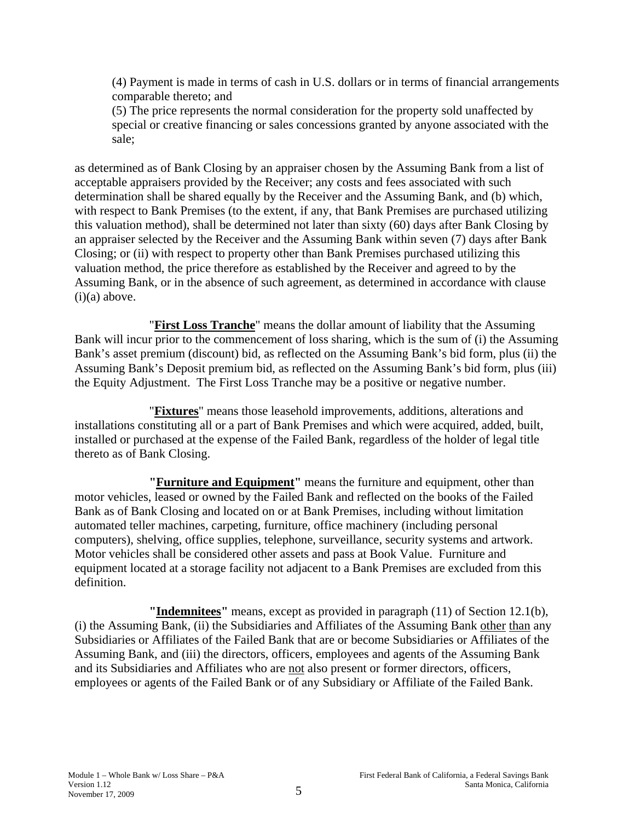(4) Payment is made in terms of cash in U.S. dollars or in terms of financial arrangements comparable thereto; and

(5) The price represents the normal consideration for the property sold unaffected by special or creative financing or sales concessions granted by anyone associated with the sale;

as determined as of Bank Closing by an appraiser chosen by the Assuming Bank from a list of acceptable appraisers provided by the Receiver; any costs and fees associated with such determination shall be shared equally by the Receiver and the Assuming Bank, and (b) which, with respect to Bank Premises (to the extent, if any, that Bank Premises are purchased utilizing this valuation method), shall be determined not later than sixty (60) days after Bank Closing by an appraiser selected by the Receiver and the Assuming Bank within seven (7) days after Bank Closing; or (ii) with respect to property other than Bank Premises purchased utilizing this valuation method, the price therefore as established by the Receiver and agreed to by the Assuming Bank, or in the absence of such agreement, as determined in accordance with clause  $(i)(a)$  above.

"**First Loss Tranche**" means the dollar amount of liability that the Assuming Bank will incur prior to the commencement of loss sharing, which is the sum of (i) the Assuming Bank's asset premium (discount) bid, as reflected on the Assuming Bank's bid form, plus (ii) the Assuming Bank's Deposit premium bid, as reflected on the Assuming Bank's bid form, plus (iii) the Equity Adjustment. The First Loss Tranche may be a positive or negative number.

"**Fixtures**" means those leasehold improvements, additions, alterations and installations constituting all or a part of Bank Premises and which were acquired, added, built, installed or purchased at the expense of the Failed Bank, regardless of the holder of legal title thereto as of Bank Closing.

**"Furniture and Equipment"** means the furniture and equipment, other than motor vehicles, leased or owned by the Failed Bank and reflected on the books of the Failed Bank as of Bank Closing and located on or at Bank Premises, including without limitation automated teller machines, carpeting, furniture, office machinery (including personal computers), shelving, office supplies, telephone, surveillance, security systems and artwork. Motor vehicles shall be considered other assets and pass at Book Value. Furniture and equipment located at a storage facility not adjacent to a Bank Premises are excluded from this definition.

**"Indemnitees"** means, except as provided in paragraph (11) of Section 12.1(b), (i) the Assuming Bank, (ii) the Subsidiaries and Affiliates of the Assuming Bank other than any Subsidiaries or Affiliates of the Failed Bank that are or become Subsidiaries or Affiliates of the Assuming Bank, and (iii) the directors, officers, employees and agents of the Assuming Bank and its Subsidiaries and Affiliates who are not also present or former directors, officers, employees or agents of the Failed Bank or of any Subsidiary or Affiliate of the Failed Bank.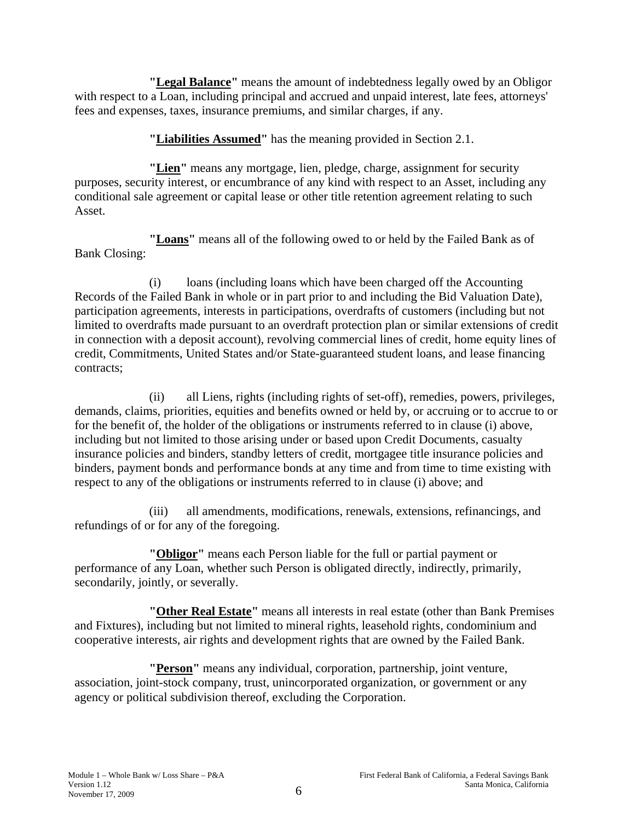**"Legal Balance"** means the amount of indebtedness legally owed by an Obligor with respect to a Loan, including principal and accrued and unpaid interest, late fees, attorneys' fees and expenses, taxes, insurance premiums, and similar charges, if any.

**"Liabilities Assumed"** has the meaning provided in Section 2.1.

**"Lien"** means any mortgage, lien, pledge, charge, assignment for security purposes, security interest, or encumbrance of any kind with respect to an Asset, including any conditional sale agreement or capital lease or other title retention agreement relating to such Asset.

**"Loans"** means all of the following owed to or held by the Failed Bank as of Bank Closing:

(i) loans (including loans which have been charged off the Accounting Records of the Failed Bank in whole or in part prior to and including the Bid Valuation Date), participation agreements, interests in participations, overdrafts of customers (including but not limited to overdrafts made pursuant to an overdraft protection plan or similar extensions of credit in connection with a deposit account), revolving commercial lines of credit, home equity lines of credit, Commitments, United States and/or State-guaranteed student loans, and lease financing contracts;

(ii) all Liens, rights (including rights of set-off), remedies, powers, privileges, demands, claims, priorities, equities and benefits owned or held by, or accruing or to accrue to or for the benefit of, the holder of the obligations or instruments referred to in clause (i) above, including but not limited to those arising under or based upon Credit Documents, casualty insurance policies and binders, standby letters of credit, mortgagee title insurance policies and binders, payment bonds and performance bonds at any time and from time to time existing with respect to any of the obligations or instruments referred to in clause (i) above; and

(iii) all amendments, modifications, renewals, extensions, refinancings, and refundings of or for any of the foregoing.

**"Obligor"** means each Person liable for the full or partial payment or performance of any Loan, whether such Person is obligated directly, indirectly, primarily, secondarily, jointly, or severally.

**"Other Real Estate"** means all interests in real estate (other than Bank Premises and Fixtures), including but not limited to mineral rights, leasehold rights, condominium and cooperative interests, air rights and development rights that are owned by the Failed Bank.

**"Person"** means any individual, corporation, partnership, joint venture, association, joint-stock company, trust, unincorporated organization, or government or any agency or political subdivision thereof, excluding the Corporation.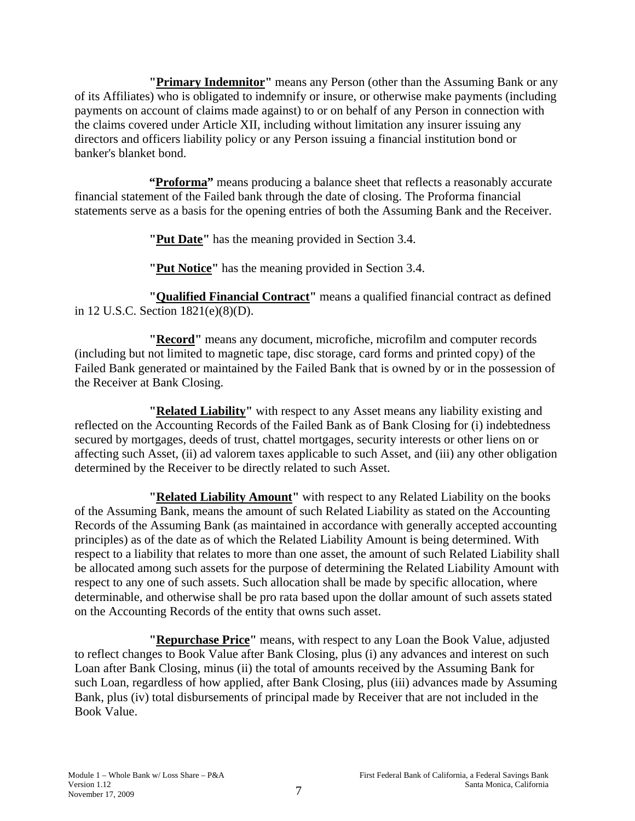**"Primary Indemnitor"** means any Person (other than the Assuming Bank or any of its Affiliates) who is obligated to indemnify or insure, or otherwise make payments (including payments on account of claims made against) to or on behalf of any Person in connection with the claims covered under Article XII, including without limitation any insurer issuing any directors and officers liability policy or any Person issuing a financial institution bond or banker's blanket bond.

"**Proforma**" means producing a balance sheet that reflects a reasonably accurate financial statement of the Failed bank through the date of closing. The Proforma financial statements serve as a basis for the opening entries of both the Assuming Bank and the Receiver.

**"Put Date"** has the meaning provided in Section 3.4.

**"Put Notice"** has the meaning provided in Section 3.4.

**"Qualified Financial Contract"** means a qualified financial contract as defined in 12 U.S.C. Section 1821(e)(8)(D).

**"Record"** means any document, microfiche, microfilm and computer records (including but not limited to magnetic tape, disc storage, card forms and printed copy) of the Failed Bank generated or maintained by the Failed Bank that is owned by or in the possession of the Receiver at Bank Closing.

**"Related Liability"** with respect to any Asset means any liability existing and reflected on the Accounting Records of the Failed Bank as of Bank Closing for (i) indebtedness secured by mortgages, deeds of trust, chattel mortgages, security interests or other liens on or affecting such Asset, (ii) ad valorem taxes applicable to such Asset, and (iii) any other obligation determined by the Receiver to be directly related to such Asset.

**"Related Liability Amount"** with respect to any Related Liability on the books of the Assuming Bank, means the amount of such Related Liability as stated on the Accounting Records of the Assuming Bank (as maintained in accordance with generally accepted accounting principles) as of the date as of which the Related Liability Amount is being determined. With respect to a liability that relates to more than one asset, the amount of such Related Liability shall be allocated among such assets for the purpose of determining the Related Liability Amount with respect to any one of such assets. Such allocation shall be made by specific allocation, where determinable, and otherwise shall be pro rata based upon the dollar amount of such assets stated on the Accounting Records of the entity that owns such asset.

 **"Repurchase Price"** means, with respect to any Loan the Book Value, adjusted to reflect changes to Book Value after Bank Closing, plus (i) any advances and interest on such Loan after Bank Closing, minus (ii) the total of amounts received by the Assuming Bank for such Loan, regardless of how applied, after Bank Closing, plus (iii) advances made by Assuming Bank, plus (iv) total disbursements of principal made by Receiver that are not included in the Book Value.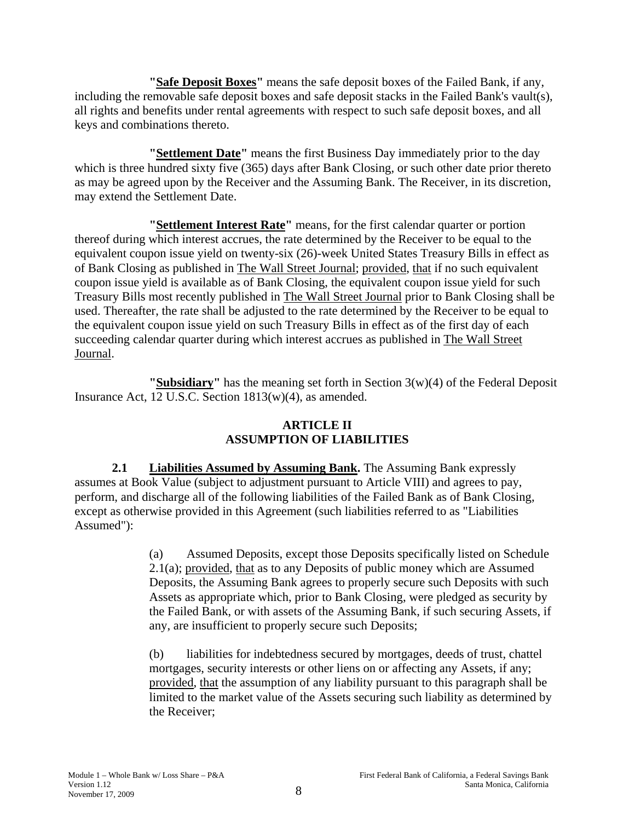**"Safe Deposit Boxes"** means the safe deposit boxes of the Failed Bank, if any, including the removable safe deposit boxes and safe deposit stacks in the Failed Bank's vault(s), all rights and benefits under rental agreements with respect to such safe deposit boxes, and all keys and combinations thereto.

**"Settlement Date"** means the first Business Day immediately prior to the day which is three hundred sixty five (365) days after Bank Closing, or such other date prior thereto as may be agreed upon by the Receiver and the Assuming Bank. The Receiver, in its discretion, may extend the Settlement Date.

**"Settlement Interest Rate"** means, for the first calendar quarter or portion thereof during which interest accrues, the rate determined by the Receiver to be equal to the equivalent coupon issue yield on twenty-six (26)-week United States Treasury Bills in effect as of Bank Closing as published in The Wall Street Journal; provided, that if no such equivalent coupon issue yield is available as of Bank Closing, the equivalent coupon issue yield for such Treasury Bills most recently published in The Wall Street Journal prior to Bank Closing shall be used. Thereafter, the rate shall be adjusted to the rate determined by the Receiver to be equal to the equivalent coupon issue yield on such Treasury Bills in effect as of the first day of each succeeding calendar quarter during which interest accrues as published in The Wall Street Journal.

**"Subsidiary"** has the meaning set forth in Section 3(w)(4) of the Federal Deposit Insurance Act, 12 U.S.C. Section 1813(w)(4), as amended.

### **ARTICLE II ASSUMPTION OF LIABILITIES**

 **2.1 Liabilities Assumed by Assuming Bank.** The Assuming Bank expressly assumes at Book Value (subject to adjustment pursuant to Article VIII) and agrees to pay, perform, and discharge all of the following liabilities of the Failed Bank as of Bank Closing, except as otherwise provided in this Agreement (such liabilities referred to as "Liabilities Assumed"):

> (a) Assumed Deposits, except those Deposits specifically listed on Schedule 2.1(a); provided, that as to any Deposits of public money which are Assumed Deposits, the Assuming Bank agrees to properly secure such Deposits with such Assets as appropriate which, prior to Bank Closing, were pledged as security by the Failed Bank, or with assets of the Assuming Bank, if such securing Assets, if any, are insufficient to properly secure such Deposits;

> (b) liabilities for indebtedness secured by mortgages, deeds of trust, chattel mortgages, security interests or other liens on or affecting any Assets, if any; provided, that the assumption of any liability pursuant to this paragraph shall be limited to the market value of the Assets securing such liability as determined by the Receiver;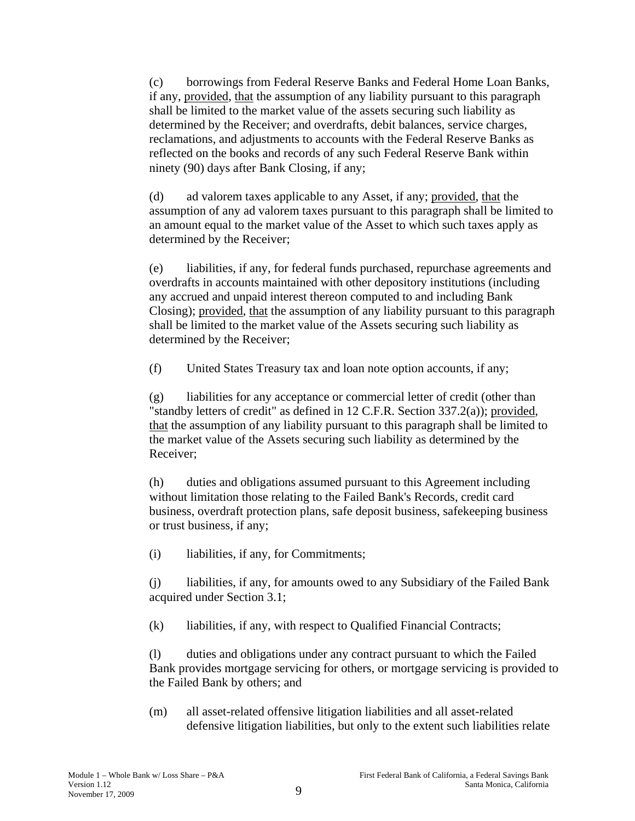(c) borrowings from Federal Reserve Banks and Federal Home Loan Banks, if any, provided, that the assumption of any liability pursuant to this paragraph shall be limited to the market value of the assets securing such liability as determined by the Receiver; and overdrafts, debit balances, service charges, reclamations, and adjustments to accounts with the Federal Reserve Banks as reflected on the books and records of any such Federal Reserve Bank within ninety (90) days after Bank Closing, if any;

(d) ad valorem taxes applicable to any Asset, if any; provided, that the assumption of any ad valorem taxes pursuant to this paragraph shall be limited to an amount equal to the market value of the Asset to which such taxes apply as determined by the Receiver;

(e) liabilities, if any, for federal funds purchased, repurchase agreements and overdrafts in accounts maintained with other depository institutions (including any accrued and unpaid interest thereon computed to and including Bank Closing); provided, that the assumption of any liability pursuant to this paragraph shall be limited to the market value of the Assets securing such liability as determined by the Receiver;

(f) United States Treasury tax and loan note option accounts, if any;

(g) liabilities for any acceptance or commercial letter of credit (other than "standby letters of credit" as defined in 12 C.F.R. Section 337.2(a)); provided, that the assumption of any liability pursuant to this paragraph shall be limited to the market value of the Assets securing such liability as determined by the Receiver;

(h) duties and obligations assumed pursuant to this Agreement including without limitation those relating to the Failed Bank's Records, credit card business, overdraft protection plans, safe deposit business, safekeeping business or trust business, if any;

(i) liabilities, if any, for Commitments;

(j) liabilities, if any, for amounts owed to any Subsidiary of the Failed Bank acquired under Section 3.1;

(k) liabilities, if any, with respect to Qualified Financial Contracts;

(l) duties and obligations under any contract pursuant to which the Failed Bank provides mortgage servicing for others, or mortgage servicing is provided to the Failed Bank by others; and

(m) all asset-related offensive litigation liabilities and all asset-related defensive litigation liabilities, but only to the extent such liabilities relate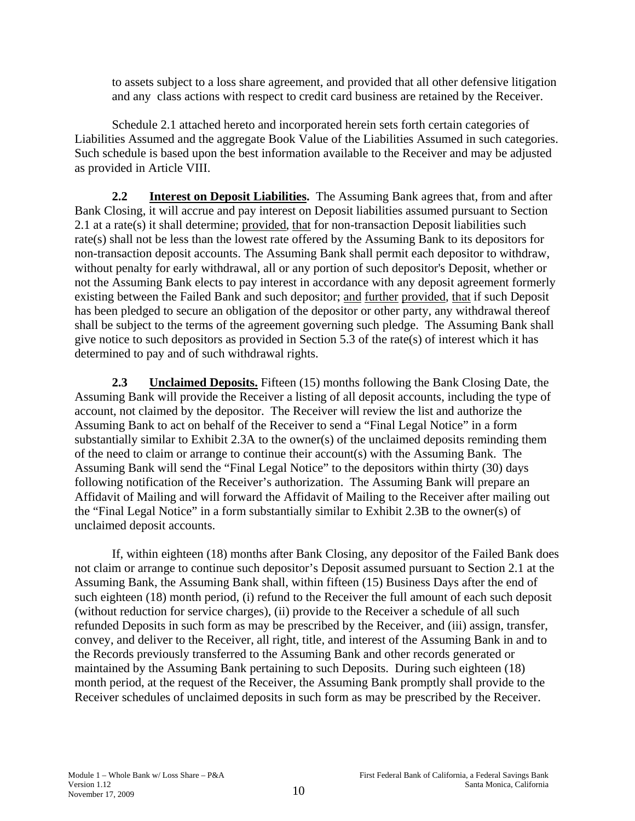to assets subject to a loss share agreement, and provided that all other defensive litigation and any class actions with respect to credit card business are retained by the Receiver.

Schedule 2.1 attached hereto and incorporated herein sets forth certain categories of Liabilities Assumed and the aggregate Book Value of the Liabilities Assumed in such categories. Such schedule is based upon the best information available to the Receiver and may be adjusted as provided in Article VIII.

**2.2 Interest on Deposit Liabilities.** The Assuming Bank agrees that, from and after Bank Closing, it will accrue and pay interest on Deposit liabilities assumed pursuant to Section 2.1 at a rate(s) it shall determine; provided, that for non-transaction Deposit liabilities such rate(s) shall not be less than the lowest rate offered by the Assuming Bank to its depositors for non-transaction deposit accounts. The Assuming Bank shall permit each depositor to withdraw, without penalty for early withdrawal, all or any portion of such depositor's Deposit, whether or not the Assuming Bank elects to pay interest in accordance with any deposit agreement formerly existing between the Failed Bank and such depositor; and further provided, that if such Deposit has been pledged to secure an obligation of the depositor or other party, any withdrawal thereof shall be subject to the terms of the agreement governing such pledge. The Assuming Bank shall give notice to such depositors as provided in Section 5.3 of the rate(s) of interest which it has determined to pay and of such withdrawal rights.

**2.3 Unclaimed Deposits.** Fifteen (15) months following the Bank Closing Date, the Assuming Bank will provide the Receiver a listing of all deposit accounts, including the type of account, not claimed by the depositor. The Receiver will review the list and authorize the Assuming Bank to act on behalf of the Receiver to send a "Final Legal Notice" in a form substantially similar to Exhibit 2.3A to the owner(s) of the unclaimed deposits reminding them of the need to claim or arrange to continue their account(s) with the Assuming Bank. The Assuming Bank will send the "Final Legal Notice" to the depositors within thirty (30) days following notification of the Receiver's authorization. The Assuming Bank will prepare an Affidavit of Mailing and will forward the Affidavit of Mailing to the Receiver after mailing out the "Final Legal Notice" in a form substantially similar to Exhibit 2.3B to the owner(s) of unclaimed deposit accounts.

If, within eighteen (18) months after Bank Closing, any depositor of the Failed Bank does not claim or arrange to continue such depositor's Deposit assumed pursuant to Section 2.1 at the Assuming Bank, the Assuming Bank shall, within fifteen (15) Business Days after the end of such eighteen (18) month period, (i) refund to the Receiver the full amount of each such deposit (without reduction for service charges), (ii) provide to the Receiver a schedule of all such refunded Deposits in such form as may be prescribed by the Receiver, and (iii) assign, transfer, convey, and deliver to the Receiver, all right, title, and interest of the Assuming Bank in and to the Records previously transferred to the Assuming Bank and other records generated or maintained by the Assuming Bank pertaining to such Deposits. During such eighteen (18) month period, at the request of the Receiver, the Assuming Bank promptly shall provide to the Receiver schedules of unclaimed deposits in such form as may be prescribed by the Receiver.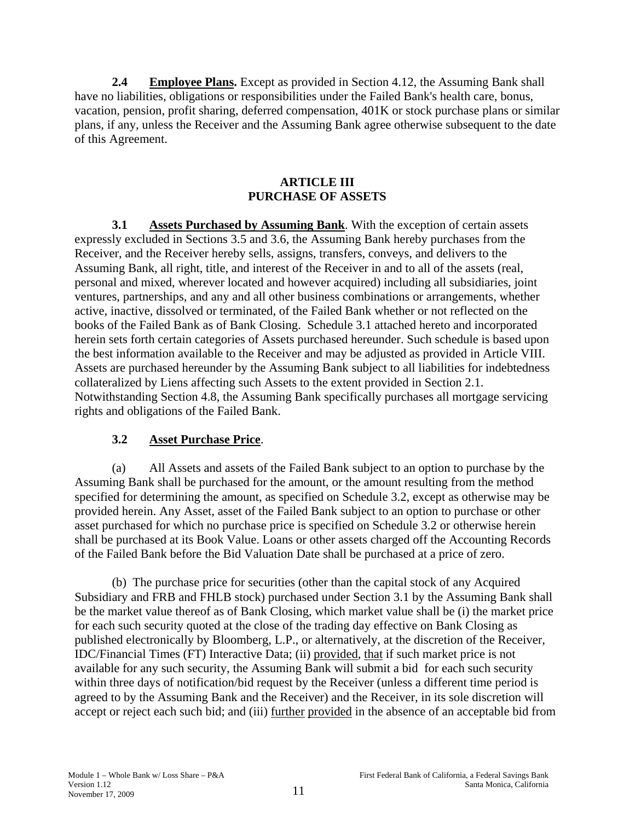**2.4** Employee Plans. Except as provided in Section 4.12, the Assuming Bank shall have no liabilities, obligations or responsibilities under the Failed Bank's health care, bonus, vacation, pension, profit sharing, deferred compensation, 401K or stock purchase plans or similar plans, if any, unless the Receiver and the Assuming Bank agree otherwise subsequent to the date of this Agreement.

### **ARTICLE III PURCHASE OF ASSETS**

**3.1** Assets Purchased by Assuming Bank. With the exception of certain assets expressly excluded in Sections 3.5 and 3.6, the Assuming Bank hereby purchases from the Receiver, and the Receiver hereby sells, assigns, transfers, conveys, and delivers to the Assuming Bank, all right, title, and interest of the Receiver in and to all of the assets (real, personal and mixed, wherever located and however acquired) including all subsidiaries, joint ventures, partnerships, and any and all other business combinations or arrangements, whether active, inactive, dissolved or terminated, of the Failed Bank whether or not reflected on the books of the Failed Bank as of Bank Closing. Schedule 3.1 attached hereto and incorporated herein sets forth certain categories of Assets purchased hereunder. Such schedule is based upon the best information available to the Receiver and may be adjusted as provided in Article VIII. Assets are purchased hereunder by the Assuming Bank subject to all liabilities for indebtedness collateralized by Liens affecting such Assets to the extent provided in Section 2.1. Notwithstanding Section 4.8, the Assuming Bank specifically purchases all mortgage servicing rights and obligations of the Failed Bank.

## **3.2 Asset Purchase Price**.

(a) All Assets and assets of the Failed Bank subject to an option to purchase by the Assuming Bank shall be purchased for the amount, or the amount resulting from the method specified for determining the amount, as specified on Schedule 3.2, except as otherwise may be provided herein. Any Asset, asset of the Failed Bank subject to an option to purchase or other asset purchased for which no purchase price is specified on Schedule 3.2 or otherwise herein shall be purchased at its Book Value. Loans or other assets charged off the Accounting Records of the Failed Bank before the Bid Valuation Date shall be purchased at a price of zero.

(b) The purchase price for securities (other than the capital stock of any Acquired Subsidiary and FRB and FHLB stock) purchased under Section 3.1 by the Assuming Bank shall be the market value thereof as of Bank Closing, which market value shall be (i) the market price for each such security quoted at the close of the trading day effective on Bank Closing as published electronically by Bloomberg, L.P., or alternatively, at the discretion of the Receiver, IDC/Financial Times (FT) Interactive Data; (ii) provided, that if such market price is not available for any such security, the Assuming Bank will submit a bid for each such security within three days of notification/bid request by the Receiver (unless a different time period is agreed to by the Assuming Bank and the Receiver) and the Receiver, in its sole discretion will accept or reject each such bid; and (iii) further provided in the absence of an acceptable bid from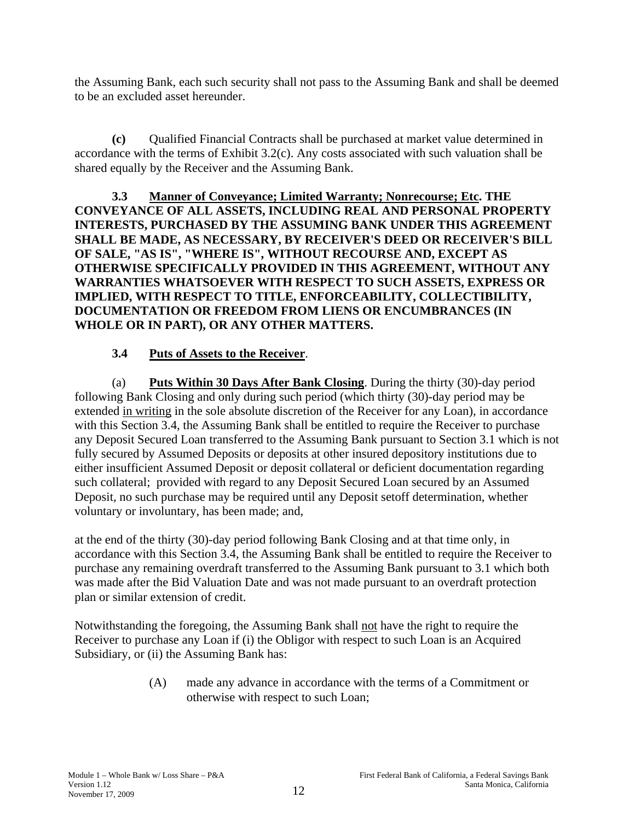the Assuming Bank, each such security shall not pass to the Assuming Bank and shall be deemed to be an excluded asset hereunder.

**(c)** Qualified Financial Contracts shall be purchased at market value determined in accordance with the terms of Exhibit 3.2(c). Any costs associated with such valuation shall be shared equally by the Receiver and the Assuming Bank.

**3.3 Manner of Conveyance; Limited Warranty; Nonrecourse; Etc. THE CONVEYANCE OF ALL ASSETS, INCLUDING REAL AND PERSONAL PROPERTY INTERESTS, PURCHASED BY THE ASSUMING BANK UNDER THIS AGREEMENT SHALL BE MADE, AS NECESSARY, BY RECEIVER'S DEED OR RECEIVER'S BILL OF SALE, "AS IS", "WHERE IS", WITHOUT RECOURSE AND, EXCEPT AS OTHERWISE SPECIFICALLY PROVIDED IN THIS AGREEMENT, WITHOUT ANY WARRANTIES WHATSOEVER WITH RESPECT TO SUCH ASSETS, EXPRESS OR IMPLIED, WITH RESPECT TO TITLE, ENFORCEABILITY, COLLECTIBILITY, DOCUMENTATION OR FREEDOM FROM LIENS OR ENCUMBRANCES (IN WHOLE OR IN PART), OR ANY OTHER MATTERS.** 

### **3.4 Puts of Assets to the Receiver**.

(a) **Puts Within 30 Days After Bank Closing**. During the thirty (30)-day period following Bank Closing and only during such period (which thirty (30)-day period may be extended in writing in the sole absolute discretion of the Receiver for any Loan), in accordance with this Section 3.4, the Assuming Bank shall be entitled to require the Receiver to purchase any Deposit Secured Loan transferred to the Assuming Bank pursuant to Section 3.1 which is not fully secured by Assumed Deposits or deposits at other insured depository institutions due to either insufficient Assumed Deposit or deposit collateral or deficient documentation regarding such collateral; provided with regard to any Deposit Secured Loan secured by an Assumed Deposit, no such purchase may be required until any Deposit setoff determination, whether voluntary or involuntary, has been made; and,

at the end of the thirty (30)-day period following Bank Closing and at that time only, in accordance with this Section 3.4, the Assuming Bank shall be entitled to require the Receiver to purchase any remaining overdraft transferred to the Assuming Bank pursuant to 3.1 which both was made after the Bid Valuation Date and was not made pursuant to an overdraft protection plan or similar extension of credit.

Notwithstanding the foregoing, the Assuming Bank shall not have the right to require the Receiver to purchase any Loan if (i) the Obligor with respect to such Loan is an Acquired Subsidiary, or (ii) the Assuming Bank has:

> (A) made any advance in accordance with the terms of a Commitment or otherwise with respect to such Loan;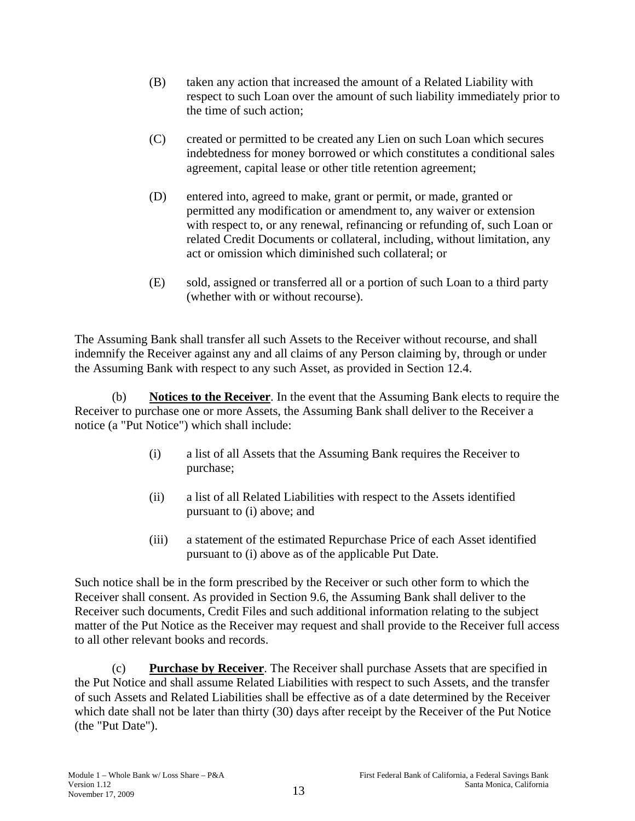- (B) taken any action that increased the amount of a Related Liability with respect to such Loan over the amount of such liability immediately prior to the time of such action;
- (C) created or permitted to be created any Lien on such Loan which secures indebtedness for money borrowed or which constitutes a conditional sales agreement, capital lease or other title retention agreement;
- (D) entered into, agreed to make, grant or permit, or made, granted or permitted any modification or amendment to, any waiver or extension with respect to, or any renewal, refinancing or refunding of, such Loan or related Credit Documents or collateral, including, without limitation, any act or omission which diminished such collateral; or
- (E) sold, assigned or transferred all or a portion of such Loan to a third party (whether with or without recourse).

The Assuming Bank shall transfer all such Assets to the Receiver without recourse, and shall indemnify the Receiver against any and all claims of any Person claiming by, through or under the Assuming Bank with respect to any such Asset, as provided in Section 12.4.

(b) **Notices to the Receiver**. In the event that the Assuming Bank elects to require the Receiver to purchase one or more Assets, the Assuming Bank shall deliver to the Receiver a notice (a "Put Notice") which shall include:

- (i) a list of all Assets that the Assuming Bank requires the Receiver to purchase;
- (ii) a list of all Related Liabilities with respect to the Assets identified pursuant to (i) above; and
- (iii) a statement of the estimated Repurchase Price of each Asset identified pursuant to (i) above as of the applicable Put Date.

Such notice shall be in the form prescribed by the Receiver or such other form to which the Receiver shall consent. As provided in Section 9.6, the Assuming Bank shall deliver to the Receiver such documents, Credit Files and such additional information relating to the subject matter of the Put Notice as the Receiver may request and shall provide to the Receiver full access to all other relevant books and records.

(c) **Purchase by Receiver**. The Receiver shall purchase Assets that are specified in the Put Notice and shall assume Related Liabilities with respect to such Assets, and the transfer of such Assets and Related Liabilities shall be effective as of a date determined by the Receiver which date shall not be later than thirty (30) days after receipt by the Receiver of the Put Notice (the "Put Date").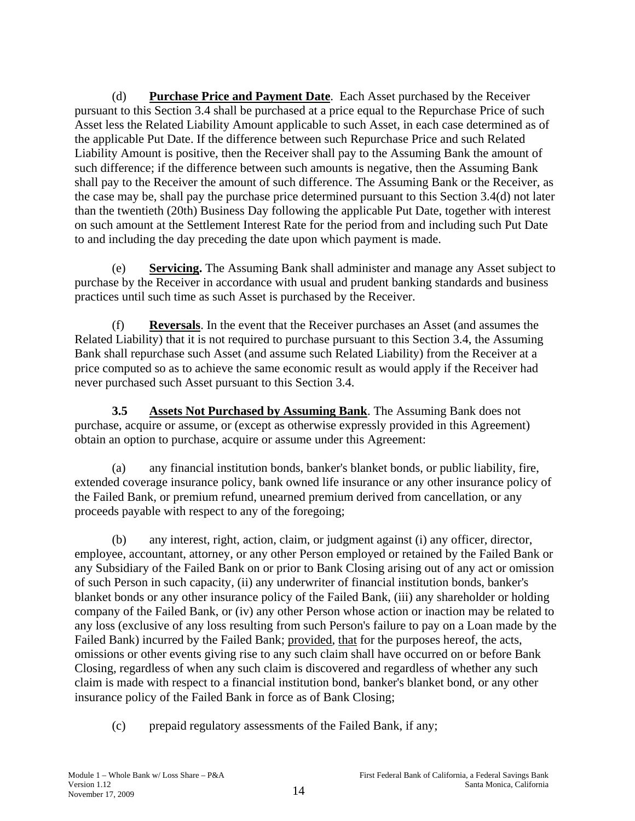(d) **Purchase Price and Payment Date**. Each Asset purchased by the Receiver pursuant to this Section 3.4 shall be purchased at a price equal to the Repurchase Price of such Asset less the Related Liability Amount applicable to such Asset, in each case determined as of the applicable Put Date. If the difference between such Repurchase Price and such Related Liability Amount is positive, then the Receiver shall pay to the Assuming Bank the amount of such difference; if the difference between such amounts is negative, then the Assuming Bank shall pay to the Receiver the amount of such difference. The Assuming Bank or the Receiver, as the case may be, shall pay the purchase price determined pursuant to this Section 3.4(d) not later than the twentieth (20th) Business Day following the applicable Put Date, together with interest on such amount at the Settlement Interest Rate for the period from and including such Put Date to and including the day preceding the date upon which payment is made.

(e) **Servicing.** The Assuming Bank shall administer and manage any Asset subject to purchase by the Receiver in accordance with usual and prudent banking standards and business practices until such time as such Asset is purchased by the Receiver.

(f) **Reversals**. In the event that the Receiver purchases an Asset (and assumes the Related Liability) that it is not required to purchase pursuant to this Section 3.4, the Assuming Bank shall repurchase such Asset (and assume such Related Liability) from the Receiver at a price computed so as to achieve the same economic result as would apply if the Receiver had never purchased such Asset pursuant to this Section 3.4.

**3.5 Assets Not Purchased by Assuming Bank**. The Assuming Bank does not purchase, acquire or assume, or (except as otherwise expressly provided in this Agreement) obtain an option to purchase, acquire or assume under this Agreement:

(a) any financial institution bonds, banker's blanket bonds, or public liability, fire, extended coverage insurance policy, bank owned life insurance or any other insurance policy of the Failed Bank, or premium refund, unearned premium derived from cancellation, or any proceeds payable with respect to any of the foregoing;

(b) any interest, right, action, claim, or judgment against (i) any officer, director, employee, accountant, attorney, or any other Person employed or retained by the Failed Bank or any Subsidiary of the Failed Bank on or prior to Bank Closing arising out of any act or omission of such Person in such capacity, (ii) any underwriter of financial institution bonds, banker's blanket bonds or any other insurance policy of the Failed Bank, (iii) any shareholder or holding company of the Failed Bank, or (iv) any other Person whose action or inaction may be related to any loss (exclusive of any loss resulting from such Person's failure to pay on a Loan made by the Failed Bank) incurred by the Failed Bank; provided, that for the purposes hereof, the acts, omissions or other events giving rise to any such claim shall have occurred on or before Bank Closing, regardless of when any such claim is discovered and regardless of whether any such claim is made with respect to a financial institution bond, banker's blanket bond, or any other insurance policy of the Failed Bank in force as of Bank Closing;

(c) prepaid regulatory assessments of the Failed Bank, if any;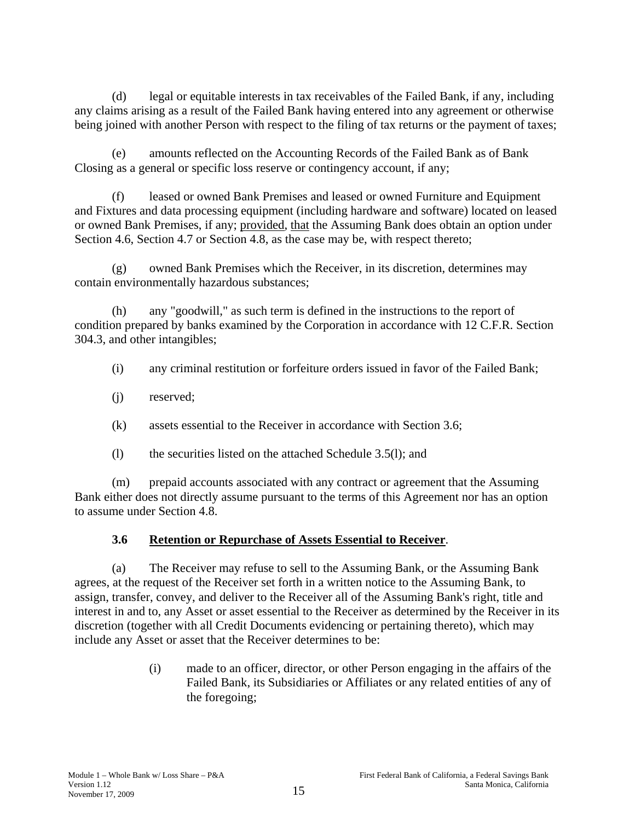(d) legal or equitable interests in tax receivables of the Failed Bank, if any, including any claims arising as a result of the Failed Bank having entered into any agreement or otherwise being joined with another Person with respect to the filing of tax returns or the payment of taxes;

(e) amounts reflected on the Accounting Records of the Failed Bank as of Bank Closing as a general or specific loss reserve or contingency account, if any;

(f) leased or owned Bank Premises and leased or owned Furniture and Equipment and Fixtures and data processing equipment (including hardware and software) located on leased or owned Bank Premises, if any; provided, that the Assuming Bank does obtain an option under Section 4.6, Section 4.7 or Section 4.8, as the case may be, with respect thereto;

(g) owned Bank Premises which the Receiver, in its discretion, determines may contain environmentally hazardous substances;

(h) any "goodwill," as such term is defined in the instructions to the report of condition prepared by banks examined by the Corporation in accordance with 12 C.F.R. Section 304.3, and other intangibles;

- (i) any criminal restitution or forfeiture orders issued in favor of the Failed Bank;
- (j) reserved;
- (k) assets essential to the Receiver in accordance with Section 3.6;
- (l) the securities listed on the attached Schedule 3.5(l); and

(m) prepaid accounts associated with any contract or agreement that the Assuming Bank either does not directly assume pursuant to the terms of this Agreement nor has an option to assume under Section 4.8.

### **3.6 Retention or Repurchase of Assets Essential to Receiver**.

(a) The Receiver may refuse to sell to the Assuming Bank, or the Assuming Bank agrees, at the request of the Receiver set forth in a written notice to the Assuming Bank, to assign, transfer, convey, and deliver to the Receiver all of the Assuming Bank's right, title and interest in and to, any Asset or asset essential to the Receiver as determined by the Receiver in its discretion (together with all Credit Documents evidencing or pertaining thereto), which may include any Asset or asset that the Receiver determines to be:

> (i) made to an officer, director, or other Person engaging in the affairs of the Failed Bank, its Subsidiaries or Affiliates or any related entities of any of the foregoing;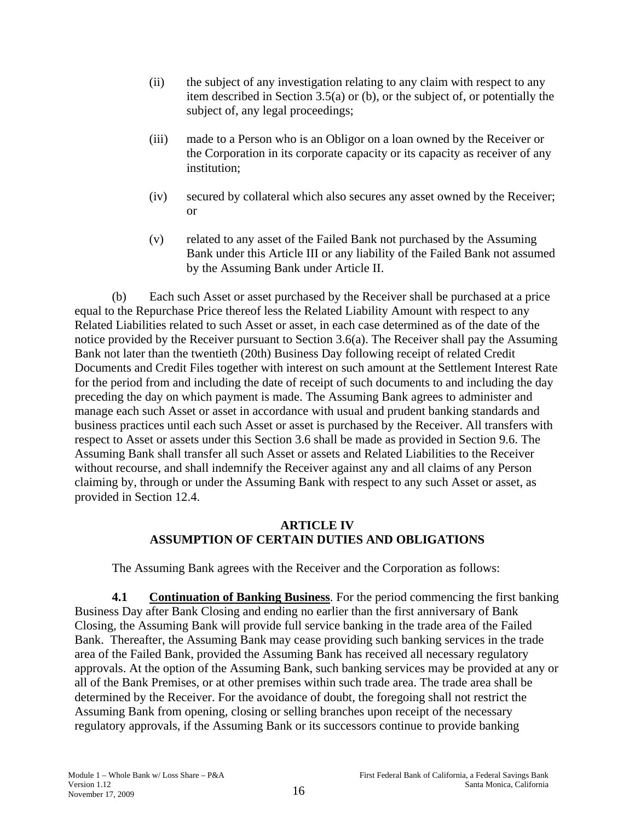- (ii) the subject of any investigation relating to any claim with respect to any item described in Section 3.5(a) or (b), or the subject of, or potentially the subject of, any legal proceedings;
- (iii) made to a Person who is an Obligor on a loan owned by the Receiver or the Corporation in its corporate capacity or its capacity as receiver of any institution;
- (iv) secured by collateral which also secures any asset owned by the Receiver; or
- (v) related to any asset of the Failed Bank not purchased by the Assuming Bank under this Article III or any liability of the Failed Bank not assumed by the Assuming Bank under Article II.

(b) Each such Asset or asset purchased by the Receiver shall be purchased at a price equal to the Repurchase Price thereof less the Related Liability Amount with respect to any Related Liabilities related to such Asset or asset, in each case determined as of the date of the notice provided by the Receiver pursuant to Section 3.6(a). The Receiver shall pay the Assuming Bank not later than the twentieth (20th) Business Day following receipt of related Credit Documents and Credit Files together with interest on such amount at the Settlement Interest Rate for the period from and including the date of receipt of such documents to and including the day preceding the day on which payment is made. The Assuming Bank agrees to administer and manage each such Asset or asset in accordance with usual and prudent banking standards and business practices until each such Asset or asset is purchased by the Receiver. All transfers with respect to Asset or assets under this Section 3.6 shall be made as provided in Section 9.6. The Assuming Bank shall transfer all such Asset or assets and Related Liabilities to the Receiver without recourse, and shall indemnify the Receiver against any and all claims of any Person claiming by, through or under the Assuming Bank with respect to any such Asset or asset, as provided in Section 12.4.

### **ARTICLE IV ASSUMPTION OF CERTAIN DUTIES AND OBLIGATIONS**

The Assuming Bank agrees with the Receiver and the Corporation as follows:

**4.1** Continuation of Banking Business. For the period commencing the first banking Business Day after Bank Closing and ending no earlier than the first anniversary of Bank Closing, the Assuming Bank will provide full service banking in the trade area of the Failed Bank. Thereafter, the Assuming Bank may cease providing such banking services in the trade area of the Failed Bank, provided the Assuming Bank has received all necessary regulatory approvals. At the option of the Assuming Bank, such banking services may be provided at any or all of the Bank Premises, or at other premises within such trade area. The trade area shall be determined by the Receiver. For the avoidance of doubt, the foregoing shall not restrict the Assuming Bank from opening, closing or selling branches upon receipt of the necessary regulatory approvals, if the Assuming Bank or its successors continue to provide banking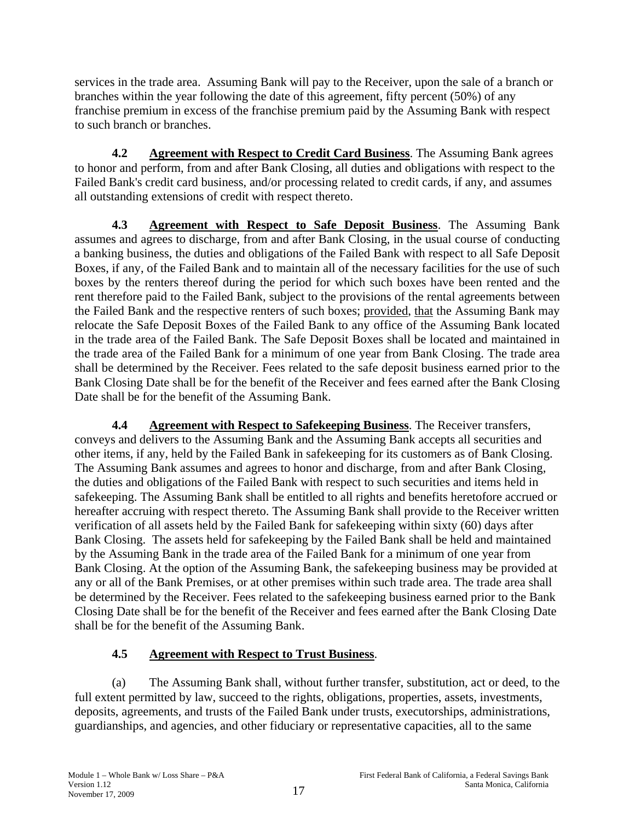services in the trade area. Assuming Bank will pay to the Receiver, upon the sale of a branch or branches within the year following the date of this agreement, fifty percent (50%) of any franchise premium in excess of the franchise premium paid by the Assuming Bank with respect to such branch or branches.

**4.2** Agreement with Respect to Credit Card Business. The Assuming Bank agrees to honor and perform, from and after Bank Closing, all duties and obligations with respect to the Failed Bank's credit card business, and/or processing related to credit cards, if any, and assumes all outstanding extensions of credit with respect thereto.

**4.3 Agreement with Respect to Safe Deposit Business**. The Assuming Bank assumes and agrees to discharge, from and after Bank Closing, in the usual course of conducting a banking business, the duties and obligations of the Failed Bank with respect to all Safe Deposit Boxes, if any, of the Failed Bank and to maintain all of the necessary facilities for the use of such boxes by the renters thereof during the period for which such boxes have been rented and the rent therefore paid to the Failed Bank, subject to the provisions of the rental agreements between the Failed Bank and the respective renters of such boxes; provided, that the Assuming Bank may relocate the Safe Deposit Boxes of the Failed Bank to any office of the Assuming Bank located in the trade area of the Failed Bank. The Safe Deposit Boxes shall be located and maintained in the trade area of the Failed Bank for a minimum of one year from Bank Closing. The trade area shall be determined by the Receiver. Fees related to the safe deposit business earned prior to the Bank Closing Date shall be for the benefit of the Receiver and fees earned after the Bank Closing Date shall be for the benefit of the Assuming Bank.

**4.4 Agreement with Respect to Safekeeping Business**. The Receiver transfers, conveys and delivers to the Assuming Bank and the Assuming Bank accepts all securities and other items, if any, held by the Failed Bank in safekeeping for its customers as of Bank Closing. The Assuming Bank assumes and agrees to honor and discharge, from and after Bank Closing, the duties and obligations of the Failed Bank with respect to such securities and items held in safekeeping. The Assuming Bank shall be entitled to all rights and benefits heretofore accrued or hereafter accruing with respect thereto. The Assuming Bank shall provide to the Receiver written verification of all assets held by the Failed Bank for safekeeping within sixty (60) days after Bank Closing. The assets held for safekeeping by the Failed Bank shall be held and maintained by the Assuming Bank in the trade area of the Failed Bank for a minimum of one year from Bank Closing. At the option of the Assuming Bank, the safekeeping business may be provided at any or all of the Bank Premises, or at other premises within such trade area. The trade area shall be determined by the Receiver. Fees related to the safekeeping business earned prior to the Bank Closing Date shall be for the benefit of the Receiver and fees earned after the Bank Closing Date shall be for the benefit of the Assuming Bank.

# **4.5 Agreement with Respect to Trust Business**.

(a) The Assuming Bank shall, without further transfer, substitution, act or deed, to the full extent permitted by law, succeed to the rights, obligations, properties, assets, investments, deposits, agreements, and trusts of the Failed Bank under trusts, executorships, administrations, guardianships, and agencies, and other fiduciary or representative capacities, all to the same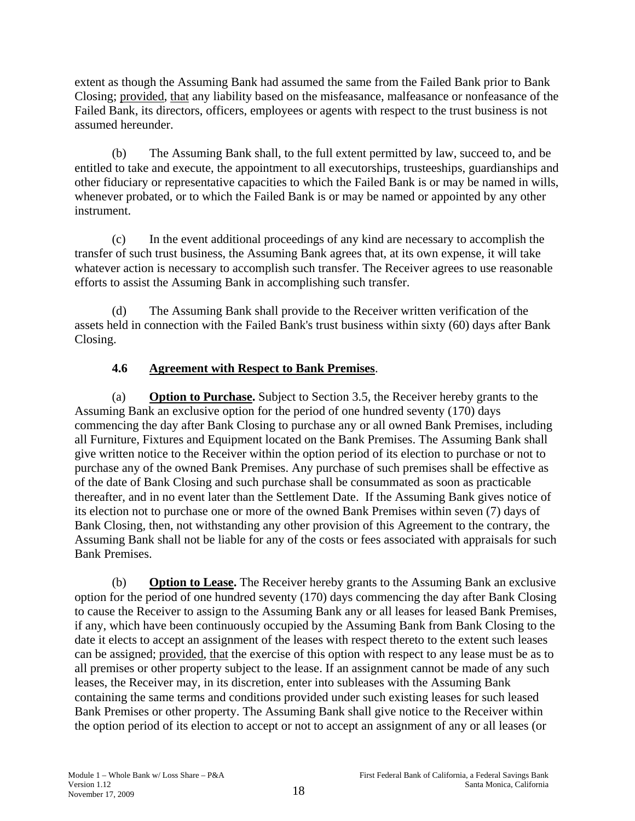extent as though the Assuming Bank had assumed the same from the Failed Bank prior to Bank Closing; provided, that any liability based on the misfeasance, malfeasance or nonfeasance of the Failed Bank, its directors, officers, employees or agents with respect to the trust business is not assumed hereunder.

(b) The Assuming Bank shall, to the full extent permitted by law, succeed to, and be entitled to take and execute, the appointment to all executorships, trusteeships, guardianships and other fiduciary or representative capacities to which the Failed Bank is or may be named in wills, whenever probated, or to which the Failed Bank is or may be named or appointed by any other instrument.

(c) In the event additional proceedings of any kind are necessary to accomplish the transfer of such trust business, the Assuming Bank agrees that, at its own expense, it will take whatever action is necessary to accomplish such transfer. The Receiver agrees to use reasonable efforts to assist the Assuming Bank in accomplishing such transfer.

(d) The Assuming Bank shall provide to the Receiver written verification of the assets held in connection with the Failed Bank's trust business within sixty (60) days after Bank Closing.

# **4.6 Agreement with Respect to Bank Premises**.

(a) **Option to Purchase.** Subject to Section 3.5, the Receiver hereby grants to the Assuming Bank an exclusive option for the period of one hundred seventy (170) days commencing the day after Bank Closing to purchase any or all owned Bank Premises, including all Furniture, Fixtures and Equipment located on the Bank Premises. The Assuming Bank shall give written notice to the Receiver within the option period of its election to purchase or not to purchase any of the owned Bank Premises. Any purchase of such premises shall be effective as of the date of Bank Closing and such purchase shall be consummated as soon as practicable thereafter, and in no event later than the Settlement Date. If the Assuming Bank gives notice of its election not to purchase one or more of the owned Bank Premises within seven (7) days of Bank Closing, then, not withstanding any other provision of this Agreement to the contrary, the Assuming Bank shall not be liable for any of the costs or fees associated with appraisals for such Bank Premises.

(b) **Option to Lease.** The Receiver hereby grants to the Assuming Bank an exclusive option for the period of one hundred seventy (170) days commencing the day after Bank Closing to cause the Receiver to assign to the Assuming Bank any or all leases for leased Bank Premises, if any, which have been continuously occupied by the Assuming Bank from Bank Closing to the date it elects to accept an assignment of the leases with respect thereto to the extent such leases can be assigned; provided, that the exercise of this option with respect to any lease must be as to all premises or other property subject to the lease. If an assignment cannot be made of any such leases, the Receiver may, in its discretion, enter into subleases with the Assuming Bank containing the same terms and conditions provided under such existing leases for such leased Bank Premises or other property. The Assuming Bank shall give notice to the Receiver within the option period of its election to accept or not to accept an assignment of any or all leases (or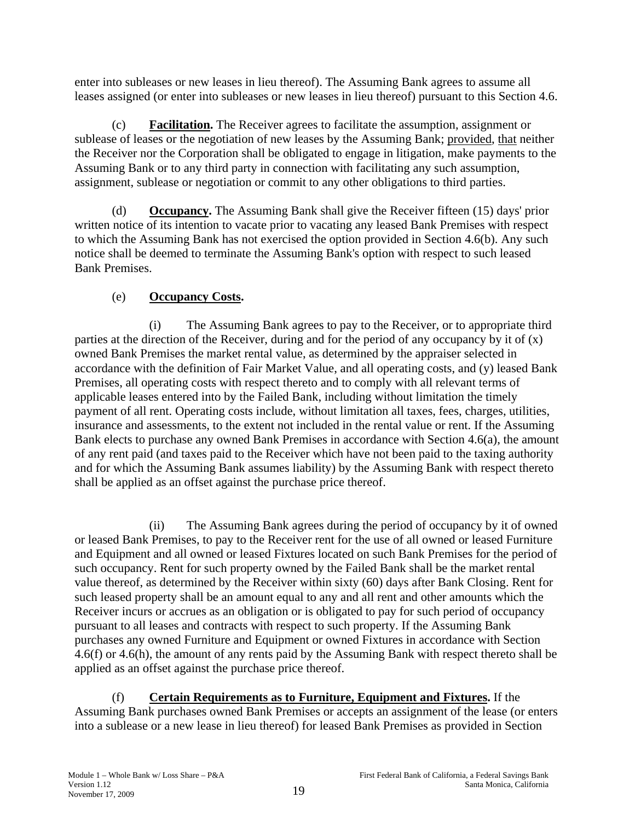enter into subleases or new leases in lieu thereof). The Assuming Bank agrees to assume all leases assigned (or enter into subleases or new leases in lieu thereof) pursuant to this Section 4.6.

(c) **Facilitation.** The Receiver agrees to facilitate the assumption, assignment or sublease of leases or the negotiation of new leases by the Assuming Bank; provided, that neither the Receiver nor the Corporation shall be obligated to engage in litigation, make payments to the Assuming Bank or to any third party in connection with facilitating any such assumption, assignment, sublease or negotiation or commit to any other obligations to third parties.

(d) **Occupancy.** The Assuming Bank shall give the Receiver fifteen (15) days' prior written notice of its intention to vacate prior to vacating any leased Bank Premises with respect to which the Assuming Bank has not exercised the option provided in Section 4.6(b). Any such notice shall be deemed to terminate the Assuming Bank's option with respect to such leased Bank Premises.

# (e) **Occupancy Costs.**

(i) The Assuming Bank agrees to pay to the Receiver, or to appropriate third parties at the direction of the Receiver, during and for the period of any occupancy by it of (x) owned Bank Premises the market rental value, as determined by the appraiser selected in accordance with the definition of Fair Market Value, and all operating costs, and (y) leased Bank Premises, all operating costs with respect thereto and to comply with all relevant terms of applicable leases entered into by the Failed Bank, including without limitation the timely payment of all rent. Operating costs include, without limitation all taxes, fees, charges, utilities, insurance and assessments, to the extent not included in the rental value or rent. If the Assuming Bank elects to purchase any owned Bank Premises in accordance with Section 4.6(a), the amount of any rent paid (and taxes paid to the Receiver which have not been paid to the taxing authority and for which the Assuming Bank assumes liability) by the Assuming Bank with respect thereto shall be applied as an offset against the purchase price thereof.

(ii) The Assuming Bank agrees during the period of occupancy by it of owned or leased Bank Premises, to pay to the Receiver rent for the use of all owned or leased Furniture and Equipment and all owned or leased Fixtures located on such Bank Premises for the period of such occupancy. Rent for such property owned by the Failed Bank shall be the market rental value thereof, as determined by the Receiver within sixty (60) days after Bank Closing. Rent for such leased property shall be an amount equal to any and all rent and other amounts which the Receiver incurs or accrues as an obligation or is obligated to pay for such period of occupancy pursuant to all leases and contracts with respect to such property. If the Assuming Bank purchases any owned Furniture and Equipment or owned Fixtures in accordance with Section 4.6(f) or 4.6(h), the amount of any rents paid by the Assuming Bank with respect thereto shall be applied as an offset against the purchase price thereof.

(f) **Certain Requirements as to Furniture, Equipment and Fixtures.** If the Assuming Bank purchases owned Bank Premises or accepts an assignment of the lease (or enters into a sublease or a new lease in lieu thereof) for leased Bank Premises as provided in Section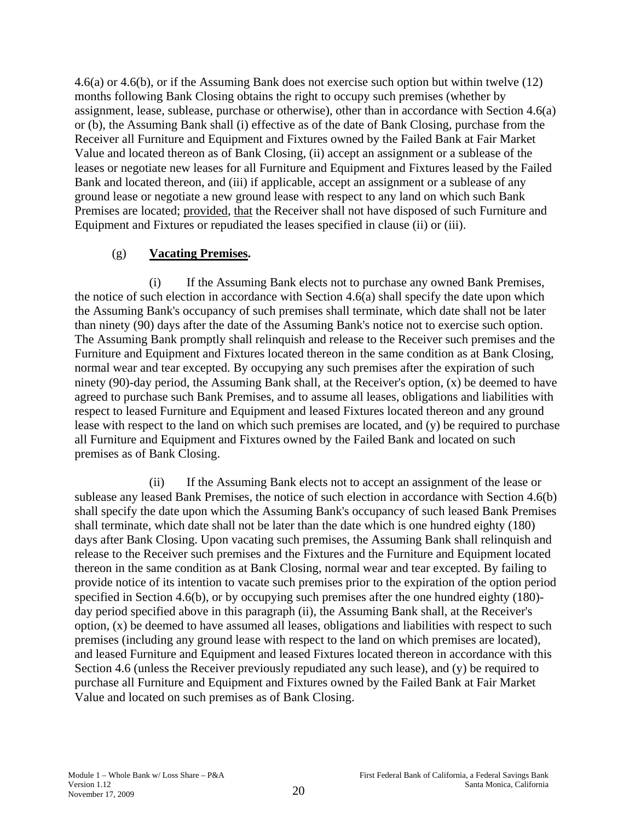4.6(a) or 4.6(b), or if the Assuming Bank does not exercise such option but within twelve (12) months following Bank Closing obtains the right to occupy such premises (whether by assignment, lease, sublease, purchase or otherwise), other than in accordance with Section 4.6(a) or (b), the Assuming Bank shall (i) effective as of the date of Bank Closing, purchase from the Receiver all Furniture and Equipment and Fixtures owned by the Failed Bank at Fair Market Value and located thereon as of Bank Closing, (ii) accept an assignment or a sublease of the leases or negotiate new leases for all Furniture and Equipment and Fixtures leased by the Failed Bank and located thereon, and (iii) if applicable, accept an assignment or a sublease of any ground lease or negotiate a new ground lease with respect to any land on which such Bank Premises are located; provided, that the Receiver shall not have disposed of such Furniture and Equipment and Fixtures or repudiated the leases specified in clause (ii) or (iii).

### (g) **Vacating Premises.**

(i) If the Assuming Bank elects not to purchase any owned Bank Premises, the notice of such election in accordance with Section 4.6(a) shall specify the date upon which the Assuming Bank's occupancy of such premises shall terminate, which date shall not be later than ninety (90) days after the date of the Assuming Bank's notice not to exercise such option. The Assuming Bank promptly shall relinquish and release to the Receiver such premises and the Furniture and Equipment and Fixtures located thereon in the same condition as at Bank Closing, normal wear and tear excepted. By occupying any such premises after the expiration of such ninety (90)-day period, the Assuming Bank shall, at the Receiver's option, (x) be deemed to have agreed to purchase such Bank Premises, and to assume all leases, obligations and liabilities with respect to leased Furniture and Equipment and leased Fixtures located thereon and any ground lease with respect to the land on which such premises are located, and (y) be required to purchase all Furniture and Equipment and Fixtures owned by the Failed Bank and located on such premises as of Bank Closing.

(ii) If the Assuming Bank elects not to accept an assignment of the lease or sublease any leased Bank Premises, the notice of such election in accordance with Section 4.6(b) shall specify the date upon which the Assuming Bank's occupancy of such leased Bank Premises shall terminate, which date shall not be later than the date which is one hundred eighty (180) days after Bank Closing. Upon vacating such premises, the Assuming Bank shall relinquish and release to the Receiver such premises and the Fixtures and the Furniture and Equipment located thereon in the same condition as at Bank Closing, normal wear and tear excepted. By failing to provide notice of its intention to vacate such premises prior to the expiration of the option period specified in Section 4.6(b), or by occupying such premises after the one hundred eighty (180) day period specified above in this paragraph (ii), the Assuming Bank shall, at the Receiver's option, (x) be deemed to have assumed all leases, obligations and liabilities with respect to such premises (including any ground lease with respect to the land on which premises are located), and leased Furniture and Equipment and leased Fixtures located thereon in accordance with this Section 4.6 (unless the Receiver previously repudiated any such lease), and (y) be required to purchase all Furniture and Equipment and Fixtures owned by the Failed Bank at Fair Market Value and located on such premises as of Bank Closing.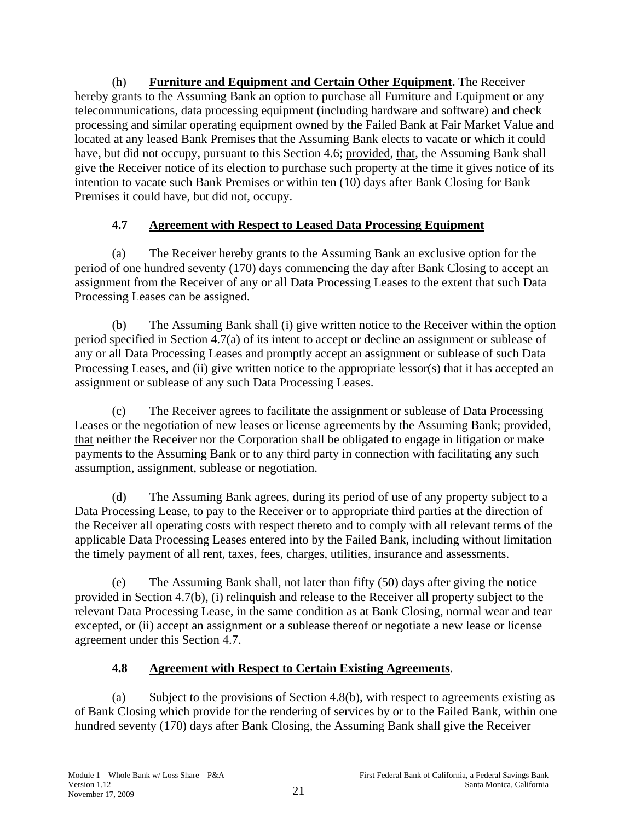(h) **Furniture and Equipment and Certain Other Equipment.** The Receiver hereby grants to the Assuming Bank an option to purchase all Furniture and Equipment or any telecommunications, data processing equipment (including hardware and software) and check processing and similar operating equipment owned by the Failed Bank at Fair Market Value and located at any leased Bank Premises that the Assuming Bank elects to vacate or which it could have, but did not occupy, pursuant to this Section 4.6; provided, that, the Assuming Bank shall give the Receiver notice of its election to purchase such property at the time it gives notice of its intention to vacate such Bank Premises or within ten (10) days after Bank Closing for Bank Premises it could have, but did not, occupy.

# **4.7 Agreement with Respect to Leased Data Processing Equipment**

(a) The Receiver hereby grants to the Assuming Bank an exclusive option for the period of one hundred seventy (170) days commencing the day after Bank Closing to accept an assignment from the Receiver of any or all Data Processing Leases to the extent that such Data Processing Leases can be assigned.

(b) The Assuming Bank shall (i) give written notice to the Receiver within the option period specified in Section 4.7(a) of its intent to accept or decline an assignment or sublease of any or all Data Processing Leases and promptly accept an assignment or sublease of such Data Processing Leases, and (ii) give written notice to the appropriate lessor(s) that it has accepted an assignment or sublease of any such Data Processing Leases.

(c) The Receiver agrees to facilitate the assignment or sublease of Data Processing Leases or the negotiation of new leases or license agreements by the Assuming Bank; provided, that neither the Receiver nor the Corporation shall be obligated to engage in litigation or make payments to the Assuming Bank or to any third party in connection with facilitating any such assumption, assignment, sublease or negotiation.

(d) The Assuming Bank agrees, during its period of use of any property subject to a Data Processing Lease, to pay to the Receiver or to appropriate third parties at the direction of the Receiver all operating costs with respect thereto and to comply with all relevant terms of the applicable Data Processing Leases entered into by the Failed Bank, including without limitation the timely payment of all rent, taxes, fees, charges, utilities, insurance and assessments.

(e) The Assuming Bank shall, not later than fifty (50) days after giving the notice provided in Section 4.7(b), (i) relinquish and release to the Receiver all property subject to the relevant Data Processing Lease, in the same condition as at Bank Closing, normal wear and tear excepted, or (ii) accept an assignment or a sublease thereof or negotiate a new lease or license agreement under this Section 4.7.

# **4.8 Agreement with Respect to Certain Existing Agreements**.

(a) Subject to the provisions of Section 4.8(b), with respect to agreements existing as of Bank Closing which provide for the rendering of services by or to the Failed Bank, within one hundred seventy (170) days after Bank Closing, the Assuming Bank shall give the Receiver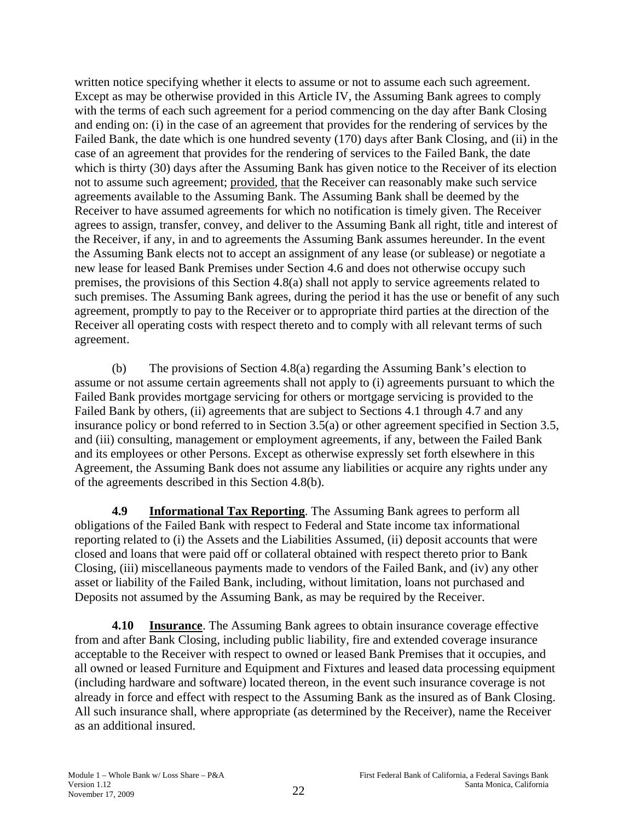written notice specifying whether it elects to assume or not to assume each such agreement. Except as may be otherwise provided in this Article IV, the Assuming Bank agrees to comply with the terms of each such agreement for a period commencing on the day after Bank Closing and ending on: (i) in the case of an agreement that provides for the rendering of services by the Failed Bank, the date which is one hundred seventy (170) days after Bank Closing, and (ii) in the case of an agreement that provides for the rendering of services to the Failed Bank, the date which is thirty (30) days after the Assuming Bank has given notice to the Receiver of its election not to assume such agreement; provided, that the Receiver can reasonably make such service agreements available to the Assuming Bank. The Assuming Bank shall be deemed by the Receiver to have assumed agreements for which no notification is timely given. The Receiver agrees to assign, transfer, convey, and deliver to the Assuming Bank all right, title and interest of the Receiver, if any, in and to agreements the Assuming Bank assumes hereunder. In the event the Assuming Bank elects not to accept an assignment of any lease (or sublease) or negotiate a new lease for leased Bank Premises under Section 4.6 and does not otherwise occupy such premises, the provisions of this Section 4.8(a) shall not apply to service agreements related to such premises. The Assuming Bank agrees, during the period it has the use or benefit of any such agreement, promptly to pay to the Receiver or to appropriate third parties at the direction of the Receiver all operating costs with respect thereto and to comply with all relevant terms of such agreement.

(b) The provisions of Section 4.8(a) regarding the Assuming Bank's election to assume or not assume certain agreements shall not apply to (i) agreements pursuant to which the Failed Bank provides mortgage servicing for others or mortgage servicing is provided to the Failed Bank by others, (ii) agreements that are subject to Sections 4.1 through 4.7 and any insurance policy or bond referred to in Section 3.5(a) or other agreement specified in Section 3.5, and (iii) consulting, management or employment agreements, if any, between the Failed Bank and its employees or other Persons. Except as otherwise expressly set forth elsewhere in this Agreement, the Assuming Bank does not assume any liabilities or acquire any rights under any of the agreements described in this Section 4.8(b).

**4.9 Informational Tax Reporting**. The Assuming Bank agrees to perform all obligations of the Failed Bank with respect to Federal and State income tax informational reporting related to (i) the Assets and the Liabilities Assumed, (ii) deposit accounts that were closed and loans that were paid off or collateral obtained with respect thereto prior to Bank Closing, (iii) miscellaneous payments made to vendors of the Failed Bank, and (iv) any other asset or liability of the Failed Bank, including, without limitation, loans not purchased and Deposits not assumed by the Assuming Bank, as may be required by the Receiver.

**4.10 Insurance**. The Assuming Bank agrees to obtain insurance coverage effective from and after Bank Closing, including public liability, fire and extended coverage insurance acceptable to the Receiver with respect to owned or leased Bank Premises that it occupies, and all owned or leased Furniture and Equipment and Fixtures and leased data processing equipment (including hardware and software) located thereon, in the event such insurance coverage is not already in force and effect with respect to the Assuming Bank as the insured as of Bank Closing. All such insurance shall, where appropriate (as determined by the Receiver), name the Receiver as an additional insured.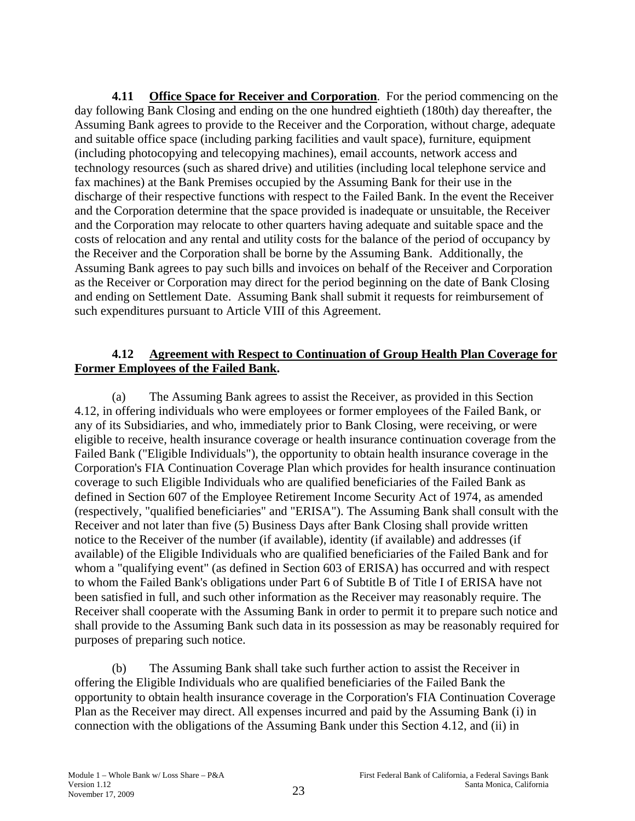**4.11** Office Space for Receiver and Corporation. For the period commencing on the day following Bank Closing and ending on the one hundred eightieth (180th) day thereafter, the Assuming Bank agrees to provide to the Receiver and the Corporation, without charge, adequate and suitable office space (including parking facilities and vault space), furniture, equipment (including photocopying and telecopying machines), email accounts, network access and technology resources (such as shared drive) and utilities (including local telephone service and fax machines) at the Bank Premises occupied by the Assuming Bank for their use in the discharge of their respective functions with respect to the Failed Bank. In the event the Receiver and the Corporation determine that the space provided is inadequate or unsuitable, the Receiver and the Corporation may relocate to other quarters having adequate and suitable space and the costs of relocation and any rental and utility costs for the balance of the period of occupancy by the Receiver and the Corporation shall be borne by the Assuming Bank. Additionally, the Assuming Bank agrees to pay such bills and invoices on behalf of the Receiver and Corporation as the Receiver or Corporation may direct for the period beginning on the date of Bank Closing and ending on Settlement Date. Assuming Bank shall submit it requests for reimbursement of such expenditures pursuant to Article VIII of this Agreement.

### **4.12 Agreement with Respect to Continuation of Group Health Plan Coverage for Former Employees of the Failed Bank.**

(a) The Assuming Bank agrees to assist the Receiver, as provided in this Section 4.12, in offering individuals who were employees or former employees of the Failed Bank, or any of its Subsidiaries, and who, immediately prior to Bank Closing, were receiving, or were eligible to receive, health insurance coverage or health insurance continuation coverage from the Failed Bank ("Eligible Individuals"), the opportunity to obtain health insurance coverage in the Corporation's FIA Continuation Coverage Plan which provides for health insurance continuation coverage to such Eligible Individuals who are qualified beneficiaries of the Failed Bank as defined in Section 607 of the Employee Retirement Income Security Act of 1974, as amended (respectively, "qualified beneficiaries" and "ERISA"). The Assuming Bank shall consult with the Receiver and not later than five (5) Business Days after Bank Closing shall provide written notice to the Receiver of the number (if available), identity (if available) and addresses (if available) of the Eligible Individuals who are qualified beneficiaries of the Failed Bank and for whom a "qualifying event" (as defined in Section 603 of ERISA) has occurred and with respect to whom the Failed Bank's obligations under Part 6 of Subtitle B of Title I of ERISA have not been satisfied in full, and such other information as the Receiver may reasonably require. The Receiver shall cooperate with the Assuming Bank in order to permit it to prepare such notice and shall provide to the Assuming Bank such data in its possession as may be reasonably required for purposes of preparing such notice.

(b) The Assuming Bank shall take such further action to assist the Receiver in offering the Eligible Individuals who are qualified beneficiaries of the Failed Bank the opportunity to obtain health insurance coverage in the Corporation's FIA Continuation Coverage Plan as the Receiver may direct. All expenses incurred and paid by the Assuming Bank (i) in connection with the obligations of the Assuming Bank under this Section 4.12, and (ii) in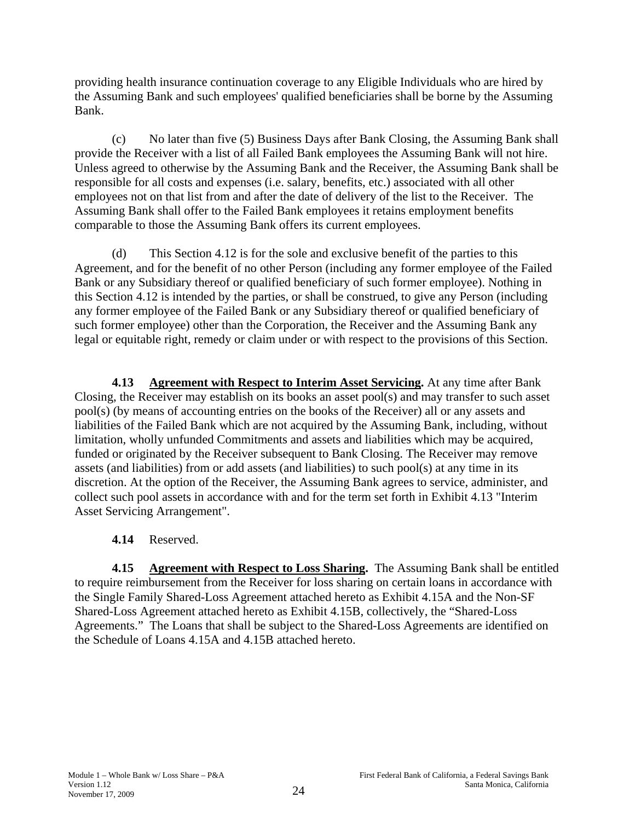providing health insurance continuation coverage to any Eligible Individuals who are hired by the Assuming Bank and such employees' qualified beneficiaries shall be borne by the Assuming Bank.

(c) No later than five (5) Business Days after Bank Closing, the Assuming Bank shall provide the Receiver with a list of all Failed Bank employees the Assuming Bank will not hire. Unless agreed to otherwise by the Assuming Bank and the Receiver, the Assuming Bank shall be responsible for all costs and expenses (i.e. salary, benefits, etc.) associated with all other employees not on that list from and after the date of delivery of the list to the Receiver. The Assuming Bank shall offer to the Failed Bank employees it retains employment benefits comparable to those the Assuming Bank offers its current employees.

(d) This Section 4.12 is for the sole and exclusive benefit of the parties to this Agreement, and for the benefit of no other Person (including any former employee of the Failed Bank or any Subsidiary thereof or qualified beneficiary of such former employee). Nothing in this Section 4.12 is intended by the parties, or shall be construed, to give any Person (including any former employee of the Failed Bank or any Subsidiary thereof or qualified beneficiary of such former employee) other than the Corporation, the Receiver and the Assuming Bank any legal or equitable right, remedy or claim under or with respect to the provisions of this Section.

**4.13** Agreement with Respect to Interim Asset Servicing. At any time after Bank Closing, the Receiver may establish on its books an asset pool(s) and may transfer to such asset pool(s) (by means of accounting entries on the books of the Receiver) all or any assets and liabilities of the Failed Bank which are not acquired by the Assuming Bank, including, without limitation, wholly unfunded Commitments and assets and liabilities which may be acquired, funded or originated by the Receiver subsequent to Bank Closing. The Receiver may remove assets (and liabilities) from or add assets (and liabilities) to such pool(s) at any time in its discretion. At the option of the Receiver, the Assuming Bank agrees to service, administer, and collect such pool assets in accordance with and for the term set forth in Exhibit 4.13 "Interim Asset Servicing Arrangement".

## **4.14** Reserved.

**4.15 Agreement with Respect to Loss Sharing.** The Assuming Bank shall be entitled to require reimbursement from the Receiver for loss sharing on certain loans in accordance with the Single Family Shared-Loss Agreement attached hereto as Exhibit 4.15A and the Non-SF Shared-Loss Agreement attached hereto as Exhibit 4.15B, collectively, the "Shared-Loss Agreements." The Loans that shall be subject to the Shared-Loss Agreements are identified on the Schedule of Loans 4.15A and 4.15B attached hereto.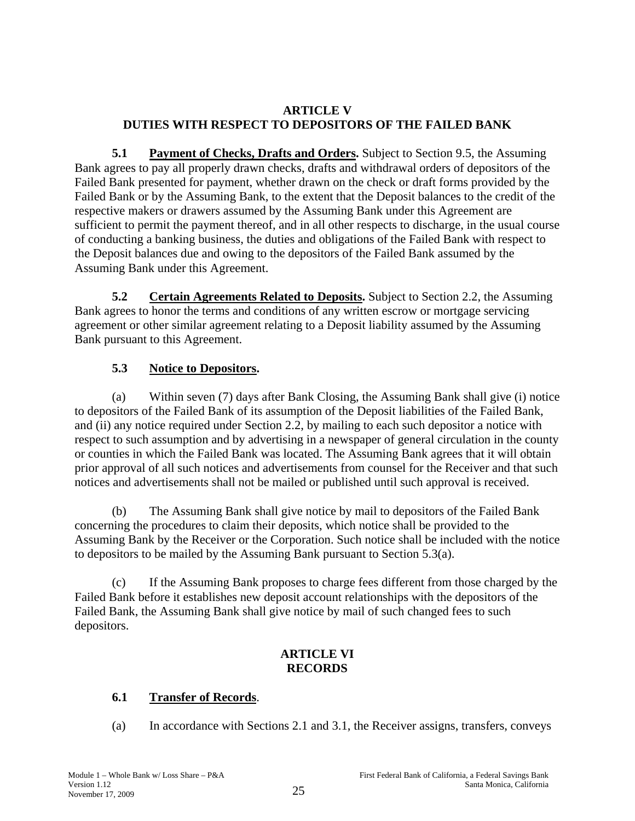### **ARTICLE V DUTIES WITH RESPECT TO DEPOSITORS OF THE FAILED BANK**

**5.1** Payment of Checks, Drafts and Orders. Subject to Section 9.5, the Assuming Bank agrees to pay all properly drawn checks, drafts and withdrawal orders of depositors of the Failed Bank presented for payment, whether drawn on the check or draft forms provided by the Failed Bank or by the Assuming Bank, to the extent that the Deposit balances to the credit of the respective makers or drawers assumed by the Assuming Bank under this Agreement are sufficient to permit the payment thereof, and in all other respects to discharge, in the usual course of conducting a banking business, the duties and obligations of the Failed Bank with respect to the Deposit balances due and owing to the depositors of the Failed Bank assumed by the Assuming Bank under this Agreement.

**5.2 Certain Agreements Related to Deposits.** Subject to Section 2.2, the Assuming Bank agrees to honor the terms and conditions of any written escrow or mortgage servicing agreement or other similar agreement relating to a Deposit liability assumed by the Assuming Bank pursuant to this Agreement.

# **5.3 Notice to Depositors.**

(a) Within seven (7) days after Bank Closing, the Assuming Bank shall give (i) notice to depositors of the Failed Bank of its assumption of the Deposit liabilities of the Failed Bank, and (ii) any notice required under Section 2.2, by mailing to each such depositor a notice with respect to such assumption and by advertising in a newspaper of general circulation in the county or counties in which the Failed Bank was located. The Assuming Bank agrees that it will obtain prior approval of all such notices and advertisements from counsel for the Receiver and that such notices and advertisements shall not be mailed or published until such approval is received.

(b) The Assuming Bank shall give notice by mail to depositors of the Failed Bank concerning the procedures to claim their deposits, which notice shall be provided to the Assuming Bank by the Receiver or the Corporation. Such notice shall be included with the notice to depositors to be mailed by the Assuming Bank pursuant to Section 5.3(a).

(c) If the Assuming Bank proposes to charge fees different from those charged by the Failed Bank before it establishes new deposit account relationships with the depositors of the Failed Bank, the Assuming Bank shall give notice by mail of such changed fees to such depositors.

### **ARTICLE VI RECORDS**

## **6.1 Transfer of Records**.

(a) In accordance with Sections 2.1 and 3.1, the Receiver assigns, transfers, conveys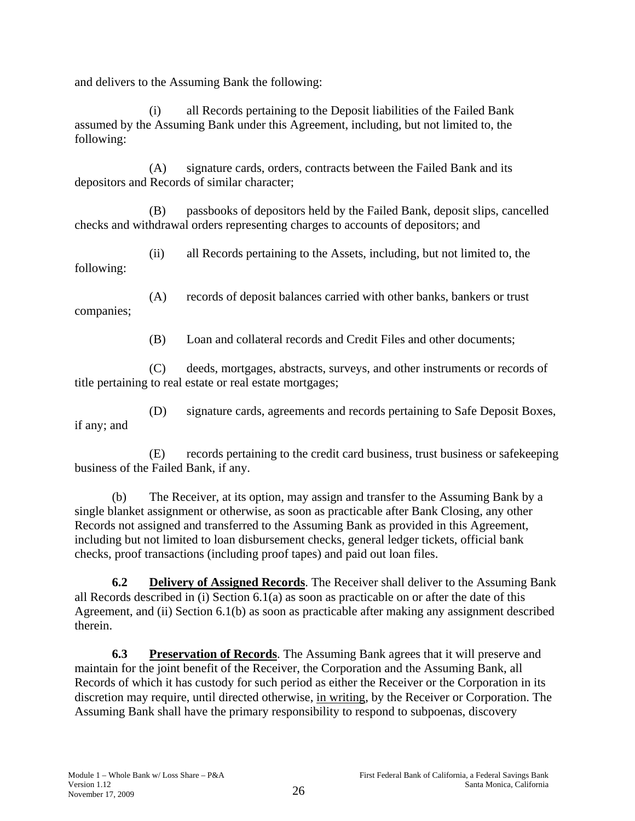and delivers to the Assuming Bank the following:

(i) all Records pertaining to the Deposit liabilities of the Failed Bank assumed by the Assuming Bank under this Agreement, including, but not limited to, the following:

(A) signature cards, orders, contracts between the Failed Bank and its depositors and Records of similar character;

(B) passbooks of depositors held by the Failed Bank, deposit slips, cancelled checks and withdrawal orders representing charges to accounts of depositors; and

following: (ii) all Records pertaining to the Assets, including, but not limited to, the

companies; (A) records of deposit balances carried with other banks, bankers or trust

(B) Loan and collateral records and Credit Files and other documents;

(C) deeds, mortgages, abstracts, surveys, and other instruments or records of title pertaining to real estate or real estate mortgages;

if any; and

(D) signature cards, agreements and records pertaining to Safe Deposit Boxes,

(E) records pertaining to the credit card business, trust business or safekeeping business of the Failed Bank, if any.

(b) The Receiver, at its option, may assign and transfer to the Assuming Bank by a single blanket assignment or otherwise, as soon as practicable after Bank Closing, any other Records not assigned and transferred to the Assuming Bank as provided in this Agreement, including but not limited to loan disbursement checks, general ledger tickets, official bank checks, proof transactions (including proof tapes) and paid out loan files.

**6.2 Delivery of Assigned Records**. The Receiver shall deliver to the Assuming Bank all Records described in (i) Section 6.1(a) as soon as practicable on or after the date of this Agreement, and (ii) Section 6.1(b) as soon as practicable after making any assignment described therein.

**6.3** Preservation of Records. The Assuming Bank agrees that it will preserve and maintain for the joint benefit of the Receiver, the Corporation and the Assuming Bank, all Records of which it has custody for such period as either the Receiver or the Corporation in its discretion may require, until directed otherwise, in writing, by the Receiver or Corporation. The Assuming Bank shall have the primary responsibility to respond to subpoenas, discovery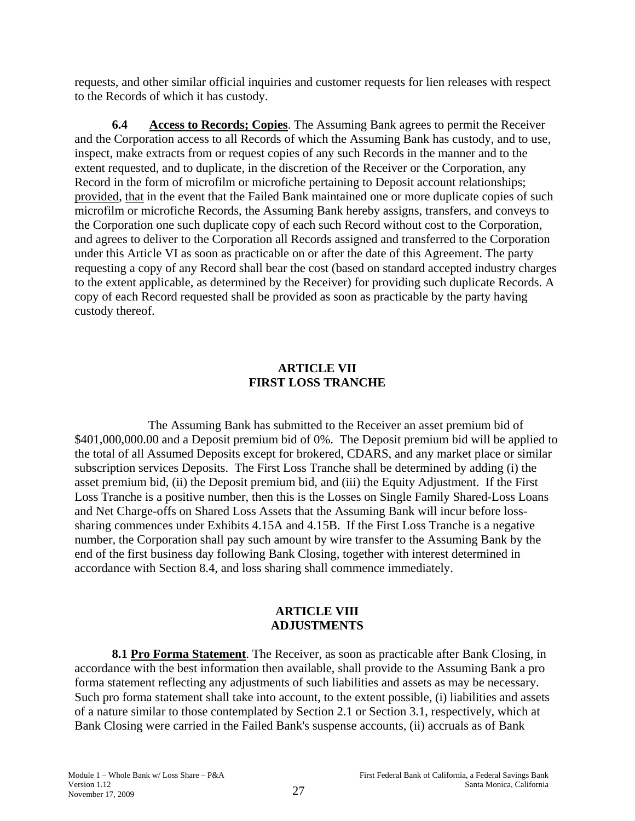requests, and other similar official inquiries and customer requests for lien releases with respect to the Records of which it has custody.

**6.4** Access to Records; Copies. The Assuming Bank agrees to permit the Receiver and the Corporation access to all Records of which the Assuming Bank has custody, and to use, inspect, make extracts from or request copies of any such Records in the manner and to the extent requested, and to duplicate, in the discretion of the Receiver or the Corporation, any Record in the form of microfilm or microfiche pertaining to Deposit account relationships; provided, that in the event that the Failed Bank maintained one or more duplicate copies of such microfilm or microfiche Records, the Assuming Bank hereby assigns, transfers, and conveys to the Corporation one such duplicate copy of each such Record without cost to the Corporation, and agrees to deliver to the Corporation all Records assigned and transferred to the Corporation under this Article VI as soon as practicable on or after the date of this Agreement. The party requesting a copy of any Record shall bear the cost (based on standard accepted industry charges to the extent applicable, as determined by the Receiver) for providing such duplicate Records. A copy of each Record requested shall be provided as soon as practicable by the party having custody thereof.

### **ARTICLE VII FIRST LOSS TRANCHE**

 The Assuming Bank has submitted to the Receiver an asset premium bid of \$401,000,000.00 and a Deposit premium bid of 0%. The Deposit premium bid will be applied to the total of all Assumed Deposits except for brokered, CDARS, and any market place or similar subscription services Deposits. The First Loss Tranche shall be determined by adding (i) the asset premium bid, (ii) the Deposit premium bid, and (iii) the Equity Adjustment. If the First Loss Tranche is a positive number, then this is the Losses on Single Family Shared-Loss Loans and Net Charge-offs on Shared Loss Assets that the Assuming Bank will incur before losssharing commences under Exhibits 4.15A and 4.15B. If the First Loss Tranche is a negative number, the Corporation shall pay such amount by wire transfer to the Assuming Bank by the end of the first business day following Bank Closing, together with interest determined in accordance with Section 8.4, and loss sharing shall commence immediately.

#### **ARTICLE VIII ADJUSTMENTS**

**8.1 Pro Forma Statement**. The Receiver, as soon as practicable after Bank Closing, in accordance with the best information then available, shall provide to the Assuming Bank a pro forma statement reflecting any adjustments of such liabilities and assets as may be necessary. Such pro forma statement shall take into account, to the extent possible, (i) liabilities and assets of a nature similar to those contemplated by Section 2.1 or Section 3.1, respectively, which at Bank Closing were carried in the Failed Bank's suspense accounts, (ii) accruals as of Bank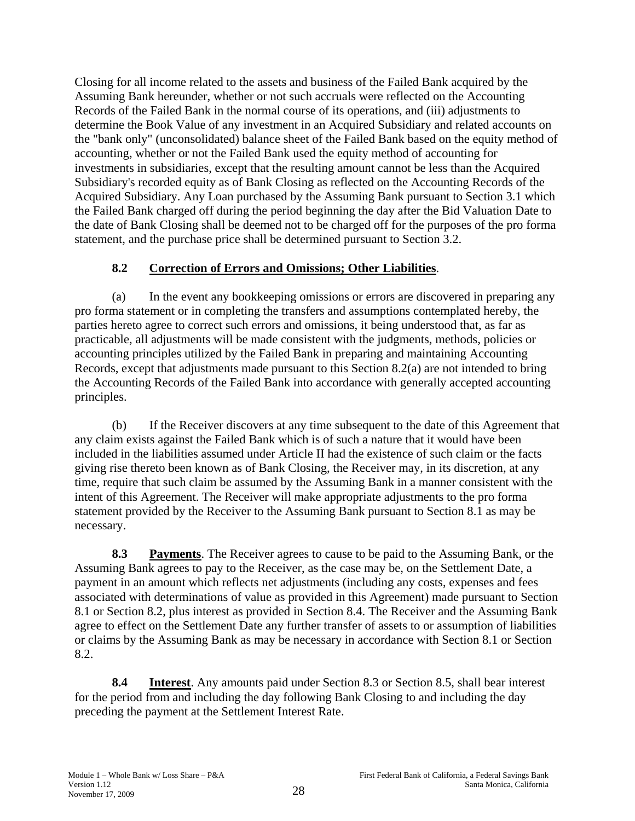Closing for all income related to the assets and business of the Failed Bank acquired by the Assuming Bank hereunder, whether or not such accruals were reflected on the Accounting Records of the Failed Bank in the normal course of its operations, and (iii) adjustments to determine the Book Value of any investment in an Acquired Subsidiary and related accounts on the "bank only" (unconsolidated) balance sheet of the Failed Bank based on the equity method of accounting, whether or not the Failed Bank used the equity method of accounting for investments in subsidiaries, except that the resulting amount cannot be less than the Acquired Subsidiary's recorded equity as of Bank Closing as reflected on the Accounting Records of the Acquired Subsidiary. Any Loan purchased by the Assuming Bank pursuant to Section 3.1 which the Failed Bank charged off during the period beginning the day after the Bid Valuation Date to the date of Bank Closing shall be deemed not to be charged off for the purposes of the pro forma statement, and the purchase price shall be determined pursuant to Section 3.2.

# **8.2 Correction of Errors and Omissions; Other Liabilities**.

(a) In the event any bookkeeping omissions or errors are discovered in preparing any pro forma statement or in completing the transfers and assumptions contemplated hereby, the parties hereto agree to correct such errors and omissions, it being understood that, as far as practicable, all adjustments will be made consistent with the judgments, methods, policies or accounting principles utilized by the Failed Bank in preparing and maintaining Accounting Records, except that adjustments made pursuant to this Section 8.2(a) are not intended to bring the Accounting Records of the Failed Bank into accordance with generally accepted accounting principles.

(b) If the Receiver discovers at any time subsequent to the date of this Agreement that any claim exists against the Failed Bank which is of such a nature that it would have been included in the liabilities assumed under Article II had the existence of such claim or the facts giving rise thereto been known as of Bank Closing, the Receiver may, in its discretion, at any time, require that such claim be assumed by the Assuming Bank in a manner consistent with the intent of this Agreement. The Receiver will make appropriate adjustments to the pro forma statement provided by the Receiver to the Assuming Bank pursuant to Section 8.1 as may be necessary.

**8.3 Payments**. The Receiver agrees to cause to be paid to the Assuming Bank, or the Assuming Bank agrees to pay to the Receiver, as the case may be, on the Settlement Date, a payment in an amount which reflects net adjustments (including any costs, expenses and fees associated with determinations of value as provided in this Agreement) made pursuant to Section 8.1 or Section 8.2, plus interest as provided in Section 8.4. The Receiver and the Assuming Bank agree to effect on the Settlement Date any further transfer of assets to or assumption of liabilities or claims by the Assuming Bank as may be necessary in accordance with Section 8.1 or Section 8.2.

**8.4 Interest**. Any amounts paid under Section 8.3 or Section 8.5, shall bear interest for the period from and including the day following Bank Closing to and including the day preceding the payment at the Settlement Interest Rate.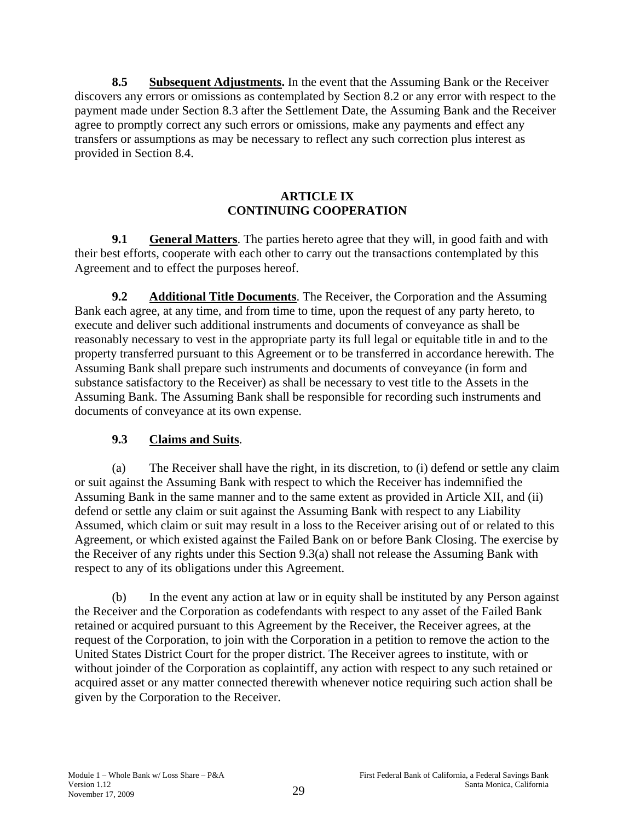**8.5 Subsequent Adjustments.** In the event that the Assuming Bank or the Receiver discovers any errors or omissions as contemplated by Section 8.2 or any error with respect to the payment made under Section 8.3 after the Settlement Date, the Assuming Bank and the Receiver agree to promptly correct any such errors or omissions, make any payments and effect any transfers or assumptions as may be necessary to reflect any such correction plus interest as provided in Section 8.4.

### **ARTICLE IX CONTINUING COOPERATION**

**9.1** General Matters. The parties hereto agree that they will, in good faith and with their best efforts, cooperate with each other to carry out the transactions contemplated by this Agreement and to effect the purposes hereof.

**9.2 Additional Title Documents**. The Receiver, the Corporation and the Assuming Bank each agree, at any time, and from time to time, upon the request of any party hereto, to execute and deliver such additional instruments and documents of conveyance as shall be reasonably necessary to vest in the appropriate party its full legal or equitable title in and to the property transferred pursuant to this Agreement or to be transferred in accordance herewith. The Assuming Bank shall prepare such instruments and documents of conveyance (in form and substance satisfactory to the Receiver) as shall be necessary to vest title to the Assets in the Assuming Bank. The Assuming Bank shall be responsible for recording such instruments and documents of conveyance at its own expense.

## **9.3 Claims and Suits**.

(a) The Receiver shall have the right, in its discretion, to (i) defend or settle any claim or suit against the Assuming Bank with respect to which the Receiver has indemnified the Assuming Bank in the same manner and to the same extent as provided in Article XII, and (ii) defend or settle any claim or suit against the Assuming Bank with respect to any Liability Assumed, which claim or suit may result in a loss to the Receiver arising out of or related to this Agreement, or which existed against the Failed Bank on or before Bank Closing. The exercise by the Receiver of any rights under this Section 9.3(a) shall not release the Assuming Bank with respect to any of its obligations under this Agreement.

(b) In the event any action at law or in equity shall be instituted by any Person against the Receiver and the Corporation as codefendants with respect to any asset of the Failed Bank retained or acquired pursuant to this Agreement by the Receiver, the Receiver agrees, at the request of the Corporation, to join with the Corporation in a petition to remove the action to the United States District Court for the proper district. The Receiver agrees to institute, with or without joinder of the Corporation as coplaintiff, any action with respect to any such retained or acquired asset or any matter connected therewith whenever notice requiring such action shall be given by the Corporation to the Receiver.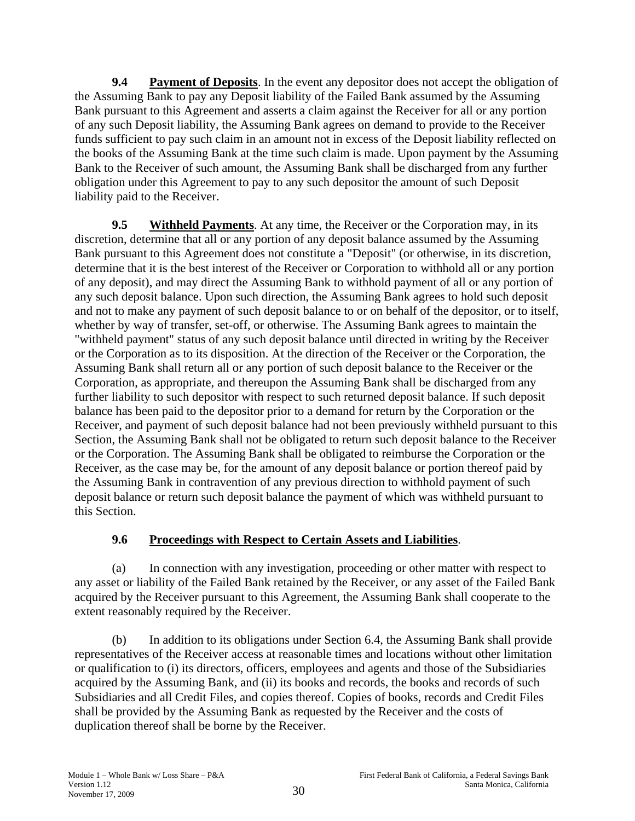**9.4 Payment of Deposits**. In the event any depositor does not accept the obligation of the Assuming Bank to pay any Deposit liability of the Failed Bank assumed by the Assuming Bank pursuant to this Agreement and asserts a claim against the Receiver for all or any portion of any such Deposit liability, the Assuming Bank agrees on demand to provide to the Receiver funds sufficient to pay such claim in an amount not in excess of the Deposit liability reflected on the books of the Assuming Bank at the time such claim is made. Upon payment by the Assuming Bank to the Receiver of such amount, the Assuming Bank shall be discharged from any further obligation under this Agreement to pay to any such depositor the amount of such Deposit liability paid to the Receiver.

**9.5** Withheld Payments. At any time, the Receiver or the Corporation may, in its discretion, determine that all or any portion of any deposit balance assumed by the Assuming Bank pursuant to this Agreement does not constitute a "Deposit" (or otherwise, in its discretion, determine that it is the best interest of the Receiver or Corporation to withhold all or any portion of any deposit), and may direct the Assuming Bank to withhold payment of all or any portion of any such deposit balance. Upon such direction, the Assuming Bank agrees to hold such deposit and not to make any payment of such deposit balance to or on behalf of the depositor, or to itself, whether by way of transfer, set-off, or otherwise. The Assuming Bank agrees to maintain the "withheld payment" status of any such deposit balance until directed in writing by the Receiver or the Corporation as to its disposition. At the direction of the Receiver or the Corporation, the Assuming Bank shall return all or any portion of such deposit balance to the Receiver or the Corporation, as appropriate, and thereupon the Assuming Bank shall be discharged from any further liability to such depositor with respect to such returned deposit balance. If such deposit balance has been paid to the depositor prior to a demand for return by the Corporation or the Receiver, and payment of such deposit balance had not been previously withheld pursuant to this Section, the Assuming Bank shall not be obligated to return such deposit balance to the Receiver or the Corporation. The Assuming Bank shall be obligated to reimburse the Corporation or the Receiver, as the case may be, for the amount of any deposit balance or portion thereof paid by the Assuming Bank in contravention of any previous direction to withhold payment of such deposit balance or return such deposit balance the payment of which was withheld pursuant to this Section.

# **9.6 Proceedings with Respect to Certain Assets and Liabilities**.

(a) In connection with any investigation, proceeding or other matter with respect to any asset or liability of the Failed Bank retained by the Receiver, or any asset of the Failed Bank acquired by the Receiver pursuant to this Agreement, the Assuming Bank shall cooperate to the extent reasonably required by the Receiver.

(b) In addition to its obligations under Section 6.4, the Assuming Bank shall provide representatives of the Receiver access at reasonable times and locations without other limitation or qualification to (i) its directors, officers, employees and agents and those of the Subsidiaries acquired by the Assuming Bank, and (ii) its books and records, the books and records of such Subsidiaries and all Credit Files, and copies thereof. Copies of books, records and Credit Files shall be provided by the Assuming Bank as requested by the Receiver and the costs of duplication thereof shall be borne by the Receiver.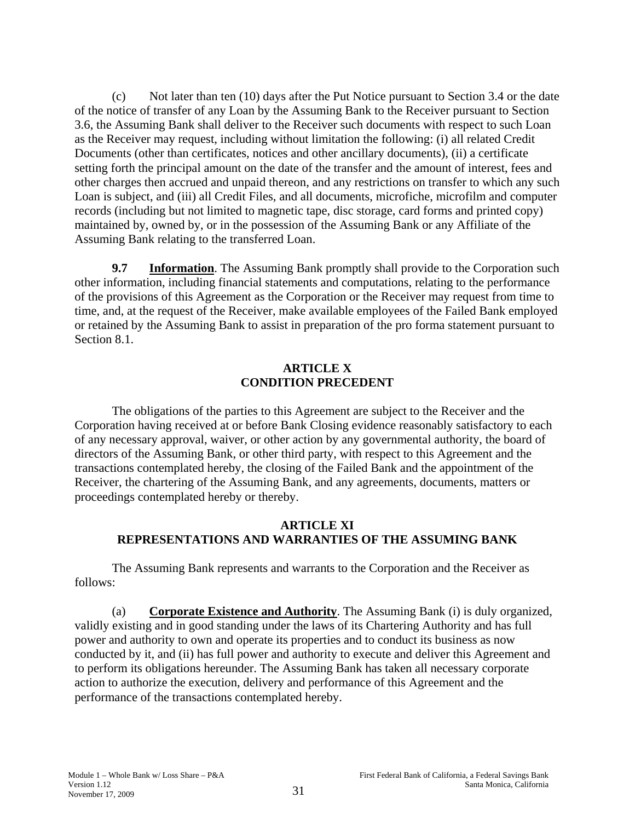(c) Not later than ten (10) days after the Put Notice pursuant to Section 3.4 or the date of the notice of transfer of any Loan by the Assuming Bank to the Receiver pursuant to Section 3.6, the Assuming Bank shall deliver to the Receiver such documents with respect to such Loan as the Receiver may request, including without limitation the following: (i) all related Credit Documents (other than certificates, notices and other ancillary documents), (ii) a certificate setting forth the principal amount on the date of the transfer and the amount of interest, fees and other charges then accrued and unpaid thereon, and any restrictions on transfer to which any such Loan is subject, and (iii) all Credit Files, and all documents, microfiche, microfilm and computer records (including but not limited to magnetic tape, disc storage, card forms and printed copy) maintained by, owned by, or in the possession of the Assuming Bank or any Affiliate of the Assuming Bank relating to the transferred Loan.

**9.7** Information. The Assuming Bank promptly shall provide to the Corporation such other information, including financial statements and computations, relating to the performance of the provisions of this Agreement as the Corporation or the Receiver may request from time to time, and, at the request of the Receiver, make available employees of the Failed Bank employed or retained by the Assuming Bank to assist in preparation of the pro forma statement pursuant to Section 8.1.

### **ARTICLE X CONDITION PRECEDENT**

The obligations of the parties to this Agreement are subject to the Receiver and the Corporation having received at or before Bank Closing evidence reasonably satisfactory to each of any necessary approval, waiver, or other action by any governmental authority, the board of directors of the Assuming Bank, or other third party, with respect to this Agreement and the transactions contemplated hereby, the closing of the Failed Bank and the appointment of the Receiver, the chartering of the Assuming Bank, and any agreements, documents, matters or proceedings contemplated hereby or thereby.

### **ARTICLE XI REPRESENTATIONS AND WARRANTIES OF THE ASSUMING BANK**

The Assuming Bank represents and warrants to the Corporation and the Receiver as follows:

(a) **Corporate Existence and Authority**. The Assuming Bank (i) is duly organized, validly existing and in good standing under the laws of its Chartering Authority and has full power and authority to own and operate its properties and to conduct its business as now conducted by it, and (ii) has full power and authority to execute and deliver this Agreement and to perform its obligations hereunder. The Assuming Bank has taken all necessary corporate action to authorize the execution, delivery and performance of this Agreement and the performance of the transactions contemplated hereby.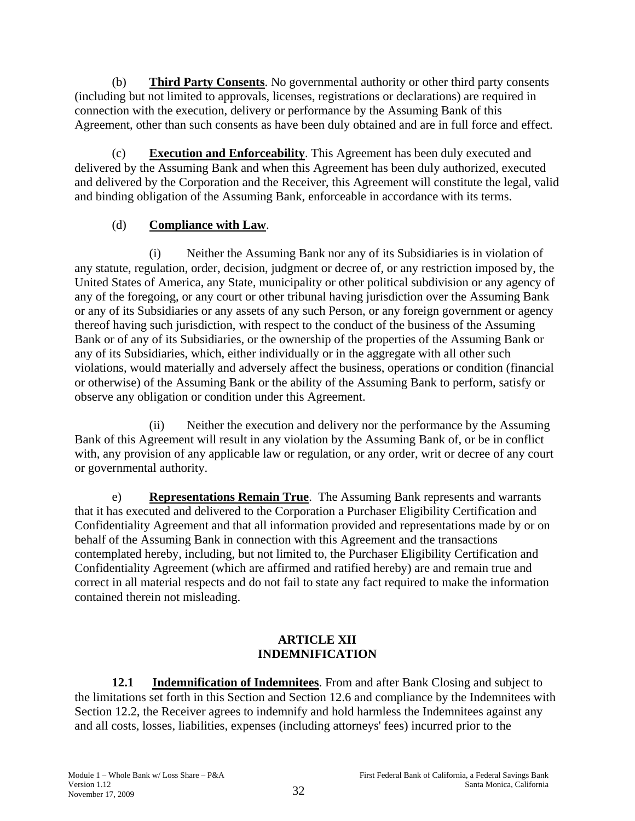(b) **Third Party Consents**. No governmental authority or other third party consents (including but not limited to approvals, licenses, registrations or declarations) are required in connection with the execution, delivery or performance by the Assuming Bank of this Agreement, other than such consents as have been duly obtained and are in full force and effect.

(c) **Execution and Enforceability**. This Agreement has been duly executed and delivered by the Assuming Bank and when this Agreement has been duly authorized, executed and delivered by the Corporation and the Receiver, this Agreement will constitute the legal, valid and binding obligation of the Assuming Bank, enforceable in accordance with its terms.

# (d) **Compliance with Law**.

(i) Neither the Assuming Bank nor any of its Subsidiaries is in violation of any statute, regulation, order, decision, judgment or decree of, or any restriction imposed by, the United States of America, any State, municipality or other political subdivision or any agency of any of the foregoing, or any court or other tribunal having jurisdiction over the Assuming Bank or any of its Subsidiaries or any assets of any such Person, or any foreign government or agency thereof having such jurisdiction, with respect to the conduct of the business of the Assuming Bank or of any of its Subsidiaries, or the ownership of the properties of the Assuming Bank or any of its Subsidiaries, which, either individually or in the aggregate with all other such violations, would materially and adversely affect the business, operations or condition (financial or otherwise) of the Assuming Bank or the ability of the Assuming Bank to perform, satisfy or observe any obligation or condition under this Agreement.

(ii) Neither the execution and delivery nor the performance by the Assuming Bank of this Agreement will result in any violation by the Assuming Bank of, or be in conflict with, any provision of any applicable law or regulation, or any order, writ or decree of any court or governmental authority.

e) **Representations Remain True**. The Assuming Bank represents and warrants that it has executed and delivered to the Corporation a Purchaser Eligibility Certification and Confidentiality Agreement and that all information provided and representations made by or on behalf of the Assuming Bank in connection with this Agreement and the transactions contemplated hereby, including, but not limited to, the Purchaser Eligibility Certification and Confidentiality Agreement (which are affirmed and ratified hereby) are and remain true and correct in all material respects and do not fail to state any fact required to make the information contained therein not misleading.

## **ARTICLE XII INDEMNIFICATION**

**12.1 Indemnification of Indemnitees**. From and after Bank Closing and subject to the limitations set forth in this Section and Section 12.6 and compliance by the Indemnitees with Section 12.2, the Receiver agrees to indemnify and hold harmless the Indemnitees against any and all costs, losses, liabilities, expenses (including attorneys' fees) incurred prior to the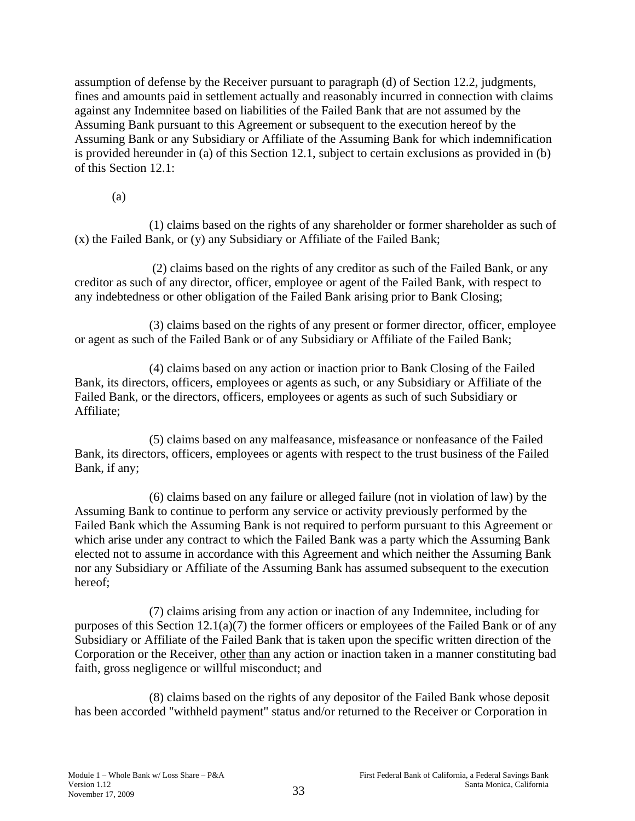assumption of defense by the Receiver pursuant to paragraph (d) of Section 12.2, judgments, fines and amounts paid in settlement actually and reasonably incurred in connection with claims against any Indemnitee based on liabilities of the Failed Bank that are not assumed by the Assuming Bank pursuant to this Agreement or subsequent to the execution hereof by the Assuming Bank or any Subsidiary or Affiliate of the Assuming Bank for which indemnification is provided hereunder in (a) of this Section 12.1, subject to certain exclusions as provided in (b) of this Section 12.1:

(a)

(1) claims based on the rights of any shareholder or former shareholder as such of (x) the Failed Bank, or (y) any Subsidiary or Affiliate of the Failed Bank;

(2) claims based on the rights of any creditor as such of the Failed Bank, or any creditor as such of any director, officer, employee or agent of the Failed Bank, with respect to any indebtedness or other obligation of the Failed Bank arising prior to Bank Closing;

(3) claims based on the rights of any present or former director, officer, employee or agent as such of the Failed Bank or of any Subsidiary or Affiliate of the Failed Bank;

(4) claims based on any action or inaction prior to Bank Closing of the Failed Bank, its directors, officers, employees or agents as such, or any Subsidiary or Affiliate of the Failed Bank, or the directors, officers, employees or agents as such of such Subsidiary or Affiliate;

(5) claims based on any malfeasance, misfeasance or nonfeasance of the Failed Bank, its directors, officers, employees or agents with respect to the trust business of the Failed Bank, if any;

(6) claims based on any failure or alleged failure (not in violation of law) by the Assuming Bank to continue to perform any service or activity previously performed by the Failed Bank which the Assuming Bank is not required to perform pursuant to this Agreement or which arise under any contract to which the Failed Bank was a party which the Assuming Bank elected not to assume in accordance with this Agreement and which neither the Assuming Bank nor any Subsidiary or Affiliate of the Assuming Bank has assumed subsequent to the execution hereof;

(7) claims arising from any action or inaction of any Indemnitee, including for purposes of this Section 12.1(a)(7) the former officers or employees of the Failed Bank or of any Subsidiary or Affiliate of the Failed Bank that is taken upon the specific written direction of the Corporation or the Receiver, other than any action or inaction taken in a manner constituting bad faith, gross negligence or willful misconduct; and

(8) claims based on the rights of any depositor of the Failed Bank whose deposit has been accorded "withheld payment" status and/or returned to the Receiver or Corporation in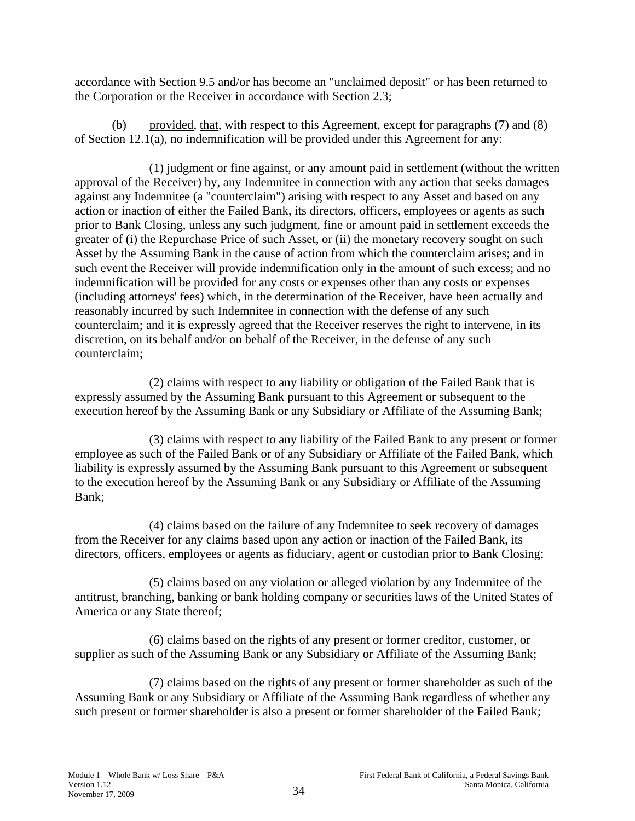accordance with Section 9.5 and/or has become an "unclaimed deposit" or has been returned to the Corporation or the Receiver in accordance with Section 2.3;

(b) provided, that, with respect to this Agreement, except for paragraphs (7) and (8) of Section 12.1(a), no indemnification will be provided under this Agreement for any:

(1) judgment or fine against, or any amount paid in settlement (without the written approval of the Receiver) by, any Indemnitee in connection with any action that seeks damages against any Indemnitee (a "counterclaim") arising with respect to any Asset and based on any action or inaction of either the Failed Bank, its directors, officers, employees or agents as such prior to Bank Closing, unless any such judgment, fine or amount paid in settlement exceeds the greater of (i) the Repurchase Price of such Asset, or (ii) the monetary recovery sought on such Asset by the Assuming Bank in the cause of action from which the counterclaim arises; and in such event the Receiver will provide indemnification only in the amount of such excess; and no indemnification will be provided for any costs or expenses other than any costs or expenses (including attorneys' fees) which, in the determination of the Receiver, have been actually and reasonably incurred by such Indemnitee in connection with the defense of any such counterclaim; and it is expressly agreed that the Receiver reserves the right to intervene, in its discretion, on its behalf and/or on behalf of the Receiver, in the defense of any such counterclaim;

(2) claims with respect to any liability or obligation of the Failed Bank that is expressly assumed by the Assuming Bank pursuant to this Agreement or subsequent to the execution hereof by the Assuming Bank or any Subsidiary or Affiliate of the Assuming Bank;

(3) claims with respect to any liability of the Failed Bank to any present or former employee as such of the Failed Bank or of any Subsidiary or Affiliate of the Failed Bank, which liability is expressly assumed by the Assuming Bank pursuant to this Agreement or subsequent to the execution hereof by the Assuming Bank or any Subsidiary or Affiliate of the Assuming Bank;

(4) claims based on the failure of any Indemnitee to seek recovery of damages from the Receiver for any claims based upon any action or inaction of the Failed Bank, its directors, officers, employees or agents as fiduciary, agent or custodian prior to Bank Closing;

(5) claims based on any violation or alleged violation by any Indemnitee of the antitrust, branching, banking or bank holding company or securities laws of the United States of America or any State thereof;

(6) claims based on the rights of any present or former creditor, customer, or supplier as such of the Assuming Bank or any Subsidiary or Affiliate of the Assuming Bank;

(7) claims based on the rights of any present or former shareholder as such of the Assuming Bank or any Subsidiary or Affiliate of the Assuming Bank regardless of whether any such present or former shareholder is also a present or former shareholder of the Failed Bank;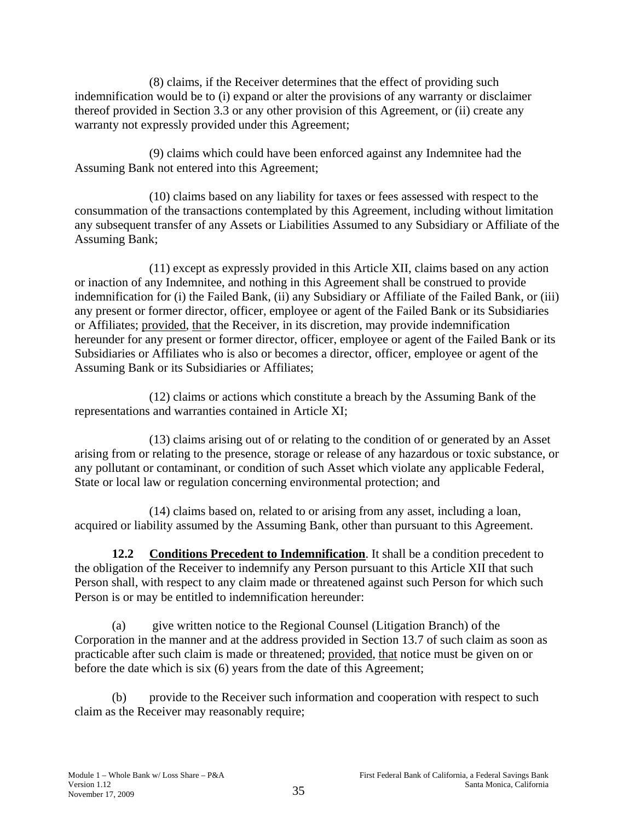(8) claims, if the Receiver determines that the effect of providing such indemnification would be to (i) expand or alter the provisions of any warranty or disclaimer thereof provided in Section 3.3 or any other provision of this Agreement, or (ii) create any warranty not expressly provided under this Agreement;

(9) claims which could have been enforced against any Indemnitee had the Assuming Bank not entered into this Agreement;

(10) claims based on any liability for taxes or fees assessed with respect to the consummation of the transactions contemplated by this Agreement, including without limitation any subsequent transfer of any Assets or Liabilities Assumed to any Subsidiary or Affiliate of the Assuming Bank;

(11) except as expressly provided in this Article XII, claims based on any action or inaction of any Indemnitee, and nothing in this Agreement shall be construed to provide indemnification for (i) the Failed Bank, (ii) any Subsidiary or Affiliate of the Failed Bank, or (iii) any present or former director, officer, employee or agent of the Failed Bank or its Subsidiaries or Affiliates; provided, that the Receiver, in its discretion, may provide indemnification hereunder for any present or former director, officer, employee or agent of the Failed Bank or its Subsidiaries or Affiliates who is also or becomes a director, officer, employee or agent of the Assuming Bank or its Subsidiaries or Affiliates;

(12) claims or actions which constitute a breach by the Assuming Bank of the representations and warranties contained in Article XI;

(13) claims arising out of or relating to the condition of or generated by an Asset arising from or relating to the presence, storage or release of any hazardous or toxic substance, or any pollutant or contaminant, or condition of such Asset which violate any applicable Federal, State or local law or regulation concerning environmental protection; and

(14) claims based on, related to or arising from any asset, including a loan, acquired or liability assumed by the Assuming Bank, other than pursuant to this Agreement.

**12.2 Conditions Precedent to Indemnification**. It shall be a condition precedent to the obligation of the Receiver to indemnify any Person pursuant to this Article XII that such Person shall, with respect to any claim made or threatened against such Person for which such Person is or may be entitled to indemnification hereunder:

(a) give written notice to the Regional Counsel (Litigation Branch) of the Corporation in the manner and at the address provided in Section 13.7 of such claim as soon as practicable after such claim is made or threatened; provided, that notice must be given on or before the date which is six (6) years from the date of this Agreement;

(b) provide to the Receiver such information and cooperation with respect to such claim as the Receiver may reasonably require;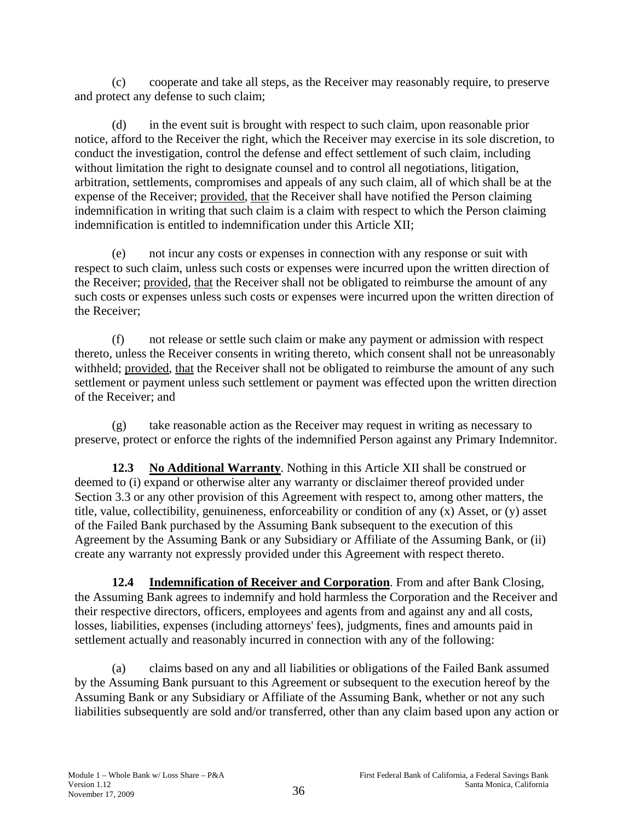(c) cooperate and take all steps, as the Receiver may reasonably require, to preserve and protect any defense to such claim;

(d) in the event suit is brought with respect to such claim, upon reasonable prior notice, afford to the Receiver the right, which the Receiver may exercise in its sole discretion, to conduct the investigation, control the defense and effect settlement of such claim, including without limitation the right to designate counsel and to control all negotiations, litigation, arbitration, settlements, compromises and appeals of any such claim, all of which shall be at the expense of the Receiver; provided, that the Receiver shall have notified the Person claiming indemnification in writing that such claim is a claim with respect to which the Person claiming indemnification is entitled to indemnification under this Article XII;

(e) not incur any costs or expenses in connection with any response or suit with respect to such claim, unless such costs or expenses were incurred upon the written direction of the Receiver; provided, that the Receiver shall not be obligated to reimburse the amount of any such costs or expenses unless such costs or expenses were incurred upon the written direction of the Receiver;

(f) not release or settle such claim or make any payment or admission with respect thereto, unless the Receiver consents in writing thereto, which consent shall not be unreasonably withheld; provided, that the Receiver shall not be obligated to reimburse the amount of any such settlement or payment unless such settlement or payment was effected upon the written direction of the Receiver; and

(g) take reasonable action as the Receiver may request in writing as necessary to preserve, protect or enforce the rights of the indemnified Person against any Primary Indemnitor.

**12.3 No Additional Warranty**. Nothing in this Article XII shall be construed or deemed to (i) expand or otherwise alter any warranty or disclaimer thereof provided under Section 3.3 or any other provision of this Agreement with respect to, among other matters, the title, value, collectibility, genuineness, enforceability or condition of any (x) Asset, or (y) asset of the Failed Bank purchased by the Assuming Bank subsequent to the execution of this Agreement by the Assuming Bank or any Subsidiary or Affiliate of the Assuming Bank, or (ii) create any warranty not expressly provided under this Agreement with respect thereto.

**12.4 Indemnification of Receiver and Corporation**. From and after Bank Closing, the Assuming Bank agrees to indemnify and hold harmless the Corporation and the Receiver and their respective directors, officers, employees and agents from and against any and all costs, losses, liabilities, expenses (including attorneys' fees), judgments, fines and amounts paid in settlement actually and reasonably incurred in connection with any of the following:

(a) claims based on any and all liabilities or obligations of the Failed Bank assumed by the Assuming Bank pursuant to this Agreement or subsequent to the execution hereof by the Assuming Bank or any Subsidiary or Affiliate of the Assuming Bank, whether or not any such liabilities subsequently are sold and/or transferred, other than any claim based upon any action or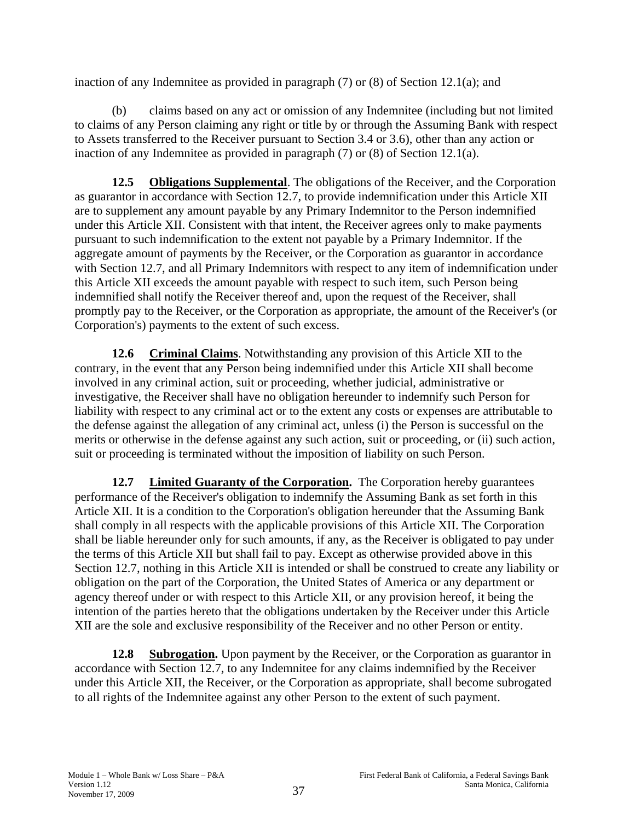inaction of any Indemnitee as provided in paragraph (7) or (8) of Section 12.1(a); and

(b) claims based on any act or omission of any Indemnitee (including but not limited to claims of any Person claiming any right or title by or through the Assuming Bank with respect to Assets transferred to the Receiver pursuant to Section 3.4 or 3.6), other than any action or inaction of any Indemnitee as provided in paragraph (7) or (8) of Section 12.1(a).

**12.5 Obligations Supplemental**. The obligations of the Receiver, and the Corporation as guarantor in accordance with Section 12.7, to provide indemnification under this Article XII are to supplement any amount payable by any Primary Indemnitor to the Person indemnified under this Article XII. Consistent with that intent, the Receiver agrees only to make payments pursuant to such indemnification to the extent not payable by a Primary Indemnitor. If the aggregate amount of payments by the Receiver, or the Corporation as guarantor in accordance with Section 12.7, and all Primary Indemnitors with respect to any item of indemnification under this Article XII exceeds the amount payable with respect to such item, such Person being indemnified shall notify the Receiver thereof and, upon the request of the Receiver, shall promptly pay to the Receiver, or the Corporation as appropriate, the amount of the Receiver's (or Corporation's) payments to the extent of such excess.

**12.6 Criminal Claims**. Notwithstanding any provision of this Article XII to the contrary, in the event that any Person being indemnified under this Article XII shall become involved in any criminal action, suit or proceeding, whether judicial, administrative or investigative, the Receiver shall have no obligation hereunder to indemnify such Person for liability with respect to any criminal act or to the extent any costs or expenses are attributable to the defense against the allegation of any criminal act, unless (i) the Person is successful on the merits or otherwise in the defense against any such action, suit or proceeding, or (ii) such action, suit or proceeding is terminated without the imposition of liability on such Person.

**12.7 Limited Guaranty of the Corporation.** The Corporation hereby guarantees performance of the Receiver's obligation to indemnify the Assuming Bank as set forth in this Article XII. It is a condition to the Corporation's obligation hereunder that the Assuming Bank shall comply in all respects with the applicable provisions of this Article XII. The Corporation shall be liable hereunder only for such amounts, if any, as the Receiver is obligated to pay under the terms of this Article XII but shall fail to pay. Except as otherwise provided above in this Section 12.7, nothing in this Article XII is intended or shall be construed to create any liability or obligation on the part of the Corporation, the United States of America or any department or agency thereof under or with respect to this Article XII, or any provision hereof, it being the intention of the parties hereto that the obligations undertaken by the Receiver under this Article XII are the sole and exclusive responsibility of the Receiver and no other Person or entity.

**12.8** Subrogation. Upon payment by the Receiver, or the Corporation as guarantor in accordance with Section 12.7, to any Indemnitee for any claims indemnified by the Receiver under this Article XII, the Receiver, or the Corporation as appropriate, shall become subrogated to all rights of the Indemnitee against any other Person to the extent of such payment.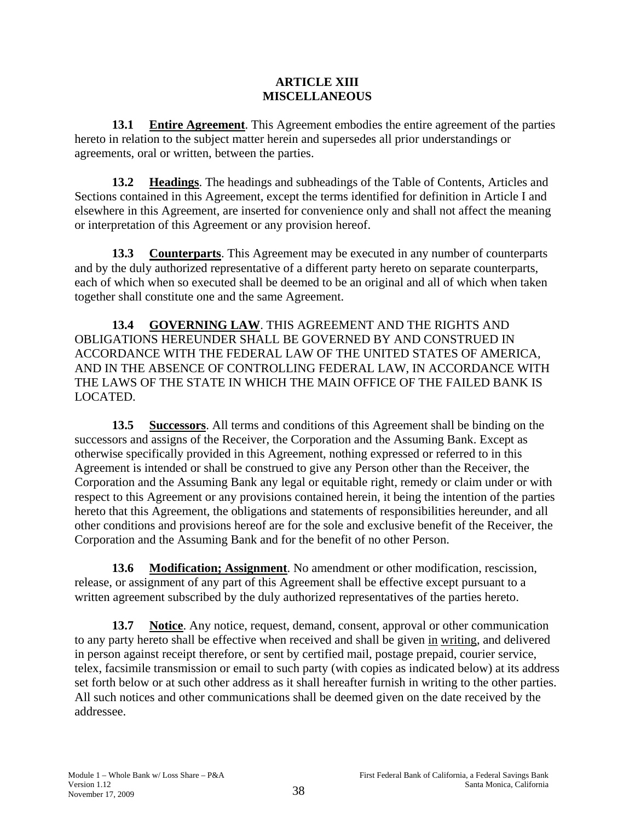### **ARTICLE XIII MISCELLANEOUS**

**13.1 Entire Agreement**. This Agreement embodies the entire agreement of the parties hereto in relation to the subject matter herein and supersedes all prior understandings or agreements, oral or written, between the parties.

**13.2 Headings**. The headings and subheadings of the Table of Contents, Articles and Sections contained in this Agreement, except the terms identified for definition in Article I and elsewhere in this Agreement, are inserted for convenience only and shall not affect the meaning or interpretation of this Agreement or any provision hereof.

**13.3 Counterparts**. This Agreement may be executed in any number of counterparts and by the duly authorized representative of a different party hereto on separate counterparts, each of which when so executed shall be deemed to be an original and all of which when taken together shall constitute one and the same Agreement.

**13.4 GOVERNING LAW**. THIS AGREEMENT AND THE RIGHTS AND OBLIGATIONS HEREUNDER SHALL BE GOVERNED BY AND CONSTRUED IN ACCORDANCE WITH THE FEDERAL LAW OF THE UNITED STATES OF AMERICA, AND IN THE ABSENCE OF CONTROLLING FEDERAL LAW, IN ACCORDANCE WITH THE LAWS OF THE STATE IN WHICH THE MAIN OFFICE OF THE FAILED BANK IS LOCATED.

 **13.5 Successors**. All terms and conditions of this Agreement shall be binding on the successors and assigns of the Receiver, the Corporation and the Assuming Bank. Except as otherwise specifically provided in this Agreement, nothing expressed or referred to in this Agreement is intended or shall be construed to give any Person other than the Receiver, the Corporation and the Assuming Bank any legal or equitable right, remedy or claim under or with respect to this Agreement or any provisions contained herein, it being the intention of the parties hereto that this Agreement, the obligations and statements of responsibilities hereunder, and all other conditions and provisions hereof are for the sole and exclusive benefit of the Receiver, the Corporation and the Assuming Bank and for the benefit of no other Person.

**13.6 Modification; Assignment**. No amendment or other modification, rescission, release, or assignment of any part of this Agreement shall be effective except pursuant to a written agreement subscribed by the duly authorized representatives of the parties hereto.

**13.7 Notice**. Any notice, request, demand, consent, approval or other communication to any party hereto shall be effective when received and shall be given in writing, and delivered in person against receipt therefore, or sent by certified mail, postage prepaid, courier service, telex, facsimile transmission or email to such party (with copies as indicated below) at its address set forth below or at such other address as it shall hereafter furnish in writing to the other parties. All such notices and other communications shall be deemed given on the date received by the addressee.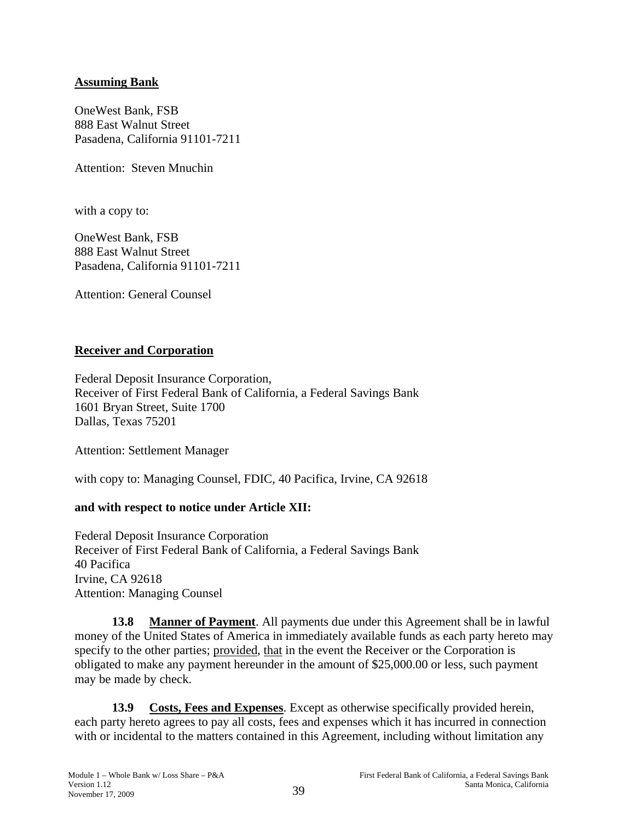### **Assuming Bank**

OneWest Bank, FSB 888 East Walnut Street Pasadena, California 91101-7211

Attention: Steven Mnuchin

with a copy to:

OneWest Bank, FSB 888 East Walnut Street Pasadena, California 91101-7211

Attention: General Counsel

### **Receiver and Corporation**

Federal Deposit Insurance Corporation, Receiver of First Federal Bank of California, a Federal Savings Bank 1601 Bryan Street, Suite 1700 Dallas, Texas 75201

Attention: Settlement Manager

with copy to: Managing Counsel, FDIC, 40 Pacifica, Irvine, CA 92618

### **and with respect to notice under Article XII:**

Federal Deposit Insurance Corporation Receiver of First Federal Bank of California, a Federal Savings Bank 40 Pacifica Irvine, CA 92618 Attention: Managing Counsel

**13.8 Manner of Payment**. All payments due under this Agreement shall be in lawful money of the United States of America in immediately available funds as each party hereto may specify to the other parties; provided, that in the event the Receiver or the Corporation is obligated to make any payment hereunder in the amount of \$25,000.00 or less, such payment may be made by check.

**13.9 Costs, Fees and Expenses**. Except as otherwise specifically provided herein, each party hereto agrees to pay all costs, fees and expenses which it has incurred in connection with or incidental to the matters contained in this Agreement, including without limitation any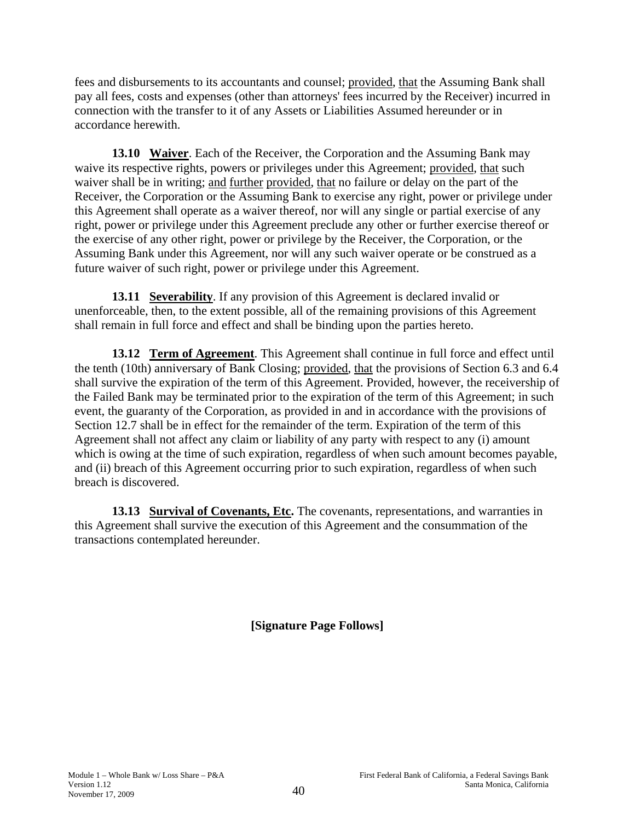fees and disbursements to its accountants and counsel; provided, that the Assuming Bank shall pay all fees, costs and expenses (other than attorneys' fees incurred by the Receiver) incurred in connection with the transfer to it of any Assets or Liabilities Assumed hereunder or in accordance herewith.

**13.10 Waiver**. Each of the Receiver, the Corporation and the Assuming Bank may waive its respective rights, powers or privileges under this Agreement; provided, that such waiver shall be in writing; and further provided, that no failure or delay on the part of the Receiver, the Corporation or the Assuming Bank to exercise any right, power or privilege under this Agreement shall operate as a waiver thereof, nor will any single or partial exercise of any right, power or privilege under this Agreement preclude any other or further exercise thereof or the exercise of any other right, power or privilege by the Receiver, the Corporation, or the Assuming Bank under this Agreement, nor will any such waiver operate or be construed as a future waiver of such right, power or privilege under this Agreement.

**13.11 Severability**. If any provision of this Agreement is declared invalid or unenforceable, then, to the extent possible, all of the remaining provisions of this Agreement shall remain in full force and effect and shall be binding upon the parties hereto.

**13.12 Term of Agreement**. This Agreement shall continue in full force and effect until the tenth (10th) anniversary of Bank Closing; provided, that the provisions of Section 6.3 and 6.4 shall survive the expiration of the term of this Agreement. Provided, however, the receivership of the Failed Bank may be terminated prior to the expiration of the term of this Agreement; in such event, the guaranty of the Corporation, as provided in and in accordance with the provisions of Section 12.7 shall be in effect for the remainder of the term. Expiration of the term of this Agreement shall not affect any claim or liability of any party with respect to any (i) amount which is owing at the time of such expiration, regardless of when such amount becomes payable, and (ii) breach of this Agreement occurring prior to such expiration, regardless of when such breach is discovered.

**13.13 Survival of Covenants, Etc.** The covenants, representations, and warranties in this Agreement shall survive the execution of this Agreement and the consummation of the transactions contemplated hereunder.

 **[Signature Page Follows]**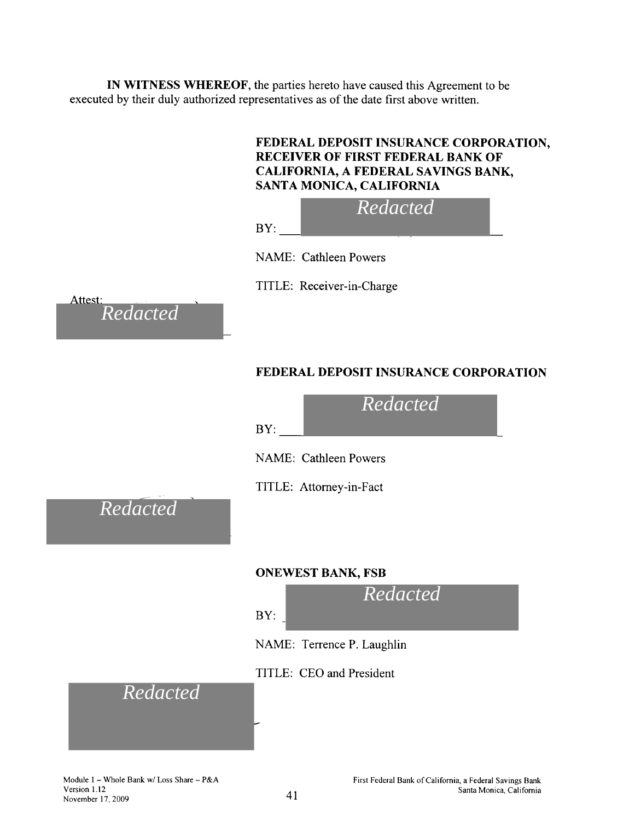IN WITNESS WHEREOF, the parties hereto have caused this Agreement to be executed by their duly authorized representatives as of the date first above written.





NAME: Cathleen Powers

TITLE: Receiver-in-Charge

# FEDERAL DEPOSIT INSURANCE CORPORATION



Attest:<br>Redacted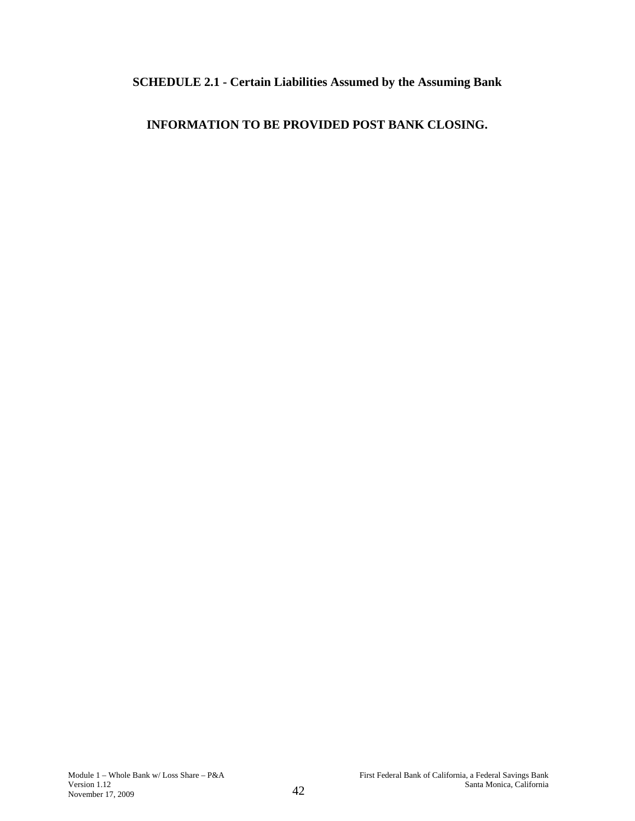# **SCHEDULE 2.1 - Certain Liabilities Assumed by the Assuming Bank**

## **INFORMATION TO BE PROVIDED POST BANK CLOSING.**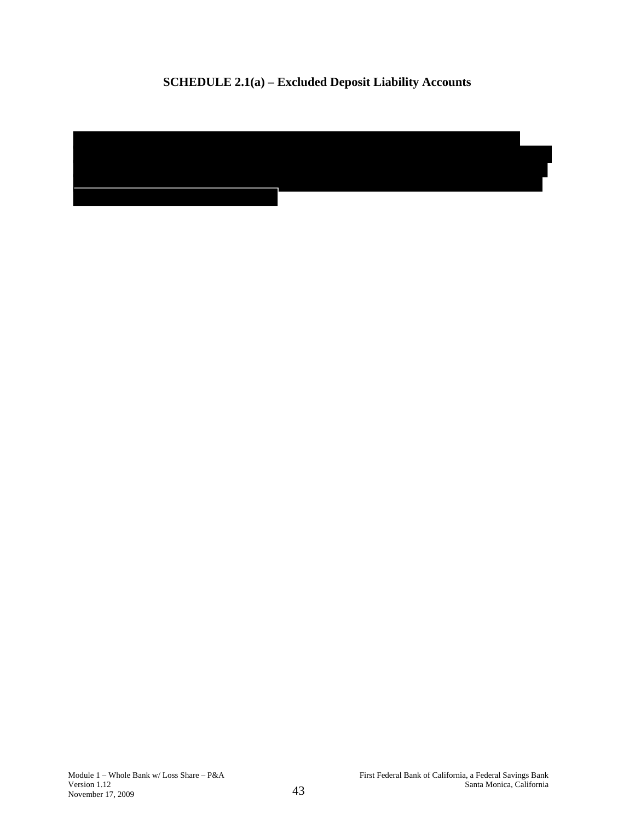# **SCHEDULE 2.1(a) – Excluded Deposit Liability Accounts**

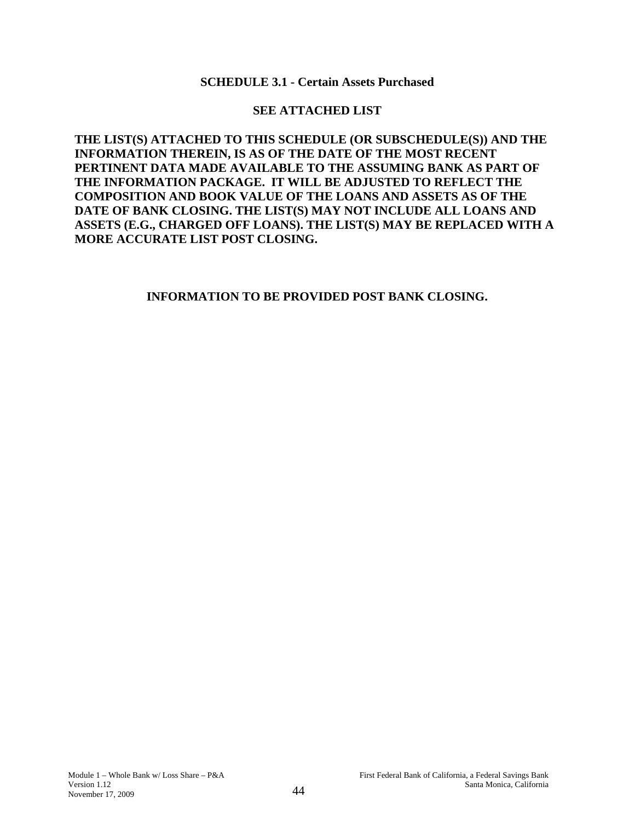### **SCHEDULE 3.1 - Certain Assets Purchased**

### **SEE ATTACHED LIST**

THE LIST(S) ATTACHED TO THIS SCHEDULE (OR SUBSCHEDULE(S)) AND THE **INFORMATION THEREIN, IS AS OF THE DATE OF THE MOST RECENT PERTINENT DATA MADE AVAILABLE TO THE ASSUMING BANK AS PART OF THE INFORMATION PACKAGE. IT WILL BE ADJUSTED TO REFLECT THE COMPOSITION AND BOOK VALUE OF THE LOANS AND ASSETS AS OF THE DATE OF BANK CLOSING. THE LIST(S) MAY NOT INCLUDE ALL LOANS AND ASSETS (E.G., CHARGED OFF LOANS). THE LIST(S) MAY BE REPLACED WITH A MORE ACCURATE LIST POST CLOSING.** 

### **INFORMATION TO BE PROVIDED POST BANK CLOSING.**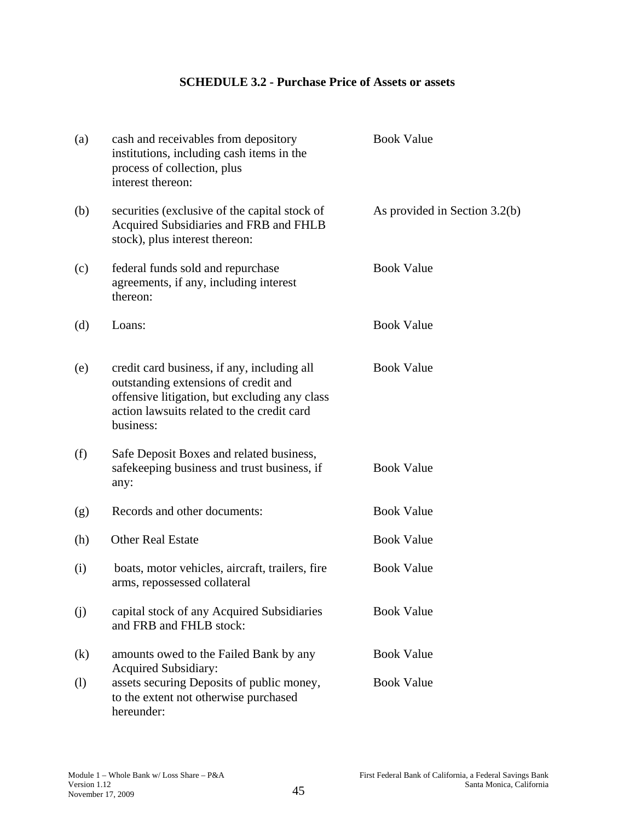# **SCHEDULE 3.2 - Purchase Price of Assets or assets**

| (a) | cash and receivables from depository<br>institutions, including cash items in the                                                                                                               | <b>Book Value</b>               |
|-----|-------------------------------------------------------------------------------------------------------------------------------------------------------------------------------------------------|---------------------------------|
|     | process of collection, plus<br>interest thereon:                                                                                                                                                |                                 |
| (b) | securities (exclusive of the capital stock of<br>Acquired Subsidiaries and FRB and FHLB<br>stock), plus interest thereon:                                                                       | As provided in Section $3.2(b)$ |
| (c) | federal funds sold and repurchase<br>agreements, if any, including interest<br>thereon:                                                                                                         | <b>Book Value</b>               |
| (d) | Loans:                                                                                                                                                                                          | <b>Book Value</b>               |
| (e) | credit card business, if any, including all<br>outstanding extensions of credit and<br>offensive litigation, but excluding any class<br>action lawsuits related to the credit card<br>business: | <b>Book Value</b>               |
| (f) | Safe Deposit Boxes and related business,<br>safekeeping business and trust business, if<br>any:                                                                                                 | <b>Book Value</b>               |
| (g) | Records and other documents:                                                                                                                                                                    | <b>Book Value</b>               |
| (h) | <b>Other Real Estate</b>                                                                                                                                                                        | <b>Book Value</b>               |
| (i) | boats, motor vehicles, aircraft, trailers, fire<br>arms, repossessed collateral                                                                                                                 | <b>Book Value</b>               |
| (j) | capital stock of any Acquired Subsidiaries<br>and FRB and FHLB stock:                                                                                                                           | <b>Book Value</b>               |
| (k) | amounts owed to the Failed Bank by any<br><b>Acquired Subsidiary:</b>                                                                                                                           | <b>Book Value</b>               |
| (1) | assets securing Deposits of public money,<br>to the extent not otherwise purchased<br>hereunder:                                                                                                | <b>Book Value</b>               |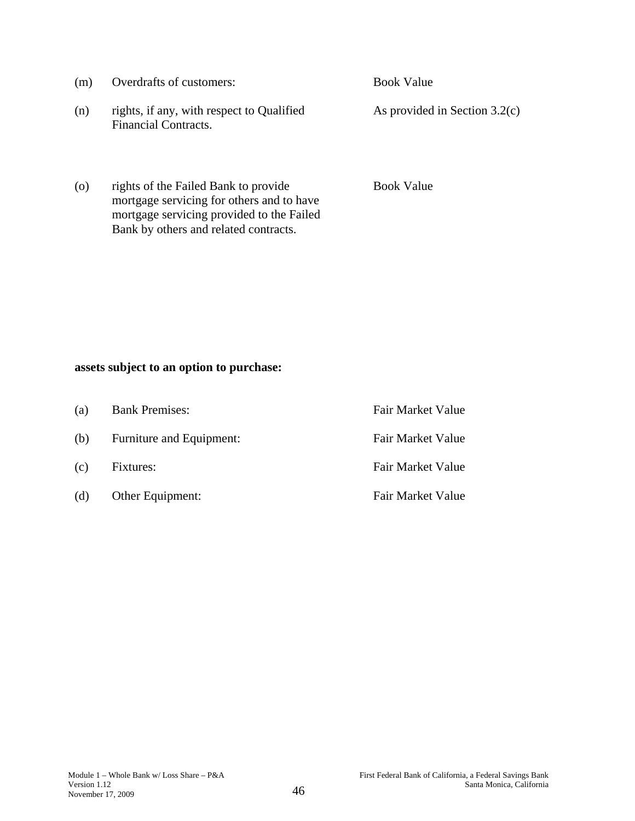- Financial Contracts.
- (o) rights of the Failed Bank to provide Book Value mortgage servicing for others and to have mortgage servicing provided to the Failed Bank by others and related contracts.

# **assets subject to an option to purchase:**

| (a) | <b>Bank Premises:</b>    | Fair Market Value |
|-----|--------------------------|-------------------|
| (b) | Furniture and Equipment: | Fair Market Value |
| (c) | Fixtures:                | Fair Market Value |
| (d) | Other Equipment:         | Fair Market Value |

# (m) Overdrafts of customers: Book Value

(n) rights, if any, with respect to Qualified As provided in Section  $3.2(c)$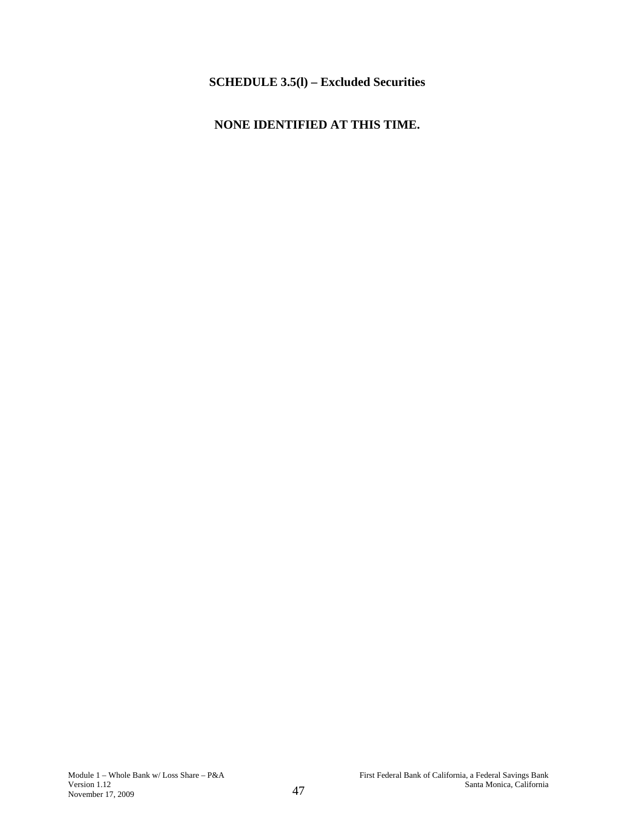# **SCHEDULE 3.5(l) – Excluded Securities**

**NONE IDENTIFIED AT THIS TIME.**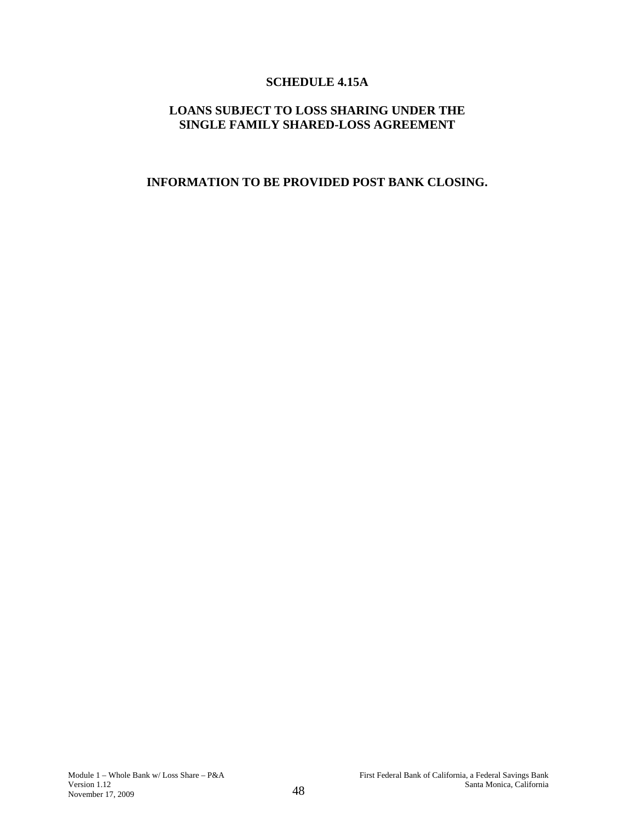### **SCHEDULE 4.15A**

### **LOANS SUBJECT TO LOSS SHARING UNDER THE SINGLE FAMILY SHARED-LOSS AGREEMENT**

### **INFORMATION TO BE PROVIDED POST BANK CLOSING.**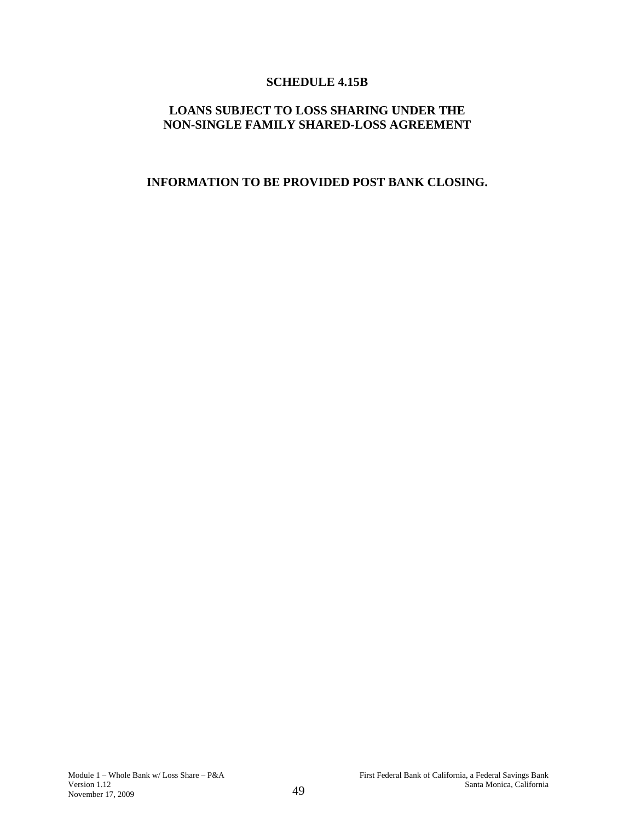### **SCHEDULE 4.15B**

### **LOANS SUBJECT TO LOSS SHARING UNDER THE NON-SINGLE FAMILY SHARED-LOSS AGREEMENT**

### **INFORMATION TO BE PROVIDED POST BANK CLOSING.**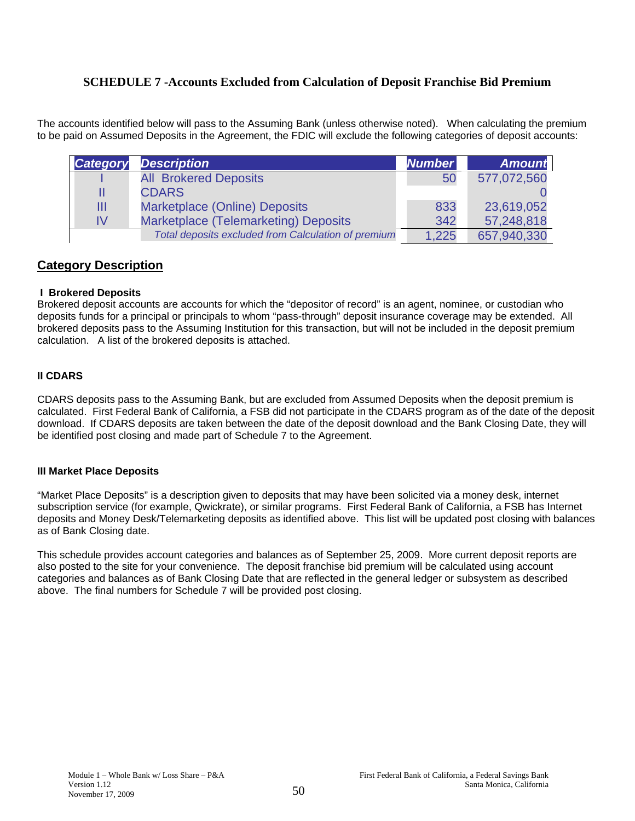### **SCHEDULE 7 -Accounts Excluded from Calculation of Deposit Franchise Bid Premium**

The accounts identified below will pass to the Assuming Bank (unless otherwise noted). When calculating the premium to be paid on Assumed Deposits in the Agreement, the FDIC will exclude the following categories of deposit accounts:

| <b>Category</b> | <b>Description</b>                                  | <b>Number</b> | <b>Amount</b> |
|-----------------|-----------------------------------------------------|---------------|---------------|
|                 | <b>All Brokered Deposits</b>                        | 50            | 577,072,560   |
| Ш               | <b>CDARS</b>                                        |               |               |
| Ш               | <b>Marketplace (Online) Deposits</b>                | 833           | 23,619,052    |
| IV              | <b>Marketplace (Telemarketing) Deposits</b>         | 342           | 57,248,818    |
|                 | Total deposits excluded from Calculation of premium | 1,225         | 657,940,330   |

### **Category Description**

#### **I Brokered Deposits**

Brokered deposit accounts are accounts for which the "depositor of record" is an agent, nominee, or custodian who deposits funds for a principal or principals to whom "pass-through" deposit insurance coverage may be extended. All brokered deposits pass to the Assuming Institution for this transaction, but will not be included in the deposit premium calculation. A list of the brokered deposits is attached.

### **II CDARS**

CDARS deposits pass to the Assuming Bank, but are excluded from Assumed Deposits when the deposit premium is calculated. First Federal Bank of California, a FSB did not participate in the CDARS program as of the date of the deposit download. If CDARS deposits are taken between the date of the deposit download and the Bank Closing Date, they will be identified post closing and made part of Schedule 7 to the Agreement.

#### **III Market Place Deposits**

"Market Place Deposits" is a description given to deposits that may have been solicited via a money desk, internet subscription service (for example, Qwickrate), or similar programs. First Federal Bank of California, a FSB has Internet deposits and Money Desk/Telemarketing deposits as identified above. This list will be updated post closing with balances as of Bank Closing date.

This schedule provides account categories and balances as of September 25, 2009. More current deposit reports are also posted to the site for your convenience. The deposit franchise bid premium will be calculated using account categories and balances as of Bank Closing Date that are reflected in the general ledger or subsystem as described above. The final numbers for Schedule 7 will be provided post closing.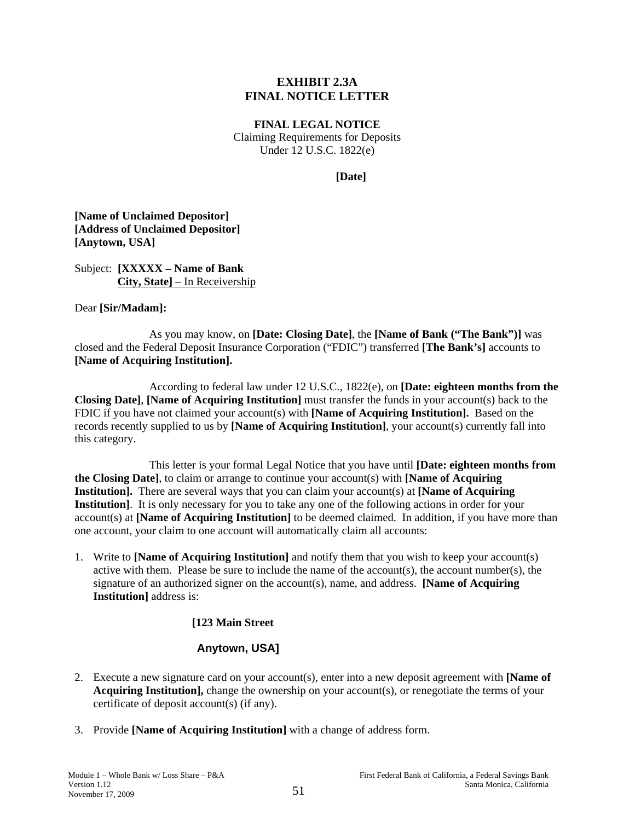### **EXHIBIT 2.3A FINAL NOTICE LETTER**

#### **FINAL LEGAL NOTICE**

Claiming Requirements for Deposits Under 12 U.S.C. 1822(e)

**[Date]** 

**[Name of Unclaimed Depositor] [Address of Unclaimed Depositor] [Anytown, USA]** 

Subject: **[XXXXX – Name of Bank City, State]** – In Receivership

Dear **[Sir/Madam]:** 

As you may know, on **[Date: Closing Date]**, the **[Name of Bank ("The Bank")]** was closed and the Federal Deposit Insurance Corporation ("FDIC") transferred **[The Bank's]** accounts to **[Name of Acquiring Institution].** 

According to federal law under 12 U.S.C., 1822(e), on **[Date: eighteen months from the Closing Date]**, **[Name of Acquiring Institution]** must transfer the funds in your account(s) back to the FDIC if you have not claimed your account(s) with **[Name of Acquiring Institution].** Based on the records recently supplied to us by **[Name of Acquiring Institution]**, your account(s) currently fall into this category.

This letter is your formal Legal Notice that you have until **[Date: eighteen months from the Closing Date]**, to claim or arrange to continue your account(s) with **[Name of Acquiring Institution].** There are several ways that you can claim your account(s) at **[Name of Acquiring Institution]**. It is only necessary for you to take any one of the following actions in order for your account(s) at **[Name of Acquiring Institution]** to be deemed claimed. In addition, if you have more than one account, your claim to one account will automatically claim all accounts:

1. Write to **[Name of Acquiring Institution**] and notify them that you wish to keep your account(s) active with them. Please be sure to include the name of the account(s), the account number(s), the signature of an authorized signer on the account(s), name, and address. **[Name of Acquiring Institution]** address is:

### **[123 Main Street**

### **Anytown, USA]**

- 2. Execute a new signature card on your account(s), enter into a new deposit agreement with **[Name of Acquiring Institution],** change the ownership on your account(s), or renegotiate the terms of your certificate of deposit account(s) (if any).
- 3. Provide **[Name of Acquiring Institution]** with a change of address form.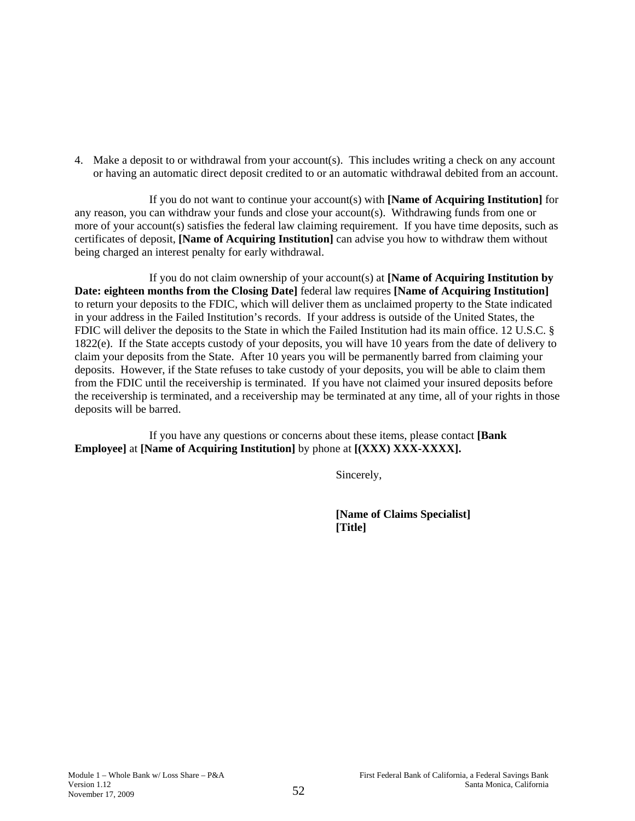4. Make a deposit to or withdrawal from your account(s). This includes writing a check on any account or having an automatic direct deposit credited to or an automatic withdrawal debited from an account.

If you do not want to continue your account(s) with **[Name of Acquiring Institution]** for any reason, you can withdraw your funds and close your account(s). Withdrawing funds from one or more of your account(s) satisfies the federal law claiming requirement. If you have time deposits, such as certificates of deposit, **[Name of Acquiring Institution]** can advise you how to withdraw them without being charged an interest penalty for early withdrawal.

If you do not claim ownership of your account(s) at **[Name of Acquiring Institution by Date: eighteen months from the Closing Date]** federal law requires **[Name of Acquiring Institution]**  to return your deposits to the FDIC, which will deliver them as unclaimed property to the State indicated in your address in the Failed Institution's records. If your address is outside of the United States, the FDIC will deliver the deposits to the State in which the Failed Institution had its main office. 12 U.S.C. § 1822(e). If the State accepts custody of your deposits, you will have 10 years from the date of delivery to claim your deposits from the State. After 10 years you will be permanently barred from claiming your deposits. However, if the State refuses to take custody of your deposits, you will be able to claim them from the FDIC until the receivership is terminated. If you have not claimed your insured deposits before the receivership is terminated, and a receivership may be terminated at any time, all of your rights in those deposits will be barred.

If you have any questions or concerns about these items, please contact **[Bank Employee]** at **[Name of Acquiring Institution]** by phone at **[(XXX) XXX-XXXX].** 

Sincerely,

**[Name of Claims Specialist] [Title]**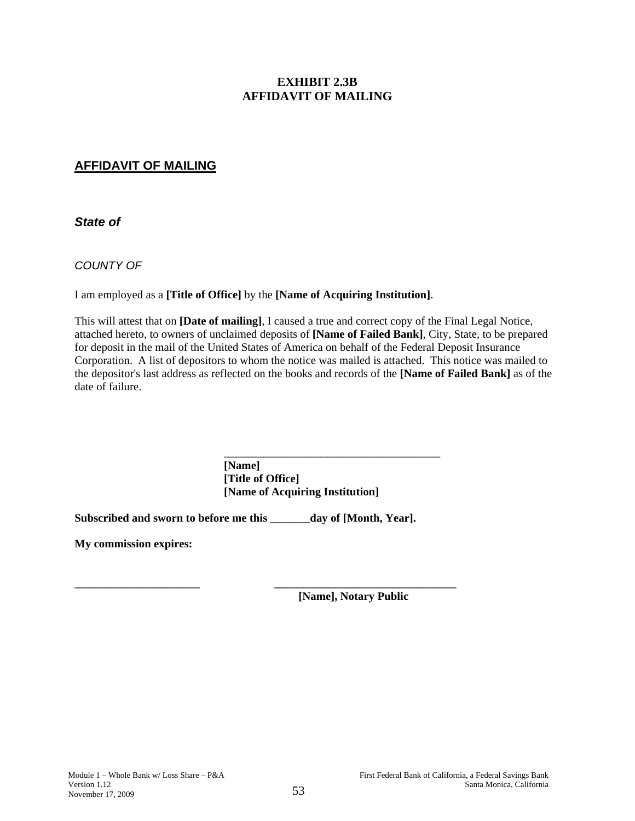### **EXHIBIT 2.3B AFFIDAVIT OF MAILING**

### **AFFIDAVIT OF MAILING**

*State of* 

*COUNTY OF* 

I am employed as a **[Title of Office]** by the **[Name of Acquiring Institution]**.

This will attest that on **[Date of mailing]**, I caused a true and correct copy of the Final Legal Notice, attached hereto, to owners of unclaimed deposits of **[Name of Failed Bank]**, City, State, to be prepared for deposit in the mail of the United States of America on behalf of the Federal Deposit Insurance Corporation. A list of depositors to whom the notice was mailed is attached. This notice was mailed to the depositor's last address as reflected on the books and records of the **[Name of Failed Bank]** as of the date of failure.

 $\overline{\phantom{a}}$  , and the contract of the contract of the contract of the contract of the contract of the contract of the contract of the contract of the contract of the contract of the contract of the contract of the contrac **[Name] [Title of Office] [Name of Acquiring Institution]** 

**Subscribed and sworn to before me this \_\_\_\_\_\_\_day of [Month, Year].** 

**My commission expires:** 

**\_\_\_\_\_\_\_\_\_\_\_\_\_\_\_\_\_\_\_\_\_\_ \_\_\_\_\_\_\_\_\_\_\_\_\_\_\_\_\_\_\_\_\_\_\_\_\_\_\_\_\_\_\_\_ [Name], Notary Public**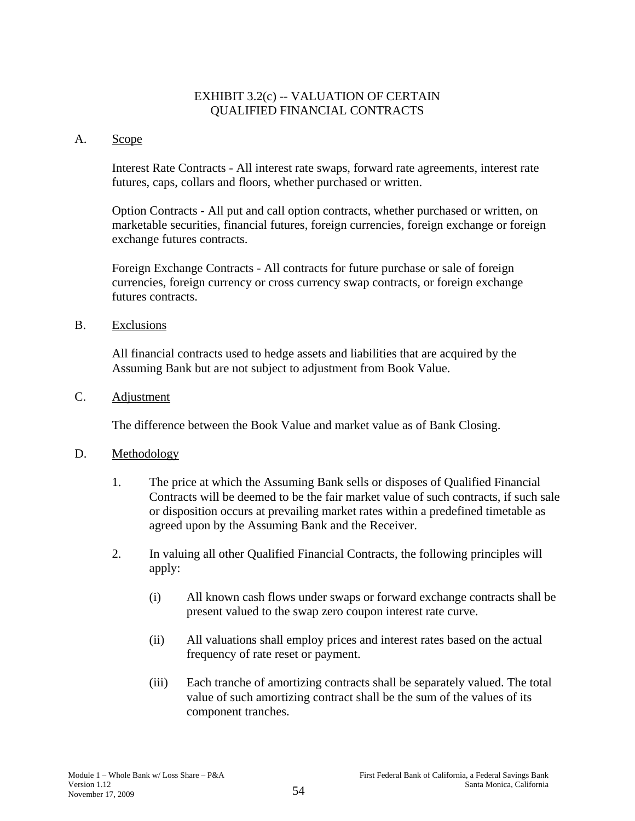### EXHIBIT 3.2(c) -- VALUATION OF CERTAIN QUALIFIED FINANCIAL CONTRACTS

### A. Scope

Interest Rate Contracts - All interest rate swaps, forward rate agreements, interest rate futures, caps, collars and floors, whether purchased or written.

Option Contracts - All put and call option contracts, whether purchased or written, on marketable securities, financial futures, foreign currencies, foreign exchange or foreign exchange futures contracts.

Foreign Exchange Contracts - All contracts for future purchase or sale of foreign currencies, foreign currency or cross currency swap contracts, or foreign exchange futures contracts.

### B. Exclusions

All financial contracts used to hedge assets and liabilities that are acquired by the Assuming Bank but are not subject to adjustment from Book Value.

### C. Adjustment

The difference between the Book Value and market value as of Bank Closing.

### D. Methodology

- 1. The price at which the Assuming Bank sells or disposes of Qualified Financial Contracts will be deemed to be the fair market value of such contracts, if such sale or disposition occurs at prevailing market rates within a predefined timetable as agreed upon by the Assuming Bank and the Receiver.
- 2. In valuing all other Qualified Financial Contracts, the following principles will apply:
	- (i) All known cash flows under swaps or forward exchange contracts shall be present valued to the swap zero coupon interest rate curve.
	- (ii) All valuations shall employ prices and interest rates based on the actual frequency of rate reset or payment.
	- (iii) Each tranche of amortizing contracts shall be separately valued. The total value of such amortizing contract shall be the sum of the values of its component tranches.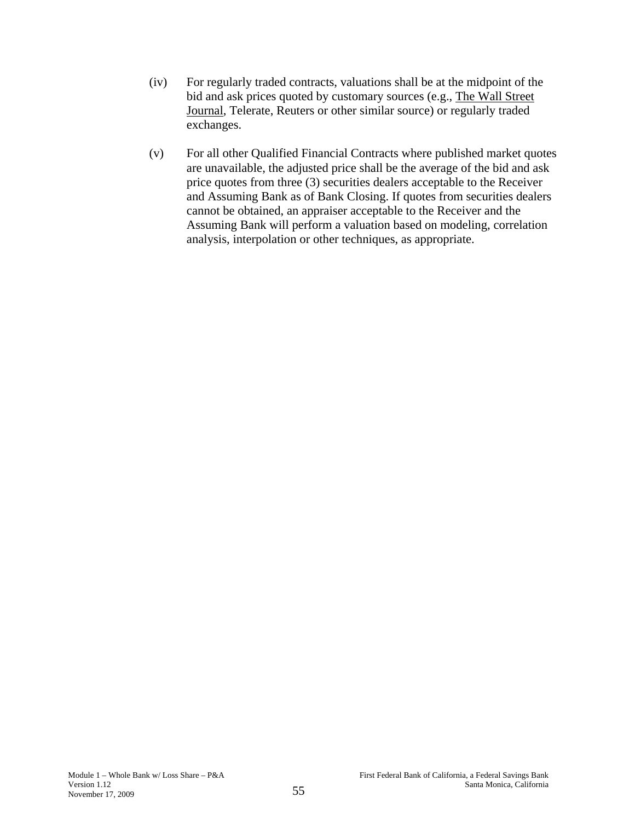- (iv) For regularly traded contracts, valuations shall be at the midpoint of the bid and ask prices quoted by customary sources (e.g., The Wall Street Journal, Telerate, Reuters or other similar source) or regularly traded exchanges.
- (v) For all other Qualified Financial Contracts where published market quotes are unavailable, the adjusted price shall be the average of the bid and ask price quotes from three (3) securities dealers acceptable to the Receiver and Assuming Bank as of Bank Closing. If quotes from securities dealers cannot be obtained, an appraiser acceptable to the Receiver and the Assuming Bank will perform a valuation based on modeling, correlation analysis, interpolation or other techniques, as appropriate.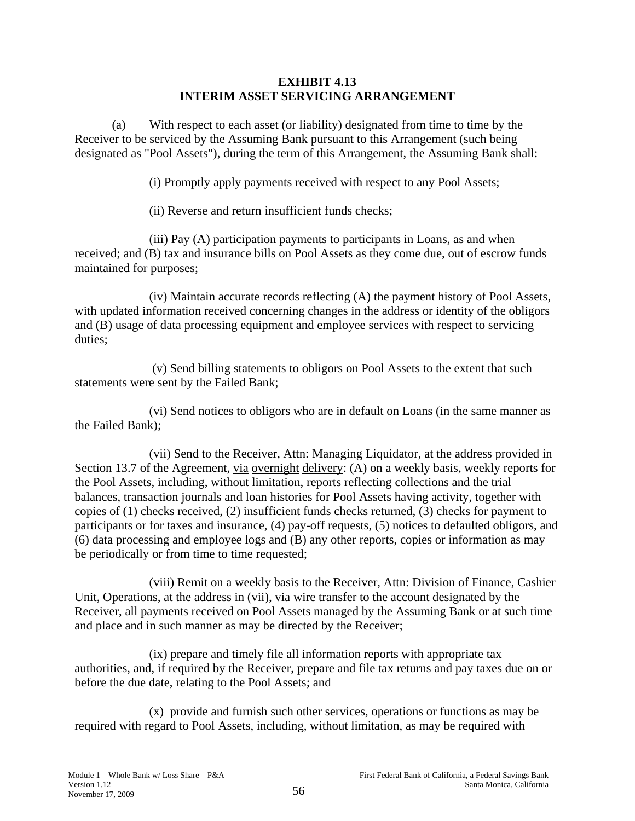### **EXHIBIT 4.13 INTERIM ASSET SERVICING ARRANGEMENT**

(a) With respect to each asset (or liability) designated from time to time by the Receiver to be serviced by the Assuming Bank pursuant to this Arrangement (such being designated as "Pool Assets"), during the term of this Arrangement, the Assuming Bank shall:

(i) Promptly apply payments received with respect to any Pool Assets;

(ii) Reverse and return insufficient funds checks;

(iii) Pay (A) participation payments to participants in Loans, as and when received; and (B) tax and insurance bills on Pool Assets as they come due, out of escrow funds maintained for purposes;

(iv) Maintain accurate records reflecting (A) the payment history of Pool Assets, with updated information received concerning changes in the address or identity of the obligors and (B) usage of data processing equipment and employee services with respect to servicing duties;

 (v) Send billing statements to obligors on Pool Assets to the extent that such statements were sent by the Failed Bank;

(vi) Send notices to obligors who are in default on Loans (in the same manner as the Failed Bank);

(vii) Send to the Receiver, Attn: Managing Liquidator, at the address provided in Section 13.7 of the Agreement, via overnight delivery: (A) on a weekly basis, weekly reports for the Pool Assets, including, without limitation, reports reflecting collections and the trial balances, transaction journals and loan histories for Pool Assets having activity, together with copies of (1) checks received, (2) insufficient funds checks returned, (3) checks for payment to participants or for taxes and insurance, (4) pay-off requests, (5) notices to defaulted obligors, and (6) data processing and employee logs and (B) any other reports, copies or information as may be periodically or from time to time requested;

(viii) Remit on a weekly basis to the Receiver, Attn: Division of Finance, Cashier Unit, Operations, at the address in (vii), via wire transfer to the account designated by the Receiver, all payments received on Pool Assets managed by the Assuming Bank or at such time and place and in such manner as may be directed by the Receiver;

(ix) prepare and timely file all information reports with appropriate tax authorities, and, if required by the Receiver, prepare and file tax returns and pay taxes due on or before the due date, relating to the Pool Assets; and

(x) provide and furnish such other services, operations or functions as may be required with regard to Pool Assets, including, without limitation, as may be required with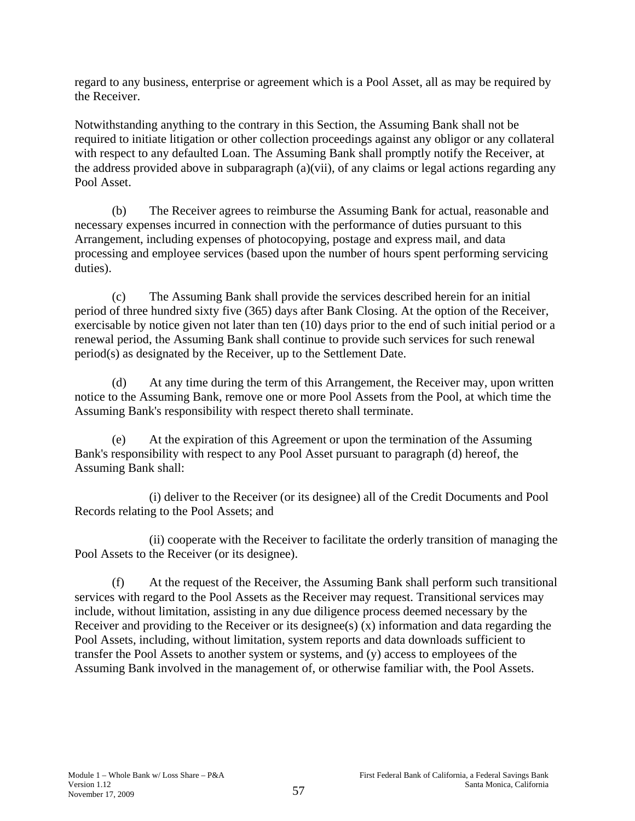regard to any business, enterprise or agreement which is a Pool Asset, all as may be required by the Receiver.

Notwithstanding anything to the contrary in this Section, the Assuming Bank shall not be required to initiate litigation or other collection proceedings against any obligor or any collateral with respect to any defaulted Loan. The Assuming Bank shall promptly notify the Receiver, at the address provided above in subparagraph (a)(vii), of any claims or legal actions regarding any Pool Asset.

(b) The Receiver agrees to reimburse the Assuming Bank for actual, reasonable and necessary expenses incurred in connection with the performance of duties pursuant to this Arrangement, including expenses of photocopying, postage and express mail, and data processing and employee services (based upon the number of hours spent performing servicing duties).

(c) The Assuming Bank shall provide the services described herein for an initial period of three hundred sixty five (365) days after Bank Closing. At the option of the Receiver, exercisable by notice given not later than ten (10) days prior to the end of such initial period or a renewal period, the Assuming Bank shall continue to provide such services for such renewal period(s) as designated by the Receiver, up to the Settlement Date.

(d) At any time during the term of this Arrangement, the Receiver may, upon written notice to the Assuming Bank, remove one or more Pool Assets from the Pool, at which time the Assuming Bank's responsibility with respect thereto shall terminate.

(e) At the expiration of this Agreement or upon the termination of the Assuming Bank's responsibility with respect to any Pool Asset pursuant to paragraph (d) hereof, the Assuming Bank shall:

(i) deliver to the Receiver (or its designee) all of the Credit Documents and Pool Records relating to the Pool Assets; and

(ii) cooperate with the Receiver to facilitate the orderly transition of managing the Pool Assets to the Receiver (or its designee).

(f) At the request of the Receiver, the Assuming Bank shall perform such transitional services with regard to the Pool Assets as the Receiver may request. Transitional services may include, without limitation, assisting in any due diligence process deemed necessary by the Receiver and providing to the Receiver or its designee(s) (x) information and data regarding the Pool Assets, including, without limitation, system reports and data downloads sufficient to transfer the Pool Assets to another system or systems, and (y) access to employees of the Assuming Bank involved in the management of, or otherwise familiar with, the Pool Assets.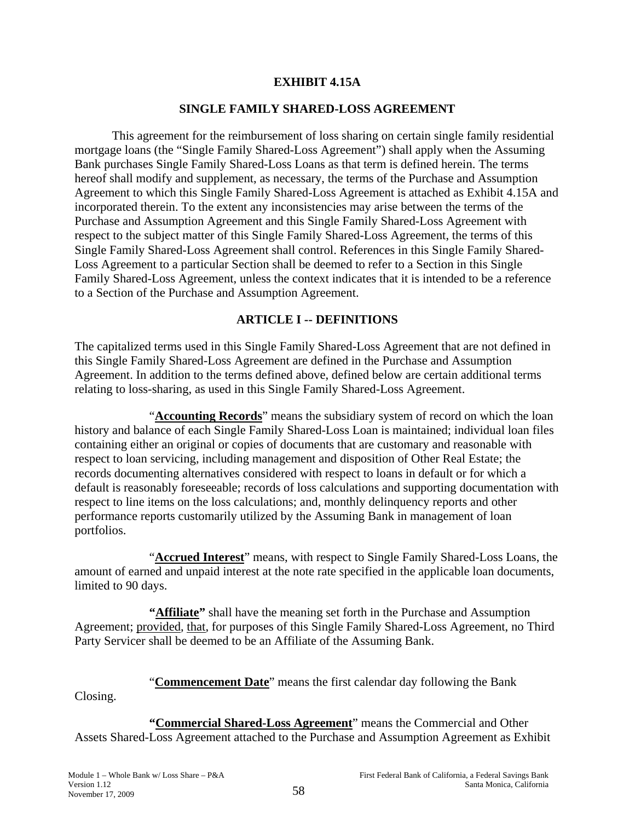### **EXHIBIT 4.15A**

### **SINGLE FAMILY SHARED-LOSS AGREEMENT**

This agreement for the reimbursement of loss sharing on certain single family residential mortgage loans (the "Single Family Shared-Loss Agreement") shall apply when the Assuming Bank purchases Single Family Shared-Loss Loans as that term is defined herein. The terms hereof shall modify and supplement, as necessary, the terms of the Purchase and Assumption Agreement to which this Single Family Shared-Loss Agreement is attached as Exhibit 4.15A and incorporated therein. To the extent any inconsistencies may arise between the terms of the Purchase and Assumption Agreement and this Single Family Shared-Loss Agreement with respect to the subject matter of this Single Family Shared-Loss Agreement, the terms of this Single Family Shared-Loss Agreement shall control. References in this Single Family Shared-Loss Agreement to a particular Section shall be deemed to refer to a Section in this Single Family Shared-Loss Agreement, unless the context indicates that it is intended to be a reference to a Section of the Purchase and Assumption Agreement.

### **ARTICLE I -- DEFINITIONS**

The capitalized terms used in this Single Family Shared-Loss Agreement that are not defined in this Single Family Shared-Loss Agreement are defined in the Purchase and Assumption Agreement. In addition to the terms defined above, defined below are certain additional terms relating to loss-sharing, as used in this Single Family Shared-Loss Agreement.

"**Accounting Records**" means the subsidiary system of record on which the loan history and balance of each Single Family Shared-Loss Loan is maintained; individual loan files containing either an original or copies of documents that are customary and reasonable with respect to loan servicing, including management and disposition of Other Real Estate; the records documenting alternatives considered with respect to loans in default or for which a default is reasonably foreseeable; records of loss calculations and supporting documentation with respect to line items on the loss calculations; and, monthly delinquency reports and other performance reports customarily utilized by the Assuming Bank in management of loan portfolios.

"**Accrued Interest**" means, with respect to Single Family Shared-Loss Loans, the amount of earned and unpaid interest at the note rate specified in the applicable loan documents, limited to 90 days.

**"Affiliate"** shall have the meaning set forth in the Purchase and Assumption Agreement; provided, that, for purposes of this Single Family Shared-Loss Agreement, no Third Party Servicer shall be deemed to be an Affiliate of the Assuming Bank.

"**Commencement Date**" means the first calendar day following the Bank

Closing.

**"Commercial Shared-Loss Agreement**" means the Commercial and Other Assets Shared-Loss Agreement attached to the Purchase and Assumption Agreement as Exhibit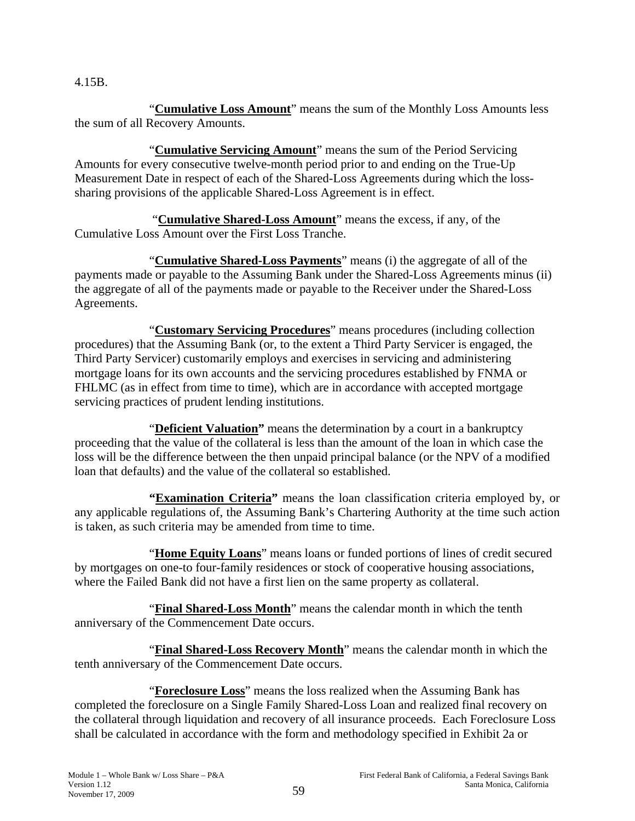4.15B.

"**Cumulative Loss Amount**" means the sum of the Monthly Loss Amounts less the sum of all Recovery Amounts.

"**Cumulative Servicing Amount**" means the sum of the Period Servicing Amounts for every consecutive twelve-month period prior to and ending on the True-Up Measurement Date in respect of each of the Shared-Loss Agreements during which the losssharing provisions of the applicable Shared-Loss Agreement is in effect.

"**Cumulative Shared-Loss Amount**" means the excess, if any, of the Cumulative Loss Amount over the First Loss Tranche.

"**Cumulative Shared-Loss Payments**" means (i) the aggregate of all of the payments made or payable to the Assuming Bank under the Shared-Loss Agreements minus (ii) the aggregate of all of the payments made or payable to the Receiver under the Shared-Loss Agreements.

"**Customary Servicing Procedures**" means procedures (including collection procedures) that the Assuming Bank (or, to the extent a Third Party Servicer is engaged, the Third Party Servicer) customarily employs and exercises in servicing and administering mortgage loans for its own accounts and the servicing procedures established by FNMA or FHLMC (as in effect from time to time), which are in accordance with accepted mortgage servicing practices of prudent lending institutions.

"**Deficient Valuation"** means the determination by a court in a bankruptcy proceeding that the value of the collateral is less than the amount of the loan in which case the loss will be the difference between the then unpaid principal balance (or the NPV of a modified loan that defaults) and the value of the collateral so established.

**"Examination Criteria"** means the loan classification criteria employed by, or any applicable regulations of, the Assuming Bank's Chartering Authority at the time such action is taken, as such criteria may be amended from time to time.

"**Home Equity Loans**" means loans or funded portions of lines of credit secured by mortgages on one-to four-family residences or stock of cooperative housing associations, where the Failed Bank did not have a first lien on the same property as collateral.

"**Final Shared-Loss Month**" means the calendar month in which the tenth anniversary of the Commencement Date occurs.

"**Final Shared-Loss Recovery Month**" means the calendar month in which the tenth anniversary of the Commencement Date occurs.

"**Foreclosure Loss**" means the loss realized when the Assuming Bank has completed the foreclosure on a Single Family Shared-Loss Loan and realized final recovery on the collateral through liquidation and recovery of all insurance proceeds. Each Foreclosure Loss shall be calculated in accordance with the form and methodology specified in Exhibit 2a or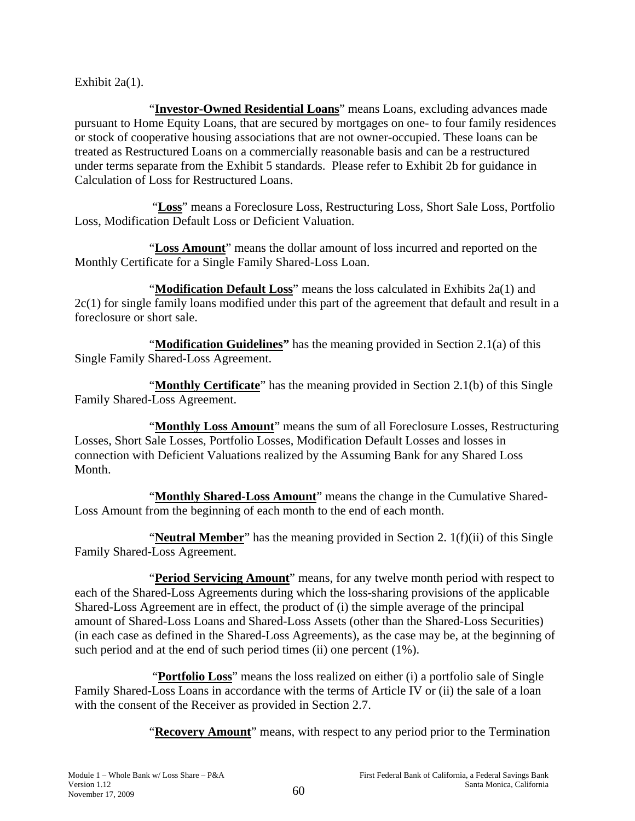Exhibit 2a(1).

"**Investor-Owned Residential Loans**" means Loans, excluding advances made pursuant to Home Equity Loans, that are secured by mortgages on one- to four family residences or stock of cooperative housing associations that are not owner-occupied. These loans can be treated as Restructured Loans on a commercially reasonable basis and can be a restructured under terms separate from the Exhibit 5 standards. Please refer to Exhibit 2b for guidance in Calculation of Loss for Restructured Loans.

"**Loss**" means a Foreclosure Loss, Restructuring Loss, Short Sale Loss, Portfolio Loss, Modification Default Loss or Deficient Valuation.

"**Loss Amount**" means the dollar amount of loss incurred and reported on the Monthly Certificate for a Single Family Shared-Loss Loan.

"**Modification Default Loss**" means the loss calculated in Exhibits 2a(1) and 2c(1) for single family loans modified under this part of the agreement that default and result in a foreclosure or short sale.

"**Modification Guidelines"** has the meaning provided in Section 2.1(a) of this Single Family Shared-Loss Agreement.

"**Monthly Certificate**" has the meaning provided in Section 2.1(b) of this Single Family Shared-Loss Agreement.

"**Monthly Loss Amount**" means the sum of all Foreclosure Losses, Restructuring Losses, Short Sale Losses, Portfolio Losses, Modification Default Losses and losses in connection with Deficient Valuations realized by the Assuming Bank for any Shared Loss Month.

"**Monthly Shared-Loss Amount**" means the change in the Cumulative Shared-Loss Amount from the beginning of each month to the end of each month.

"**Neutral Member**" has the meaning provided in Section 2. 1(f)(ii) of this Single Family Shared-Loss Agreement.

"**Period Servicing Amount**" means, for any twelve month period with respect to each of the Shared-Loss Agreements during which the loss-sharing provisions of the applicable Shared-Loss Agreement are in effect, the product of (i) the simple average of the principal amount of Shared-Loss Loans and Shared-Loss Assets (other than the Shared-Loss Securities) (in each case as defined in the Shared-Loss Agreements), as the case may be, at the beginning of such period and at the end of such period times (ii) one percent (1%).

"**Portfolio Loss**" means the loss realized on either (i) a portfolio sale of Single Family Shared-Loss Loans in accordance with the terms of Article IV or (ii) the sale of a loan with the consent of the Receiver as provided in Section 2.7.

"**Recovery Amount**" means, with respect to any period prior to the Termination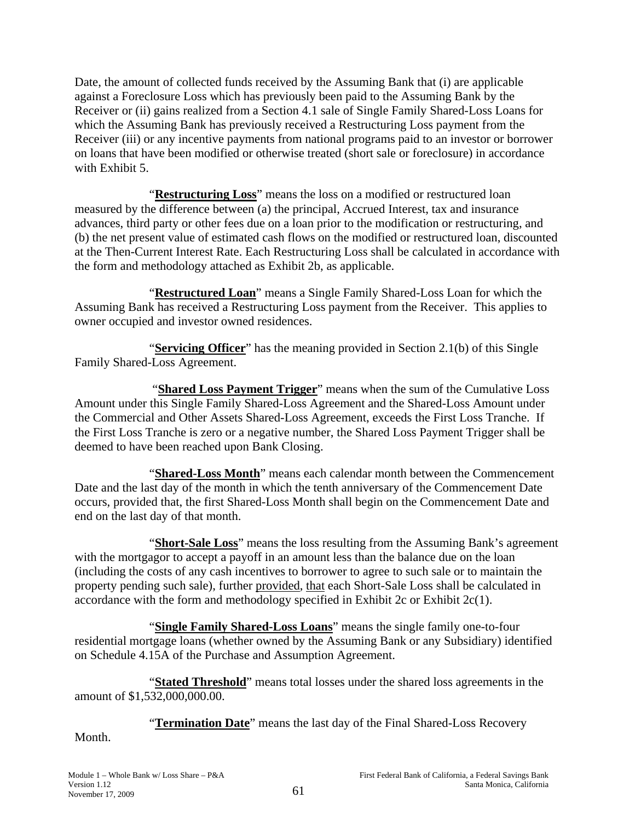Date, the amount of collected funds received by the Assuming Bank that (i) are applicable against a Foreclosure Loss which has previously been paid to the Assuming Bank by the Receiver or (ii) gains realized from a Section 4.1 sale of Single Family Shared-Loss Loans for which the Assuming Bank has previously received a Restructuring Loss payment from the Receiver (iii) or any incentive payments from national programs paid to an investor or borrower on loans that have been modified or otherwise treated (short sale or foreclosure) in accordance with Exhibit 5.

"**Restructuring Loss**" means the loss on a modified or restructured loan measured by the difference between (a) the principal, Accrued Interest, tax and insurance advances, third party or other fees due on a loan prior to the modification or restructuring, and (b) the net present value of estimated cash flows on the modified or restructured loan, discounted at the Then-Current Interest Rate. Each Restructuring Loss shall be calculated in accordance with the form and methodology attached as Exhibit 2b, as applicable.

"**Restructured Loan**" means a Single Family Shared-Loss Loan for which the Assuming Bank has received a Restructuring Loss payment from the Receiver. This applies to owner occupied and investor owned residences.

"**Servicing Officer**" has the meaning provided in Section 2.1(b) of this Single Family Shared-Loss Agreement.

"**Shared Loss Payment Trigger**" means when the sum of the Cumulative Loss Amount under this Single Family Shared-Loss Agreement and the Shared-Loss Amount under the Commercial and Other Assets Shared-Loss Agreement, exceeds the First Loss Tranche. If the First Loss Tranche is zero or a negative number, the Shared Loss Payment Trigger shall be deemed to have been reached upon Bank Closing.

"**Shared-Loss Month**" means each calendar month between the Commencement Date and the last day of the month in which the tenth anniversary of the Commencement Date occurs, provided that, the first Shared-Loss Month shall begin on the Commencement Date and end on the last day of that month.

"**Short-Sale Loss**" means the loss resulting from the Assuming Bank's agreement with the mortgagor to accept a payoff in an amount less than the balance due on the loan (including the costs of any cash incentives to borrower to agree to such sale or to maintain the property pending such sale), further provided, that each Short-Sale Loss shall be calculated in accordance with the form and methodology specified in Exhibit 2c or Exhibit 2c(1).

"**Single Family Shared-Loss Loans**" means the single family one-to-four residential mortgage loans (whether owned by the Assuming Bank or any Subsidiary) identified on Schedule 4.15A of the Purchase and Assumption Agreement.

"**Stated Threshold**" means total losses under the shared loss agreements in the amount of \$1,532,000,000.00.

"**Termination Date**" means the last day of the Final Shared-Loss Recovery Month.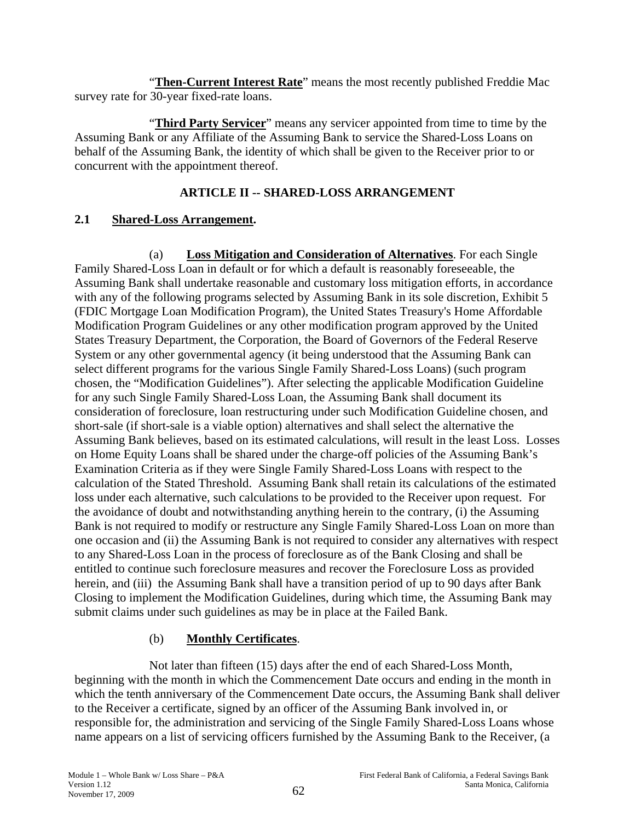"**Then-Current Interest Rate**" means the most recently published Freddie Mac survey rate for 30-year fixed-rate loans.

"**Third Party Servicer**" means any servicer appointed from time to time by the Assuming Bank or any Affiliate of the Assuming Bank to service the Shared-Loss Loans on behalf of the Assuming Bank, the identity of which shall be given to the Receiver prior to or concurrent with the appointment thereof.

# **ARTICLE II -- SHARED-LOSS ARRANGEMENT**

# **2.1 Shared-Loss Arrangement.**

(a) **Loss Mitigation and Consideration of Alternatives**. For each Single Family Shared-Loss Loan in default or for which a default is reasonably foreseeable, the Assuming Bank shall undertake reasonable and customary loss mitigation efforts, in accordance with any of the following programs selected by Assuming Bank in its sole discretion, Exhibit 5 (FDIC Mortgage Loan Modification Program), the United States Treasury's Home Affordable Modification Program Guidelines or any other modification program approved by the United States Treasury Department, the Corporation, the Board of Governors of the Federal Reserve System or any other governmental agency (it being understood that the Assuming Bank can select different programs for the various Single Family Shared-Loss Loans) (such program chosen, the "Modification Guidelines"). After selecting the applicable Modification Guideline for any such Single Family Shared-Loss Loan, the Assuming Bank shall document its consideration of foreclosure, loan restructuring under such Modification Guideline chosen, and short-sale (if short-sale is a viable option) alternatives and shall select the alternative the Assuming Bank believes, based on its estimated calculations, will result in the least Loss. Losses on Home Equity Loans shall be shared under the charge-off policies of the Assuming Bank's Examination Criteria as if they were Single Family Shared-Loss Loans with respect to the calculation of the Stated Threshold. Assuming Bank shall retain its calculations of the estimated loss under each alternative, such calculations to be provided to the Receiver upon request. For the avoidance of doubt and notwithstanding anything herein to the contrary, (i) the Assuming Bank is not required to modify or restructure any Single Family Shared-Loss Loan on more than one occasion and (ii) the Assuming Bank is not required to consider any alternatives with respect to any Shared-Loss Loan in the process of foreclosure as of the Bank Closing and shall be entitled to continue such foreclosure measures and recover the Foreclosure Loss as provided herein, and (iii) the Assuming Bank shall have a transition period of up to 90 days after Bank Closing to implement the Modification Guidelines, during which time, the Assuming Bank may submit claims under such guidelines as may be in place at the Failed Bank.

# (b) **Monthly Certificates**.

Not later than fifteen (15) days after the end of each Shared-Loss Month, beginning with the month in which the Commencement Date occurs and ending in the month in which the tenth anniversary of the Commencement Date occurs, the Assuming Bank shall deliver to the Receiver a certificate, signed by an officer of the Assuming Bank involved in, or responsible for, the administration and servicing of the Single Family Shared-Loss Loans whose name appears on a list of servicing officers furnished by the Assuming Bank to the Receiver, (a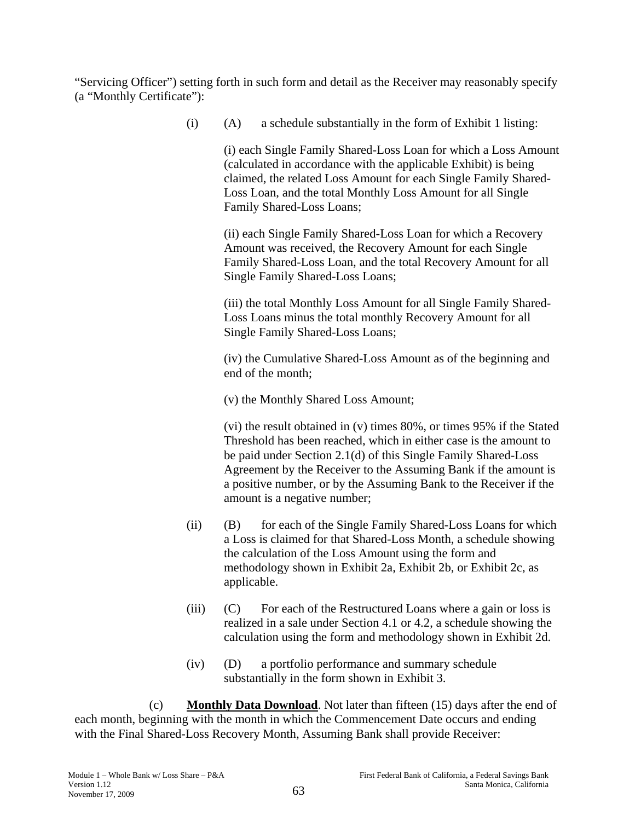"Servicing Officer") setting forth in such form and detail as the Receiver may reasonably specify (a "Monthly Certificate"):

 $(i)$  (A) a schedule substantially in the form of Exhibit 1 listing:

(i) each Single Family Shared-Loss Loan for which a Loss Amount (calculated in accordance with the applicable Exhibit) is being claimed, the related Loss Amount for each Single Family Shared-Loss Loan, and the total Monthly Loss Amount for all Single Family Shared-Loss Loans;

(ii) each Single Family Shared-Loss Loan for which a Recovery Amount was received, the Recovery Amount for each Single Family Shared-Loss Loan, and the total Recovery Amount for all Single Family Shared-Loss Loans;

(iii) the total Monthly Loss Amount for all Single Family Shared-Loss Loans minus the total monthly Recovery Amount for all Single Family Shared-Loss Loans;

(iv) the Cumulative Shared-Loss Amount as of the beginning and end of the month;

(v) the Monthly Shared Loss Amount;

(vi) the result obtained in (v) times 80%, or times 95% if the Stated Threshold has been reached, which in either case is the amount to be paid under Section 2.1(d) of this Single Family Shared-Loss Agreement by the Receiver to the Assuming Bank if the amount is a positive number, or by the Assuming Bank to the Receiver if the amount is a negative number;

- (ii) (B) for each of the Single Family Shared-Loss Loans for which a Loss is claimed for that Shared-Loss Month, a schedule showing the calculation of the Loss Amount using the form and methodology shown in Exhibit 2a, Exhibit 2b, or Exhibit 2c, as applicable.
- (iii)  $(C)$  For each of the Restructured Loans where a gain or loss is realized in a sale under Section 4.1 or 4.2, a schedule showing the calculation using the form and methodology shown in Exhibit 2d.
- (iv) (D) a portfolio performance and summary schedule substantially in the form shown in Exhibit 3.

(c) **Monthly Data Download**. Not later than fifteen (15) days after the end of each month, beginning with the month in which the Commencement Date occurs and ending with the Final Shared-Loss Recovery Month, Assuming Bank shall provide Receiver: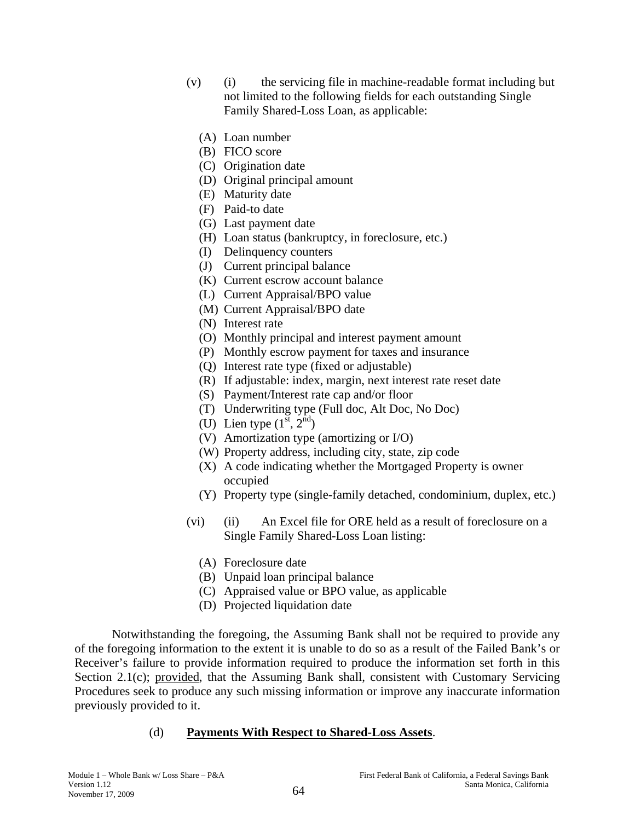- $(v)$  (i) the servicing file in machine-readable format including but not limited to the following fields for each outstanding Single Family Shared-Loss Loan, as applicable:
	- (A) Loan number
	- (B) FICO score
	- (C) Origination date
	- (D) Original principal amount
	- (E) Maturity date
	- (F) Paid-to date
	- (G) Last payment date
	- (H) Loan status (bankruptcy, in foreclosure, etc.)
	- (I) Delinquency counters
	- (J) Current principal balance
	- (K) Current escrow account balance
	- (L) Current Appraisal/BPO value
	- (M) Current Appraisal/BPO date
	- (N) Interest rate
	- (O) Monthly principal and interest payment amount
	- (P) Monthly escrow payment for taxes and insurance
	- (Q) Interest rate type (fixed or adjustable)
	- (R) If adjustable: index, margin, next interest rate reset date
	- (S) Payment/Interest rate cap and/or floor
	- (T) Underwriting type (Full doc, Alt Doc, No Doc)
	- (U) Lien type  $(1^{\overline{s}t}, 2^{\overline{n}d})$
	- (V) Amortization type (amortizing or I/O)
	- (W) Property address, including city, state, zip code
	- (X) A code indicating whether the Mortgaged Property is owner occupied
	- (Y) Property type (single-family detached, condominium, duplex, etc.)
- (vi) (ii) An Excel file for ORE held as a result of foreclosure on a Single Family Shared-Loss Loan listing:
	- (A) Foreclosure date
	- (B) Unpaid loan principal balance
	- (C) Appraised value or BPO value, as applicable
	- (D) Projected liquidation date

Notwithstanding the foregoing, the Assuming Bank shall not be required to provide any of the foregoing information to the extent it is unable to do so as a result of the Failed Bank's or Receiver's failure to provide information required to produce the information set forth in this Section 2.1(c); provided, that the Assuming Bank shall, consistent with Customary Servicing Procedures seek to produce any such missing information or improve any inaccurate information previously provided to it.

(d) **Payments With Respect to Shared-Loss Assets**.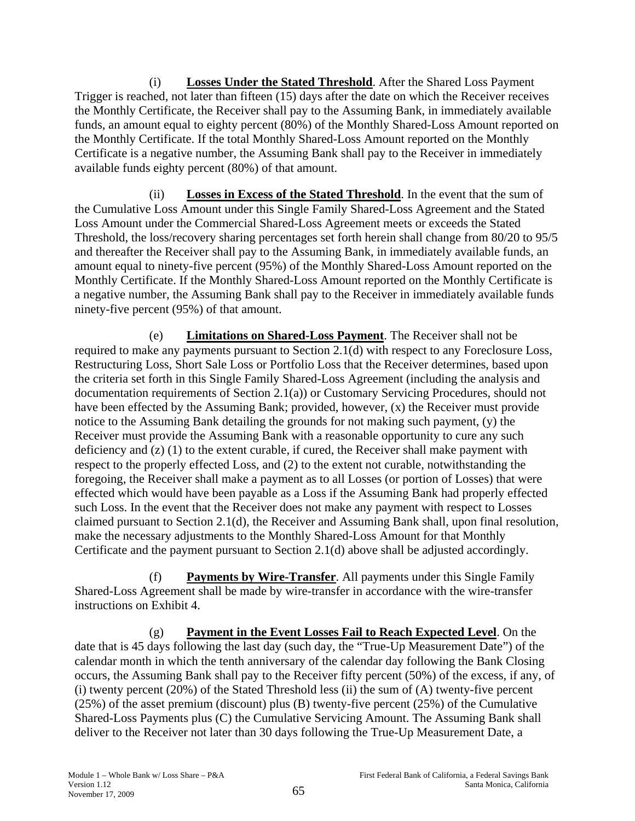(i) **Losses Under the Stated Threshold**. After the Shared Loss Payment Trigger is reached, not later than fifteen (15) days after the date on which the Receiver receives the Monthly Certificate, the Receiver shall pay to the Assuming Bank, in immediately available funds, an amount equal to eighty percent (80%) of the Monthly Shared-Loss Amount reported on the Monthly Certificate. If the total Monthly Shared-Loss Amount reported on the Monthly Certificate is a negative number, the Assuming Bank shall pay to the Receiver in immediately available funds eighty percent (80%) of that amount.

(ii) **Losses in Excess of the Stated Threshold**. In the event that the sum of the Cumulative Loss Amount under this Single Family Shared-Loss Agreement and the Stated Loss Amount under the Commercial Shared-Loss Agreement meets or exceeds the Stated Threshold, the loss/recovery sharing percentages set forth herein shall change from 80/20 to 95/5 and thereafter the Receiver shall pay to the Assuming Bank, in immediately available funds, an amount equal to ninety-five percent (95%) of the Monthly Shared-Loss Amount reported on the Monthly Certificate. If the Monthly Shared-Loss Amount reported on the Monthly Certificate is a negative number, the Assuming Bank shall pay to the Receiver in immediately available funds ninety-five percent (95%) of that amount.

(e) **Limitations on Shared-Loss Payment**. The Receiver shall not be required to make any payments pursuant to Section 2.1(d) with respect to any Foreclosure Loss, Restructuring Loss, Short Sale Loss or Portfolio Loss that the Receiver determines, based upon the criteria set forth in this Single Family Shared-Loss Agreement (including the analysis and documentation requirements of Section 2.1(a)) or Customary Servicing Procedures, should not have been effected by the Assuming Bank; provided, however, (x) the Receiver must provide notice to the Assuming Bank detailing the grounds for not making such payment, (y) the Receiver must provide the Assuming Bank with a reasonable opportunity to cure any such deficiency and (z) (1) to the extent curable, if cured, the Receiver shall make payment with respect to the properly effected Loss, and (2) to the extent not curable, notwithstanding the foregoing, the Receiver shall make a payment as to all Losses (or portion of Losses) that were effected which would have been payable as a Loss if the Assuming Bank had properly effected such Loss. In the event that the Receiver does not make any payment with respect to Losses claimed pursuant to Section 2.1(d), the Receiver and Assuming Bank shall, upon final resolution, make the necessary adjustments to the Monthly Shared-Loss Amount for that Monthly Certificate and the payment pursuant to Section 2.1(d) above shall be adjusted accordingly.

(f) **Payments by Wire-Transfer**. All payments under this Single Family Shared-Loss Agreement shall be made by wire-transfer in accordance with the wire-transfer instructions on Exhibit 4.

 (g) **Payment in the Event Losses Fail to Reach Expected Level**. On the date that is 45 days following the last day (such day, the "True-Up Measurement Date") of the calendar month in which the tenth anniversary of the calendar day following the Bank Closing occurs, the Assuming Bank shall pay to the Receiver fifty percent (50%) of the excess, if any, of  $(i)$  twenty percent (20%) of the Stated Threshold less  $(ii)$  the sum of  $(A)$  twenty-five percent (25%) of the asset premium (discount) plus (B) twenty-five percent (25%) of the Cumulative Shared-Loss Payments plus (C) the Cumulative Servicing Amount. The Assuming Bank shall deliver to the Receiver not later than 30 days following the True-Up Measurement Date, a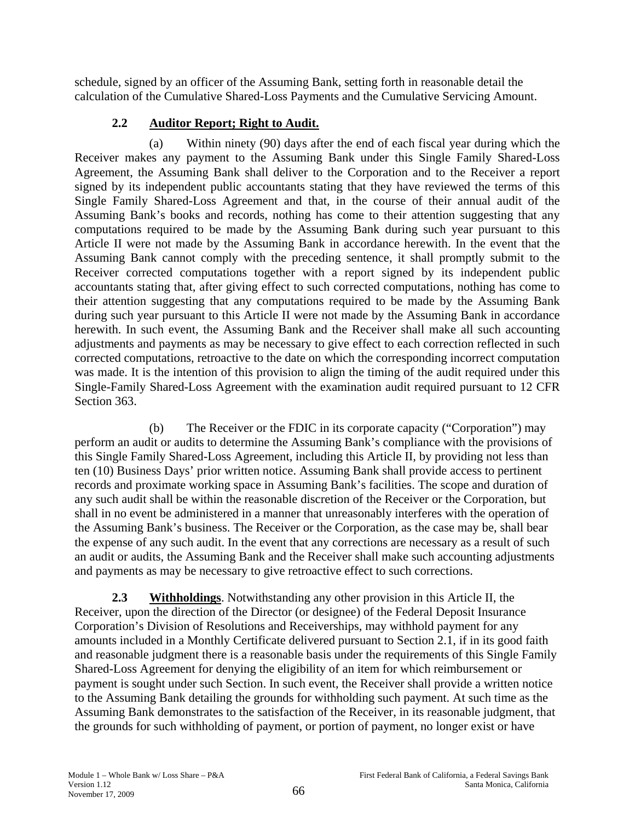schedule, signed by an officer of the Assuming Bank, setting forth in reasonable detail the calculation of the Cumulative Shared-Loss Payments and the Cumulative Servicing Amount.

# **2.2 Auditor Report; Right to Audit.**

(a) Within ninety (90) days after the end of each fiscal year during which the Receiver makes any payment to the Assuming Bank under this Single Family Shared-Loss Agreement, the Assuming Bank shall deliver to the Corporation and to the Receiver a report signed by its independent public accountants stating that they have reviewed the terms of this Single Family Shared-Loss Agreement and that, in the course of their annual audit of the Assuming Bank's books and records, nothing has come to their attention suggesting that any computations required to be made by the Assuming Bank during such year pursuant to this Article II were not made by the Assuming Bank in accordance herewith. In the event that the Assuming Bank cannot comply with the preceding sentence, it shall promptly submit to the Receiver corrected computations together with a report signed by its independent public accountants stating that, after giving effect to such corrected computations, nothing has come to their attention suggesting that any computations required to be made by the Assuming Bank during such year pursuant to this Article II were not made by the Assuming Bank in accordance herewith. In such event, the Assuming Bank and the Receiver shall make all such accounting adjustments and payments as may be necessary to give effect to each correction reflected in such corrected computations, retroactive to the date on which the corresponding incorrect computation was made. It is the intention of this provision to align the timing of the audit required under this Single-Family Shared-Loss Agreement with the examination audit required pursuant to 12 CFR Section 363.

(b) The Receiver or the FDIC in its corporate capacity ("Corporation") may perform an audit or audits to determine the Assuming Bank's compliance with the provisions of this Single Family Shared-Loss Agreement, including this Article II, by providing not less than ten (10) Business Days' prior written notice. Assuming Bank shall provide access to pertinent records and proximate working space in Assuming Bank's facilities. The scope and duration of any such audit shall be within the reasonable discretion of the Receiver or the Corporation, but shall in no event be administered in a manner that unreasonably interferes with the operation of the Assuming Bank's business. The Receiver or the Corporation, as the case may be, shall bear the expense of any such audit. In the event that any corrections are necessary as a result of such an audit or audits, the Assuming Bank and the Receiver shall make such accounting adjustments and payments as may be necessary to give retroactive effect to such corrections.

**2.3 Withholdings**. Notwithstanding any other provision in this Article II, the Receiver, upon the direction of the Director (or designee) of the Federal Deposit Insurance Corporation's Division of Resolutions and Receiverships, may withhold payment for any amounts included in a Monthly Certificate delivered pursuant to Section 2.1, if in its good faith and reasonable judgment there is a reasonable basis under the requirements of this Single Family Shared-Loss Agreement for denying the eligibility of an item for which reimbursement or payment is sought under such Section. In such event, the Receiver shall provide a written notice to the Assuming Bank detailing the grounds for withholding such payment. At such time as the Assuming Bank demonstrates to the satisfaction of the Receiver, in its reasonable judgment, that the grounds for such withholding of payment, or portion of payment, no longer exist or have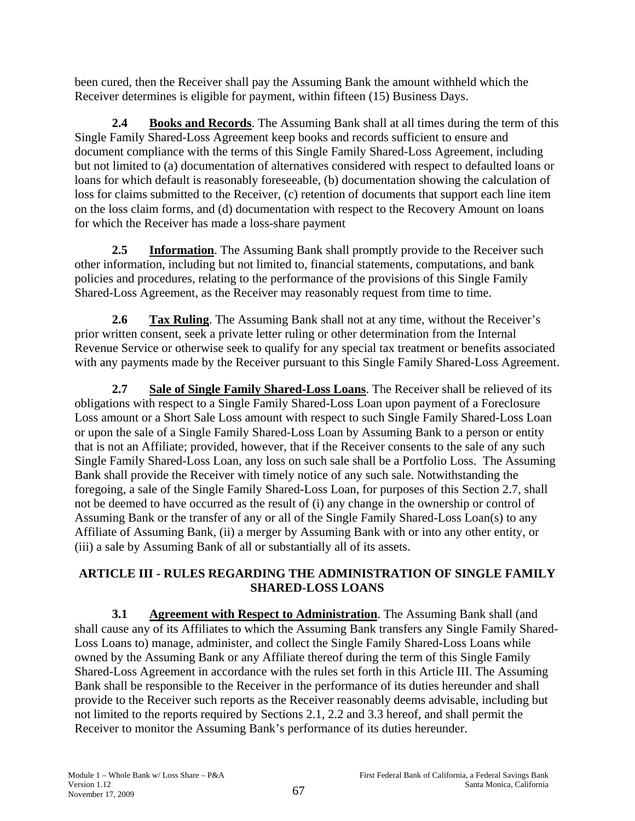been cured, then the Receiver shall pay the Assuming Bank the amount withheld which the Receiver determines is eligible for payment, within fifteen (15) Business Days.

**2.4 Books and Records**. The Assuming Bank shall at all times during the term of this Single Family Shared-Loss Agreement keep books and records sufficient to ensure and document compliance with the terms of this Single Family Shared-Loss Agreement, including but not limited to (a) documentation of alternatives considered with respect to defaulted loans or loans for which default is reasonably foreseeable, (b) documentation showing the calculation of loss for claims submitted to the Receiver, (c) retention of documents that support each line item on the loss claim forms, and (d) documentation with respect to the Recovery Amount on loans for which the Receiver has made a loss-share payment

**2.5 Information**. The Assuming Bank shall promptly provide to the Receiver such other information, including but not limited to, financial statements, computations, and bank policies and procedures, relating to the performance of the provisions of this Single Family Shared-Loss Agreement, as the Receiver may reasonably request from time to time.

**2.6 Tax Ruling**. The Assuming Bank shall not at any time, without the Receiver's prior written consent, seek a private letter ruling or other determination from the Internal Revenue Service or otherwise seek to qualify for any special tax treatment or benefits associated with any payments made by the Receiver pursuant to this Single Family Shared-Loss Agreement.

**2.7 Sale of Single Family Shared-Loss Loans**. The Receiver shall be relieved of its obligations with respect to a Single Family Shared-Loss Loan upon payment of a Foreclosure Loss amount or a Short Sale Loss amount with respect to such Single Family Shared-Loss Loan or upon the sale of a Single Family Shared-Loss Loan by Assuming Bank to a person or entity that is not an Affiliate; provided, however, that if the Receiver consents to the sale of any such Single Family Shared-Loss Loan, any loss on such sale shall be a Portfolio Loss. The Assuming Bank shall provide the Receiver with timely notice of any such sale. Notwithstanding the foregoing, a sale of the Single Family Shared-Loss Loan, for purposes of this Section 2.7, shall not be deemed to have occurred as the result of (i) any change in the ownership or control of Assuming Bank or the transfer of any or all of the Single Family Shared-Loss Loan(s) to any Affiliate of Assuming Bank, (ii) a merger by Assuming Bank with or into any other entity, or (iii) a sale by Assuming Bank of all or substantially all of its assets.

# **ARTICLE III - RULES REGARDING THE ADMINISTRATION OF SINGLE FAMILY SHARED-LOSS LOANS**

**3.1 Agreement with Respect to Administration**. The Assuming Bank shall (and shall cause any of its Affiliates to which the Assuming Bank transfers any Single Family Shared-Loss Loans to) manage, administer, and collect the Single Family Shared-Loss Loans while owned by the Assuming Bank or any Affiliate thereof during the term of this Single Family Shared-Loss Agreement in accordance with the rules set forth in this Article III. The Assuming Bank shall be responsible to the Receiver in the performance of its duties hereunder and shall provide to the Receiver such reports as the Receiver reasonably deems advisable, including but not limited to the reports required by Sections 2.1, 2.2 and 3.3 hereof, and shall permit the Receiver to monitor the Assuming Bank's performance of its duties hereunder.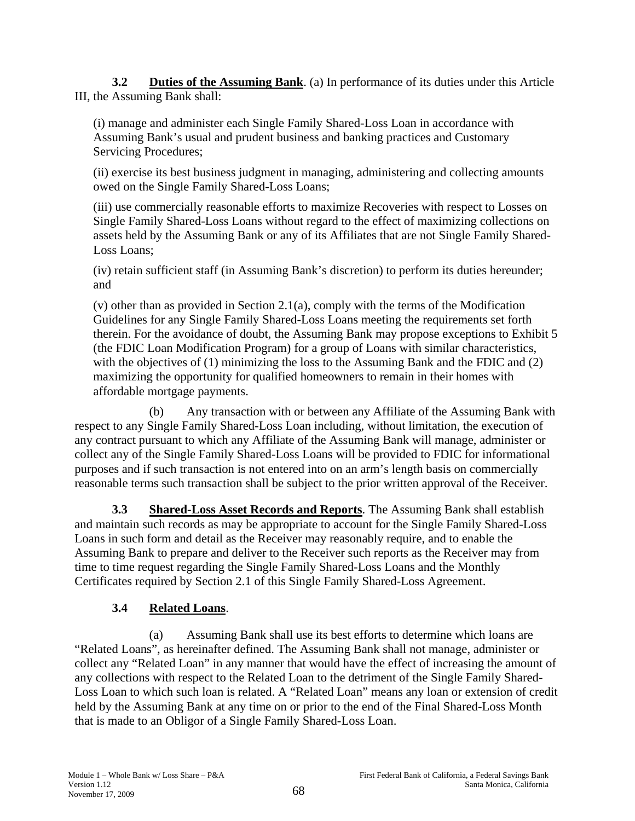**3.2 Duties of the Assuming Bank**. (a) In performance of its duties under this Article III, the Assuming Bank shall:

(i) manage and administer each Single Family Shared-Loss Loan in accordance with Assuming Bank's usual and prudent business and banking practices and Customary Servicing Procedures;

(ii) exercise its best business judgment in managing, administering and collecting amounts owed on the Single Family Shared-Loss Loans;

(iii) use commercially reasonable efforts to maximize Recoveries with respect to Losses on Single Family Shared-Loss Loans without regard to the effect of maximizing collections on assets held by the Assuming Bank or any of its Affiliates that are not Single Family Shared-Loss Loans;

(iv) retain sufficient staff (in Assuming Bank's discretion) to perform its duties hereunder; and

(v) other than as provided in Section 2.1(a), comply with the terms of the Modification Guidelines for any Single Family Shared-Loss Loans meeting the requirements set forth therein. For the avoidance of doubt, the Assuming Bank may propose exceptions to Exhibit 5 (the FDIC Loan Modification Program) for a group of Loans with similar characteristics, with the objectives of (1) minimizing the loss to the Assuming Bank and the FDIC and (2) maximizing the opportunity for qualified homeowners to remain in their homes with affordable mortgage payments.

(b) Any transaction with or between any Affiliate of the Assuming Bank with respect to any Single Family Shared-Loss Loan including, without limitation, the execution of any contract pursuant to which any Affiliate of the Assuming Bank will manage, administer or collect any of the Single Family Shared-Loss Loans will be provided to FDIC for informational purposes and if such transaction is not entered into on an arm's length basis on commercially reasonable terms such transaction shall be subject to the prior written approval of the Receiver.

**3.3 Shared-Loss Asset Records and Reports**. The Assuming Bank shall establish and maintain such records as may be appropriate to account for the Single Family Shared-Loss Loans in such form and detail as the Receiver may reasonably require, and to enable the Assuming Bank to prepare and deliver to the Receiver such reports as the Receiver may from time to time request regarding the Single Family Shared-Loss Loans and the Monthly Certificates required by Section 2.1 of this Single Family Shared-Loss Agreement.

# **3.4 Related Loans**.

(a) Assuming Bank shall use its best efforts to determine which loans are "Related Loans", as hereinafter defined. The Assuming Bank shall not manage, administer or collect any "Related Loan" in any manner that would have the effect of increasing the amount of any collections with respect to the Related Loan to the detriment of the Single Family Shared-Loss Loan to which such loan is related. A "Related Loan" means any loan or extension of credit held by the Assuming Bank at any time on or prior to the end of the Final Shared-Loss Month that is made to an Obligor of a Single Family Shared-Loss Loan.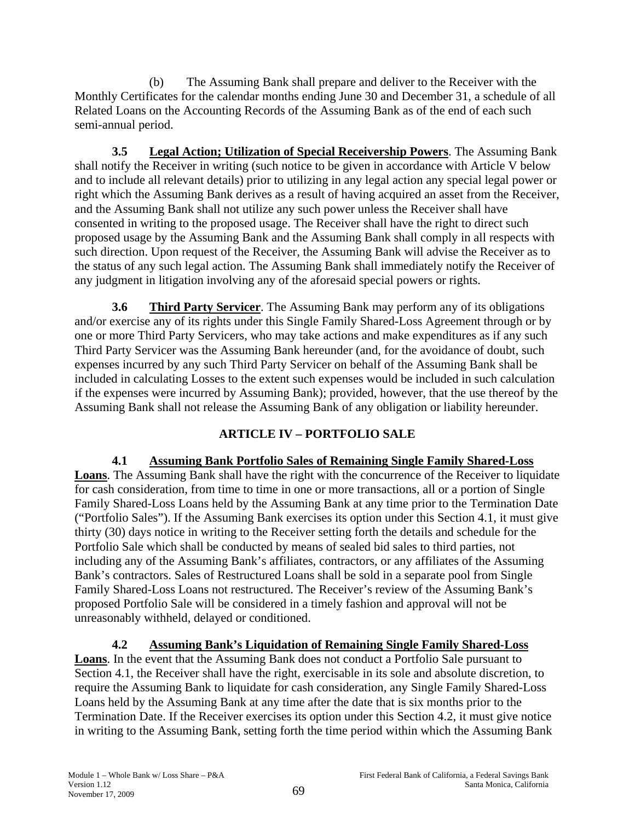(b) The Assuming Bank shall prepare and deliver to the Receiver with the Monthly Certificates for the calendar months ending June 30 and December 31, a schedule of all Related Loans on the Accounting Records of the Assuming Bank as of the end of each such semi-annual period.

**3.5 Legal Action; Utilization of Special Receivership Powers**. The Assuming Bank shall notify the Receiver in writing (such notice to be given in accordance with Article V below and to include all relevant details) prior to utilizing in any legal action any special legal power or right which the Assuming Bank derives as a result of having acquired an asset from the Receiver, and the Assuming Bank shall not utilize any such power unless the Receiver shall have consented in writing to the proposed usage. The Receiver shall have the right to direct such proposed usage by the Assuming Bank and the Assuming Bank shall comply in all respects with such direction. Upon request of the Receiver, the Assuming Bank will advise the Receiver as to the status of any such legal action. The Assuming Bank shall immediately notify the Receiver of any judgment in litigation involving any of the aforesaid special powers or rights.

**3.6 Third Party Servicer**. The Assuming Bank may perform any of its obligations and/or exercise any of its rights under this Single Family Shared-Loss Agreement through or by one or more Third Party Servicers, who may take actions and make expenditures as if any such Third Party Servicer was the Assuming Bank hereunder (and, for the avoidance of doubt, such expenses incurred by any such Third Party Servicer on behalf of the Assuming Bank shall be included in calculating Losses to the extent such expenses would be included in such calculation if the expenses were incurred by Assuming Bank); provided, however, that the use thereof by the Assuming Bank shall not release the Assuming Bank of any obligation or liability hereunder.

# **ARTICLE IV – PORTFOLIO SALE**

**4.1 Assuming Bank Portfolio Sales of Remaining Single Family Shared-Loss Loans**. The Assuming Bank shall have the right with the concurrence of the Receiver to liquidate for cash consideration, from time to time in one or more transactions, all or a portion of Single Family Shared-Loss Loans held by the Assuming Bank at any time prior to the Termination Date ("Portfolio Sales"). If the Assuming Bank exercises its option under this Section 4.1, it must give thirty (30) days notice in writing to the Receiver setting forth the details and schedule for the Portfolio Sale which shall be conducted by means of sealed bid sales to third parties, not including any of the Assuming Bank's affiliates, contractors, or any affiliates of the Assuming Bank's contractors. Sales of Restructured Loans shall be sold in a separate pool from Single Family Shared-Loss Loans not restructured. The Receiver's review of the Assuming Bank's proposed Portfolio Sale will be considered in a timely fashion and approval will not be unreasonably withheld, delayed or conditioned.

# **4.2 Assuming Bank's Liquidation of Remaining Single Family Shared-Loss**

**Loans**. In the event that the Assuming Bank does not conduct a Portfolio Sale pursuant to Section 4.1, the Receiver shall have the right, exercisable in its sole and absolute discretion, to require the Assuming Bank to liquidate for cash consideration, any Single Family Shared-Loss Loans held by the Assuming Bank at any time after the date that is six months prior to the Termination Date. If the Receiver exercises its option under this Section 4.2, it must give notice in writing to the Assuming Bank, setting forth the time period within which the Assuming Bank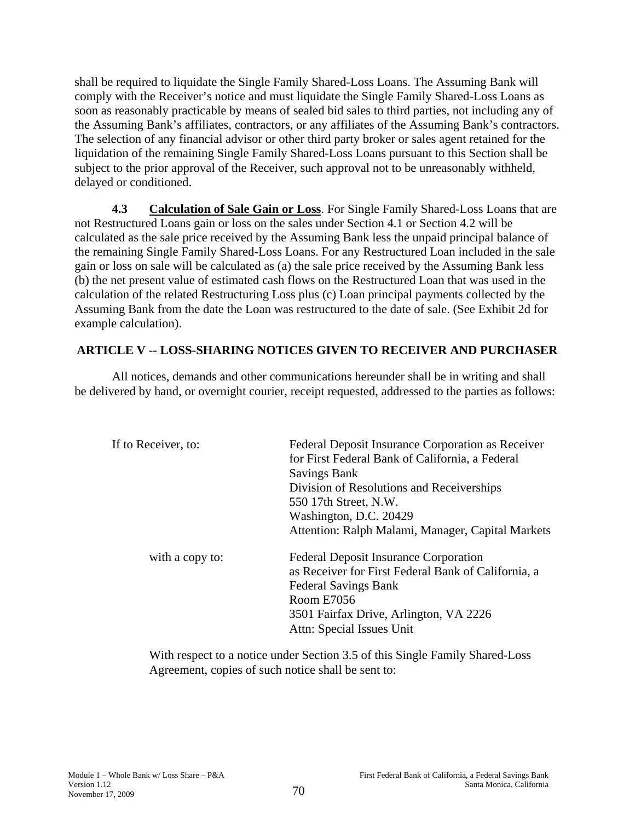shall be required to liquidate the Single Family Shared-Loss Loans. The Assuming Bank will comply with the Receiver's notice and must liquidate the Single Family Shared-Loss Loans as soon as reasonably practicable by means of sealed bid sales to third parties, not including any of the Assuming Bank's affiliates, contractors, or any affiliates of the Assuming Bank's contractors. The selection of any financial advisor or other third party broker or sales agent retained for the liquidation of the remaining Single Family Shared-Loss Loans pursuant to this Section shall be subject to the prior approval of the Receiver, such approval not to be unreasonably withheld, delayed or conditioned.

**4.3 Calculation of Sale Gain or Loss**. For Single Family Shared-Loss Loans that are not Restructured Loans gain or loss on the sales under Section 4.1 or Section 4.2 will be calculated as the sale price received by the Assuming Bank less the unpaid principal balance of the remaining Single Family Shared-Loss Loans. For any Restructured Loan included in the sale gain or loss on sale will be calculated as (a) the sale price received by the Assuming Bank less (b) the net present value of estimated cash flows on the Restructured Loan that was used in the calculation of the related Restructuring Loss plus (c) Loan principal payments collected by the Assuming Bank from the date the Loan was restructured to the date of sale. (See Exhibit 2d for example calculation).

## **ARTICLE V -- LOSS-SHARING NOTICES GIVEN TO RECEIVER AND PURCHASER**

All notices, demands and other communications hereunder shall be in writing and shall be delivered by hand, or overnight courier, receipt requested, addressed to the parties as follows:

| If to Receiver, to: | Federal Deposit Insurance Corporation as Receiver<br>for First Federal Bank of California, a Federal<br><b>Savings Bank</b><br>Division of Resolutions and Receiverships |
|---------------------|--------------------------------------------------------------------------------------------------------------------------------------------------------------------------|
|                     | 550 17th Street, N.W.                                                                                                                                                    |
|                     | Washington, D.C. 20429                                                                                                                                                   |
|                     | Attention: Ralph Malami, Manager, Capital Markets                                                                                                                        |
| with a copy to:     | <b>Federal Deposit Insurance Corporation</b>                                                                                                                             |
|                     | as Receiver for First Federal Bank of California, a                                                                                                                      |
|                     | <b>Federal Savings Bank</b>                                                                                                                                              |
|                     | Room E7056                                                                                                                                                               |
|                     | 3501 Fairfax Drive, Arlington, VA 2226                                                                                                                                   |
|                     | Attn: Special Issues Unit                                                                                                                                                |

With respect to a notice under Section 3.5 of this Single Family Shared-Loss Agreement, copies of such notice shall be sent to: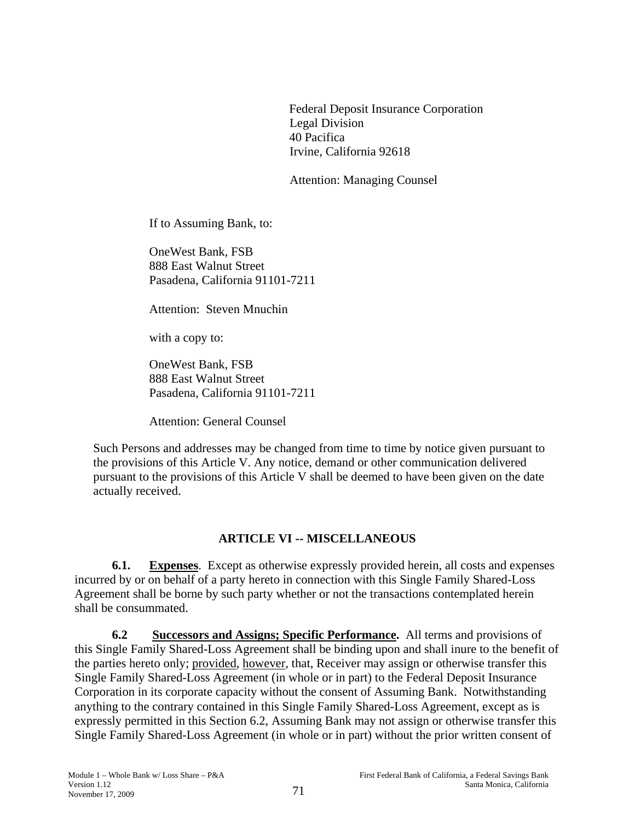Federal Deposit Insurance Corporation Legal Division 40 Pacifica Irvine, California 92618

Attention: Managing Counsel

If to Assuming Bank, to:

 OneWest Bank, FSB 888 East Walnut Street Pasadena, California 91101-7211

Attention: Steven Mnuchin

with a copy to:

 OneWest Bank, FSB 888 East Walnut Street Pasadena, California 91101-7211

Attention: General Counsel

Such Persons and addresses may be changed from time to time by notice given pursuant to the provisions of this Article V. Any notice, demand or other communication delivered pursuant to the provisions of this Article V shall be deemed to have been given on the date actually received.

## **ARTICLE VI -- MISCELLANEOUS**

**6.1. Expenses**. Except as otherwise expressly provided herein, all costs and expenses incurred by or on behalf of a party hereto in connection with this Single Family Shared-Loss Agreement shall be borne by such party whether or not the transactions contemplated herein shall be consummated.

**6.2 Successors and Assigns; Specific Performance.** All terms and provisions of this Single Family Shared-Loss Agreement shall be binding upon and shall inure to the benefit of the parties hereto only; provided, however, that, Receiver may assign or otherwise transfer this Single Family Shared-Loss Agreement (in whole or in part) to the Federal Deposit Insurance Corporation in its corporate capacity without the consent of Assuming Bank. Notwithstanding anything to the contrary contained in this Single Family Shared-Loss Agreement, except as is expressly permitted in this Section 6.2, Assuming Bank may not assign or otherwise transfer this Single Family Shared-Loss Agreement (in whole or in part) without the prior written consent of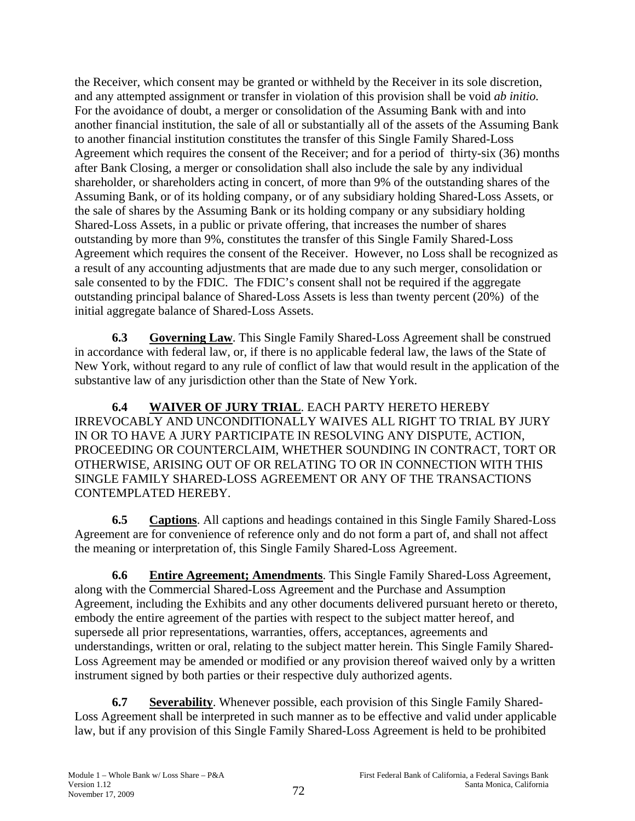the Receiver, which consent may be granted or withheld by the Receiver in its sole discretion, and any attempted assignment or transfer in violation of this provision shall be void *ab initio.*  For the avoidance of doubt, a merger or consolidation of the Assuming Bank with and into another financial institution, the sale of all or substantially all of the assets of the Assuming Bank to another financial institution constitutes the transfer of this Single Family Shared-Loss Agreement which requires the consent of the Receiver; and for a period of thirty-six (36) months after Bank Closing, a merger or consolidation shall also include the sale by any individual shareholder, or shareholders acting in concert, of more than 9% of the outstanding shares of the Assuming Bank, or of its holding company, or of any subsidiary holding Shared-Loss Assets, or the sale of shares by the Assuming Bank or its holding company or any subsidiary holding Shared-Loss Assets, in a public or private offering, that increases the number of shares outstanding by more than 9%, constitutes the transfer of this Single Family Shared-Loss Agreement which requires the consent of the Receiver. However, no Loss shall be recognized as a result of any accounting adjustments that are made due to any such merger, consolidation or sale consented to by the FDIC. The FDIC's consent shall not be required if the aggregate outstanding principal balance of Shared-Loss Assets is less than twenty percent (20%) of the initial aggregate balance of Shared-Loss Assets.

**6.3 Governing Law**. This Single Family Shared-Loss Agreement shall be construed in accordance with federal law, or, if there is no applicable federal law, the laws of the State of New York, without regard to any rule of conflict of law that would result in the application of the substantive law of any jurisdiction other than the State of New York.

**6.4 WAIVER OF JURY TRIAL**. EACH PARTY HERETO HEREBY IRREVOCABLY AND UNCONDITIONALLY WAIVES ALL RIGHT TO TRIAL BY JURY IN OR TO HAVE A JURY PARTICIPATE IN RESOLVING ANY DISPUTE, ACTION, PROCEEDING OR COUNTERCLAIM, WHETHER SOUNDING IN CONTRACT, TORT OR OTHERWISE, ARISING OUT OF OR RELATING TO OR IN CONNECTION WITH THIS SINGLE FAMILY SHARED-LOSS AGREEMENT OR ANY OF THE TRANSACTIONS CONTEMPLATED HEREBY.

**6.5 Captions**. All captions and headings contained in this Single Family Shared-Loss Agreement are for convenience of reference only and do not form a part of, and shall not affect the meaning or interpretation of, this Single Family Shared-Loss Agreement.

**6.6 Entire Agreement; Amendments**. This Single Family Shared-Loss Agreement, along with the Commercial Shared-Loss Agreement and the Purchase and Assumption Agreement, including the Exhibits and any other documents delivered pursuant hereto or thereto, embody the entire agreement of the parties with respect to the subject matter hereof, and supersede all prior representations, warranties, offers, acceptances, agreements and understandings, written or oral, relating to the subject matter herein. This Single Family Shared-Loss Agreement may be amended or modified or any provision thereof waived only by a written instrument signed by both parties or their respective duly authorized agents.

**6.7 Severability**. Whenever possible, each provision of this Single Family Shared-Loss Agreement shall be interpreted in such manner as to be effective and valid under applicable law, but if any provision of this Single Family Shared-Loss Agreement is held to be prohibited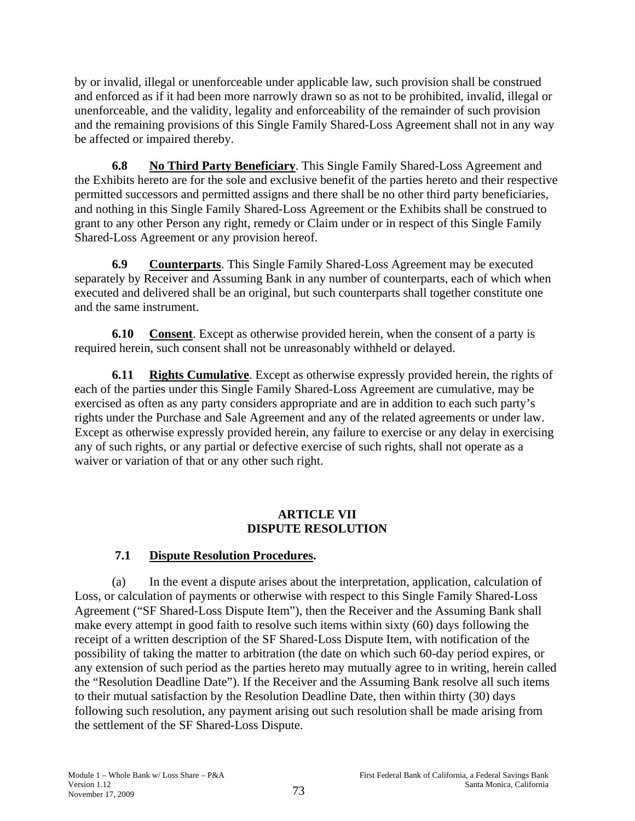by or invalid, illegal or unenforceable under applicable law, such provision shall be construed and enforced as if it had been more narrowly drawn so as not to be prohibited, invalid, illegal or unenforceable, and the validity, legality and enforceability of the remainder of such provision and the remaining provisions of this Single Family Shared-Loss Agreement shall not in any way be affected or impaired thereby.

**6.8 No Third Party Beneficiary**. This Single Family Shared-Loss Agreement and the Exhibits hereto are for the sole and exclusive benefit of the parties hereto and their respective permitted successors and permitted assigns and there shall be no other third party beneficiaries, and nothing in this Single Family Shared-Loss Agreement or the Exhibits shall be construed to grant to any other Person any right, remedy or Claim under or in respect of this Single Family Shared-Loss Agreement or any provision hereof.

**6.9 Counterparts**. This Single Family Shared-Loss Agreement may be executed separately by Receiver and Assuming Bank in any number of counterparts, each of which when executed and delivered shall be an original, but such counterparts shall together constitute one and the same instrument.

**6.10** Consent. Except as otherwise provided herein, when the consent of a party is required herein, such consent shall not be unreasonably withheld or delayed.

**6.11 Rights Cumulative**. Except as otherwise expressly provided herein, the rights of each of the parties under this Single Family Shared-Loss Agreement are cumulative, may be exercised as often as any party considers appropriate and are in addition to each such party's rights under the Purchase and Sale Agreement and any of the related agreements or under law. Except as otherwise expressly provided herein, any failure to exercise or any delay in exercising any of such rights, or any partial or defective exercise of such rights, shall not operate as a waiver or variation of that or any other such right.

## **ARTICLE VII DISPUTE RESOLUTION**

# **7.1 Dispute Resolution Procedures.**

(a) In the event a dispute arises about the interpretation, application, calculation of Loss, or calculation of payments or otherwise with respect to this Single Family Shared-Loss Agreement ("SF Shared-Loss Dispute Item"), then the Receiver and the Assuming Bank shall make every attempt in good faith to resolve such items within sixty (60) days following the receipt of a written description of the SF Shared-Loss Dispute Item, with notification of the possibility of taking the matter to arbitration (the date on which such 60-day period expires, or any extension of such period as the parties hereto may mutually agree to in writing, herein called the "Resolution Deadline Date"). If the Receiver and the Assuming Bank resolve all such items to their mutual satisfaction by the Resolution Deadline Date, then within thirty (30) days following such resolution, any payment arising out such resolution shall be made arising from the settlement of the SF Shared-Loss Dispute.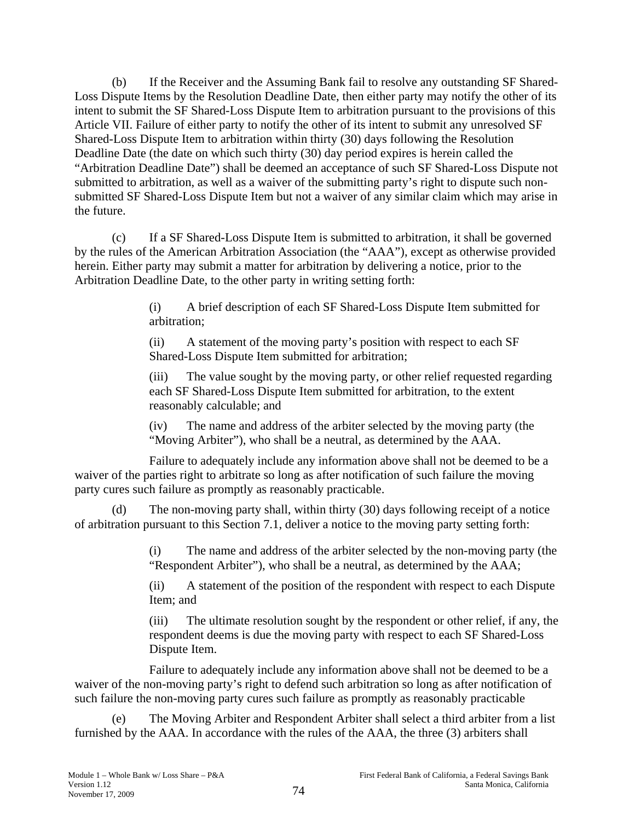(b) If the Receiver and the Assuming Bank fail to resolve any outstanding SF Shared-Loss Dispute Items by the Resolution Deadline Date, then either party may notify the other of its intent to submit the SF Shared-Loss Dispute Item to arbitration pursuant to the provisions of this Article VII. Failure of either party to notify the other of its intent to submit any unresolved SF Shared-Loss Dispute Item to arbitration within thirty (30) days following the Resolution Deadline Date (the date on which such thirty (30) day period expires is herein called the "Arbitration Deadline Date") shall be deemed an acceptance of such SF Shared-Loss Dispute not submitted to arbitration, as well as a waiver of the submitting party's right to dispute such nonsubmitted SF Shared-Loss Dispute Item but not a waiver of any similar claim which may arise in the future.

(c) If a SF Shared-Loss Dispute Item is submitted to arbitration, it shall be governed by the rules of the American Arbitration Association (the "AAA"), except as otherwise provided herein. Either party may submit a matter for arbitration by delivering a notice, prior to the Arbitration Deadline Date, to the other party in writing setting forth:

> (i) A brief description of each SF Shared-Loss Dispute Item submitted for arbitration;

(ii) A statement of the moving party's position with respect to each SF Shared-Loss Dispute Item submitted for arbitration;

(iii) The value sought by the moving party, or other relief requested regarding each SF Shared-Loss Dispute Item submitted for arbitration, to the extent reasonably calculable; and

(iv) The name and address of the arbiter selected by the moving party (the "Moving Arbiter"), who shall be a neutral, as determined by the AAA.

Failure to adequately include any information above shall not be deemed to be a waiver of the parties right to arbitrate so long as after notification of such failure the moving party cures such failure as promptly as reasonably practicable.

(d) The non-moving party shall, within thirty (30) days following receipt of a notice of arbitration pursuant to this Section 7.1, deliver a notice to the moving party setting forth:

> (i) The name and address of the arbiter selected by the non-moving party (the "Respondent Arbiter"), who shall be a neutral, as determined by the AAA;

> (ii) A statement of the position of the respondent with respect to each Dispute Item; and

> (iii) The ultimate resolution sought by the respondent or other relief, if any, the respondent deems is due the moving party with respect to each SF Shared-Loss Dispute Item.

Failure to adequately include any information above shall not be deemed to be a waiver of the non-moving party's right to defend such arbitration so long as after notification of such failure the non-moving party cures such failure as promptly as reasonably practicable

The Moving Arbiter and Respondent Arbiter shall select a third arbiter from a list furnished by the AAA. In accordance with the rules of the AAA, the three (3) arbiters shall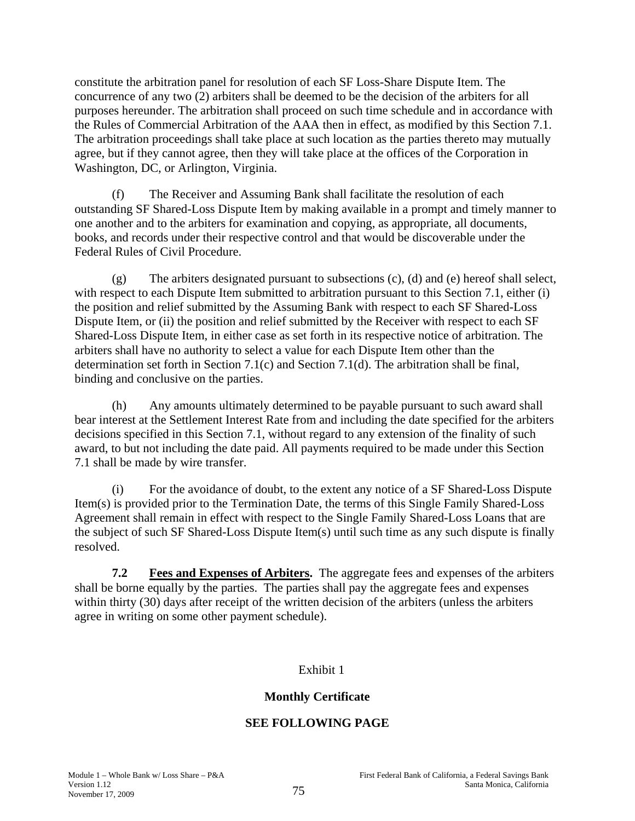constitute the arbitration panel for resolution of each SF Loss-Share Dispute Item. The concurrence of any two (2) arbiters shall be deemed to be the decision of the arbiters for all purposes hereunder. The arbitration shall proceed on such time schedule and in accordance with the Rules of Commercial Arbitration of the AAA then in effect, as modified by this Section 7.1. The arbitration proceedings shall take place at such location as the parties thereto may mutually agree, but if they cannot agree, then they will take place at the offices of the Corporation in Washington, DC, or Arlington, Virginia.

(f) The Receiver and Assuming Bank shall facilitate the resolution of each outstanding SF Shared-Loss Dispute Item by making available in a prompt and timely manner to one another and to the arbiters for examination and copying, as appropriate, all documents, books, and records under their respective control and that would be discoverable under the Federal Rules of Civil Procedure.

(g) The arbiters designated pursuant to subsections (c), (d) and (e) hereof shall select, with respect to each Dispute Item submitted to arbitration pursuant to this Section 7.1, either (i) the position and relief submitted by the Assuming Bank with respect to each SF Shared-Loss Dispute Item, or (ii) the position and relief submitted by the Receiver with respect to each SF Shared-Loss Dispute Item, in either case as set forth in its respective notice of arbitration. The arbiters shall have no authority to select a value for each Dispute Item other than the determination set forth in Section 7.1(c) and Section 7.1(d). The arbitration shall be final, binding and conclusive on the parties.

(h) Any amounts ultimately determined to be payable pursuant to such award shall bear interest at the Settlement Interest Rate from and including the date specified for the arbiters decisions specified in this Section 7.1, without regard to any extension of the finality of such award, to but not including the date paid. All payments required to be made under this Section 7.1 shall be made by wire transfer.

(i) For the avoidance of doubt, to the extent any notice of a SF Shared-Loss Dispute Item(s) is provided prior to the Termination Date, the terms of this Single Family Shared-Loss Agreement shall remain in effect with respect to the Single Family Shared-Loss Loans that are the subject of such SF Shared-Loss Dispute Item(s) until such time as any such dispute is finally resolved.

**7.2** Frees and Expenses of Arbiters. The aggregate fees and expenses of the arbiters shall be borne equally by the parties. The parties shall pay the aggregate fees and expenses within thirty (30) days after receipt of the written decision of the arbiters (unless the arbiters agree in writing on some other payment schedule).

## Exhibit 1

## **Monthly Certificate**

## **SEE FOLLOWING PAGE**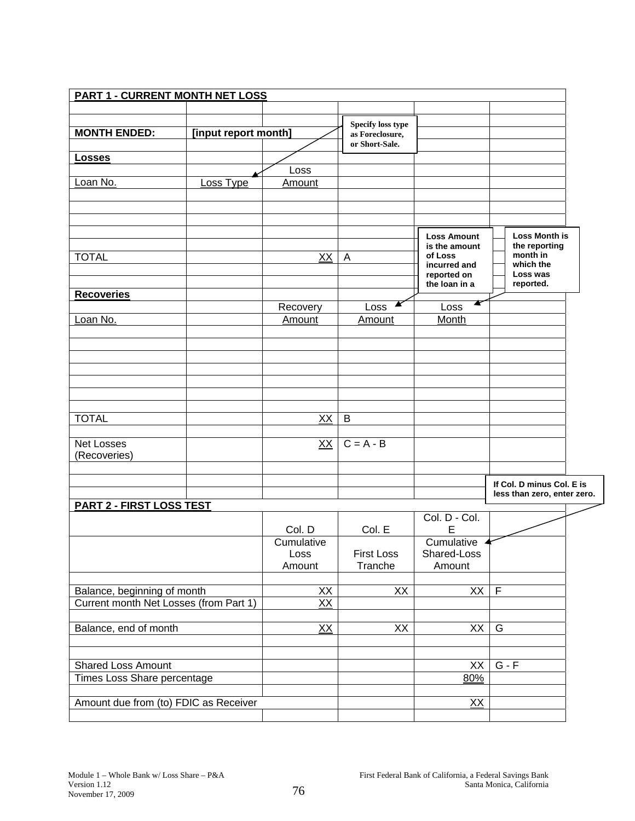| <b>PART 1 - CURRENT MONTH NET LOSS</b> |                      |            |                                   |                          |                             |
|----------------------------------------|----------------------|------------|-----------------------------------|--------------------------|-----------------------------|
|                                        |                      |            |                                   |                          |                             |
|                                        |                      |            | <b>Specify loss type</b>          |                          |                             |
| <b>MONTH ENDED:</b>                    | [input report month] |            | as Foreclosure,<br>or Short-Sale. |                          |                             |
| <b>Losses</b>                          |                      |            |                                   |                          |                             |
|                                        |                      | Loss       |                                   |                          |                             |
| Loan No.                               | Loss Type            | Amount     |                                   |                          |                             |
|                                        |                      |            |                                   |                          |                             |
|                                        |                      |            |                                   |                          |                             |
|                                        |                      |            |                                   |                          |                             |
|                                        |                      |            |                                   | <b>Loss Amount</b>       | <b>Loss Month is</b>        |
|                                        |                      |            |                                   | is the amount<br>of Loss | the reporting<br>month in   |
| <b>TOTAL</b>                           |                      | XX         | A                                 | incurred and             | which the                   |
|                                        |                      |            |                                   | reported on              | Loss was                    |
| <b>Recoveries</b>                      |                      |            |                                   | the loan in a            | reported.                   |
|                                        |                      | Recovery   | $Loss \nightharpoonup$            | ×<br>Loss                |                             |
| Loan No.                               |                      | Amount     | Amount                            | Month                    |                             |
|                                        |                      |            |                                   |                          |                             |
|                                        |                      |            |                                   |                          |                             |
|                                        |                      |            |                                   |                          |                             |
|                                        |                      |            |                                   |                          |                             |
|                                        |                      |            |                                   |                          |                             |
|                                        |                      |            |                                   |                          |                             |
|                                        |                      |            |                                   |                          |                             |
| <b>TOTAL</b>                           |                      | XX         | $\mathsf B$                       |                          |                             |
| <b>Net Losses</b>                      |                      | XX         | $C = A - B$                       |                          |                             |
| (Recoveries)                           |                      |            |                                   |                          |                             |
|                                        |                      |            |                                   |                          |                             |
|                                        |                      |            |                                   |                          | If Col. D minus Col. E is   |
|                                        |                      |            |                                   |                          | less than zero, enter zero. |
| <b>PART 2 - FIRST LOSS TEST</b>        |                      |            |                                   |                          |                             |
|                                        |                      |            |                                   | Col. D - Col.            |                             |
|                                        |                      | Col. D     | Col. E                            | Е                        |                             |
|                                        |                      | Cumulative |                                   | Cumulative               |                             |
|                                        |                      | Loss       | <b>First Loss</b>                 | Shared-Loss              |                             |
|                                        |                      | Amount     | Tranche                           | Amount                   |                             |
| Balance, beginning of month            |                      | XX         | XX                                | XX                       | $\mathsf F$                 |
| Current month Net Losses (from Part 1) |                      | XX         |                                   |                          |                             |
|                                        |                      |            |                                   |                          |                             |
| Balance, end of month                  |                      | XX         | XX                                | XX                       | G                           |
|                                        |                      |            |                                   |                          |                             |
|                                        |                      |            |                                   |                          |                             |
| Shared Loss Amount                     |                      |            |                                   | XX                       | $G - F$                     |
| Times Loss Share percentage            |                      |            |                                   | 80%                      |                             |
|                                        |                      |            |                                   |                          |                             |
| Amount due from (to) FDIC as Receiver  |                      |            |                                   | XX                       |                             |
|                                        |                      |            |                                   |                          |                             |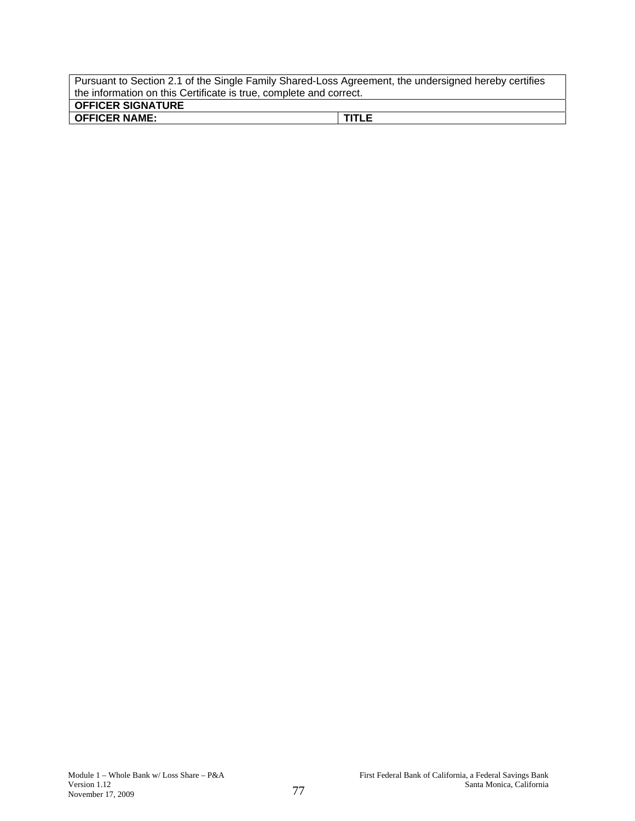| Pursuant to Section 2.1 of the Single Family Shared-Loss Agreement, the undersigned hereby certifies |  |  |  |  |
|------------------------------------------------------------------------------------------------------|--|--|--|--|
| the information on this Certificate is true, complete and correct.                                   |  |  |  |  |
| <b>OFFICER SIGNATURE</b>                                                                             |  |  |  |  |
| <b>TITLE</b><br><b>OFFICER NAME:</b>                                                                 |  |  |  |  |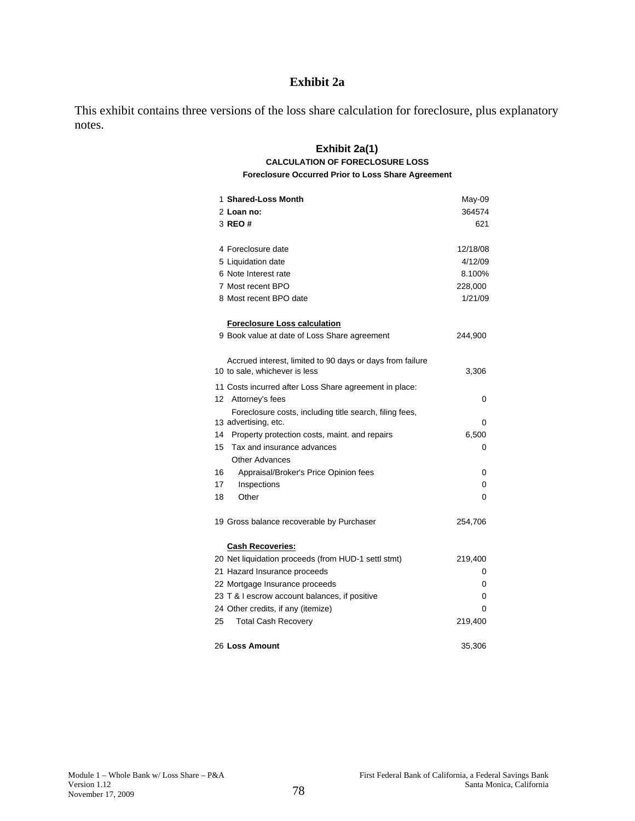### **Exhibit 2a**

This exhibit contains three versions of the loss share calculation for foreclosure, plus explanatory notes.

#### **Exhibit 2a(1) CALCULATION OF FORECLOSURE LOSS Foreclosure Occurred Prior to Loss Share Agreement**

|    | 1 Shared-Loss Month                                                                        | May-09   |
|----|--------------------------------------------------------------------------------------------|----------|
|    | 2 Loan no:                                                                                 | 364574   |
|    | 3 REO #                                                                                    | 621      |
|    |                                                                                            |          |
|    | 4 Foreclosure date                                                                         | 12/18/08 |
|    | 5 Liquidation date                                                                         | 4/12/09  |
|    | 6 Note Interest rate                                                                       | 8.100%   |
|    | 7 Most recent BPO                                                                          | 228,000  |
|    | 8 Most recent BPO date                                                                     | 1/21/09  |
|    | <b>Foreclosure Loss calculation</b>                                                        |          |
|    | 9 Book value at date of Loss Share agreement                                               | 244,900  |
|    |                                                                                            |          |
|    | Accrued interest, limited to 90 days or days from failure<br>10 to sale, whichever is less |          |
|    |                                                                                            | 3,306    |
|    | 11 Costs incurred after Loss Share agreement in place:                                     |          |
| 12 | Attorney's fees                                                                            | 0        |
|    | Foreclosure costs, including title search, filing fees,                                    |          |
|    | 13 advertising, etc.                                                                       | 0        |
| 14 | Property protection costs, maint. and repairs                                              | 6,500    |
| 15 | Tax and insurance advances                                                                 | 0        |
|    | <b>Other Advances</b>                                                                      |          |
| 16 | Appraisal/Broker's Price Opinion fees                                                      | 0        |
| 17 | Inspections                                                                                | 0        |
| 18 | Other                                                                                      | 0        |
|    | 19 Gross balance recoverable by Purchaser                                                  | 254,706  |
|    | <b>Cash Recoveries:</b>                                                                    |          |
|    | 20 Net liquidation proceeds (from HUD-1 settl stmt)                                        | 219,400  |
|    | 21 Hazard Insurance proceeds                                                               | 0        |
|    | 22 Mortgage Insurance proceeds                                                             | 0        |
|    | 23 T & I escrow account balances, if positive                                              | 0        |
|    | 24 Other credits, if any (itemize)                                                         | 0        |
| 25 | <b>Total Cash Recovery</b>                                                                 | 219,400  |
|    |                                                                                            |          |
|    | 26 Loss Amount                                                                             | 35,306   |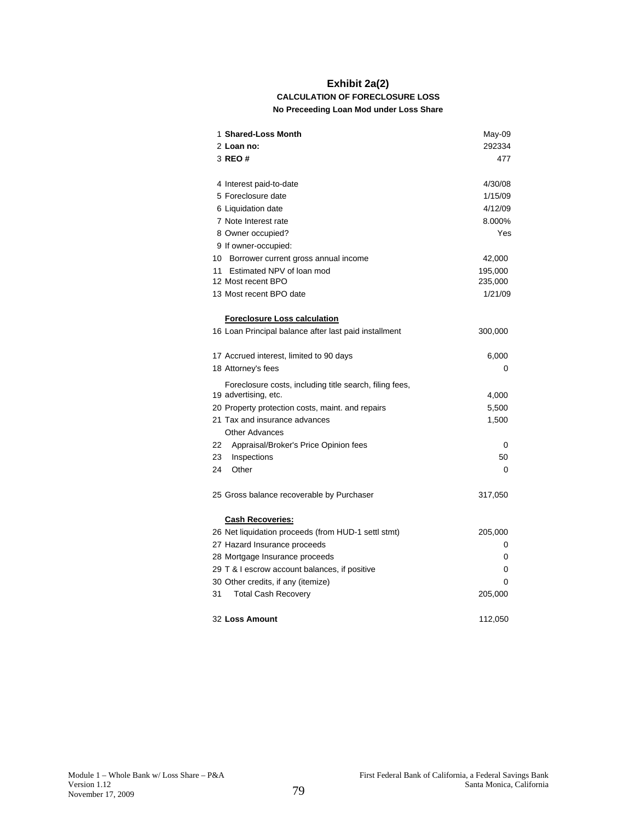#### **Exhibit 2a(2)**

#### **CALCULATION OF FORECLOSURE LOSS**

#### **No Preceeding Loan Mod under Loss Share**

| 1 Shared-Loss Month                                                             | May-09         |
|---------------------------------------------------------------------------------|----------------|
| 2 Loan no:                                                                      | 292334         |
| 3 REO #                                                                         | 477            |
| 4 Interest paid-to-date                                                         | 4/30/08        |
| 5 Foreclosure date                                                              | 1/15/09        |
| 6 Liquidation date                                                              | 4/12/09        |
| 7 Note Interest rate                                                            | 8.000%         |
| 8 Owner occupied?                                                               | Yes            |
| 9 If owner-occupied:                                                            |                |
| 10<br>Borrower current gross annual income                                      | 42,000         |
| Estimated NPV of loan mod<br>11                                                 | 195,000        |
| 12 Most recent BPO                                                              | 235,000        |
| 13 Most recent BPO date                                                         | 1/21/09        |
| <b>Foreclosure Loss calculation</b>                                             |                |
| 16 Loan Principal balance after last paid installment                           | 300,000        |
| 17 Accrued interest, limited to 90 days                                         | 6,000          |
| 18 Attorney's fees                                                              | 0              |
| Foreclosure costs, including title search, filing fees,<br>19 advertising, etc. |                |
| 20 Property protection costs, maint. and repairs                                | 4,000<br>5,500 |
| 21 Tax and insurance advances                                                   | 1,500          |
| <b>Other Advances</b>                                                           |                |
| 22<br>Appraisal/Broker's Price Opinion fees                                     | 0              |
| 23<br>Inspections                                                               | 50             |
| 24<br>Other                                                                     | 0              |
| 25 Gross balance recoverable by Purchaser                                       | 317,050        |
| <b>Cash Recoveries:</b>                                                         |                |
| 26 Net liquidation proceeds (from HUD-1 settl stmt)                             | 205,000        |
| 27 Hazard Insurance proceeds                                                    | 0              |
| 28 Mortgage Insurance proceeds                                                  | 0              |
| 29 T & I escrow account balances, if positive                                   | 0              |
| 30 Other credits, if any (itemize)                                              | 0              |
| 31<br><b>Total Cash Recovery</b>                                                | 205,000        |
| 32 Loss Amount                                                                  | 112,050        |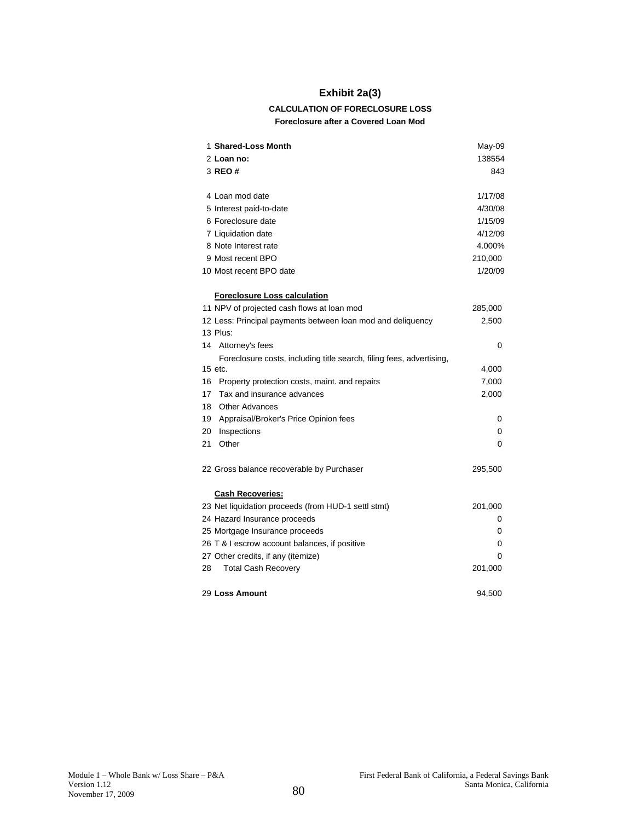## **Exhibit 2a(3)**

#### **CALCULATION OF FORECLOSURE LOSS Foreclosure after a Covered Loan Mod**

| 1 Shared-Loss Month                                                  | May-09  |
|----------------------------------------------------------------------|---------|
| 2 Loan no:                                                           | 138554  |
| 3 REO #                                                              | 843     |
|                                                                      |         |
| 4 Loan mod date                                                      | 1/17/08 |
| 5 Interest paid-to-date                                              | 4/30/08 |
| 6 Foreclosure date                                                   | 1/15/09 |
| 7 Liquidation date                                                   | 4/12/09 |
| 8 Note Interest rate                                                 | 4.000%  |
| 9 Most recent BPO                                                    | 210,000 |
| 10 Most recent BPO date                                              | 1/20/09 |
|                                                                      |         |
| <b>Foreclosure Loss calculation</b>                                  |         |
| 11 NPV of projected cash flows at loan mod                           | 285,000 |
| 12 Less: Principal payments between loan mod and deliquency          | 2,500   |
| 13 Plus:                                                             |         |
| 14<br>Attorney's fees                                                | 0       |
| Foreclosure costs, including title search, filing fees, advertising, |         |
| 15 etc.                                                              | 4,000   |
| 16<br>Property protection costs, maint. and repairs                  | 7,000   |
| Tax and insurance advances<br>17                                     | 2,000   |
| 18<br><b>Other Advances</b>                                          |         |
| 19 Appraisal/Broker's Price Opinion fees                             | 0       |
| 20<br>Inspections                                                    | 0       |
| 21<br>Other                                                          | 0       |
|                                                                      |         |
| 22 Gross balance recoverable by Purchaser                            | 295,500 |
|                                                                      |         |
| <b>Cash Recoveries:</b>                                              |         |
| 23 Net liquidation proceeds (from HUD-1 settl stmt)                  | 201,000 |
| 24 Hazard Insurance proceeds                                         | 0       |
| 25 Mortgage Insurance proceeds                                       | 0       |
| 26 T & I escrow account balances, if positive                        | 0       |
| 27 Other credits, if any (itemize)                                   | 0       |
| 28<br><b>Total Cash Recovery</b>                                     | 201,000 |
|                                                                      |         |
| 29 Loss Amount                                                       | 94,500  |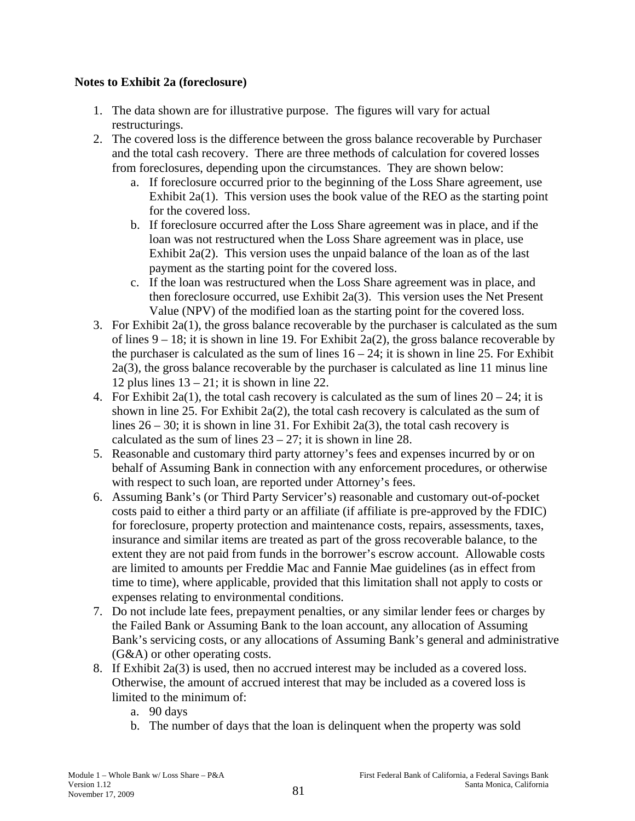## **Notes to Exhibit 2a (foreclosure)**

- 1. The data shown are for illustrative purpose. The figures will vary for actual restructurings.
- 2. The covered loss is the difference between the gross balance recoverable by Purchaser and the total cash recovery. There are three methods of calculation for covered losses from foreclosures, depending upon the circumstances. They are shown below:
	- a. If foreclosure occurred prior to the beginning of the Loss Share agreement, use Exhibit 2a(1). This version uses the book value of the REO as the starting point for the covered loss.
	- b. If foreclosure occurred after the Loss Share agreement was in place, and if the loan was not restructured when the Loss Share agreement was in place, use Exhibit 2a(2). This version uses the unpaid balance of the loan as of the last payment as the starting point for the covered loss.
	- c. If the loan was restructured when the Loss Share agreement was in place, and then foreclosure occurred, use Exhibit 2a(3). This version uses the Net Present Value (NPV) of the modified loan as the starting point for the covered loss.
- 3. For Exhibit  $2a(1)$ , the gross balance recoverable by the purchaser is calculated as the sum of lines  $9 - 18$ ; it is shown in line 19. For Exhibit 2a(2), the gross balance recoverable by the purchaser is calculated as the sum of lines  $16 - 24$ ; it is shown in line 25. For Exhibit 2a(3), the gross balance recoverable by the purchaser is calculated as line 11 minus line 12 plus lines  $13 - 21$ ; it is shown in line 22.
- 4. For Exhibit 2a(1), the total cash recovery is calculated as the sum of lines  $20 24$ ; it is shown in line 25. For Exhibit 2a(2), the total cash recovery is calculated as the sum of lines  $26 - 30$ ; it is shown in line 31. For Exhibit 2a(3), the total cash recovery is calculated as the sum of lines  $23 - 27$ ; it is shown in line 28.
- 5. Reasonable and customary third party attorney's fees and expenses incurred by or on behalf of Assuming Bank in connection with any enforcement procedures, or otherwise with respect to such loan, are reported under Attorney's fees.
- 6. Assuming Bank's (or Third Party Servicer's) reasonable and customary out-of-pocket costs paid to either a third party or an affiliate (if affiliate is pre-approved by the FDIC) for foreclosure, property protection and maintenance costs, repairs, assessments, taxes, insurance and similar items are treated as part of the gross recoverable balance, to the extent they are not paid from funds in the borrower's escrow account. Allowable costs are limited to amounts per Freddie Mac and Fannie Mae guidelines (as in effect from time to time), where applicable, provided that this limitation shall not apply to costs or expenses relating to environmental conditions.
- 7. Do not include late fees, prepayment penalties, or any similar lender fees or charges by the Failed Bank or Assuming Bank to the loan account, any allocation of Assuming Bank's servicing costs, or any allocations of Assuming Bank's general and administrative (G&A) or other operating costs.
- 8. If Exhibit  $2a(3)$  is used, then no accrued interest may be included as a covered loss. Otherwise, the amount of accrued interest that may be included as a covered loss is limited to the minimum of:
	- a. 90 days
	- b. The number of days that the loan is delinquent when the property was sold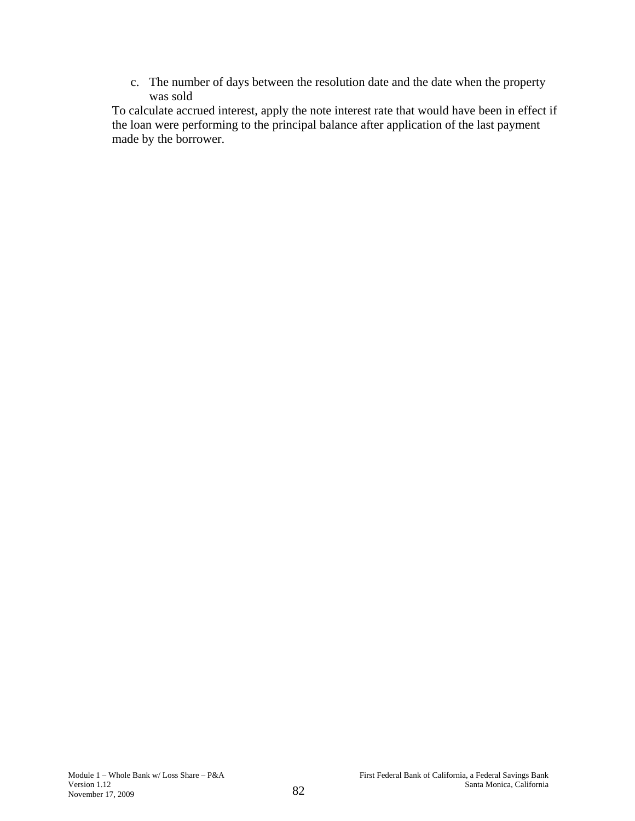c. The number of days between the resolution date and the date when the property was sold

To calculate accrued interest, apply the note interest rate that would have been in effect if the loan were performing to the principal balance after application of the last payment made by the borrower.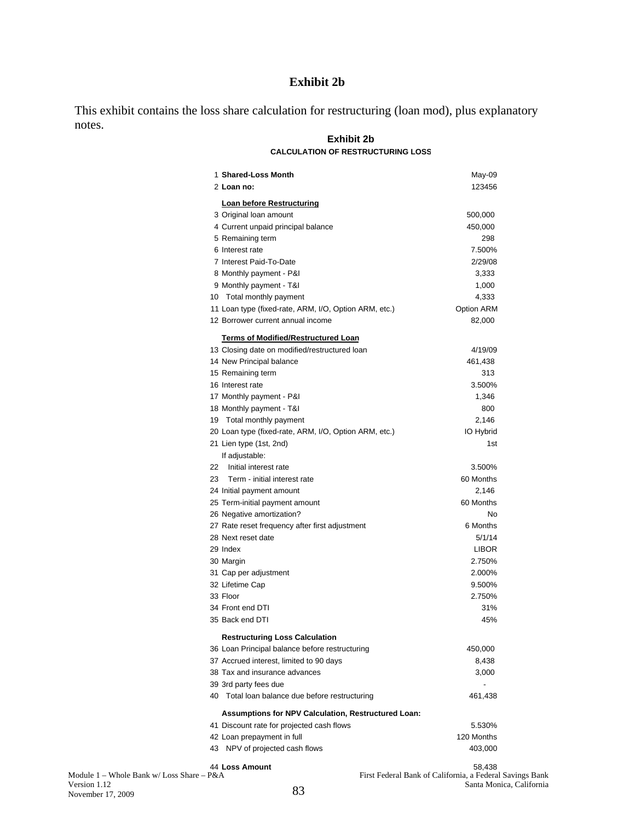## **Exhibit 2b**

This exhibit contains the loss share calculation for restructuring (loan mod), plus explanatory notes.

#### **Exhibit 2b CALCULATION OF RESTRUCTURING LOSS**

|                                           |    | 1 Shared-Loss Month                                   |                                                          | May-09       |  |
|-------------------------------------------|----|-------------------------------------------------------|----------------------------------------------------------|--------------|--|
|                                           |    | 2 Loan no:                                            |                                                          | 123456       |  |
|                                           |    | <b>Loan before Restructuring</b>                      |                                                          |              |  |
|                                           |    | 3 Original loan amount                                |                                                          | 500,000      |  |
|                                           |    | 4 Current unpaid principal balance                    |                                                          | 450,000      |  |
|                                           |    | 5 Remaining term                                      |                                                          | 298          |  |
|                                           |    | 6 Interest rate                                       |                                                          | 7.500%       |  |
|                                           |    | 7 Interest Paid-To-Date                               |                                                          | 2/29/08      |  |
|                                           |    | 8 Monthly payment - P&I                               |                                                          | 3,333        |  |
|                                           |    | 9 Monthly payment - T&I                               |                                                          | 1,000        |  |
|                                           |    | 10 Total monthly payment                              |                                                          | 4,333        |  |
|                                           |    | 11 Loan type (fixed-rate, ARM, I/O, Option ARM, etc.) |                                                          | Option ARM   |  |
|                                           |    | 12 Borrower current annual income                     |                                                          | 82,000       |  |
|                                           |    | <b>Terms of Modified/Restructured Loan</b>            |                                                          |              |  |
|                                           |    | 13 Closing date on modified/restructured loan         |                                                          | 4/19/09      |  |
|                                           |    | 14 New Principal balance                              |                                                          | 461,438      |  |
|                                           |    | 15 Remaining term                                     |                                                          | 313          |  |
|                                           |    | 16 Interest rate                                      |                                                          | 3.500%       |  |
|                                           |    | 17 Monthly payment - P&I                              |                                                          | 1,346        |  |
|                                           |    | 18 Monthly payment - T&I                              |                                                          | 800          |  |
|                                           |    | 19 Total monthly payment                              |                                                          | 2,146        |  |
|                                           |    | 20 Loan type (fixed-rate, ARM, I/O, Option ARM, etc.) |                                                          | IO Hybrid    |  |
|                                           |    | 21 Lien type (1st, 2nd)                               |                                                          | 1st          |  |
|                                           |    | If adjustable:                                        |                                                          |              |  |
|                                           |    | 22 Initial interest rate                              |                                                          | 3.500%       |  |
|                                           | 23 | Term - initial interest rate                          |                                                          | 60 Months    |  |
|                                           |    | 24 Initial payment amount                             |                                                          | 2,146        |  |
|                                           |    | 25 Term-initial payment amount                        |                                                          | 60 Months    |  |
|                                           |    | 26 Negative amortization?                             |                                                          | No           |  |
|                                           |    | 27 Rate reset frequency after first adjustment        |                                                          | 6 Months     |  |
|                                           |    | 28 Next reset date                                    |                                                          | 5/1/14       |  |
|                                           |    | 29 Index                                              |                                                          | <b>LIBOR</b> |  |
|                                           |    | 30 Margin                                             |                                                          | 2.750%       |  |
|                                           |    | 31 Cap per adjustment                                 |                                                          | 2.000%       |  |
|                                           |    | 32 Lifetime Cap                                       |                                                          | 9.500%       |  |
|                                           |    | 33 Floor                                              |                                                          | 2.750%       |  |
|                                           |    | 34 Front end DTI                                      |                                                          | 31%          |  |
|                                           |    | 35 Back end DTI                                       |                                                          | 45%          |  |
|                                           |    | <b>Restructuring Loss Calculation</b>                 |                                                          |              |  |
|                                           |    | 36 Loan Principal balance before restructuring        |                                                          | 450,000      |  |
|                                           |    | 37 Accrued interest, limited to 90 days               |                                                          | 8,438        |  |
|                                           |    | 38 Tax and insurance advances                         |                                                          | 3,000        |  |
|                                           |    | 39 3rd party fees due                                 |                                                          |              |  |
|                                           |    | 40 Total loan balance due before restructuring        |                                                          | 461,438      |  |
|                                           |    | Assumptions for NPV Calculation, Restructured Loan:   |                                                          |              |  |
|                                           |    | 41 Discount rate for projected cash flows             |                                                          | 5.530%       |  |
|                                           |    | 42 Loan prepayment in full                            |                                                          | 120 Months   |  |
|                                           |    | 43 NPV of projected cash flows                        |                                                          | 403,000      |  |
| Module 1 - Whole Bank w/ Loss Share - P&A |    | 44 Loss Amount                                        | First Federal Bank of California, a Federal Savings Bank | 58,438       |  |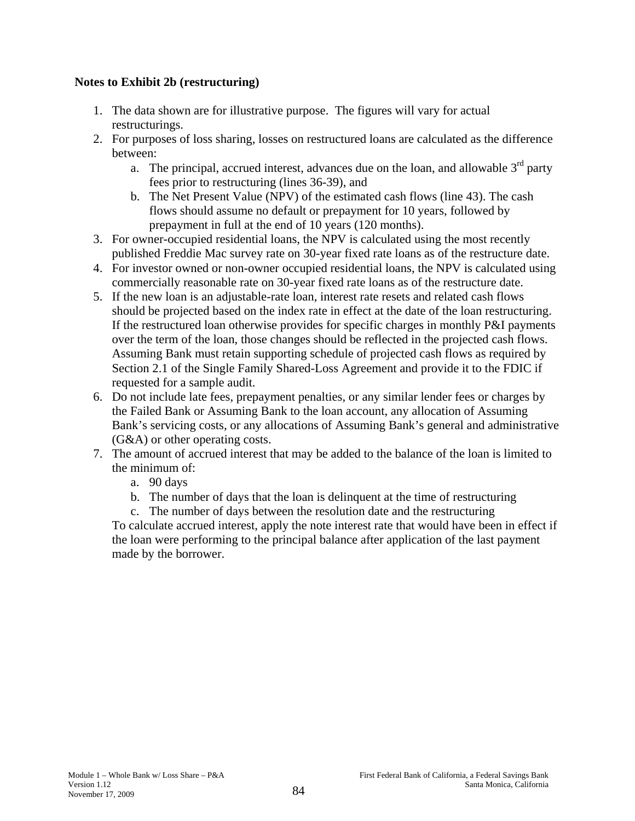## **Notes to Exhibit 2b (restructuring)**

- 1. The data shown are for illustrative purpose. The figures will vary for actual restructurings.
- 2. For purposes of loss sharing, losses on restructured loans are calculated as the difference between:
	- a. The principal, accrued interest, advances due on the loan, and allowable  $3<sup>rd</sup>$  party fees prior to restructuring (lines 36-39), and
	- b. The Net Present Value (NPV) of the estimated cash flows (line 43). The cash flows should assume no default or prepayment for 10 years, followed by prepayment in full at the end of 10 years (120 months).
- 3. For owner-occupied residential loans, the NPV is calculated using the most recently published Freddie Mac survey rate on 30-year fixed rate loans as of the restructure date.
- 4. For investor owned or non-owner occupied residential loans, the NPV is calculated using commercially reasonable rate on 30-year fixed rate loans as of the restructure date.
- 5. If the new loan is an adjustable-rate loan, interest rate resets and related cash flows should be projected based on the index rate in effect at the date of the loan restructuring. If the restructured loan otherwise provides for specific charges in monthly P&I payments over the term of the loan, those changes should be reflected in the projected cash flows. Assuming Bank must retain supporting schedule of projected cash flows as required by Section 2.1 of the Single Family Shared-Loss Agreement and provide it to the FDIC if requested for a sample audit.
- 6. Do not include late fees, prepayment penalties, or any similar lender fees or charges by the Failed Bank or Assuming Bank to the loan account, any allocation of Assuming Bank's servicing costs, or any allocations of Assuming Bank's general and administrative (G&A) or other operating costs.
- 7. The amount of accrued interest that may be added to the balance of the loan is limited to the minimum of:
	- a. 90 days
	- b. The number of days that the loan is delinquent at the time of restructuring

c. The number of days between the resolution date and the restructuring To calculate accrued interest, apply the note interest rate that would have been in effect if the loan were performing to the principal balance after application of the last payment made by the borrower.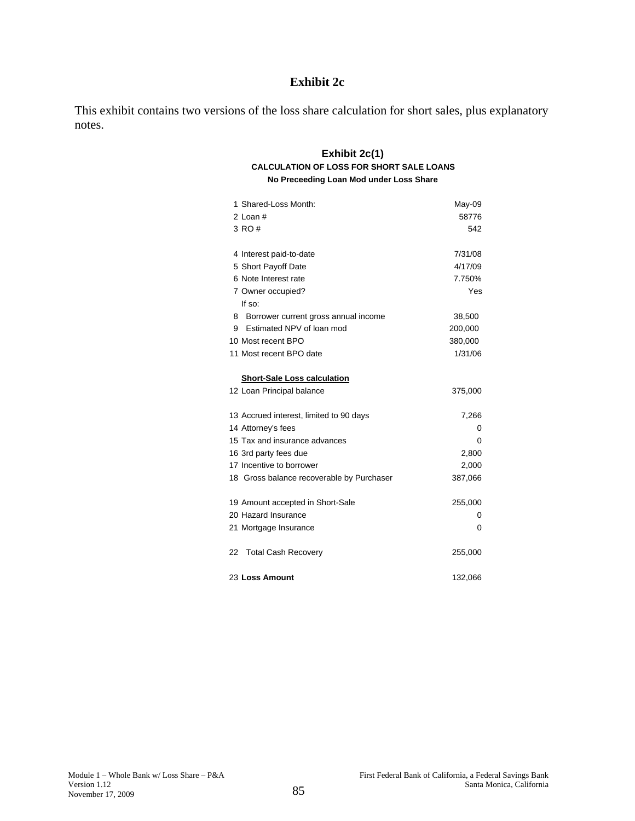### **Exhibit 2c**

This exhibit contains two versions of the loss share calculation for short sales, plus explanatory notes.

#### **Exhibit 2c(1) CALCULATION OF LOSS FOR SHORT SALE LOANS No Preceeding Loan Mod under Loss Share**

| 1 Shared-Loss Month:<br>2 Loan #<br>3 RO #                                                                                                                                                       | May-09<br>58776<br>542                       |
|--------------------------------------------------------------------------------------------------------------------------------------------------------------------------------------------------|----------------------------------------------|
| 4 Interest paid-to-date<br>5 Short Payoff Date                                                                                                                                                   | 7/31/08<br>4/17/09                           |
| 6 Note Interest rate<br>7 Owner occupied?<br>If so:                                                                                                                                              | 7.750%<br>Yes                                |
| Borrower current gross annual income<br>8<br>Estimated NPV of loan mod<br>9<br>10 Most recent BPO<br>11 Most recent BPO date                                                                     | 38,500<br>200,000<br>380,000<br>1/31/06      |
| <b>Short-Sale Loss calculation</b><br>12 Loan Principal balance                                                                                                                                  | 375,000                                      |
| 13 Accrued interest, limited to 90 days<br>14 Attorney's fees<br>15 Tax and insurance advances<br>16 3rd party fees due<br>17 Incentive to borrower<br>18 Gross balance recoverable by Purchaser | 7,266<br>0<br>0<br>2,800<br>2,000<br>387,066 |
| 19 Amount accepted in Short-Sale<br>20 Hazard Insurance<br>21 Mortgage Insurance                                                                                                                 | 255,000<br>0<br>0                            |
| 22 Total Cash Recovery                                                                                                                                                                           | 255,000                                      |
| 23 Loss Amount                                                                                                                                                                                   | 132,066                                      |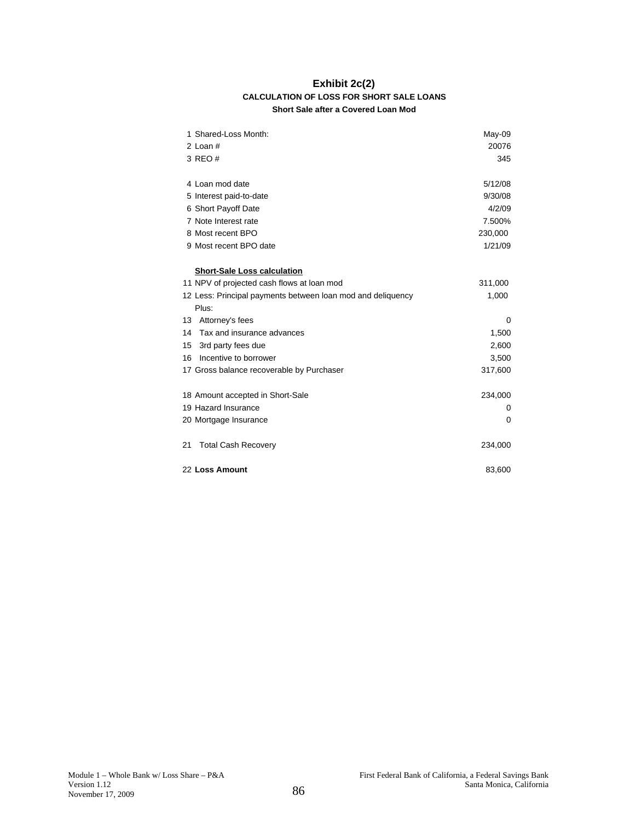#### **Exhibit 2c(2) CALCULATION OF LOSS FOR SHORT SALE LOANS Short Sale after a Covered Loan Mod**

| 1 Shared-Loss Month:                                        | May-09  |
|-------------------------------------------------------------|---------|
| 2 Loan $#$                                                  | 20076   |
| 3 REO #                                                     | 345     |
|                                                             |         |
| 4 Loan mod date                                             | 5/12/08 |
| 5 Interest paid-to-date                                     | 9/30/08 |
| 6 Short Payoff Date                                         | 4/2/09  |
| 7 Note Interest rate                                        | 7.500%  |
| 8 Most recent BPO                                           | 230,000 |
| 9 Most recent BPO date                                      | 1/21/09 |
|                                                             |         |
| <b>Short-Sale Loss calculation</b>                          |         |
| 11 NPV of projected cash flows at loan mod                  | 311,000 |
| 12 Less: Principal payments between loan mod and deliquency | 1,000   |
| Plus:                                                       |         |
| 13<br>Attorney's fees                                       | 0       |
| Tax and insurance advances<br>14                            | 1,500   |
| 15<br>3rd party fees due                                    | 2,600   |
| Incentive to borrower<br>16                                 | 3,500   |
| 17 Gross balance recoverable by Purchaser                   | 317,600 |
|                                                             |         |
| 18 Amount accepted in Short-Sale                            | 234,000 |
| 19 Hazard Insurance                                         | 0       |
| 20 Mortgage Insurance                                       | 0       |
|                                                             |         |
| <b>Total Cash Recovery</b><br>21                            | 234,000 |
|                                                             |         |
| 22 Loss Amount                                              | 83,600  |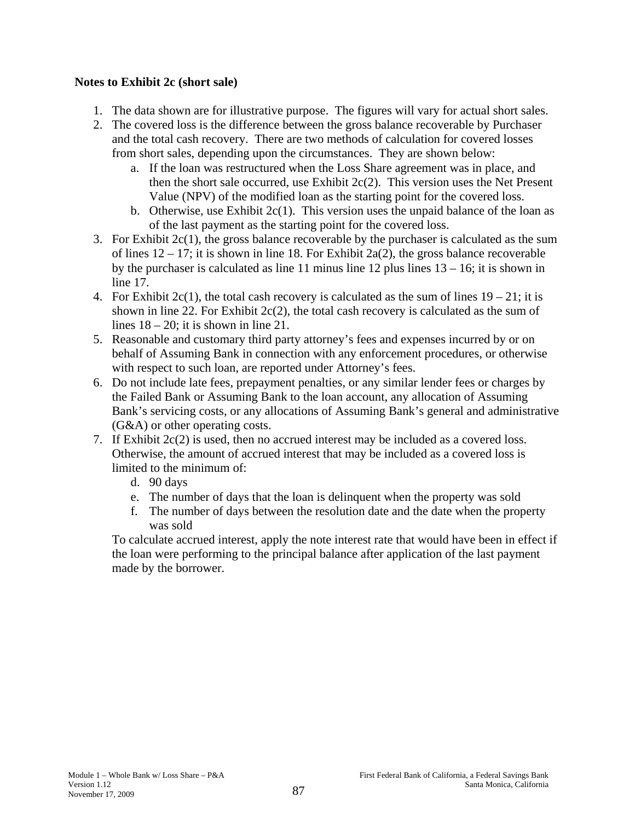## **Notes to Exhibit 2c (short sale)**

- 1. The data shown are for illustrative purpose. The figures will vary for actual short sales.
- 2. The covered loss is the difference between the gross balance recoverable by Purchaser and the total cash recovery. There are two methods of calculation for covered losses from short sales, depending upon the circumstances. They are shown below:
	- a. If the loan was restructured when the Loss Share agreement was in place, and then the short sale occurred, use Exhibit  $2c(2)$ . This version uses the Net Present Value (NPV) of the modified loan as the starting point for the covered loss.
	- b. Otherwise, use Exhibit  $2c(1)$ . This version uses the unpaid balance of the loan as of the last payment as the starting point for the covered loss.
- 3. For Exhibit  $2c(1)$ , the gross balance recoverable by the purchaser is calculated as the sum of lines  $12 - 17$ ; it is shown in line 18. For Exhibit 2a(2), the gross balance recoverable by the purchaser is calculated as line 11 minus line  $12$  plus lines  $13 - 16$ ; it is shown in line 17.
- 4. For Exhibit 2c(1), the total cash recovery is calculated as the sum of lines  $19 21$ ; it is shown in line 22. For Exhibit  $2c(2)$ , the total cash recovery is calculated as the sum of lines  $18 - 20$ ; it is shown in line 21.
- 5. Reasonable and customary third party attorney's fees and expenses incurred by or on behalf of Assuming Bank in connection with any enforcement procedures, or otherwise with respect to such loan, are reported under Attorney's fees.
- 6. Do not include late fees, prepayment penalties, or any similar lender fees or charges by the Failed Bank or Assuming Bank to the loan account, any allocation of Assuming Bank's servicing costs, or any allocations of Assuming Bank's general and administrative (G&A) or other operating costs.
- 7. If Exhibit  $2c(2)$  is used, then no accrued interest may be included as a covered loss. Otherwise, the amount of accrued interest that may be included as a covered loss is limited to the minimum of:
	- d. 90 days
	- e. The number of days that the loan is delinquent when the property was sold
	- f. The number of days between the resolution date and the date when the property was sold

To calculate accrued interest, apply the note interest rate that would have been in effect if the loan were performing to the principal balance after application of the last payment made by the borrower.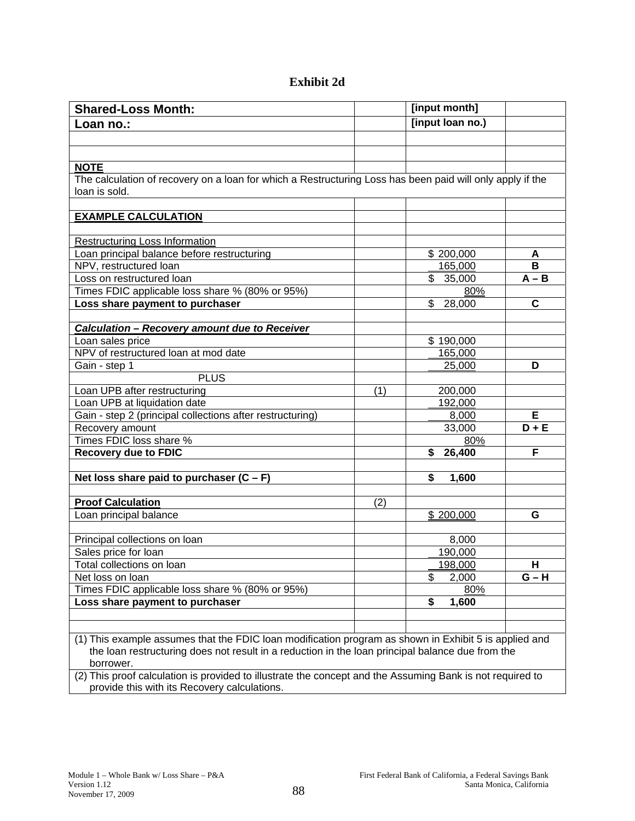## **Exhibit 2d**

| [input month]<br><b>Shared-Loss Month:</b>                                                                                                                |     |                 |         |
|-----------------------------------------------------------------------------------------------------------------------------------------------------------|-----|-----------------|---------|
| Loan no.:                                                                                                                                                 |     |                 |         |
|                                                                                                                                                           |     |                 |         |
|                                                                                                                                                           |     |                 |         |
| <b>NOTE</b>                                                                                                                                               |     |                 |         |
| The calculation of recovery on a loan for which a Restructuring Loss has been paid will only apply if the                                                 |     |                 |         |
| loan is sold.                                                                                                                                             |     |                 |         |
|                                                                                                                                                           |     |                 |         |
| <b>EXAMPLE CALCULATION</b>                                                                                                                                |     |                 |         |
|                                                                                                                                                           |     |                 |         |
| <b>Restructuring Loss Information</b>                                                                                                                     |     |                 |         |
| Loan principal balance before restructuring                                                                                                               |     | \$200,000       | A       |
| NPV, restructured loan                                                                                                                                    |     | 165,000         | B       |
| Loss on restructured loan                                                                                                                                 |     | \$35,000        | $A - B$ |
| Times FDIC applicable loss share % (80% or 95%)                                                                                                           |     | 80%             |         |
| Loss share payment to purchaser                                                                                                                           |     | \$28,000        | C       |
|                                                                                                                                                           |     |                 |         |
| Calculation - Recovery amount due to Receiver                                                                                                             |     |                 |         |
| Loan sales price                                                                                                                                          |     | \$190,000       |         |
| NPV of restructured loan at mod date                                                                                                                      |     | 165,000         |         |
| Gain - step 1                                                                                                                                             |     | 25,000          | D       |
| <b>PLUS</b>                                                                                                                                               |     |                 |         |
| Loan UPB after restructuring                                                                                                                              | (1) | 200,000         |         |
| Loan UPB at liquidation date                                                                                                                              |     | 192,000         | Е       |
| Gain - step 2 (principal collections after restructuring)<br>Recovery amount                                                                              |     | 8,000<br>33,000 | $D + E$ |
| Times FDIC loss share %                                                                                                                                   |     | 80%             |         |
| <b>Recovery due to FDIC</b>                                                                                                                               |     | \$26,400        | F       |
|                                                                                                                                                           |     |                 |         |
| Net loss share paid to purchaser $(C - F)$                                                                                                                |     | \$<br>1,600     |         |
|                                                                                                                                                           |     |                 |         |
| <b>Proof Calculation</b>                                                                                                                                  | (2) |                 |         |
| Loan principal balance                                                                                                                                    |     | \$200,000       | G       |
|                                                                                                                                                           |     |                 |         |
| Principal collections on loan                                                                                                                             |     | 8,000           |         |
| Sales price for loan                                                                                                                                      |     | 190,000         |         |
| Total collections on loan                                                                                                                                 |     | 198,000         | H       |
| Net loss on loan                                                                                                                                          |     | \$<br>2,000     | G – H   |
| Times FDIC applicable loss share % (80% or 95%)                                                                                                           |     | 80%             |         |
| Loss share payment to purchaser                                                                                                                           |     | 1,600<br>\$     |         |
|                                                                                                                                                           |     |                 |         |
|                                                                                                                                                           |     |                 |         |
| (1) This example assumes that the FDIC loan modification program as shown in Exhibit 5 is applied and                                                     |     |                 |         |
| the loan restructuring does not result in a reduction in the loan principal balance due from the                                                          |     |                 |         |
| borrower.                                                                                                                                                 |     |                 |         |
| (2) This proof calculation is provided to illustrate the concept and the Assuming Bank is not required to<br>provide this with its Recovery calculations. |     |                 |         |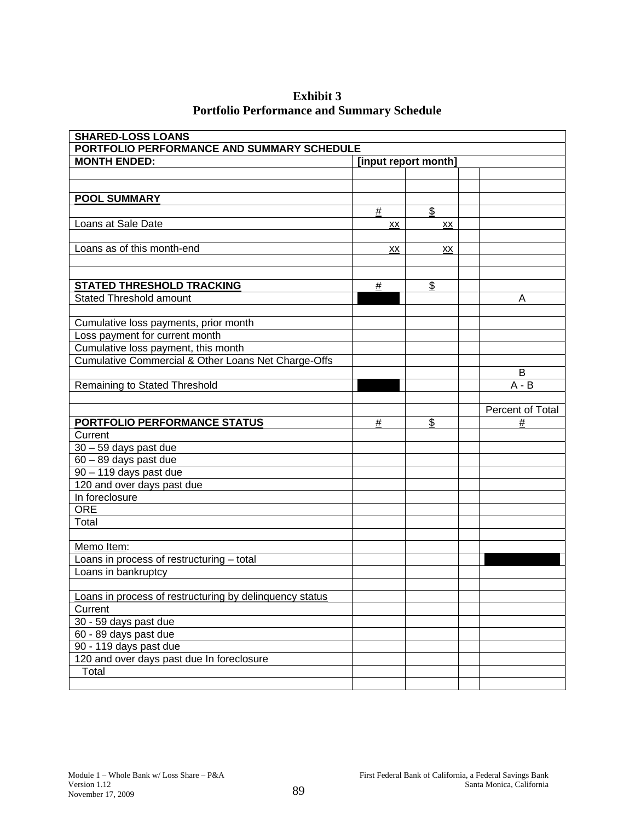| <b>SHARED-LOSS LOANS</b><br>PORTFOLIO PERFORMANCE AND SUMMARY SCHEDULE |                      |    |                  |
|------------------------------------------------------------------------|----------------------|----|------------------|
| <b>MONTH ENDED:</b>                                                    | [input report month] |    |                  |
|                                                                        |                      |    |                  |
|                                                                        |                      |    |                  |
| <b>POOL SUMMARY</b>                                                    |                      |    |                  |
|                                                                        | $\#$                 | \$ |                  |
| Loans at Sale Date                                                     | XX                   | XX |                  |
|                                                                        |                      |    |                  |
| Loans as of this month-end                                             | XX                   | XX |                  |
|                                                                        |                      |    |                  |
| <b>STATED THRESHOLD TRACKING</b>                                       | $\#$                 | \$ |                  |
| <b>Stated Threshold amount</b>                                         |                      |    | A                |
|                                                                        |                      |    |                  |
| Cumulative loss payments, prior month                                  |                      |    |                  |
| Loss payment for current month                                         |                      |    |                  |
| Cumulative loss payment, this month                                    |                      |    |                  |
| Cumulative Commercial & Other Loans Net Charge-Offs                    |                      |    |                  |
|                                                                        |                      |    | B                |
| Remaining to Stated Threshold                                          |                      |    | $A - B$          |
|                                                                        |                      |    |                  |
|                                                                        |                      |    | Percent of Total |
| <b>PORTFOLIO PERFORMANCE STATUS</b>                                    | $\#$                 | \$ | $\#$             |
| Current                                                                |                      |    |                  |
| $30 - 59$ days past due                                                |                      |    |                  |
| $60 - 89$ days past due                                                |                      |    |                  |
| $90 - 119$ days past due                                               |                      |    |                  |
| 120 and over days past due                                             |                      |    |                  |
| In foreclosure                                                         |                      |    |                  |
| <b>ORE</b>                                                             |                      |    |                  |
| Total                                                                  |                      |    |                  |
|                                                                        |                      |    |                  |
| Memo Item:                                                             |                      |    |                  |
| Loans in process of restructuring - total                              |                      |    |                  |
| Loans in bankruptcy                                                    |                      |    |                  |
|                                                                        |                      |    |                  |
| Loans in process of restructuring by delinguency status                |                      |    |                  |
| Current                                                                |                      |    |                  |
| 30 - 59 days past due                                                  |                      |    |                  |
| 60 - 89 days past due                                                  |                      |    |                  |
| 90 - 119 days past due                                                 |                      |    |                  |
|                                                                        |                      |    |                  |
| 120 and over days past due In foreclosure<br>Total                     |                      |    |                  |

**Exhibit 3 Portfolio Performance and Summary Schedule**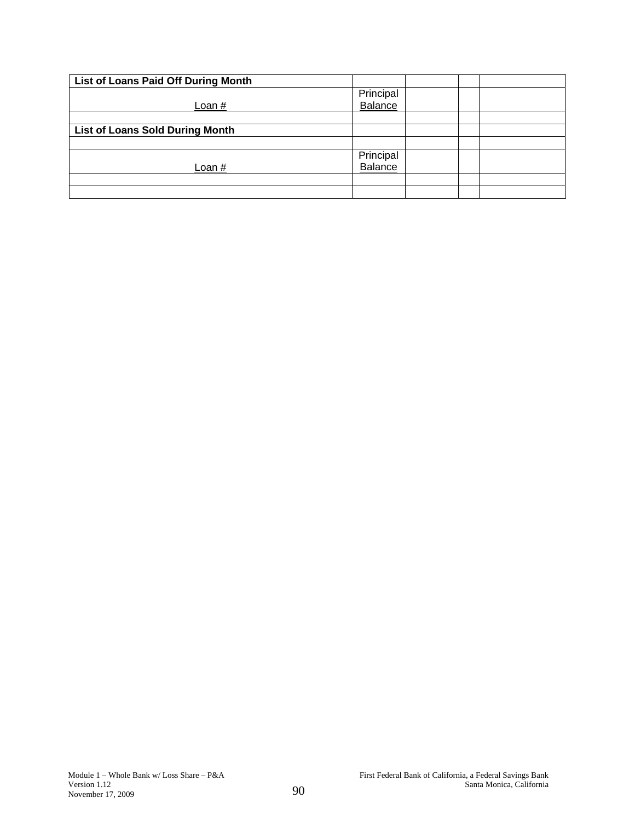| List of Loans Paid Off During Month    |                      |  |  |
|----------------------------------------|----------------------|--|--|
|                                        | Principal            |  |  |
| Loan #                                 | Balance              |  |  |
|                                        |                      |  |  |
| <b>List of Loans Sold During Month</b> |                      |  |  |
|                                        |                      |  |  |
|                                        | Principal<br>Balance |  |  |
| Loan #                                 |                      |  |  |
|                                        |                      |  |  |
|                                        |                      |  |  |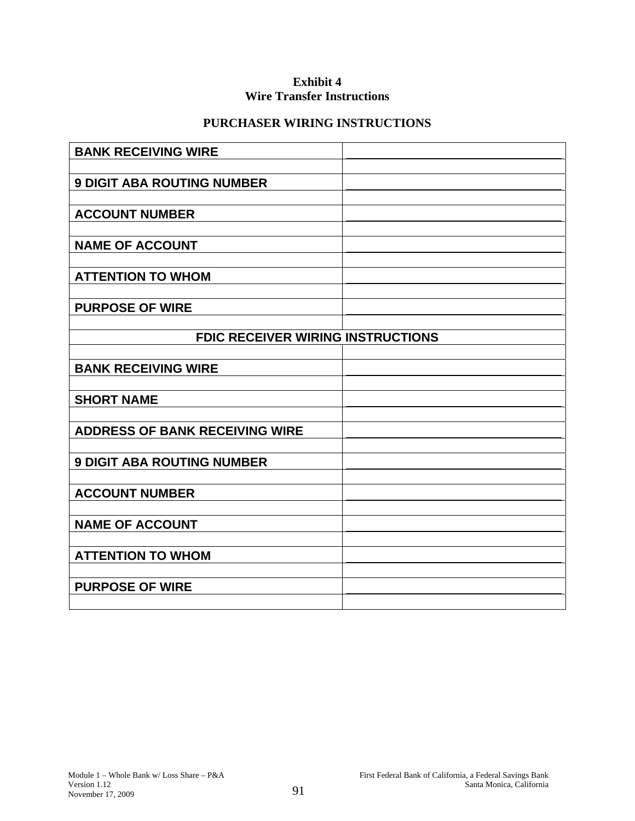## **Exhibit 4 Wire Transfer Instructions**

## **PURCHASER WIRING INSTRUCTIONS**

| <b>BANK RECEIVING WIRE</b>            |  |
|---------------------------------------|--|
|                                       |  |
| <b>9 DIGIT ABA ROUTING NUMBER</b>     |  |
|                                       |  |
| <b>ACCOUNT NUMBER</b>                 |  |
|                                       |  |
| <b>NAME OF ACCOUNT</b>                |  |
|                                       |  |
| <b>ATTENTION TO WHOM</b>              |  |
| <b>PURPOSE OF WIRE</b>                |  |
|                                       |  |
| FDIC RECEIVER WIRING INSTRUCTIONS     |  |
|                                       |  |
| <b>BANK RECEIVING WIRE</b>            |  |
|                                       |  |
| <b>SHORT NAME</b>                     |  |
|                                       |  |
| <b>ADDRESS OF BANK RECEIVING WIRE</b> |  |
|                                       |  |
| <b>9 DIGIT ABA ROUTING NUMBER</b>     |  |
|                                       |  |
| <b>ACCOUNT NUMBER</b>                 |  |
|                                       |  |
| <b>NAME OF ACCOUNT</b>                |  |
| <b>ATTENTION TO WHOM</b>              |  |
|                                       |  |
| <b>PURPOSE OF WIRE</b>                |  |
|                                       |  |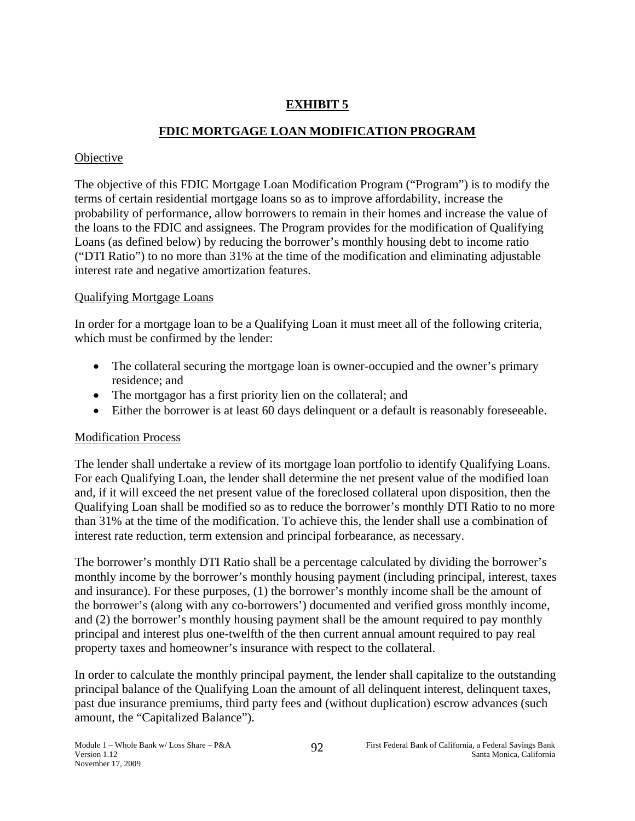# **EXHIBIT 5**

# **FDIC MORTGAGE LOAN MODIFICATION PROGRAM**

## **Objective**

The objective of this FDIC Mortgage Loan Modification Program ("Program") is to modify the terms of certain residential mortgage loans so as to improve affordability, increase the probability of performance, allow borrowers to remain in their homes and increase the value of the loans to the FDIC and assignees. The Program provides for the modification of Qualifying Loans (as defined below) by reducing the borrower's monthly housing debt to income ratio ("DTI Ratio") to no more than 31% at the time of the modification and eliminating adjustable interest rate and negative amortization features.

## Qualifying Mortgage Loans

In order for a mortgage loan to be a Qualifying Loan it must meet all of the following criteria, which must be confirmed by the lender:

- The collateral securing the mortgage loan is owner-occupied and the owner's primary residence; and
- The mortgagor has a first priority lien on the collateral; and
- Either the borrower is at least 60 days delinquent or a default is reasonably foreseeable.

## Modification Process

The lender shall undertake a review of its mortgage loan portfolio to identify Qualifying Loans. For each Qualifying Loan, the lender shall determine the net present value of the modified loan and, if it will exceed the net present value of the foreclosed collateral upon disposition, then the Qualifying Loan shall be modified so as to reduce the borrower's monthly DTI Ratio to no more than 31% at the time of the modification. To achieve this, the lender shall use a combination of interest rate reduction, term extension and principal forbearance, as necessary.

The borrower's monthly DTI Ratio shall be a percentage calculated by dividing the borrower's monthly income by the borrower's monthly housing payment (including principal, interest, taxes and insurance). For these purposes, (1) the borrower's monthly income shall be the amount of the borrower's (along with any co-borrowers') documented and verified gross monthly income, and (2) the borrower's monthly housing payment shall be the amount required to pay monthly principal and interest plus one-twelfth of the then current annual amount required to pay real property taxes and homeowner's insurance with respect to the collateral.

In order to calculate the monthly principal payment, the lender shall capitalize to the outstanding principal balance of the Qualifying Loan the amount of all delinquent interest, delinquent taxes, past due insurance premiums, third party fees and (without duplication) escrow advances (such amount, the "Capitalized Balance").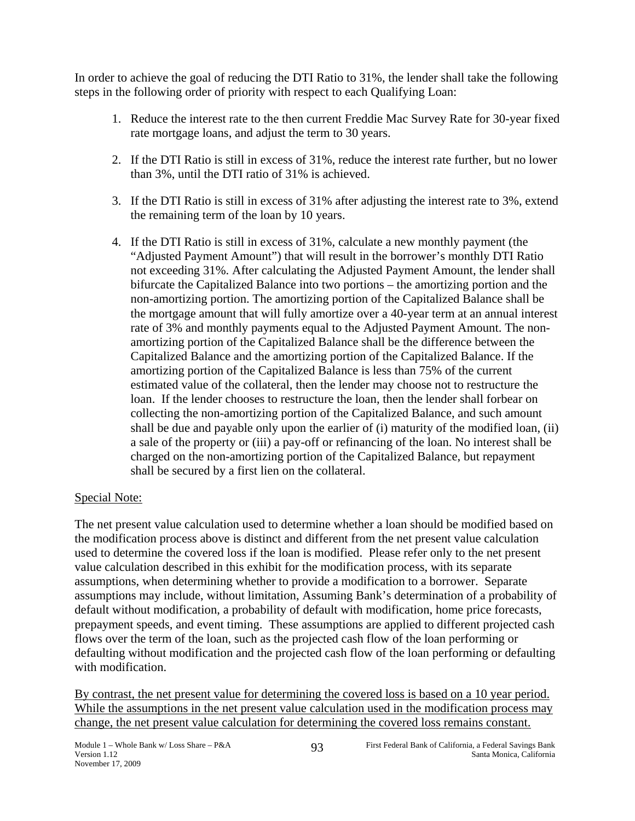In order to achieve the goal of reducing the DTI Ratio to 31%, the lender shall take the following steps in the following order of priority with respect to each Qualifying Loan:

- 1. Reduce the interest rate to the then current Freddie Mac Survey Rate for 30-year fixed rate mortgage loans, and adjust the term to 30 years.
- 2. If the DTI Ratio is still in excess of 31%, reduce the interest rate further, but no lower than 3%, until the DTI ratio of 31% is achieved.
- 3. If the DTI Ratio is still in excess of 31% after adjusting the interest rate to 3%, extend the remaining term of the loan by 10 years.
- 4. If the DTI Ratio is still in excess of 31%, calculate a new monthly payment (the "Adjusted Payment Amount") that will result in the borrower's monthly DTI Ratio not exceeding 31%. After calculating the Adjusted Payment Amount, the lender shall bifurcate the Capitalized Balance into two portions – the amortizing portion and the non-amortizing portion. The amortizing portion of the Capitalized Balance shall be the mortgage amount that will fully amortize over a 40-year term at an annual interest rate of 3% and monthly payments equal to the Adjusted Payment Amount. The nonamortizing portion of the Capitalized Balance shall be the difference between the Capitalized Balance and the amortizing portion of the Capitalized Balance. If the amortizing portion of the Capitalized Balance is less than 75% of the current estimated value of the collateral, then the lender may choose not to restructure the loan. If the lender chooses to restructure the loan, then the lender shall forbear on collecting the non-amortizing portion of the Capitalized Balance, and such amount shall be due and payable only upon the earlier of (i) maturity of the modified loan, (ii) a sale of the property or (iii) a pay-off or refinancing of the loan. No interest shall be charged on the non-amortizing portion of the Capitalized Balance, but repayment shall be secured by a first lien on the collateral.

## Special Note:

The net present value calculation used to determine whether a loan should be modified based on the modification process above is distinct and different from the net present value calculation used to determine the covered loss if the loan is modified. Please refer only to the net present value calculation described in this exhibit for the modification process, with its separate assumptions, when determining whether to provide a modification to a borrower. Separate assumptions may include, without limitation, Assuming Bank's determination of a probability of default without modification, a probability of default with modification, home price forecasts, prepayment speeds, and event timing. These assumptions are applied to different projected cash flows over the term of the loan, such as the projected cash flow of the loan performing or defaulting without modification and the projected cash flow of the loan performing or defaulting with modification.

change, the net present value calculation for determining the covered loss remains constant.<br>
Module 1 – Whole Bank w/Loss Share – P&A<br>
Version 1.12<br>
Santa Monica, California By contrast, the net present value for determining the covered loss is based on a 10 year period. While the assumptions in the net present value calculation used in the modification process may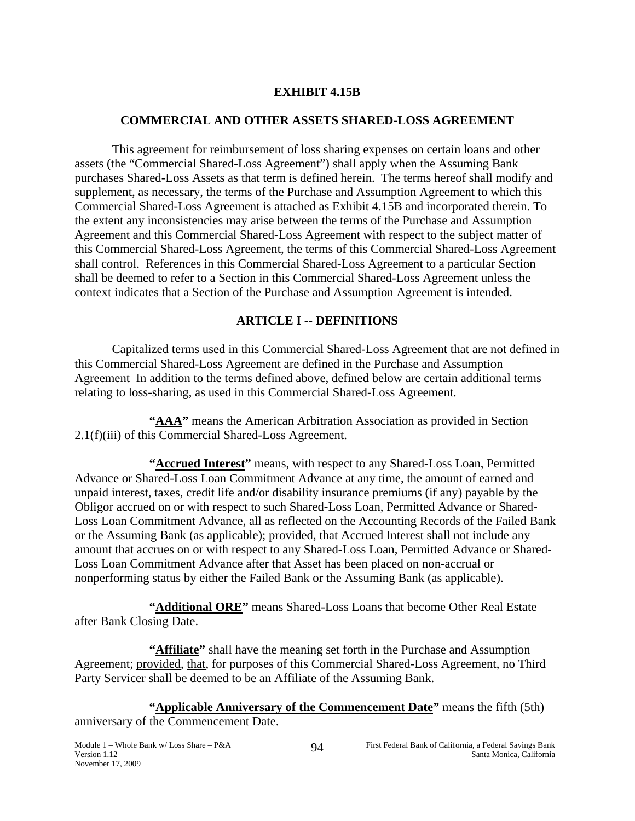### **EXHIBIT 4.15B**

### **COMMERCIAL AND OTHER ASSETS SHARED-LOSS AGREEMENT**

This agreement for reimbursement of loss sharing expenses on certain loans and other assets (the "Commercial Shared-Loss Agreement") shall apply when the Assuming Bank purchases Shared-Loss Assets as that term is defined herein. The terms hereof shall modify and supplement, as necessary, the terms of the Purchase and Assumption Agreement to which this Commercial Shared-Loss Agreement is attached as Exhibit 4.15B and incorporated therein. To the extent any inconsistencies may arise between the terms of the Purchase and Assumption Agreement and this Commercial Shared-Loss Agreement with respect to the subject matter of this Commercial Shared-Loss Agreement, the terms of this Commercial Shared-Loss Agreement shall control. References in this Commercial Shared-Loss Agreement to a particular Section shall be deemed to refer to a Section in this Commercial Shared-Loss Agreement unless the context indicates that a Section of the Purchase and Assumption Agreement is intended.

### **ARTICLE I -- DEFINITIONS**

Capitalized terms used in this Commercial Shared-Loss Agreement that are not defined in this Commercial Shared-Loss Agreement are defined in the Purchase and Assumption Agreement In addition to the terms defined above, defined below are certain additional terms relating to loss-sharing, as used in this Commercial Shared-Loss Agreement.

**"AAA"** means the American Arbitration Association as provided in Section 2.1(f)(iii) of this Commercial Shared-Loss Agreement.

**"Accrued Interest"** means, with respect to any Shared-Loss Loan, Permitted Advance or Shared-Loss Loan Commitment Advance at any time, the amount of earned and unpaid interest, taxes, credit life and/or disability insurance premiums (if any) payable by the Obligor accrued on or with respect to such Shared-Loss Loan, Permitted Advance or Shared-Loss Loan Commitment Advance, all as reflected on the Accounting Records of the Failed Bank or the Assuming Bank (as applicable); provided, that Accrued Interest shall not include any amount that accrues on or with respect to any Shared-Loss Loan, Permitted Advance or Shared-Loss Loan Commitment Advance after that Asset has been placed on non-accrual or nonperforming status by either the Failed Bank or the Assuming Bank (as applicable).

"**Additional ORE**" means Shared-Loss Loans that become Other Real Estate after Bank Closing Date.

"**Affiliate**" shall have the meaning set forth in the Purchase and Assumption Agreement; provided, that, for purposes of this Commercial Shared-Loss Agreement, no Third Party Servicer shall be deemed to be an Affiliate of the Assuming Bank.

**Examplicable Anniversary of the Commencement Date**" means the fifth (5th) anniversary of the Commencement Date.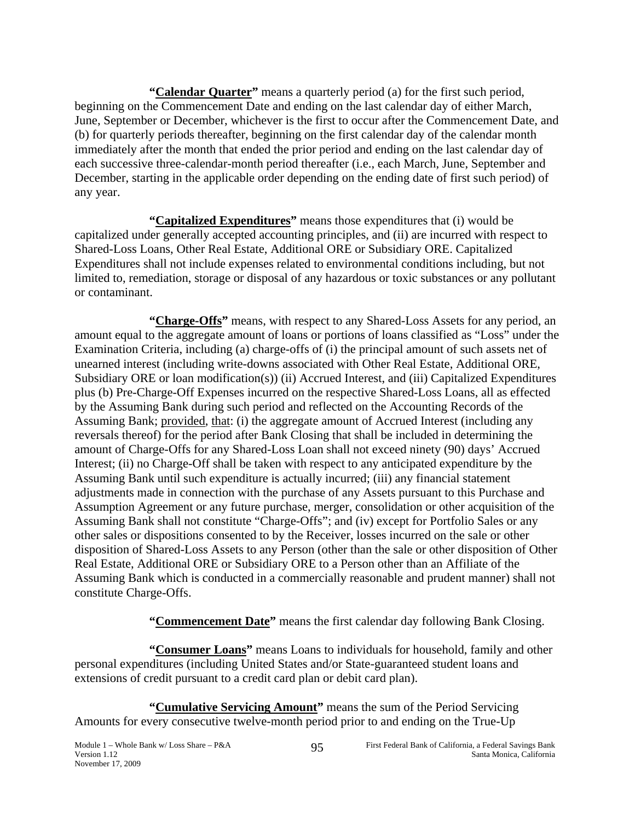**"Calendar Quarter"** means a quarterly period (a) for the first such period, beginning on the Commencement Date and ending on the last calendar day of either March, June, September or December, whichever is the first to occur after the Commencement Date, and (b) for quarterly periods thereafter, beginning on the first calendar day of the calendar month immediately after the month that ended the prior period and ending on the last calendar day of each successive three-calendar-month period thereafter (i.e., each March, June, September and December, starting in the applicable order depending on the ending date of first such period) of any year.

**"Capitalized Expenditures"** means those expenditures that (i) would be capitalized under generally accepted accounting principles, and (ii) are incurred with respect to Shared-Loss Loans, Other Real Estate, Additional ORE or Subsidiary ORE. Capitalized Expenditures shall not include expenses related to environmental conditions including, but not limited to, remediation, storage or disposal of any hazardous or toxic substances or any pollutant or contaminant.

**"Charge-Offs"** means, with respect to any Shared-Loss Assets for any period, an amount equal to the aggregate amount of loans or portions of loans classified as "Loss" under the Examination Criteria, including (a) charge-offs of (i) the principal amount of such assets net of unearned interest (including write-downs associated with Other Real Estate, Additional ORE, Subsidiary ORE or loan modification(s)) (ii) Accrued Interest, and (iii) Capitalized Expenditures plus (b) Pre-Charge-Off Expenses incurred on the respective Shared-Loss Loans, all as effected by the Assuming Bank during such period and reflected on the Accounting Records of the Assuming Bank; provided, that: (i) the aggregate amount of Accrued Interest (including any reversals thereof) for the period after Bank Closing that shall be included in determining the amount of Charge-Offs for any Shared-Loss Loan shall not exceed ninety (90) days' Accrued Interest; (ii) no Charge-Off shall be taken with respect to any anticipated expenditure by the Assuming Bank until such expenditure is actually incurred; (iii) any financial statement adjustments made in connection with the purchase of any Assets pursuant to this Purchase and Assumption Agreement or any future purchase, merger, consolidation or other acquisition of the Assuming Bank shall not constitute "Charge-Offs"; and (iv) except for Portfolio Sales or any other sales or dispositions consented to by the Receiver, losses incurred on the sale or other disposition of Shared-Loss Assets to any Person (other than the sale or other disposition of Other Real Estate, Additional ORE or Subsidiary ORE to a Person other than an Affiliate of the Assuming Bank which is conducted in a commercially reasonable and prudent manner) shall not constitute Charge-Offs.

**"Commencement Date"** means the first calendar day following Bank Closing.

**"Consumer Loans"** means Loans to individuals for household, family and other personal expenditures (including United States and/or State-guaranteed student loans and extensions of credit pursuant to a credit card plan or debit card plan).

**"Cumulative Servicing Amount"** means the sum of the Period Servicing Amounts for every consecutive twelve-month period prior to and ending on the True-Up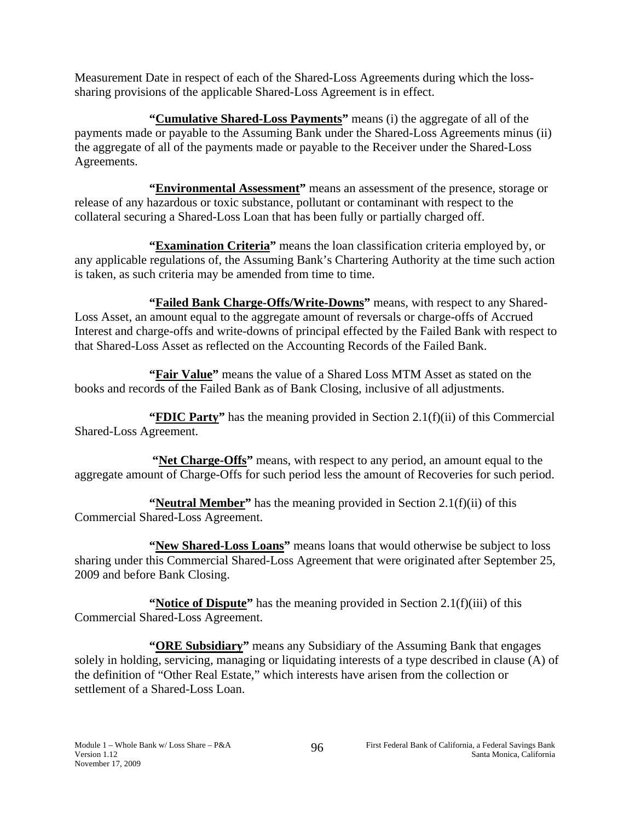Measurement Date in respect of each of the Shared-Loss Agreements during which the losssharing provisions of the applicable Shared-Loss Agreement is in effect.

**"Cumulative Shared-Loss Payments"** means (i) the aggregate of all of the payments made or payable to the Assuming Bank under the Shared-Loss Agreements minus (ii) the aggregate of all of the payments made or payable to the Receiver under the Shared-Loss Agreements.

**"Environmental Assessment"** means an assessment of the presence, storage or release of any hazardous or toxic substance, pollutant or contaminant with respect to the collateral securing a Shared-Loss Loan that has been fully or partially charged off.

**"Examination Criteria"** means the loan classification criteria employed by, or any applicable regulations of, the Assuming Bank's Chartering Authority at the time such action is taken, as such criteria may be amended from time to time.

**"Failed Bank Charge-Offs/Write-Downs"** means, with respect to any Shared-Loss Asset, an amount equal to the aggregate amount of reversals or charge-offs of Accrued Interest and charge-offs and write-downs of principal effected by the Failed Bank with respect to that Shared-Loss Asset as reflected on the Accounting Records of the Failed Bank.

**"Fair Value"** means the value of a Shared Loss MTM Asset as stated on the books and records of the Failed Bank as of Bank Closing, inclusive of all adjustments.

**"FDIC Party"** has the meaning provided in Section 2.1(f)(ii) of this Commercial Shared-Loss Agreement.

**"Net Charge-Offs"** means, with respect to any period, an amount equal to the aggregate amount of Charge-Offs for such period less the amount of Recoveries for such period.

 Commercial Shared-Loss Agreement. **"Neutral Member"** has the meaning provided in Section 2.1(f)(ii) of this

**"New Shared-Loss Loans"** means loans that would otherwise be subject to loss sharing under this Commercial Shared-Loss Agreement that were originated after September 25, 2009 and before Bank Closing.

**"Notice of Dispute"** has the meaning provided in Section 2.1(f)(iii) of this Commercial Shared-Loss Agreement.

**"ORE Subsidiary"** means any Subsidiary of the Assuming Bank that engages solely in holding, servicing, managing or liquidating interests of a type described in clause (A) of the definition of "Other Real Estate," which interests have arisen from the collection or settlement of a Shared-Loss Loan.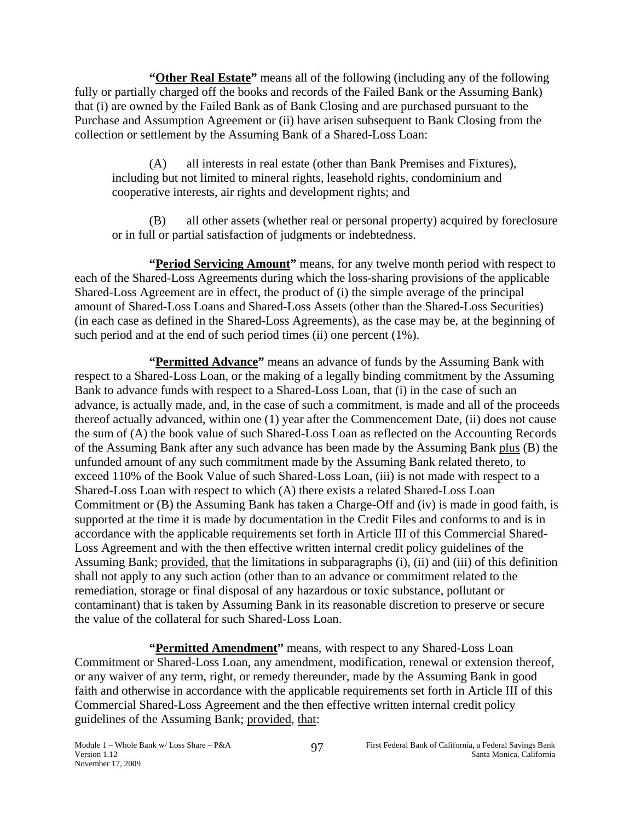**"Other Real Estate"** means all of the following (including any of the following fully or partially charged off the books and records of the Failed Bank or the Assuming Bank) that (i) are owned by the Failed Bank as of Bank Closing and are purchased pursuant to the Purchase and Assumption Agreement or (ii) have arisen subsequent to Bank Closing from the collection or settlement by the Assuming Bank of a Shared-Loss Loan:

(A) all interests in real estate (other than Bank Premises and Fixtures), including but not limited to mineral rights, leasehold rights, condominium and cooperative interests, air rights and development rights; and

(B) all other assets (whether real or personal property) acquired by foreclosure or in full or partial satisfaction of judgments or indebtedness.

**"Period Servicing Amount"** means, for any twelve month period with respect to each of the Shared-Loss Agreements during which the loss-sharing provisions of the applicable Shared-Loss Agreement are in effect, the product of (i) the simple average of the principal amount of Shared-Loss Loans and Shared-Loss Assets (other than the Shared-Loss Securities) (in each case as defined in the Shared-Loss Agreements), as the case may be, at the beginning of such period and at the end of such period times (ii) one percent (1%).

**"Permitted Advance"** means an advance of funds by the Assuming Bank with respect to a Shared-Loss Loan, or the making of a legally binding commitment by the Assuming Bank to advance funds with respect to a Shared-Loss Loan, that (i) in the case of such an advance, is actually made, and, in the case of such a commitment, is made and all of the proceeds thereof actually advanced, within one (1) year after the Commencement Date, (ii) does not cause the sum of (A) the book value of such Shared-Loss Loan as reflected on the Accounting Records of the Assuming Bank after any such advance has been made by the Assuming Bank plus (B) the unfunded amount of any such commitment made by the Assuming Bank related thereto, to exceed 110% of the Book Value of such Shared-Loss Loan, (iii) is not made with respect to a Shared-Loss Loan with respect to which (A) there exists a related Shared-Loss Loan Commitment or (B) the Assuming Bank has taken a Charge-Off and (iv) is made in good faith, is supported at the time it is made by documentation in the Credit Files and conforms to and is in accordance with the applicable requirements set forth in Article III of this Commercial Shared-Loss Agreement and with the then effective written internal credit policy guidelines of the Assuming Bank; provided, that the limitations in subparagraphs (i), (ii) and (iii) of this definition shall not apply to any such action (other than to an advance or commitment related to the remediation, storage or final disposal of any hazardous or toxic substance, pollutant or contaminant) that is taken by Assuming Bank in its reasonable discretion to preserve or secure the value of the collateral for such Shared-Loss Loan.

**"Permitted Amendment"** means, with respect to any Shared-Loss Loan Commitment or Shared-Loss Loan, any amendment, modification, renewal or extension thereof, or any waiver of any term, right, or remedy thereunder, made by the Assuming Bank in good faith and otherwise in accordance with the applicable requirements set forth in Article III of this Commercial Shared-Loss Agreement and the then effective written internal credit policy guidelines of the Assuming Bank; provided, that: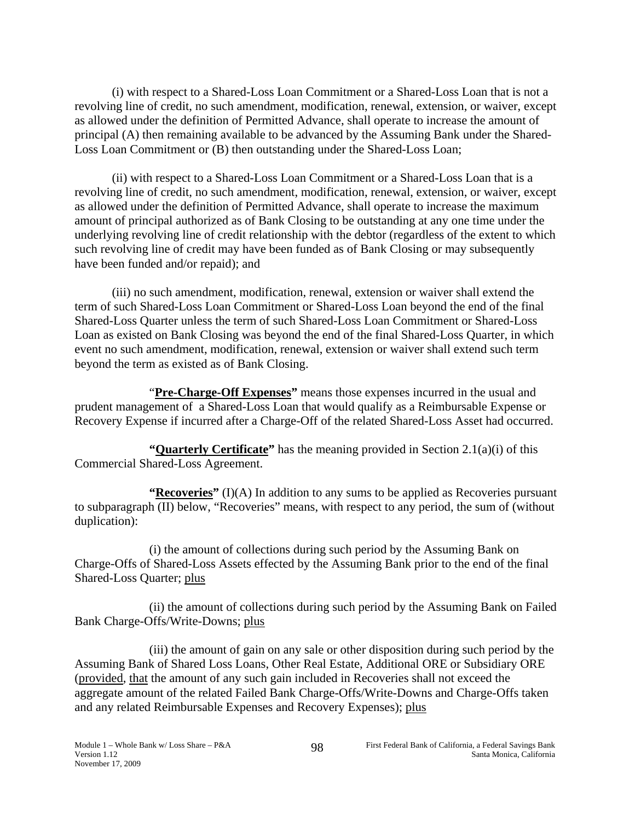(i) with respect to a Shared-Loss Loan Commitment or a Shared-Loss Loan that is not a revolving line of credit, no such amendment, modification, renewal, extension, or waiver, except as allowed under the definition of Permitted Advance, shall operate to increase the amount of principal (A) then remaining available to be advanced by the Assuming Bank under the Shared-Loss Loan Commitment or (B) then outstanding under the Shared-Loss Loan;

(ii) with respect to a Shared-Loss Loan Commitment or a Shared-Loss Loan that is a revolving line of credit, no such amendment, modification, renewal, extension, or waiver, except as allowed under the definition of Permitted Advance, shall operate to increase the maximum amount of principal authorized as of Bank Closing to be outstanding at any one time under the underlying revolving line of credit relationship with the debtor (regardless of the extent to which such revolving line of credit may have been funded as of Bank Closing or may subsequently have been funded and/or repaid); and

(iii) no such amendment, modification, renewal, extension or waiver shall extend the term of such Shared-Loss Loan Commitment or Shared-Loss Loan beyond the end of the final Shared-Loss Quarter unless the term of such Shared-Loss Loan Commitment or Shared-Loss Loan as existed on Bank Closing was beyond the end of the final Shared-Loss Quarter, in which event no such amendment, modification, renewal, extension or waiver shall extend such term beyond the term as existed as of Bank Closing.

"**Pre-Charge-Off Expenses"** means those expenses incurred in the usual and prudent management of a Shared-Loss Loan that would qualify as a Reimbursable Expense or Recovery Expense if incurred after a Charge-Off of the related Shared-Loss Asset had occurred.

**"Quarterly Certificate"** has the meaning provided in Section 2.1(a)(i) of this Commercial Shared-Loss Agreement.

**"Recoveries"** (I)(A) In addition to any sums to be applied as Recoveries pursuant to subparagraph (II) below, "Recoveries" means, with respect to any period, the sum of (without duplication):

**Shared-Loss Quarter; plus** (i) the amount of collections during such period by the Assuming Bank on Charge-Offs of Shared-Loss Assets effected by the Assuming Bank prior to the end of the final

(ii) the amount of collections during such period by the Assuming Bank on Failed Bank Charge-Offs/Write-Downs; plus

(iii) the amount of gain on any sale or other disposition during such period by the Assuming Bank of Shared Loss Loans, Other Real Estate, Additional ORE or Subsidiary ORE (provided, that the amount of any such gain included in Recoveries shall not exceed the aggregate amount of the related Failed Bank Charge-Offs/Write-Downs and Charge-Offs taken and any related Reimbursable Expenses and Recovery Expenses); plus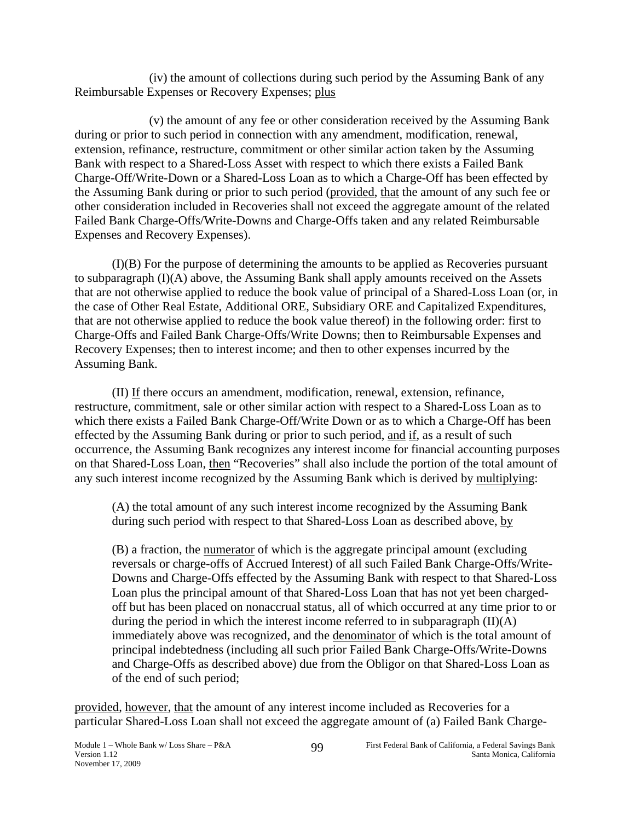(iv) the amount of collections during such period by the Assuming Bank of any Reimbursable Expenses or Recovery Expenses; plus

(v) the amount of any fee or other consideration received by the Assuming Bank during or prior to such period in connection with any amendment, modification, renewal, extension, refinance, restructure, commitment or other similar action taken by the Assuming Bank with respect to a Shared-Loss Asset with respect to which there exists a Failed Bank Charge-Off/Write-Down or a Shared-Loss Loan as to which a Charge-Off has been effected by the Assuming Bank during or prior to such period (provided, that the amount of any such fee or other consideration included in Recoveries shall not exceed the aggregate amount of the related Failed Bank Charge-Offs/Write-Downs and Charge-Offs taken and any related Reimbursable Expenses and Recovery Expenses).

(I)(B) For the purpose of determining the amounts to be applied as Recoveries pursuant to subparagraph (I)(A) above, the Assuming Bank shall apply amounts received on the Assets that are not otherwise applied to reduce the book value of principal of a Shared-Loss Loan (or, in the case of Other Real Estate, Additional ORE, Subsidiary ORE and Capitalized Expenditures, that are not otherwise applied to reduce the book value thereof) in the following order: first to Charge-Offs and Failed Bank Charge-Offs/Write Downs; then to Reimbursable Expenses and Recovery Expenses; then to interest income; and then to other expenses incurred by the Assuming Bank.

(II) If there occurs an amendment, modification, renewal, extension, refinance, restructure, commitment, sale or other similar action with respect to a Shared-Loss Loan as to which there exists a Failed Bank Charge-Off/Write Down or as to which a Charge-Off has been effected by the Assuming Bank during or prior to such period, and if, as a result of such occurrence, the Assuming Bank recognizes any interest income for financial accounting purposes on that Shared-Loss Loan, then "Recoveries" shall also include the portion of the total amount of any such interest income recognized by the Assuming Bank which is derived by multiplying:

(A) the total amount of any such interest income recognized by the Assuming Bank during such period with respect to that Shared-Loss Loan as described above, by

(B) a fraction, the numerator of which is the aggregate principal amount (excluding reversals or charge-offs of Accrued Interest) of all such Failed Bank Charge-Offs/Write-Downs and Charge-Offs effected by the Assuming Bank with respect to that Shared-Loss Loan plus the principal amount of that Shared-Loss Loan that has not yet been chargedoff but has been placed on nonaccrual status, all of which occurred at any time prior to or during the period in which the interest income referred to in subparagraph (II)(A) immediately above was recognized, and the denominator of which is the total amount of principal indebtedness (including all such prior Failed Bank Charge-Offs/Write-Downs and Charge-Offs as described above) due from the Obligor on that Shared-Loss Loan as of the end of such period;

provided, however, that the amount of any interest income included as Recoveries for a particular Shared-Loss Loan shall not exceed the aggregate amount of (a) Failed Bank Charge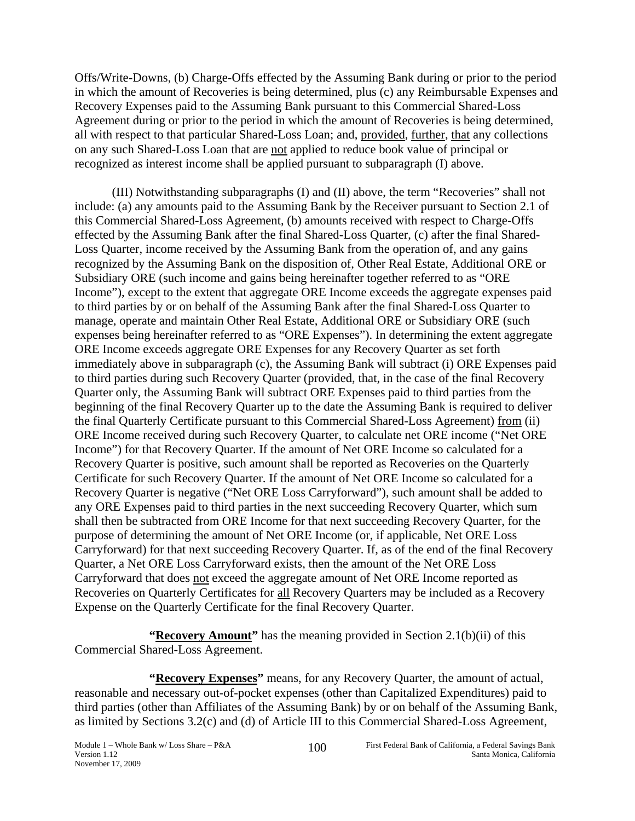Offs/Write-Downs, (b) Charge-Offs effected by the Assuming Bank during or prior to the period in which the amount of Recoveries is being determined, plus (c) any Reimbursable Expenses and Recovery Expenses paid to the Assuming Bank pursuant to this Commercial Shared-Loss Agreement during or prior to the period in which the amount of Recoveries is being determined, all with respect to that particular Shared-Loss Loan; and, provided, further, that any collections on any such Shared-Loss Loan that are not applied to reduce book value of principal or recognized as interest income shall be applied pursuant to subparagraph (I) above.

(III) Notwithstanding subparagraphs (I) and (II) above, the term "Recoveries" shall not include: (a) any amounts paid to the Assuming Bank by the Receiver pursuant to Section 2.1 of this Commercial Shared-Loss Agreement, (b) amounts received with respect to Charge-Offs effected by the Assuming Bank after the final Shared-Loss Quarter, (c) after the final Shared-Loss Quarter, income received by the Assuming Bank from the operation of, and any gains recognized by the Assuming Bank on the disposition of, Other Real Estate, Additional ORE or Subsidiary ORE (such income and gains being hereinafter together referred to as "ORE Income"), except to the extent that aggregate ORE Income exceeds the aggregate expenses paid to third parties by or on behalf of the Assuming Bank after the final Shared-Loss Quarter to manage, operate and maintain Other Real Estate, Additional ORE or Subsidiary ORE (such expenses being hereinafter referred to as "ORE Expenses"). In determining the extent aggregate ORE Income exceeds aggregate ORE Expenses for any Recovery Quarter as set forth immediately above in subparagraph (c), the Assuming Bank will subtract (i) ORE Expenses paid to third parties during such Recovery Quarter (provided, that, in the case of the final Recovery Quarter only, the Assuming Bank will subtract ORE Expenses paid to third parties from the beginning of the final Recovery Quarter up to the date the Assuming Bank is required to deliver the final Quarterly Certificate pursuant to this Commercial Shared-Loss Agreement) from (ii) ORE Income received during such Recovery Quarter, to calculate net ORE income ("Net ORE Income") for that Recovery Quarter. If the amount of Net ORE Income so calculated for a Recovery Quarter is positive, such amount shall be reported as Recoveries on the Quarterly Certificate for such Recovery Quarter. If the amount of Net ORE Income so calculated for a Recovery Quarter is negative ("Net ORE Loss Carryforward"), such amount shall be added to any ORE Expenses paid to third parties in the next succeeding Recovery Quarter, which sum shall then be subtracted from ORE Income for that next succeeding Recovery Quarter, for the purpose of determining the amount of Net ORE Income (or, if applicable, Net ORE Loss Carryforward) for that next succeeding Recovery Quarter. If, as of the end of the final Recovery Quarter, a Net ORE Loss Carryforward exists, then the amount of the Net ORE Loss Carryforward that does not exceed the aggregate amount of Net ORE Income reported as Recoveries on Quarterly Certificates for all Recovery Quarters may be included as a Recovery Expense on the Quarterly Certificate for the final Recovery Quarter.

**"Recovery Amount"** has the meaning provided in Section 2.1(b)(ii) of this Commercial Shared-Loss Agreement.

**"Recovery Expenses"** means, for any Recovery Quarter, the amount of actual, reasonable and necessary out-of-pocket expenses (other than Capitalized Expenditures) paid to third parties (other than Affiliates of the Assuming Bank) by or on behalf of the Assuming Bank, as limited by Sections 3.2(c) and (d) of Article III to this Commercial Shared-Loss Agreement,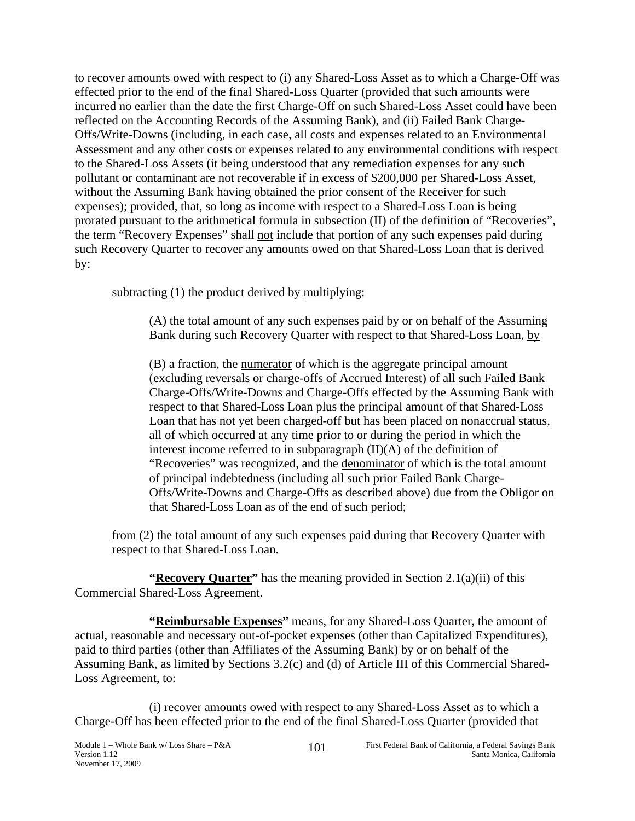to recover amounts owed with respect to (i) any Shared-Loss Asset as to which a Charge-Off was effected prior to the end of the final Shared-Loss Quarter (provided that such amounts were incurred no earlier than the date the first Charge-Off on such Shared-Loss Asset could have been reflected on the Accounting Records of the Assuming Bank), and (ii) Failed Bank Charge-Offs/Write-Downs (including, in each case, all costs and expenses related to an Environmental Assessment and any other costs or expenses related to any environmental conditions with respect to the Shared-Loss Assets (it being understood that any remediation expenses for any such pollutant or contaminant are not recoverable if in excess of \$200,000 per Shared-Loss Asset, without the Assuming Bank having obtained the prior consent of the Receiver for such expenses); provided, that, so long as income with respect to a Shared-Loss Loan is being prorated pursuant to the arithmetical formula in subsection (II) of the definition of "Recoveries", the term "Recovery Expenses" shall not include that portion of any such expenses paid during such Recovery Quarter to recover any amounts owed on that Shared-Loss Loan that is derived by:

subtracting (1) the product derived by multiplying:

(A) the total amount of any such expenses paid by or on behalf of the Assuming Bank during such Recovery Quarter with respect to that Shared-Loss Loan, by

(B) a fraction, the numerator of which is the aggregate principal amount (excluding reversals or charge-offs of Accrued Interest) of all such Failed Bank Charge-Offs/Write-Downs and Charge-Offs effected by the Assuming Bank with respect to that Shared-Loss Loan plus the principal amount of that Shared-Loss Loan that has not yet been charged-off but has been placed on nonaccrual status, all of which occurred at any time prior to or during the period in which the interest income referred to in subparagraph (II)(A) of the definition of "Recoveries" was recognized, and the denominator of which is the total amount of principal indebtedness (including all such prior Failed Bank Charge-Offs/Write-Downs and Charge-Offs as described above) due from the Obligor on that Shared-Loss Loan as of the end of such period;

from (2) the total amount of any such expenses paid during that Recovery Quarter with respect to that Shared-Loss Loan.

**"Recovery Quarter"** has the meaning provided in Section 2.1(a)(ii) of this Commercial Shared-Loss Agreement.

**"Reimbursable Expenses"** means, for any Shared-Loss Quarter, the amount of actual, reasonable and necessary out-of-pocket expenses (other than Capitalized Expenditures), paid to third parties (other than Affiliates of the Assuming Bank) by or on behalf of the Assuming Bank, as limited by Sections 3.2(c) and (d) of Article III of this Commercial Shared-Loss Agreement, to:

(i) recover amounts owed with respect to any Shared-Loss Asset as to which a Charge-Off has been effected prior to the end of the final Shared-Loss Quarter (provided that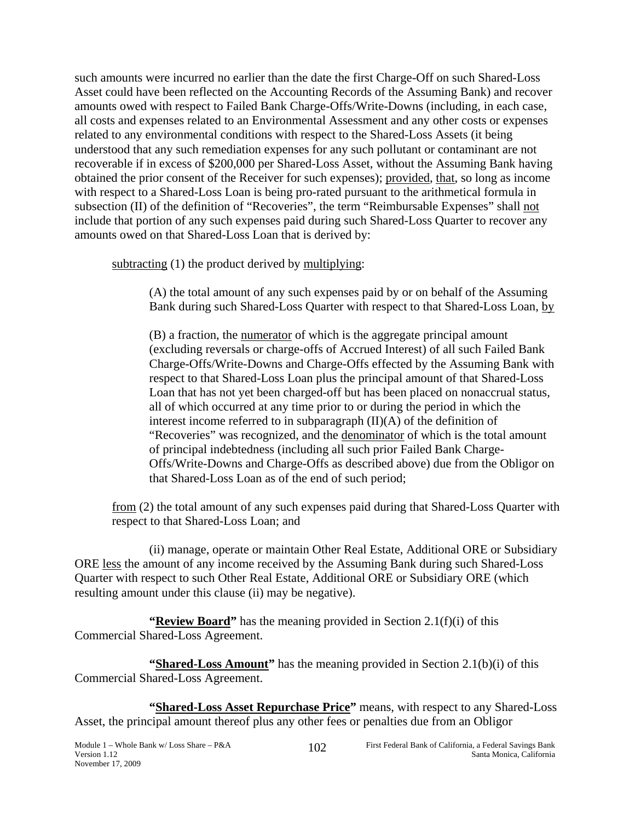such amounts were incurred no earlier than the date the first Charge-Off on such Shared-Loss Asset could have been reflected on the Accounting Records of the Assuming Bank) and recover amounts owed with respect to Failed Bank Charge-Offs/Write-Downs (including, in each case, all costs and expenses related to an Environmental Assessment and any other costs or expenses related to any environmental conditions with respect to the Shared-Loss Assets (it being understood that any such remediation expenses for any such pollutant or contaminant are not recoverable if in excess of \$200,000 per Shared-Loss Asset, without the Assuming Bank having obtained the prior consent of the Receiver for such expenses); provided, that, so long as income with respect to a Shared-Loss Loan is being pro-rated pursuant to the arithmetical formula in subsection (II) of the definition of "Recoveries", the term "Reimbursable Expenses" shall not include that portion of any such expenses paid during such Shared-Loss Quarter to recover any amounts owed on that Shared-Loss Loan that is derived by:

subtracting (1) the product derived by multiplying:

(A) the total amount of any such expenses paid by or on behalf of the Assuming Bank during such Shared-Loss Quarter with respect to that Shared-Loss Loan, by

(B) a fraction, the numerator of which is the aggregate principal amount (excluding reversals or charge-offs of Accrued Interest) of all such Failed Bank Charge-Offs/Write-Downs and Charge-Offs effected by the Assuming Bank with respect to that Shared-Loss Loan plus the principal amount of that Shared-Loss Loan that has not yet been charged-off but has been placed on nonaccrual status, all of which occurred at any time prior to or during the period in which the interest income referred to in subparagraph  $(II)(A)$  of the definition of "Recoveries" was recognized, and the denominator of which is the total amount of principal indebtedness (including all such prior Failed Bank Charge-Offs/Write-Downs and Charge-Offs as described above) due from the Obligor on that Shared-Loss Loan as of the end of such period;

from (2) the total amount of any such expenses paid during that Shared-Loss Quarter with respect to that Shared-Loss Loan; and

(ii) manage, operate or maintain Other Real Estate, Additional ORE or Subsidiary ORE less the amount of any income received by the Assuming Bank during such Shared-Loss Quarter with respect to such Other Real Estate, Additional ORE or Subsidiary ORE (which resulting amount under this clause (ii) may be negative).

**"Review Board"** has the meaning provided in Section 2.1(f)(i) of this Commercial Shared-Loss Agreement.

**"Shared-Loss Amount"** has the meaning provided in Section 2.1(b)(i) of this Commercial Shared-Loss Agreement.

**"Shared-Loss Asset Repurchase Price"** means, with respect to any Shared-Loss Asset, the principal amount thereof plus any other fees or penalties due from an Obligor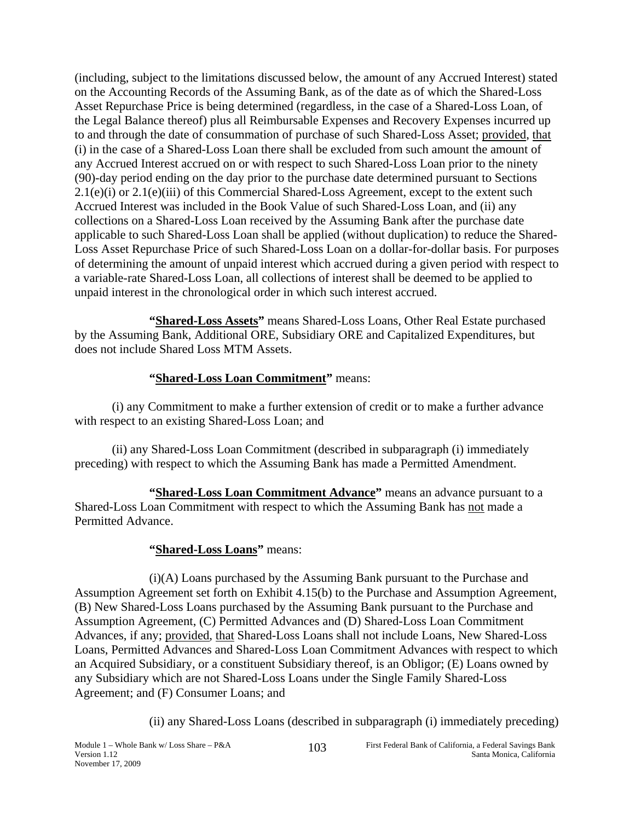(including, subject to the limitations discussed below, the amount of any Accrued Interest) stated on the Accounting Records of the Assuming Bank, as of the date as of which the Shared-Loss Asset Repurchase Price is being determined (regardless, in the case of a Shared-Loss Loan, of the Legal Balance thereof) plus all Reimbursable Expenses and Recovery Expenses incurred up to and through the date of consummation of purchase of such Shared-Loss Asset; provided, that (i) in the case of a Shared-Loss Loan there shall be excluded from such amount the amount of any Accrued Interest accrued on or with respect to such Shared-Loss Loan prior to the ninety (90)-day period ending on the day prior to the purchase date determined pursuant to Sections 2.1(e)(i) or 2.1(e)(iii) of this Commercial Shared-Loss Agreement, except to the extent such Accrued Interest was included in the Book Value of such Shared-Loss Loan, and (ii) any collections on a Shared-Loss Loan received by the Assuming Bank after the purchase date applicable to such Shared-Loss Loan shall be applied (without duplication) to reduce the Shared-Loss Asset Repurchase Price of such Shared-Loss Loan on a dollar-for-dollar basis. For purposes of determining the amount of unpaid interest which accrued during a given period with respect to a variable-rate Shared-Loss Loan, all collections of interest shall be deemed to be applied to unpaid interest in the chronological order in which such interest accrued.

**"Shared-Loss Assets"** means Shared-Loss Loans, Other Real Estate purchased by the Assuming Bank, Additional ORE, Subsidiary ORE and Capitalized Expenditures, but does not include Shared Loss MTM Assets.

### **"Shared-Loss Loan Commitment"** means:

(i) any Commitment to make a further extension of credit or to make a further advance with respect to an existing Shared-Loss Loan; and

(ii) any Shared-Loss Loan Commitment (described in subparagraph (i) immediately preceding) with respect to which the Assuming Bank has made a Permitted Amendment.

"Shared-Loss Loan **Commitment Advance**" means an advance pursuant to a Shared-Loss Loan Commitment with respect to which the Assuming Bank has not made a Permitted Advance.

## **"Shared-Loss Loans"** means:

(i)(A) Loans purchased by the Assuming Bank pursuant to the Purchase and Assumption Agreement set forth on Exhibit 4.15(b) to the Purchase and Assumption Agreement, (B) New Shared-Loss Loans purchased by the Assuming Bank pursuant to the Purchase and Assumption Agreement, (C) Permitted Advances and (D) Shared-Loss Loan Commitment Advances, if any; provided, that Shared-Loss Loans shall not include Loans, New Shared-Loss Loans, Permitted Advances and Shared-Loss Loan Commitment Advances with respect to which an Acquired Subsidiary, or a constituent Subsidiary thereof, is an Obligor; (E) Loans owned by any Subsidiary which are not Shared-Loss Loans under the Single Family Shared-Loss Agreement; and (F) Consumer Loans; and

(ii) any Shared-Loss Loans (described in subparagraph (i) immediately preceding)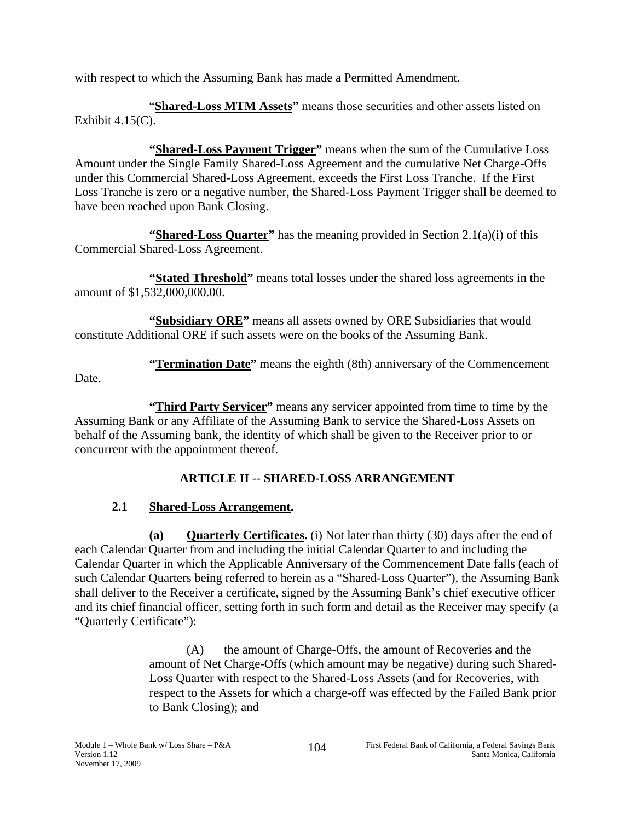with respect to which the Assuming Bank has made a Permitted Amendment.

"**Shared-Loss MTM Assets"** means those securities and other assets listed on Exhibit  $4.15(C)$ .

**"Shared-Loss Payment Trigger"** means when the sum of the Cumulative Loss Amount under the Single Family Shared-Loss Agreement and the cumulative Net Charge-Offs under this Commercial Shared-Loss Agreement, exceeds the First Loss Tranche. If the First Loss Tranche is zero or a negative number, the Shared-Loss Payment Trigger shall be deemed to have been reached upon Bank Closing.

**"Shared-Loss Quarter"** has the meaning provided in Section 2.1(a)(i) of this Commercial Shared-Loss Agreement.

**"Stated Threshold"** means total losses under the shared loss agreements in the amount of \$1,532,000,000.00.

**"Subsidiary ORE"** means all assets owned by ORE Subsidiaries that would constitute Additional ORE if such assets were on the books of the Assuming Bank.

**"Termination Date"** means the eighth (8th) anniversary of the Commencement Date.

**"Third Party Servicer"** means any servicer appointed from time to time by the Assuming Bank or any Affiliate of the Assuming Bank to service the Shared-Loss Assets on behalf of the Assuming bank, the identity of which shall be given to the Receiver prior to or concurrent with the appointment thereof.

## **ARTICLE II** -- **SHARED-LOSS ARRANGEMENT**

# **2.1 Shared-Loss Arrangement.**

**(a) Quarterly Certificates.** (i) Not later than thirty (30) days after the end of each Calendar Quarter from and including the initial Calendar Quarter to and including the Calendar Quarter in which the Applicable Anniversary of the Commencement Date falls (each of such Calendar Quarters being referred to herein as a "Shared-Loss Quarter"), the Assuming Bank shall deliver to the Receiver a certificate, signed by the Assuming Bank's chief executive officer and its chief financial officer, setting forth in such form and detail as the Receiver may specify (a "Quarterly Certificate"):

> (A) the amount of Charge-Offs, the amount of Recoveries and the amount of Net Charge-Offs (which amount may be negative) during such Shared-Loss Quarter with respect to the Shared-Loss Assets (and for Recoveries, with respect to the Assets for which a charge-off was effected by the Failed Bank prior to Bank Closing); and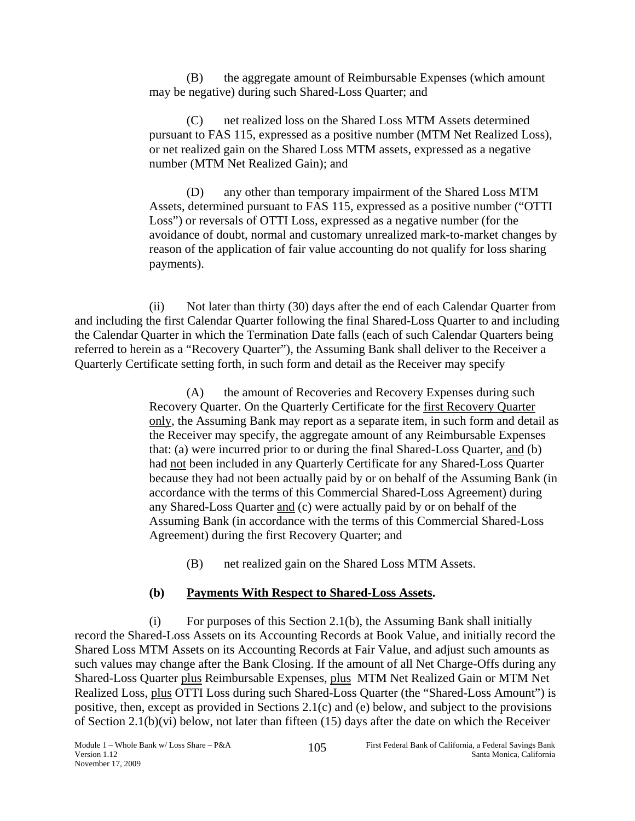(B) the aggregate amount of Reimbursable Expenses (which amount may be negative) during such Shared-Loss Quarter; and

(C) net realized loss on the Shared Loss MTM Assets determined pursuant to FAS 115, expressed as a positive number (MTM Net Realized Loss), or net realized gain on the Shared Loss MTM assets, expressed as a negative number (MTM Net Realized Gain); and

(D) any other than temporary impairment of the Shared Loss MTM Assets, determined pursuant to FAS 115, expressed as a positive number ("OTTI Loss") or reversals of OTTI Loss, expressed as a negative number (for the avoidance of doubt, normal and customary unrealized mark-to-market changes by reason of the application of fair value accounting do not qualify for loss sharing payments).

(ii) Not later than thirty (30) days after the end of each Calendar Quarter from and including the first Calendar Quarter following the final Shared-Loss Quarter to and including the Calendar Quarter in which the Termination Date falls (each of such Calendar Quarters being referred to herein as a "Recovery Quarter"), the Assuming Bank shall deliver to the Receiver a Quarterly Certificate setting forth, in such form and detail as the Receiver may specify

> (A) the amount of Recoveries and Recovery Expenses during such Recovery Quarter. On the Quarterly Certificate for the first Recovery Quarter only, the Assuming Bank may report as a separate item, in such form and detail as the Receiver may specify, the aggregate amount of any Reimbursable Expenses that: (a) were incurred prior to or during the final Shared-Loss Quarter, and (b) had not been included in any Quarterly Certificate for any Shared-Loss Quarter because they had not been actually paid by or on behalf of the Assuming Bank (in accordance with the terms of this Commercial Shared-Loss Agreement) during any Shared-Loss Quarter and (c) were actually paid by or on behalf of the Assuming Bank (in accordance with the terms of this Commercial Shared-Loss Agreement) during the first Recovery Quarter; and

(B) net realized gain on the Shared Loss MTM Assets.

## **(b) Payments With Respect to Shared-Loss Assets.**

(i) For purposes of this Section 2.1(b), the Assuming Bank shall initially record the Shared-Loss Assets on its Accounting Records at Book Value, and initially record the Shared Loss MTM Assets on its Accounting Records at Fair Value, and adjust such amounts as such values may change after the Bank Closing. If the amount of all Net Charge-Offs during any Shared-Loss Quarter plus Reimbursable Expenses, plus MTM Net Realized Gain or MTM Net Realized Loss, plus OTTI Loss during such Shared-Loss Quarter (the "Shared-Loss Amount") is positive, then, except as provided in Sections 2.1(c) and (e) below, and subject to the provisions of Section 2.1(b)(vi) below, not later than fifteen (15) days after the date on which the Receiver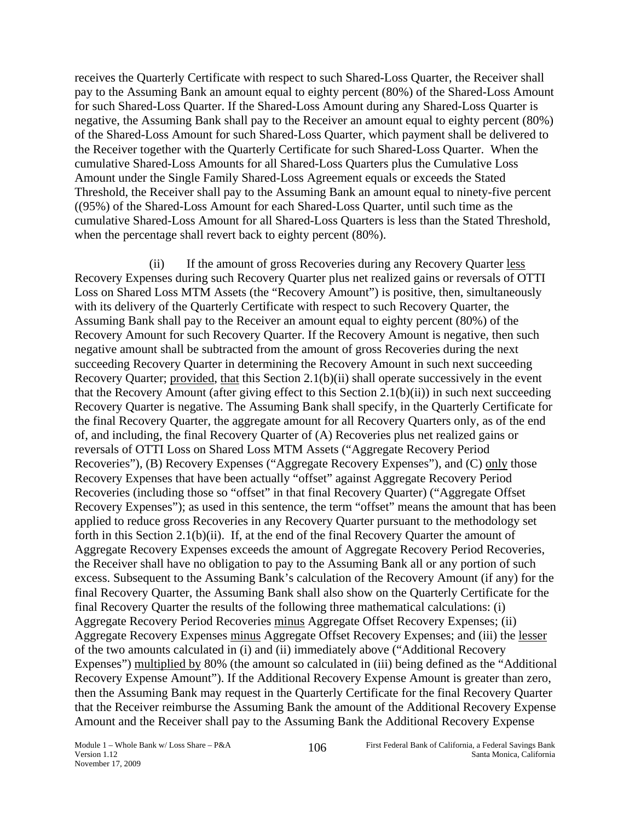receives the Quarterly Certificate with respect to such Shared-Loss Quarter, the Receiver shall pay to the Assuming Bank an amount equal to eighty percent (80%) of the Shared-Loss Amount for such Shared-Loss Quarter. If the Shared-Loss Amount during any Shared-Loss Quarter is negative, the Assuming Bank shall pay to the Receiver an amount equal to eighty percent (80%) of the Shared-Loss Amount for such Shared-Loss Quarter, which payment shall be delivered to the Receiver together with the Quarterly Certificate for such Shared-Loss Quarter. When the cumulative Shared-Loss Amounts for all Shared-Loss Quarters plus the Cumulative Loss Amount under the Single Family Shared-Loss Agreement equals or exceeds the Stated Threshold, the Receiver shall pay to the Assuming Bank an amount equal to ninety-five percent ((95%) of the Shared-Loss Amount for each Shared-Loss Quarter, until such time as the cumulative Shared-Loss Amount for all Shared-Loss Quarters is less than the Stated Threshold, when the percentage shall revert back to eighty percent (80%).

(ii) If the amount of gross Recoveries during any Recovery Quarter less Recovery Expenses during such Recovery Quarter plus net realized gains or reversals of OTTI Loss on Shared Loss MTM Assets (the "Recovery Amount") is positive, then, simultaneously with its delivery of the Quarterly Certificate with respect to such Recovery Quarter, the Assuming Bank shall pay to the Receiver an amount equal to eighty percent (80%) of the Recovery Amount for such Recovery Quarter. If the Recovery Amount is negative, then such negative amount shall be subtracted from the amount of gross Recoveries during the next succeeding Recovery Quarter in determining the Recovery Amount in such next succeeding Recovery Quarter; provided, that this Section 2.1(b)(ii) shall operate successively in the event that the Recovery Amount (after giving effect to this Section 2.1(b)(ii)) in such next succeeding Recovery Quarter is negative. The Assuming Bank shall specify, in the Quarterly Certificate for the final Recovery Quarter, the aggregate amount for all Recovery Quarters only, as of the end of, and including, the final Recovery Quarter of (A) Recoveries plus net realized gains or reversals of OTTI Loss on Shared Loss MTM Assets ("Aggregate Recovery Period Recoveries"), (B) Recovery Expenses ("Aggregate Recovery Expenses"), and (C) only those Recovery Expenses that have been actually "offset" against Aggregate Recovery Period Recoveries (including those so "offset" in that final Recovery Quarter) ("Aggregate Offset Recovery Expenses"); as used in this sentence, the term "offset" means the amount that has been applied to reduce gross Recoveries in any Recovery Quarter pursuant to the methodology set forth in this Section 2.1(b)(ii). If, at the end of the final Recovery Quarter the amount of Aggregate Recovery Expenses exceeds the amount of Aggregate Recovery Period Recoveries, the Receiver shall have no obligation to pay to the Assuming Bank all or any portion of such excess. Subsequent to the Assuming Bank's calculation of the Recovery Amount (if any) for the final Recovery Quarter, the Assuming Bank shall also show on the Quarterly Certificate for the final Recovery Quarter the results of the following three mathematical calculations: (i) Aggregate Recovery Period Recoveries minus Aggregate Offset Recovery Expenses; (ii) Aggregate Recovery Expenses minus Aggregate Offset Recovery Expenses; and (iii) the lesser of the two amounts calculated in (i) and (ii) immediately above ("Additional Recovery Expenses") multiplied by 80% (the amount so calculated in (iii) being defined as the "Additional Recovery Expense Amount"). If the Additional Recovery Expense Amount is greater than zero, then the Assuming Bank may request in the Quarterly Certificate for the final Recovery Quarter that the Receiver reimburse the Assuming Bank the amount of the Additional Recovery Expense Amount and the Receiver shall pay to the Assuming Bank the Additional Recovery Expense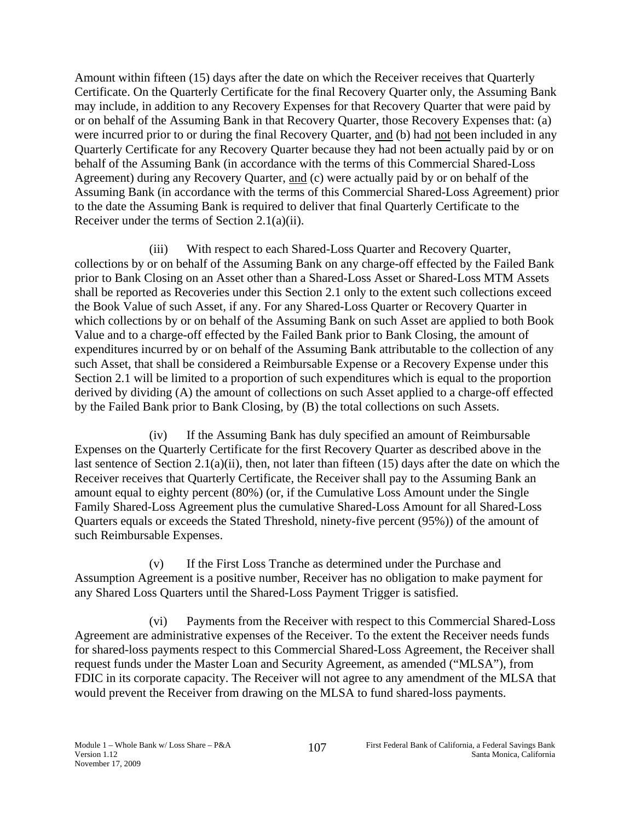Amount within fifteen (15) days after the date on which the Receiver receives that Quarterly Certificate. On the Quarterly Certificate for the final Recovery Quarter only, the Assuming Bank may include, in addition to any Recovery Expenses for that Recovery Quarter that were paid by or on behalf of the Assuming Bank in that Recovery Quarter, those Recovery Expenses that: (a) were incurred prior to or during the final Recovery Quarter, and (b) had not been included in any Quarterly Certificate for any Recovery Quarter because they had not been actually paid by or on behalf of the Assuming Bank (in accordance with the terms of this Commercial Shared-Loss Agreement) during any Recovery Quarter, and (c) were actually paid by or on behalf of the Assuming Bank (in accordance with the terms of this Commercial Shared-Loss Agreement) prior to the date the Assuming Bank is required to deliver that final Quarterly Certificate to the Receiver under the terms of Section 2.1(a)(ii).

(iii) With respect to each Shared-Loss Quarter and Recovery Quarter, collections by or on behalf of the Assuming Bank on any charge-off effected by the Failed Bank prior to Bank Closing on an Asset other than a Shared-Loss Asset or Shared-Loss MTM Assets shall be reported as Recoveries under this Section 2.1 only to the extent such collections exceed the Book Value of such Asset, if any. For any Shared-Loss Quarter or Recovery Quarter in which collections by or on behalf of the Assuming Bank on such Asset are applied to both Book Value and to a charge-off effected by the Failed Bank prior to Bank Closing, the amount of expenditures incurred by or on behalf of the Assuming Bank attributable to the collection of any such Asset, that shall be considered a Reimbursable Expense or a Recovery Expense under this Section 2.1 will be limited to a proportion of such expenditures which is equal to the proportion derived by dividing (A) the amount of collections on such Asset applied to a charge-off effected by the Failed Bank prior to Bank Closing, by (B) the total collections on such Assets.

(iv) If the Assuming Bank has duly specified an amount of Reimbursable Expenses on the Quarterly Certificate for the first Recovery Quarter as described above in the last sentence of Section 2.1(a)(ii), then, not later than fifteen (15) days after the date on which the Receiver receives that Quarterly Certificate, the Receiver shall pay to the Assuming Bank an amount equal to eighty percent (80%) (or, if the Cumulative Loss Amount under the Single Family Shared-Loss Agreement plus the cumulative Shared-Loss Amount for all Shared-Loss Quarters equals or exceeds the Stated Threshold, ninety-five percent (95%)) of the amount of such Reimbursable Expenses.

(v) If the First Loss Tranche as determined under the Purchase and Assumption Agreement is a positive number, Receiver has no obligation to make payment for any Shared Loss Quarters until the Shared-Loss Payment Trigger is satisfied.

(vi) Payments from the Receiver with respect to this Commercial Shared-Loss Agreement are administrative expenses of the Receiver. To the extent the Receiver needs funds for shared-loss payments respect to this Commercial Shared-Loss Agreement, the Receiver shall request funds under the Master Loan and Security Agreement, as amended ("MLSA"), from FDIC in its corporate capacity. The Receiver will not agree to any amendment of the MLSA that would prevent the Receiver from drawing on the MLSA to fund shared-loss payments.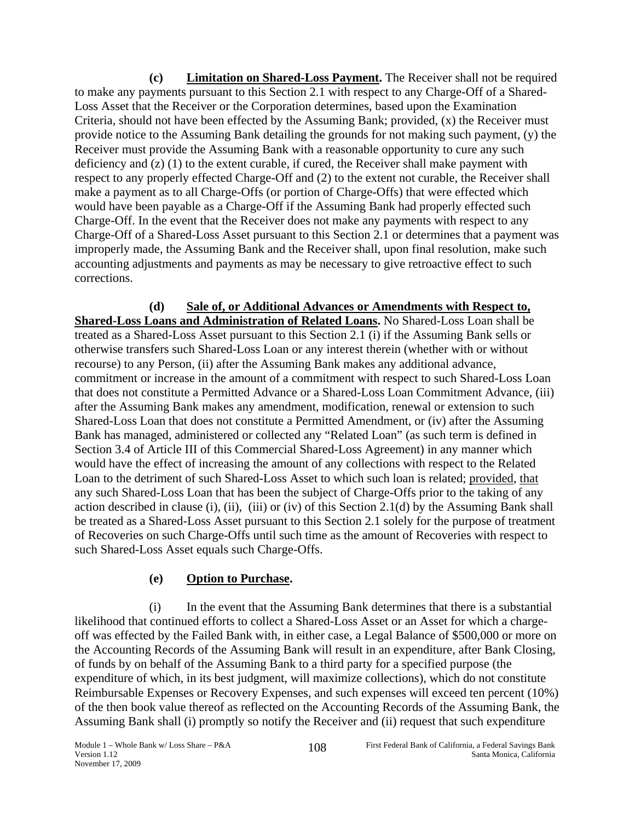**(c) Limitation on Shared-Loss Payment.** The Receiver shall not be required to make any payments pursuant to this Section 2.1 with respect to any Charge-Off of a Shared-Loss Asset that the Receiver or the Corporation determines, based upon the Examination Criteria, should not have been effected by the Assuming Bank; provided, (x) the Receiver must provide notice to the Assuming Bank detailing the grounds for not making such payment, (y) the Receiver must provide the Assuming Bank with a reasonable opportunity to cure any such deficiency and (z) (1) to the extent curable, if cured, the Receiver shall make payment with respect to any properly effected Charge-Off and (2) to the extent not curable, the Receiver shall make a payment as to all Charge-Offs (or portion of Charge-Offs) that were effected which would have been payable as a Charge-Off if the Assuming Bank had properly effected such Charge-Off. In the event that the Receiver does not make any payments with respect to any Charge-Off of a Shared-Loss Asset pursuant to this Section 2.1 or determines that a payment was improperly made, the Assuming Bank and the Receiver shall, upon final resolution, make such accounting adjustments and payments as may be necessary to give retroactive effect to such corrections.

Loan to the detriment of such Shared-Loss Asset to which such loan is related; provided, that **(d) Sale of, or Additional Advances or Amendments with Respect to, Shared-Loss Loans and Administration of Related Loans.** No Shared-Loss Loan shall be treated as a Shared-Loss Asset pursuant to this Section 2.1 (i) if the Assuming Bank sells or otherwise transfers such Shared-Loss Loan or any interest therein (whether with or without recourse) to any Person, (ii) after the Assuming Bank makes any additional advance, commitment or increase in the amount of a commitment with respect to such Shared-Loss Loan that does not constitute a Permitted Advance or a Shared-Loss Loan Commitment Advance, (iii) after the Assuming Bank makes any amendment, modification, renewal or extension to such Shared-Loss Loan that does not constitute a Permitted Amendment, or (iv) after the Assuming Bank has managed, administered or collected any "Related Loan" (as such term is defined in Section 3.4 of Article III of this Commercial Shared-Loss Agreement) in any manner which would have the effect of increasing the amount of any collections with respect to the Related any such Shared-Loss Loan that has been the subject of Charge-Offs prior to the taking of any action described in clause (i), (ii), (iii) or (iv) of this Section 2.1(d) by the Assuming Bank shall be treated as a Shared-Loss Asset pursuant to this Section 2.1 solely for the purpose of treatment of Recoveries on such Charge-Offs until such time as the amount of Recoveries with respect to such Shared-Loss Asset equals such Charge-Offs.

## **(e) Option to Purchase.**

(i) In the event that the Assuming Bank determines that there is a substantial likelihood that continued efforts to collect a Shared-Loss Asset or an Asset for which a chargeoff was effected by the Failed Bank with, in either case, a Legal Balance of \$500,000 or more on the Accounting Records of the Assuming Bank will result in an expenditure, after Bank Closing, of funds by on behalf of the Assuming Bank to a third party for a specified purpose (the expenditure of which, in its best judgment, will maximize collections), which do not constitute Reimbursable Expenses or Recovery Expenses, and such expenses will exceed ten percent (10%) of the then book value thereof as reflected on the Accounting Records of the Assuming Bank, the Assuming Bank shall (i) promptly so notify the Receiver and (ii) request that such expenditure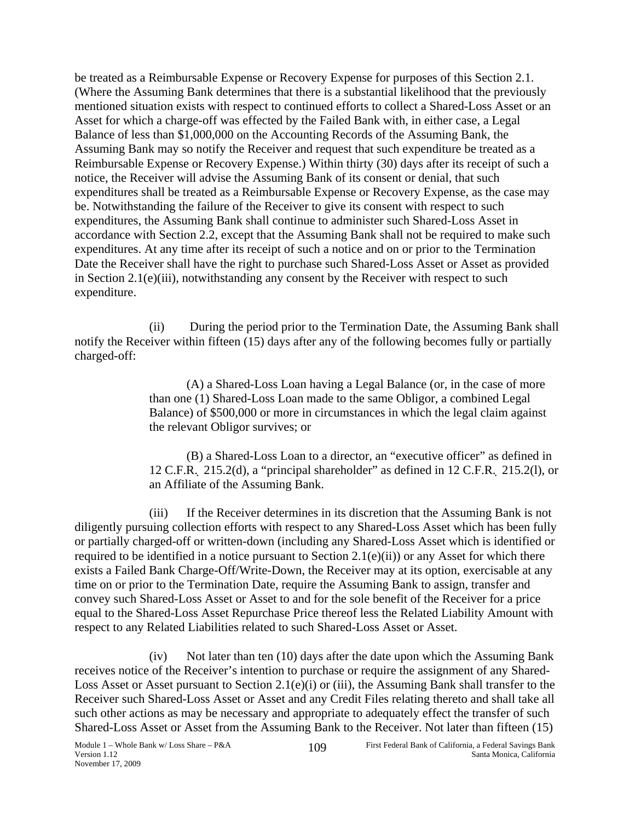be treated as a Reimbursable Expense or Recovery Expense for purposes of this Section 2.1. (Where the Assuming Bank determines that there is a substantial likelihood that the previously mentioned situation exists with respect to continued efforts to collect a Shared-Loss Asset or an Asset for which a charge-off was effected by the Failed Bank with, in either case, a Legal Balance of less than \$1,000,000 on the Accounting Records of the Assuming Bank, the Assuming Bank may so notify the Receiver and request that such expenditure be treated as a Reimbursable Expense or Recovery Expense.) Within thirty (30) days after its receipt of such a notice, the Receiver will advise the Assuming Bank of its consent or denial, that such expenditures shall be treated as a Reimbursable Expense or Recovery Expense, as the case may be. Notwithstanding the failure of the Receiver to give its consent with respect to such expenditures, the Assuming Bank shall continue to administer such Shared-Loss Asset in accordance with Section 2.2, except that the Assuming Bank shall not be required to make such expenditures. At any time after its receipt of such a notice and on or prior to the Termination Date the Receiver shall have the right to purchase such Shared-Loss Asset or Asset as provided in Section 2.1(e)(iii), notwithstanding any consent by the Receiver with respect to such expenditure.

(ii) During the period prior to the Termination Date, the Assuming Bank shall notify the Receiver within fifteen (15) days after any of the following becomes fully or partially charged-off:

> (A) a Shared-Loss Loan having a Legal Balance (or, in the case of more than one (1) Shared-Loss Loan made to the same Obligor, a combined Legal Balance) of \$500,000 or more in circumstances in which the legal claim against the relevant Obligor survives; or

(B) a Shared-Loss Loan to a director, an "executive officer" as defined in 12 C.F.R. 215.2(d), a "principal shareholder" as defined in 12 C.F.R. 215.2(l), or an Affiliate of the Assuming Bank.

(iii) If the Receiver determines in its discretion that the Assuming Bank is not diligently pursuing collection efforts with respect to any Shared-Loss Asset which has been fully or partially charged-off or written-down (including any Shared-Loss Asset which is identified or required to be identified in a notice pursuant to Section 2.1(e)(ii)) or any Asset for which there exists a Failed Bank Charge-Off/Write-Down, the Receiver may at its option, exercisable at any time on or prior to the Termination Date, require the Assuming Bank to assign, transfer and convey such Shared-Loss Asset or Asset to and for the sole benefit of the Receiver for a price equal to the Shared-Loss Asset Repurchase Price thereof less the Related Liability Amount with respect to any Related Liabilities related to such Shared-Loss Asset or Asset.

(iv) Not later than ten (10) days after the date upon which the Assuming Bank receives notice of the Receiver's intention to purchase or require the assignment of any Shared-Loss Asset or Asset pursuant to Section 2.1(e)(i) or (iii), the Assuming Bank shall transfer to the Receiver such Shared-Loss Asset or Asset and any Credit Files relating thereto and shall take all such other actions as may be necessary and appropriate to adequately effect the transfer of such Shared-Loss Asset or Asset from the Assuming Bank to the Receiver. Not later than fifteen (15)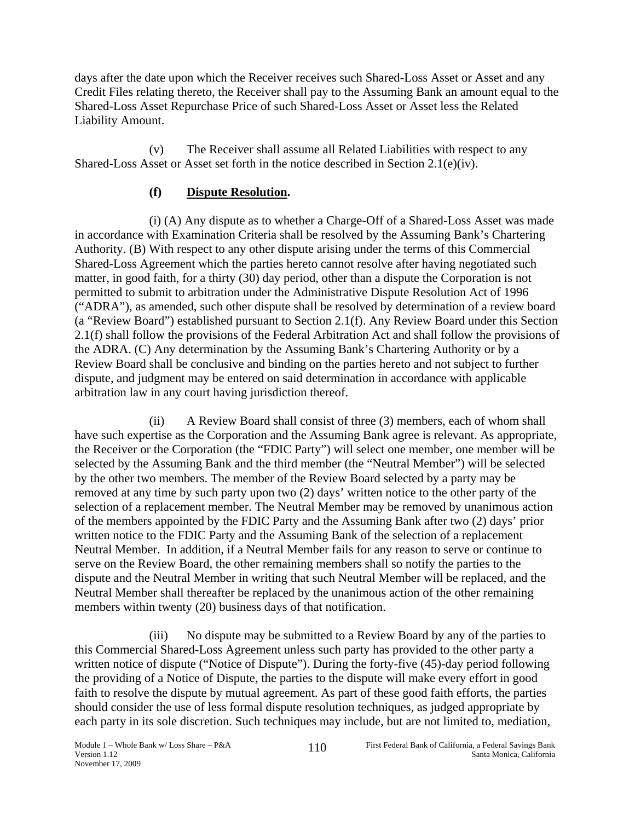days after the date upon which the Receiver receives such Shared-Loss Asset or Asset and any Credit Files relating thereto, the Receiver shall pay to the Assuming Bank an amount equal to the Shared-Loss Asset Repurchase Price of such Shared-Loss Asset or Asset less the Related Liability Amount.

(v) The Receiver shall assume all Related Liabilities with respect to any Shared-Loss Asset or Asset set forth in the notice described in Section 2.1(e)(iv).

#### **(f) Dispute Resolution.**

(i) (A) Any dispute as to whether a Charge-Off of a Shared-Loss Asset was made in accordance with Examination Criteria shall be resolved by the Assuming Bank's Chartering Authority. (B) With respect to any other dispute arising under the terms of this Commercial Shared-Loss Agreement which the parties hereto cannot resolve after having negotiated such matter, in good faith, for a thirty (30) day period, other than a dispute the Corporation is not permitted to submit to arbitration under the Administrative Dispute Resolution Act of 1996 ("ADRA"), as amended, such other dispute shall be resolved by determination of a review board (a "Review Board") established pursuant to Section 2.1(f). Any Review Board under this Section 2.1(f) shall follow the provisions of the Federal Arbitration Act and shall follow the provisions of the ADRA. (C) Any determination by the Assuming Bank's Chartering Authority or by a Review Board shall be conclusive and binding on the parties hereto and not subject to further dispute, and judgment may be entered on said determination in accordance with applicable arbitration law in any court having jurisdiction thereof.

(ii) A Review Board shall consist of three (3) members, each of whom shall have such expertise as the Corporation and the Assuming Bank agree is relevant. As appropriate, the Receiver or the Corporation (the "FDIC Party") will select one member, one member will be selected by the Assuming Bank and the third member (the "Neutral Member") will be selected by the other two members. The member of the Review Board selected by a party may be removed at any time by such party upon two (2) days' written notice to the other party of the selection of a replacement member. The Neutral Member may be removed by unanimous action of the members appointed by the FDIC Party and the Assuming Bank after two (2) days' prior written notice to the FDIC Party and the Assuming Bank of the selection of a replacement Neutral Member. In addition, if a Neutral Member fails for any reason to serve or continue to serve on the Review Board, the other remaining members shall so notify the parties to the dispute and the Neutral Member in writing that such Neutral Member will be replaced, and the Neutral Member shall thereafter be replaced by the unanimous action of the other remaining members within twenty (20) business days of that notification.

(iii) No dispute may be submitted to a Review Board by any of the parties to this Commercial Shared-Loss Agreement unless such party has provided to the other party a written notice of dispute ("Notice of Dispute"). During the forty-five (45)-day period following the providing of a Notice of Dispute, the parties to the dispute will make every effort in good faith to resolve the dispute by mutual agreement. As part of these good faith efforts, the parties should consider the use of less formal dispute resolution techniques, as judged appropriate by each party in its sole discretion. Such techniques may include, but are not limited to, mediation,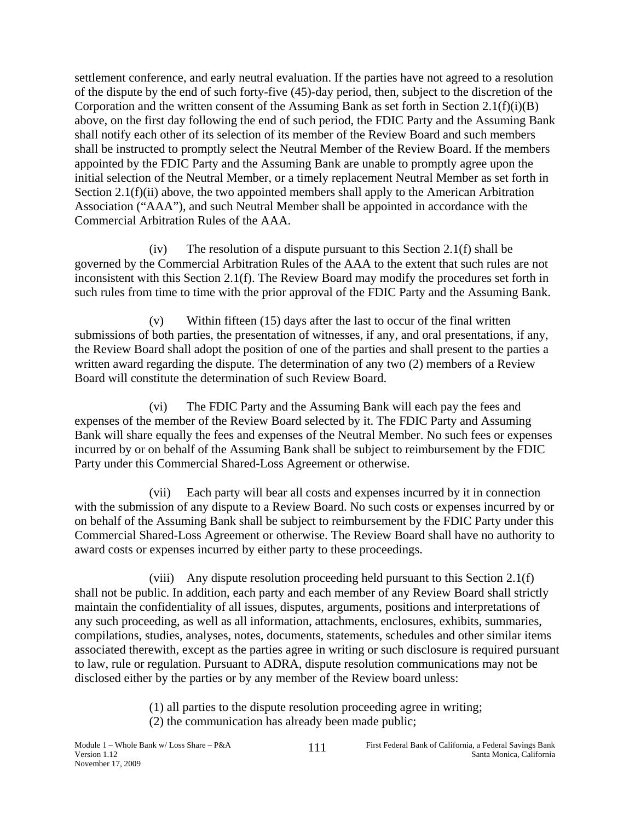settlement conference, and early neutral evaluation. If the parties have not agreed to a resolution of the dispute by the end of such forty-five (45)-day period, then, subject to the discretion of the Corporation and the written consent of the Assuming Bank as set forth in Section  $2.1(f)(i)(B)$ above, on the first day following the end of such period, the FDIC Party and the Assuming Bank shall notify each other of its selection of its member of the Review Board and such members shall be instructed to promptly select the Neutral Member of the Review Board. If the members appointed by the FDIC Party and the Assuming Bank are unable to promptly agree upon the initial selection of the Neutral Member, or a timely replacement Neutral Member as set forth in Section 2.1(f)(ii) above, the two appointed members shall apply to the American Arbitration Association ("AAA"), and such Neutral Member shall be appointed in accordance with the Commercial Arbitration Rules of the AAA.

(iv) The resolution of a dispute pursuant to this Section 2.1(f) shall be governed by the Commercial Arbitration Rules of the AAA to the extent that such rules are not inconsistent with this Section 2.1(f). The Review Board may modify the procedures set forth in such rules from time to time with the prior approval of the FDIC Party and the Assuming Bank.

(v) Within fifteen (15) days after the last to occur of the final written submissions of both parties, the presentation of witnesses, if any, and oral presentations, if any, the Review Board shall adopt the position of one of the parties and shall present to the parties a written award regarding the dispute. The determination of any two (2) members of a Review Board will constitute the determination of such Review Board.

(vi) The FDIC Party and the Assuming Bank will each pay the fees and expenses of the member of the Review Board selected by it. The FDIC Party and Assuming Bank will share equally the fees and expenses of the Neutral Member. No such fees or expenses incurred by or on behalf of the Assuming Bank shall be subject to reimbursement by the FDIC Party under this Commercial Shared-Loss Agreement or otherwise.

(vii) Each party will bear all costs and expenses incurred by it in connection with the submission of any dispute to a Review Board. No such costs or expenses incurred by or on behalf of the Assuming Bank shall be subject to reimbursement by the FDIC Party under this Commercial Shared-Loss Agreement or otherwise. The Review Board shall have no authority to award costs or expenses incurred by either party to these proceedings.

(viii) Any dispute resolution proceeding held pursuant to this Section 2.1(f) shall not be public. In addition, each party and each member of any Review Board shall strictly maintain the confidentiality of all issues, disputes, arguments, positions and interpretations of any such proceeding, as well as all information, attachments, enclosures, exhibits, summaries, compilations, studies, analyses, notes, documents, statements, schedules and other similar items associated therewith, except as the parties agree in writing or such disclosure is required pursuant to law, rule or regulation. Pursuant to ADRA, dispute resolution communications may not be disclosed either by the parties or by any member of the Review board unless:

> (1) all parties to the dispute resolution proceeding agree in writing; (2) the communication has already been made public;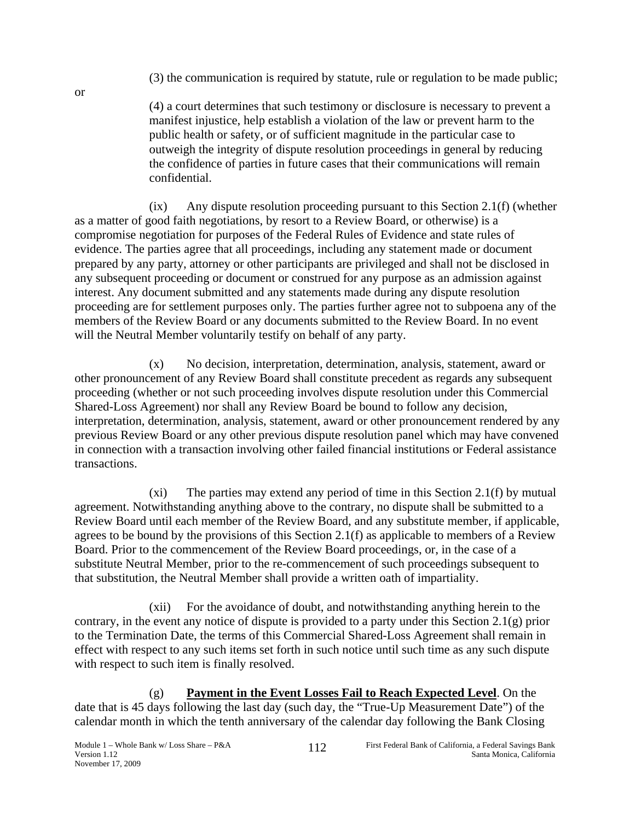(3) the communication is required by statute, rule or regulation to be made public;

(4) a court determines that such testimony or disclosure is necessary to prevent a manifest injustice, help establish a violation of the law or prevent harm to the public health or safety, or of sufficient magnitude in the particular case to outweigh the integrity of dispute resolution proceedings in general by reducing the confidence of parties in future cases that their communications will remain confidential.

 $(ix)$  Any dispute resolution proceeding pursuant to this Section 2.1(f) (whether as a matter of good faith negotiations, by resort to a Review Board, or otherwise) is a compromise negotiation for purposes of the Federal Rules of Evidence and state rules of evidence. The parties agree that all proceedings, including any statement made or document prepared by any party, attorney or other participants are privileged and shall not be disclosed in any subsequent proceeding or document or construed for any purpose as an admission against interest. Any document submitted and any statements made during any dispute resolution proceeding are for settlement purposes only. The parties further agree not to subpoena any of the members of the Review Board or any documents submitted to the Review Board. In no event will the Neutral Member voluntarily testify on behalf of any party.

(x) No decision, interpretation, determination, analysis, statement, award or other pronouncement of any Review Board shall constitute precedent as regards any subsequent proceeding (whether or not such proceeding involves dispute resolution under this Commercial Shared-Loss Agreement) nor shall any Review Board be bound to follow any decision, interpretation, determination, analysis, statement, award or other pronouncement rendered by any previous Review Board or any other previous dispute resolution panel which may have convened in connection with a transaction involving other failed financial institutions or Federal assistance transactions.

(xi) The parties may extend any period of time in this Section 2.1(f) by mutual agreement. Notwithstanding anything above to the contrary, no dispute shall be submitted to a Review Board until each member of the Review Board, and any substitute member, if applicable, agrees to be bound by the provisions of this Section 2.1(f) as applicable to members of a Review Board. Prior to the commencement of the Review Board proceedings, or, in the case of a substitute Neutral Member, prior to the re-commencement of such proceedings subsequent to that substitution, the Neutral Member shall provide a written oath of impartiality.

(xii) For the avoidance of doubt, and notwithstanding anything herein to the contrary, in the event any notice of dispute is provided to a party under this Section 2.1(g) prior to the Termination Date, the terms of this Commercial Shared-Loss Agreement shall remain in effect with respect to any such items set forth in such notice until such time as any such dispute with respect to such item is finally resolved.

 (g) **Payment in the Event Losses Fail to Reach Expected Level**. On the date that is 45 days following the last day (such day, the "True-Up Measurement Date") of the calendar month in which the tenth anniversary of the calendar day following the Bank Closing

or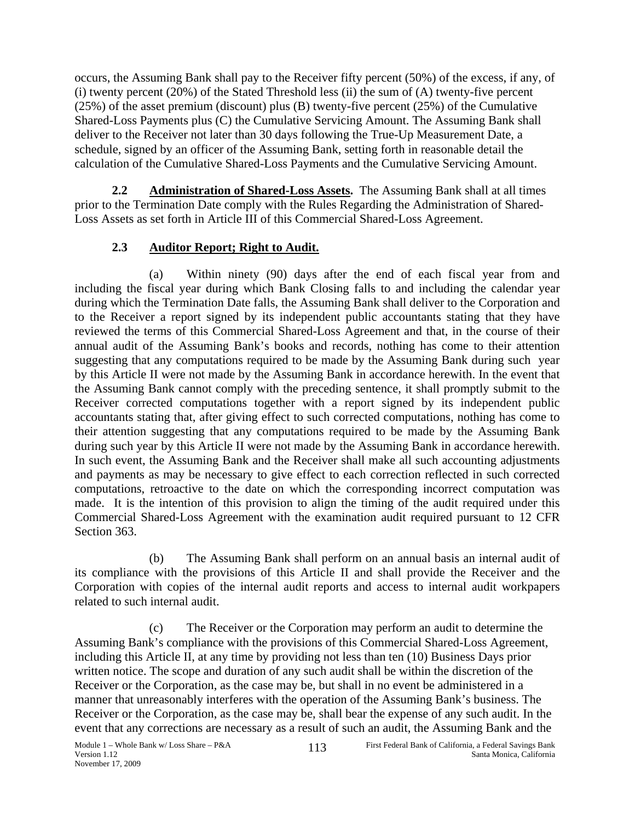occurs, the Assuming Bank shall pay to the Receiver fifty percent (50%) of the excess, if any, of (i) twenty percent  $(20\%)$  of the Stated Threshold less (ii) the sum of  $(A)$  twenty-five percent (25%) of the asset premium (discount) plus (B) twenty-five percent (25%) of the Cumulative Shared-Loss Payments plus (C) the Cumulative Servicing Amount. The Assuming Bank shall deliver to the Receiver not later than 30 days following the True-Up Measurement Date, a schedule, signed by an officer of the Assuming Bank, setting forth in reasonable detail the calculation of the Cumulative Shared-Loss Payments and the Cumulative Servicing Amount.

**2.2 Administration of Shared-Loss Assets.** The Assuming Bank shall at all times prior to the Termination Date comply with the Rules Regarding the Administration of Shared-Loss Assets as set forth in Article III of this Commercial Shared-Loss Agreement.

# **2.3 Auditor Report; Right to Audit.**

(a) Within ninety (90) days after the end of each fiscal year from and including the fiscal year during which Bank Closing falls to and including the calendar year during which the Termination Date falls, the Assuming Bank shall deliver to the Corporation and to the Receiver a report signed by its independent public accountants stating that they have reviewed the terms of this Commercial Shared-Loss Agreement and that, in the course of their annual audit of the Assuming Bank's books and records, nothing has come to their attention suggesting that any computations required to be made by the Assuming Bank during such year by this Article II were not made by the Assuming Bank in accordance herewith. In the event that the Assuming Bank cannot comply with the preceding sentence, it shall promptly submit to the Receiver corrected computations together with a report signed by its independent public accountants stating that, after giving effect to such corrected computations, nothing has come to their attention suggesting that any computations required to be made by the Assuming Bank during such year by this Article II were not made by the Assuming Bank in accordance herewith. In such event, the Assuming Bank and the Receiver shall make all such accounting adjustments and payments as may be necessary to give effect to each correction reflected in such corrected computations, retroactive to the date on which the corresponding incorrect computation was made. It is the intention of this provision to align the timing of the audit required under this Commercial Shared-Loss Agreement with the examination audit required pursuant to 12 CFR Section 363.

(b) The Assuming Bank shall perform on an annual basis an internal audit of its compliance with the provisions of this Article II and shall provide the Receiver and the Corporation with copies of the internal audit reports and access to internal audit workpapers related to such internal audit.

(c) The Receiver or the Corporation may perform an audit to determine the Assuming Bank's compliance with the provisions of this Commercial Shared-Loss Agreement, including this Article II, at any time by providing not less than ten (10) Business Days prior written notice. The scope and duration of any such audit shall be within the discretion of the Receiver or the Corporation, as the case may be, but shall in no event be administered in a manner that unreasonably interferes with the operation of the Assuming Bank's business. The Receiver or the Corporation, as the case may be, shall bear the expense of any such audit. In the event that any corrections are necessary as a result of such an audit, the Assuming Bank and the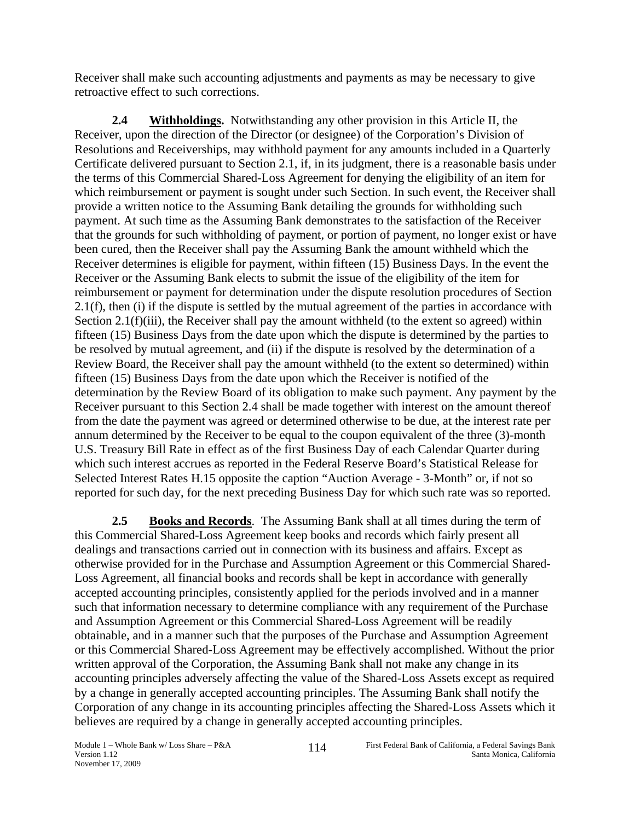Receiver shall make such accounting adjustments and payments as may be necessary to give retroactive effect to such corrections.

**2.4 Withholdings.** Notwithstanding any other provision in this Article II, the Receiver, upon the direction of the Director (or designee) of the Corporation's Division of Resolutions and Receiverships, may withhold payment for any amounts included in a Quarterly Certificate delivered pursuant to Section 2.1, if, in its judgment, there is a reasonable basis under the terms of this Commercial Shared-Loss Agreement for denying the eligibility of an item for which reimbursement or payment is sought under such Section. In such event, the Receiver shall provide a written notice to the Assuming Bank detailing the grounds for withholding such payment. At such time as the Assuming Bank demonstrates to the satisfaction of the Receiver that the grounds for such withholding of payment, or portion of payment, no longer exist or have been cured, then the Receiver shall pay the Assuming Bank the amount withheld which the Receiver determines is eligible for payment, within fifteen (15) Business Days. In the event the Receiver or the Assuming Bank elects to submit the issue of the eligibility of the item for reimbursement or payment for determination under the dispute resolution procedures of Section 2.1(f), then (i) if the dispute is settled by the mutual agreement of the parties in accordance with Section 2.1(f)(iii), the Receiver shall pay the amount withheld (to the extent so agreed) within fifteen (15) Business Days from the date upon which the dispute is determined by the parties to be resolved by mutual agreement, and (ii) if the dispute is resolved by the determination of a Review Board, the Receiver shall pay the amount withheld (to the extent so determined) within fifteen (15) Business Days from the date upon which the Receiver is notified of the determination by the Review Board of its obligation to make such payment. Any payment by the Receiver pursuant to this Section 2.4 shall be made together with interest on the amount thereof from the date the payment was agreed or determined otherwise to be due, at the interest rate per annum determined by the Receiver to be equal to the coupon equivalent of the three (3)-month U.S. Treasury Bill Rate in effect as of the first Business Day of each Calendar Quarter during which such interest accrues as reported in the Federal Reserve Board's Statistical Release for Selected Interest Rates H.15 opposite the caption "Auction Average - 3-Month" or, if not so reported for such day, for the next preceding Business Day for which such rate was so reported.

**2.5 Books and Records**. The Assuming Bank shall at all times during the term of this Commercial Shared-Loss Agreement keep books and records which fairly present all dealings and transactions carried out in connection with its business and affairs. Except as otherwise provided for in the Purchase and Assumption Agreement or this Commercial Shared-Loss Agreement, all financial books and records shall be kept in accordance with generally accepted accounting principles, consistently applied for the periods involved and in a manner such that information necessary to determine compliance with any requirement of the Purchase and Assumption Agreement or this Commercial Shared-Loss Agreement will be readily obtainable, and in a manner such that the purposes of the Purchase and Assumption Agreement or this Commercial Shared-Loss Agreement may be effectively accomplished. Without the prior written approval of the Corporation, the Assuming Bank shall not make any change in its accounting principles adversely affecting the value of the Shared-Loss Assets except as required by a change in generally accepted accounting principles. The Assuming Bank shall notify the Corporation of any change in its accounting principles affecting the Shared-Loss Assets which it believes are required by a change in generally accepted accounting principles.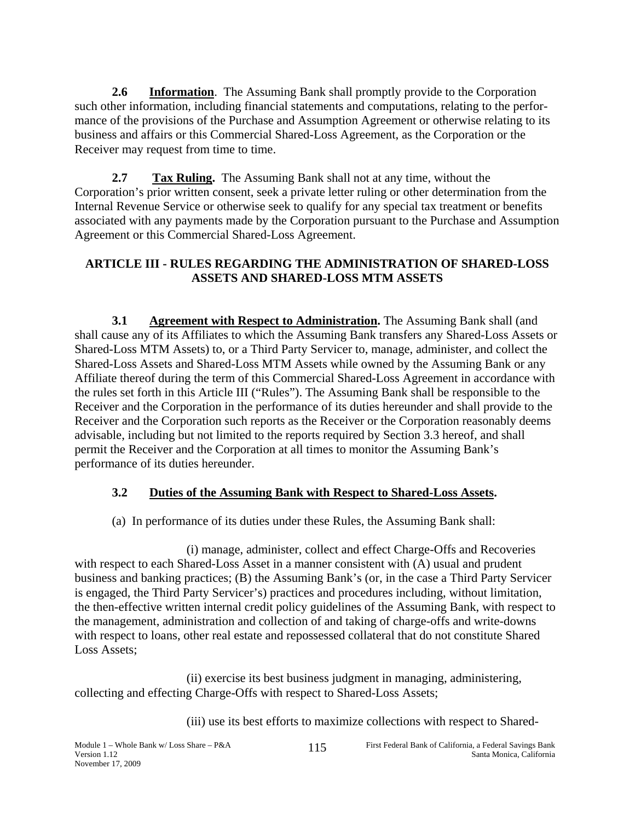**2.6 Information**. The Assuming Bank shall promptly provide to the Corporation such other information, including financial statements and computations, relating to the performance of the provisions of the Purchase and Assumption Agreement or otherwise relating to its business and affairs or this Commercial Shared-Loss Agreement, as the Corporation or the Receiver may request from time to time.

**2.7 Tax Ruling.** The Assuming Bank shall not at any time, without the Corporation's prior written consent, seek a private letter ruling or other determination from the Internal Revenue Service or otherwise seek to qualify for any special tax treatment or benefits associated with any payments made by the Corporation pursuant to the Purchase and Assumption Agreement or this Commercial Shared-Loss Agreement.

#### **ARTICLE III - RULES REGARDING THE ADMINISTRATION OF SHARED-LOSS ASSETS AND SHARED-LOSS MTM ASSETS**

**3.1 Agreement with Respect to Administration.** The Assuming Bank shall (and shall cause any of its Affiliates to which the Assuming Bank transfers any Shared-Loss Assets or Shared-Loss MTM Assets) to, or a Third Party Servicer to, manage, administer, and collect the Shared-Loss Assets and Shared-Loss MTM Assets while owned by the Assuming Bank or any Affiliate thereof during the term of this Commercial Shared-Loss Agreement in accordance with the rules set forth in this Article III ("Rules"). The Assuming Bank shall be responsible to the Receiver and the Corporation in the performance of its duties hereunder and shall provide to the Receiver and the Corporation such reports as the Receiver or the Corporation reasonably deems advisable, including but not limited to the reports required by Section 3.3 hereof, and shall permit the Receiver and the Corporation at all times to monitor the Assuming Bank's performance of its duties hereunder.

## **3.2 Duties of the Assuming Bank with Respect to Shared-Loss Assets.**

(a) In performance of its duties under these Rules, the Assuming Bank shall:

(i) manage, administer, collect and effect Charge-Offs and Recoveries with respect to each Shared-Loss Asset in a manner consistent with (A) usual and prudent business and banking practices; (B) the Assuming Bank's (or, in the case a Third Party Servicer is engaged, the Third Party Servicer's) practices and procedures including, without limitation, the then-effective written internal credit policy guidelines of the Assuming Bank, with respect to the management, administration and collection of and taking of charge-offs and write-downs with respect to loans, other real estate and repossessed collateral that do not constitute Shared Loss Assets;

(ii) exercise its best business judgment in managing, administering, collecting and effecting Charge-Offs with respect to Shared-Loss Assets;

(iii) use its best efforts to maximize collections with respect to Shared-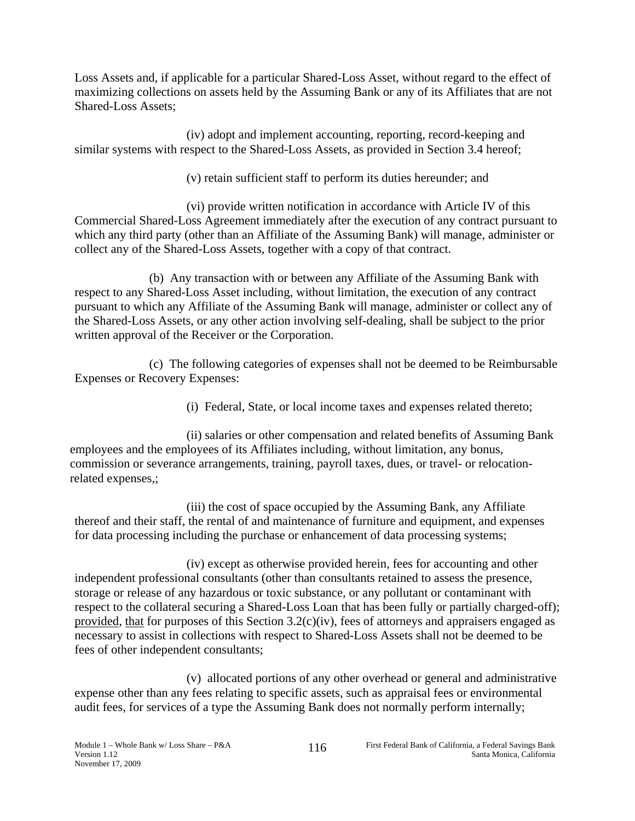Loss Assets and, if applicable for a particular Shared-Loss Asset, without regard to the effect of maximizing collections on assets held by the Assuming Bank or any of its Affiliates that are not Shared-Loss Assets;

(iv) adopt and implement accounting, reporting, record-keeping and similar systems with respect to the Shared-Loss Assets, as provided in Section 3.4 hereof;

(v) retain sufficient staff to perform its duties hereunder; and

(vi) provide written notification in accordance with Article IV of this Commercial Shared-Loss Agreement immediately after the execution of any contract pursuant to which any third party (other than an Affiliate of the Assuming Bank) will manage, administer or collect any of the Shared-Loss Assets, together with a copy of that contract.

(b) Any transaction with or between any Affiliate of the Assuming Bank with respect to any Shared-Loss Asset including, without limitation, the execution of any contract pursuant to which any Affiliate of the Assuming Bank will manage, administer or collect any of the Shared-Loss Assets, or any other action involving self-dealing, shall be subject to the prior written approval of the Receiver or the Corporation.

(c) The following categories of expenses shall not be deemed to be Reimbursable Expenses or Recovery Expenses:

(i) Federal, State, or local income taxes and expenses related thereto;

(ii) salaries or other compensation and related benefits of Assuming Bank employees and the employees of its Affiliates including, without limitation, any bonus, commission or severance arrangements, training, payroll taxes, dues, or travel- or relocationrelated expenses,;

(iii) the cost of space occupied by the Assuming Bank, any Affiliate thereof and their staff, the rental of and maintenance of furniture and equipment, and expenses for data processing including the purchase or enhancement of data processing systems;

(iv) except as otherwise provided herein, fees for accounting and other independent professional consultants (other than consultants retained to assess the presence, storage or release of any hazardous or toxic substance, or any pollutant or contaminant with respect to the collateral securing a Shared-Loss Loan that has been fully or partially charged-off); provided, that for purposes of this Section 3.2(c)(iv), fees of attorneys and appraisers engaged as necessary to assist in collections with respect to Shared-Loss Assets shall not be deemed to be fees of other independent consultants;

(v) allocated portions of any other overhead or general and administrative expense other than any fees relating to specific assets, such as appraisal fees or environmental audit fees, for services of a type the Assuming Bank does not normally perform internally;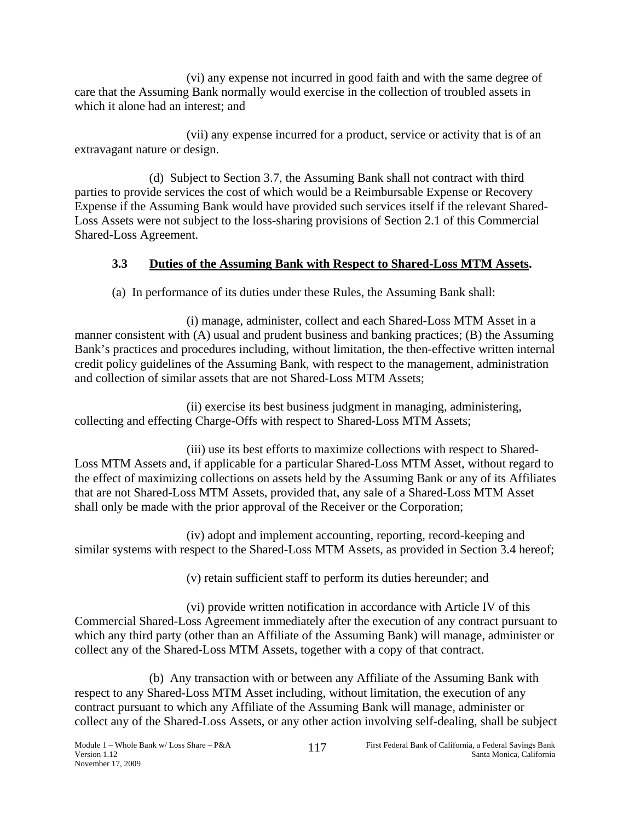(vi) any expense not incurred in good faith and with the same degree of care that the Assuming Bank normally would exercise in the collection of troubled assets in which it alone had an interest; and

(vii) any expense incurred for a product, service or activity that is of an extravagant nature or design.

(d) Subject to Section 3.7, the Assuming Bank shall not contract with third parties to provide services the cost of which would be a Reimbursable Expense or Recovery Expense if the Assuming Bank would have provided such services itself if the relevant Shared-Loss Assets were not subject to the loss-sharing provisions of Section 2.1 of this Commercial Shared-Loss Agreement.

## **3.3 Duties of the Assuming Bank with Respect to Shared-Loss MTM Assets.**

(a) In performance of its duties under these Rules, the Assuming Bank shall:

(i) manage, administer, collect and each Shared-Loss MTM Asset in a manner consistent with (A) usual and prudent business and banking practices; (B) the Assuming Bank's practices and procedures including, without limitation, the then-effective written internal credit policy guidelines of the Assuming Bank, with respect to the management, administration and collection of similar assets that are not Shared-Loss MTM Assets;

(ii) exercise its best business judgment in managing, administering, collecting and effecting Charge-Offs with respect to Shared-Loss MTM Assets;

(iii) use its best efforts to maximize collections with respect to Shared-Loss MTM Assets and, if applicable for a particular Shared-Loss MTM Asset, without regard to the effect of maximizing collections on assets held by the Assuming Bank or any of its Affiliates that are not Shared-Loss MTM Assets, provided that, any sale of a Shared-Loss MTM Asset shall only be made with the prior approval of the Receiver or the Corporation;

(iv) adopt and implement accounting, reporting, record-keeping and similar systems with respect to the Shared-Loss MTM Assets, as provided in Section 3.4 hereof;

(v) retain sufficient staff to perform its duties hereunder; and

(vi) provide written notification in accordance with Article IV of this Commercial Shared-Loss Agreement immediately after the execution of any contract pursuant to which any third party (other than an Affiliate of the Assuming Bank) will manage, administer or collect any of the Shared-Loss MTM Assets, together with a copy of that contract.

(b) Any transaction with or between any Affiliate of the Assuming Bank with respect to any Shared-Loss MTM Asset including, without limitation, the execution of any contract pursuant to which any Affiliate of the Assuming Bank will manage, administer or collect any of the Shared-Loss Assets, or any other action involving self-dealing, shall be subject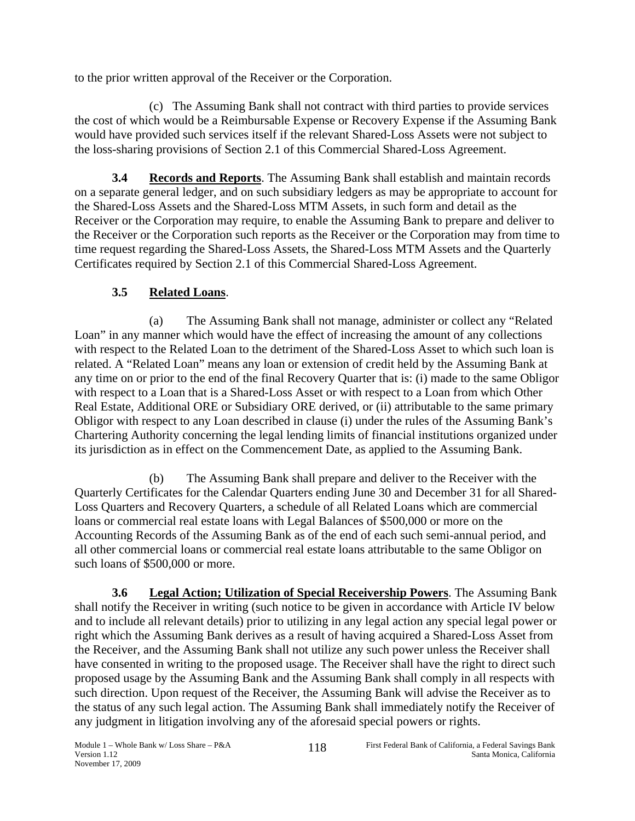to the prior written approval of the Receiver or the Corporation.

(c) The Assuming Bank shall not contract with third parties to provide services the cost of which would be a Reimbursable Expense or Recovery Expense if the Assuming Bank would have provided such services itself if the relevant Shared-Loss Assets were not subject to the loss-sharing provisions of Section 2.1 of this Commercial Shared-Loss Agreement.

**3.4 Records and Reports**. The Assuming Bank shall establish and maintain records on a separate general ledger, and on such subsidiary ledgers as may be appropriate to account for the Shared-Loss Assets and the Shared-Loss MTM Assets, in such form and detail as the Receiver or the Corporation may require, to enable the Assuming Bank to prepare and deliver to the Receiver or the Corporation such reports as the Receiver or the Corporation may from time to time request regarding the Shared-Loss Assets, the Shared-Loss MTM Assets and the Quarterly Certificates required by Section 2.1 of this Commercial Shared-Loss Agreement.

# **3.5 Related Loans**.

(a) The Assuming Bank shall not manage, administer or collect any "Related Loan" in any manner which would have the effect of increasing the amount of any collections with respect to the Related Loan to the detriment of the Shared-Loss Asset to which such loan is related. A "Related Loan" means any loan or extension of credit held by the Assuming Bank at any time on or prior to the end of the final Recovery Quarter that is: (i) made to the same Obligor with respect to a Loan that is a Shared-Loss Asset or with respect to a Loan from which Other Real Estate, Additional ORE or Subsidiary ORE derived, or (ii) attributable to the same primary Obligor with respect to any Loan described in clause (i) under the rules of the Assuming Bank's Chartering Authority concerning the legal lending limits of financial institutions organized under its jurisdiction as in effect on the Commencement Date, as applied to the Assuming Bank.

(b) The Assuming Bank shall prepare and deliver to the Receiver with the Quarterly Certificates for the Calendar Quarters ending June 30 and December 31 for all Shared-Loss Quarters and Recovery Quarters, a schedule of all Related Loans which are commercial loans or commercial real estate loans with Legal Balances of \$500,000 or more on the Accounting Records of the Assuming Bank as of the end of each such semi-annual period, and all other commercial loans or commercial real estate loans attributable to the same Obligor on such loans of \$500,000 or more.

**3.6 Legal Action; Utilization of Special Receivership Powers**. The Assuming Bank shall notify the Receiver in writing (such notice to be given in accordance with Article IV below and to include all relevant details) prior to utilizing in any legal action any special legal power or right which the Assuming Bank derives as a result of having acquired a Shared-Loss Asset from the Receiver, and the Assuming Bank shall not utilize any such power unless the Receiver shall have consented in writing to the proposed usage. The Receiver shall have the right to direct such proposed usage by the Assuming Bank and the Assuming Bank shall comply in all respects with such direction. Upon request of the Receiver, the Assuming Bank will advise the Receiver as to the status of any such legal action. The Assuming Bank shall immediately notify the Receiver of any judgment in litigation involving any of the aforesaid special powers or rights.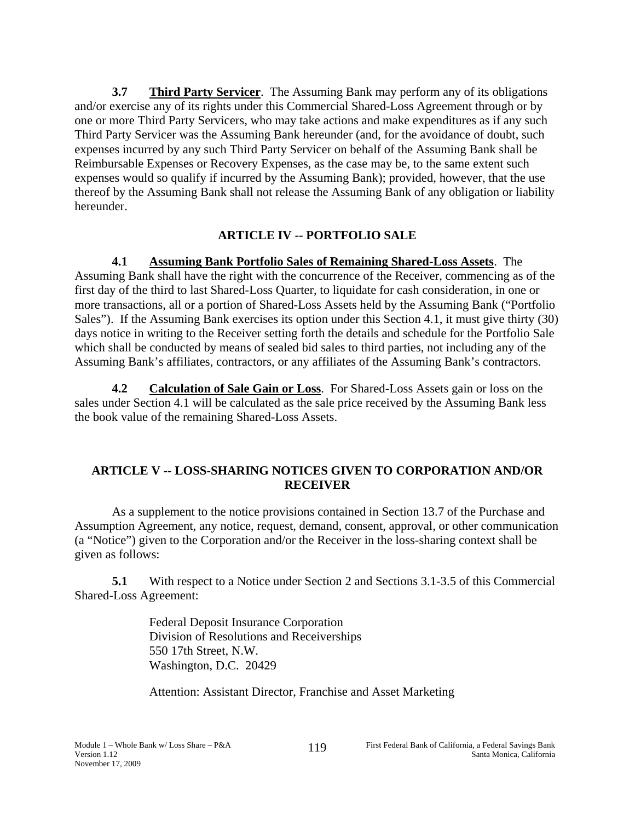**3.7 Third Party Servicer**. The Assuming Bank may perform any of its obligations and/or exercise any of its rights under this Commercial Shared-Loss Agreement through or by one or more Third Party Servicers, who may take actions and make expenditures as if any such Third Party Servicer was the Assuming Bank hereunder (and, for the avoidance of doubt, such expenses incurred by any such Third Party Servicer on behalf of the Assuming Bank shall be Reimbursable Expenses or Recovery Expenses, as the case may be, to the same extent such expenses would so qualify if incurred by the Assuming Bank); provided, however, that the use thereof by the Assuming Bank shall not release the Assuming Bank of any obligation or liability hereunder.

#### **ARTICLE IV -- PORTFOLIO SALE**

**4.1 Assuming Bank Portfolio Sales of Remaining Shared-Loss Assets**. The Assuming Bank shall have the right with the concurrence of the Receiver, commencing as of the first day of the third to last Shared-Loss Quarter, to liquidate for cash consideration, in one or more transactions, all or a portion of Shared-Loss Assets held by the Assuming Bank ("Portfolio Sales"). If the Assuming Bank exercises its option under this Section 4.1, it must give thirty (30) days notice in writing to the Receiver setting forth the details and schedule for the Portfolio Sale which shall be conducted by means of sealed bid sales to third parties, not including any of the Assuming Bank's affiliates, contractors, or any affiliates of the Assuming Bank's contractors.

**4.2 Calculation of Sale Gain or Loss**. For Shared-Loss Assets gain or loss on the sales under Section 4.1 will be calculated as the sale price received by the Assuming Bank less the book value of the remaining Shared-Loss Assets.

#### **ARTICLE V -- LOSS-SHARING NOTICES GIVEN TO CORPORATION AND/OR RECEIVER**

As a supplement to the notice provisions contained in Section 13.7 of the Purchase and Assumption Agreement, any notice, request, demand, consent, approval, or other communication (a "Notice") given to the Corporation and/or the Receiver in the loss-sharing context shall be given as follows:

**5.1** With respect to a Notice under Section 2 and Sections 3.1-3.5 of this Commercial Shared-Loss Agreement:

> Federal Deposit Insurance Corporation Division of Resolutions and Receiverships 550 17th Street, N.W. Washington, D.C. 20429

Attention: Assistant Director, Franchise and Asset Marketing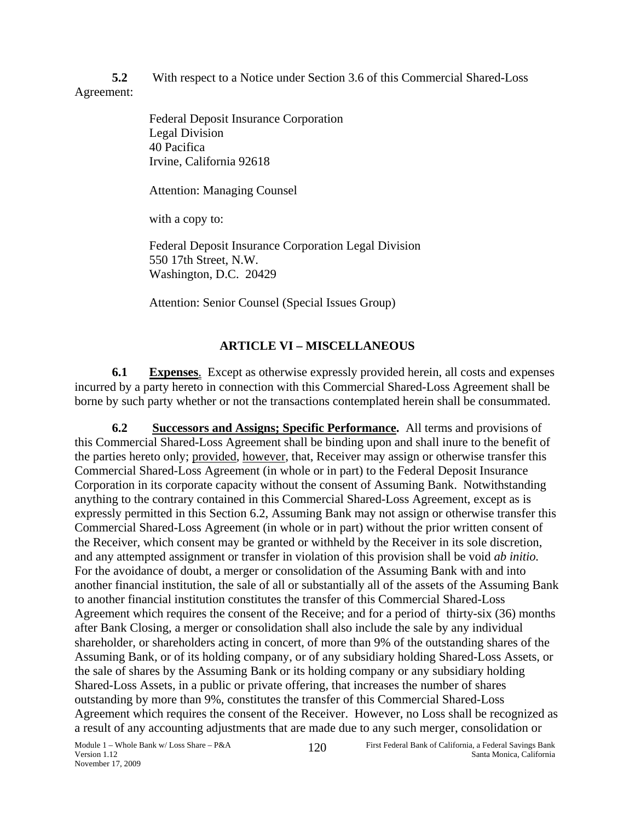**5.2** With respect to a Notice under Section 3.6 of this Commercial Shared-Loss Agreement:

> Federal Deposit Insurance Corporation Legal Division 40 Pacifica Irvine, California 92618

Attention: Managing Counsel

with a copy to:

Federal Deposit Insurance Corporation Legal Division 550 17th Street, N.W. Washington, D.C. 20429

Attention: Senior Counsel (Special Issues Group)

#### **ARTICLE VI – MISCELLANEOUS**

**6.1 Expenses**. Except as otherwise expressly provided herein, all costs and expenses incurred by a party hereto in connection with this Commercial Shared-Loss Agreement shall be borne by such party whether or not the transactions contemplated herein shall be consummated.

**6.2 Successors and Assigns; Specific Performance.** All terms and provisions of this Commercial Shared-Loss Agreement shall be binding upon and shall inure to the benefit of the parties hereto only; provided, however, that, Receiver may assign or otherwise transfer this Commercial Shared-Loss Agreement (in whole or in part) to the Federal Deposit Insurance Corporation in its corporate capacity without the consent of Assuming Bank. Notwithstanding anything to the contrary contained in this Commercial Shared-Loss Agreement, except as is expressly permitted in this Section 6.2, Assuming Bank may not assign or otherwise transfer this Commercial Shared-Loss Agreement (in whole or in part) without the prior written consent of the Receiver, which consent may be granted or withheld by the Receiver in its sole discretion, and any attempted assignment or transfer in violation of this provision shall be void *ab initio.*  For the avoidance of doubt, a merger or consolidation of the Assuming Bank with and into another financial institution, the sale of all or substantially all of the assets of the Assuming Bank to another financial institution constitutes the transfer of this Commercial Shared-Loss Agreement which requires the consent of the Receive; and for a period of thirty-six (36) months after Bank Closing, a merger or consolidation shall also include the sale by any individual shareholder, or shareholders acting in concert, of more than 9% of the outstanding shares of the Assuming Bank, or of its holding company, or of any subsidiary holding Shared-Loss Assets, or the sale of shares by the Assuming Bank or its holding company or any subsidiary holding Shared-Loss Assets, in a public or private offering, that increases the number of shares outstanding by more than 9%, constitutes the transfer of this Commercial Shared-Loss Agreement which requires the consent of the Receiver. However, no Loss shall be recognized as a result of any accounting adjustments that are made due to any such merger, consolidation or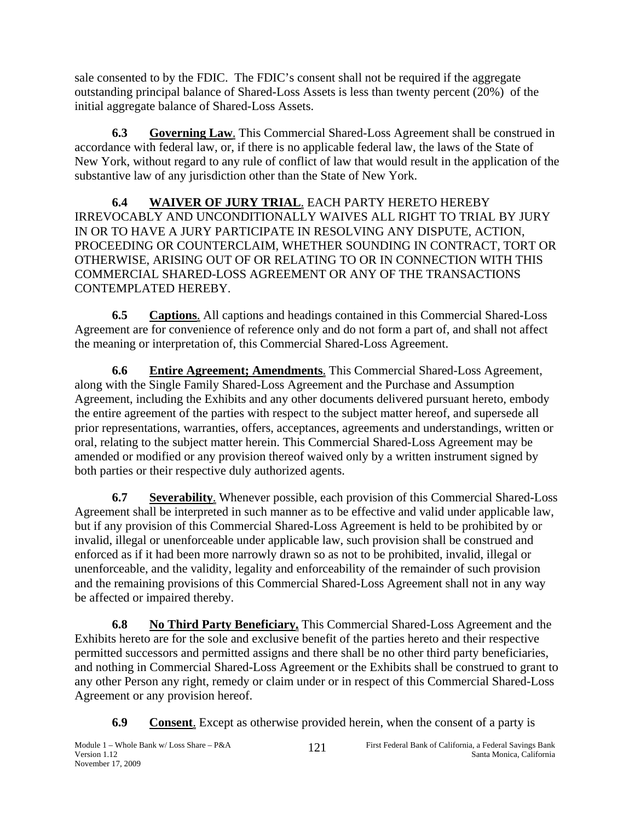sale consented to by the FDIC. The FDIC's consent shall not be required if the aggregate outstanding principal balance of Shared-Loss Assets is less than twenty percent (20%) of the initial aggregate balance of Shared-Loss Assets.

**6.3 Governing Law**. This Commercial Shared-Loss Agreement shall be construed in accordance with federal law, or, if there is no applicable federal law, the laws of the State of New York, without regard to any rule of conflict of law that would result in the application of the substantive law of any jurisdiction other than the State of New York.

**6.4 WAIVER OF JURY TRIAL**. EACH PARTY HERETO HEREBY IRREVOCABLY AND UNCONDITIONALLY WAIVES ALL RIGHT TO TRIAL BY JURY IN OR TO HAVE A JURY PARTICIPATE IN RESOLVING ANY DISPUTE, ACTION, PROCEEDING OR COUNTERCLAIM, WHETHER SOUNDING IN CONTRACT, TORT OR OTHERWISE, ARISING OUT OF OR RELATING TO OR IN CONNECTION WITH THIS COMMERCIAL SHARED-LOSS AGREEMENT OR ANY OF THE TRANSACTIONS CONTEMPLATED HEREBY.

**6.5 Captions**. All captions and headings contained in this Commercial Shared-Loss Agreement are for convenience of reference only and do not form a part of, and shall not affect the meaning or interpretation of, this Commercial Shared-Loss Agreement.

**6.6 Entire Agreement; Amendments**. This Commercial Shared-Loss Agreement, along with the Single Family Shared-Loss Agreement and the Purchase and Assumption Agreement, including the Exhibits and any other documents delivered pursuant hereto, embody the entire agreement of the parties with respect to the subject matter hereof, and supersede all prior representations, warranties, offers, acceptances, agreements and understandings, written or oral, relating to the subject matter herein. This Commercial Shared-Loss Agreement may be amended or modified or any provision thereof waived only by a written instrument signed by both parties or their respective duly authorized agents.

**6.7 Severability**. Whenever possible, each provision of this Commercial Shared-Loss Agreement shall be interpreted in such manner as to be effective and valid under applicable law, but if any provision of this Commercial Shared-Loss Agreement is held to be prohibited by or invalid, illegal or unenforceable under applicable law, such provision shall be construed and enforced as if it had been more narrowly drawn so as not to be prohibited, invalid, illegal or unenforceable, and the validity, legality and enforceability of the remainder of such provision and the remaining provisions of this Commercial Shared-Loss Agreement shall not in any way be affected or impaired thereby.

**6.8 No Third Party Beneficiary.** This Commercial Shared-Loss Agreement and the Exhibits hereto are for the sole and exclusive benefit of the parties hereto and their respective permitted successors and permitted assigns and there shall be no other third party beneficiaries, and nothing in Commercial Shared-Loss Agreement or the Exhibits shall be construed to grant to any other Person any right, remedy or claim under or in respect of this Commercial Shared-Loss Agreement or any provision hereof.

**6.9** Consent. Except as otherwise provided herein, when the consent of a party is